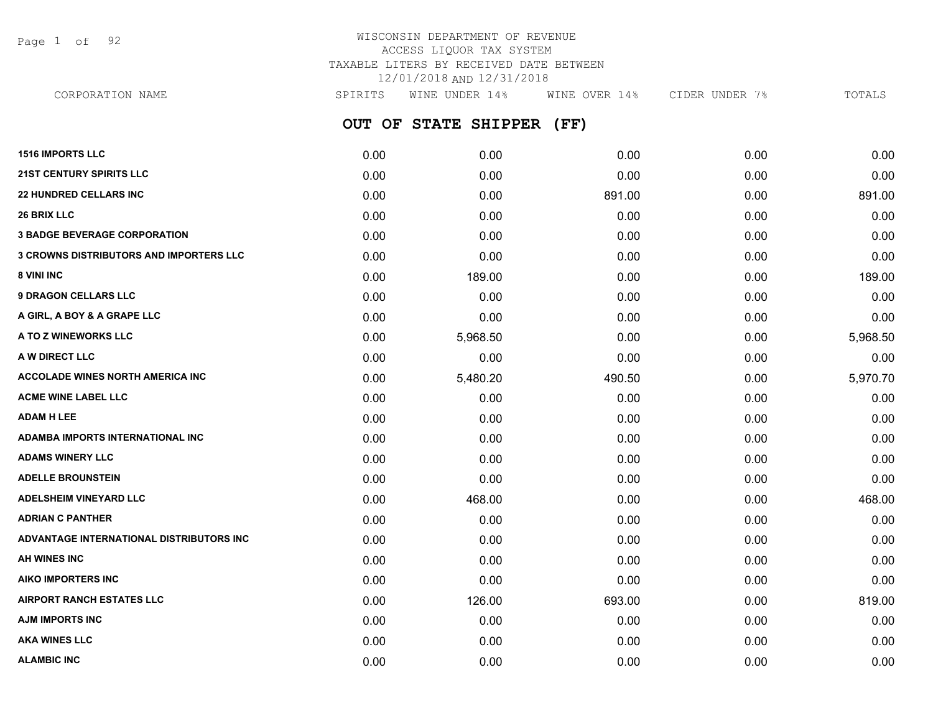Page 1 of 92

#### WISCONSIN DEPARTMENT OF REVENUE ACCESS LIQUOR TAX SYSTEM TAXABLE LITERS BY RECEIVED DATE BETWEEN 12/01/2018 AND 12/31/2018 CORPORATION NAME SPIRITS WINE UNDER 14% WINE OVER 14% CIDER UNDER 7% TOTALS

| CORPORATION NAME                               | SPIKITS | MINE UNDER 14%                 | MINE OVER 14% | CIDER UNDER 7% | TUTALS   |
|------------------------------------------------|---------|--------------------------------|---------------|----------------|----------|
|                                                |         | OUT OF STATE<br><b>SHIPPER</b> | (FF)          |                |          |
| <b>1516 IMPORTS LLC</b>                        | 0.00    | 0.00                           | 0.00          | 0.00           | 0.00     |
| <b>21ST CENTURY SPIRITS LLC</b>                | 0.00    | 0.00                           | 0.00          | 0.00           | 0.00     |
| <b>22 HUNDRED CELLARS INC</b>                  | 0.00    | 0.00                           | 891.00        | 0.00           | 891.00   |
| <b>26 BRIX LLC</b>                             | 0.00    | 0.00                           | 0.00          | 0.00           | 0.00     |
| <b>3 BADGE BEVERAGE CORPORATION</b>            | 0.00    | 0.00                           | 0.00          | 0.00           | 0.00     |
| <b>3 CROWNS DISTRIBUTORS AND IMPORTERS LLC</b> | 0.00    | 0.00                           | 0.00          | 0.00           | 0.00     |
| 8 VINI INC                                     | 0.00    | 189.00                         | 0.00          | 0.00           | 189.00   |
| <b>9 DRAGON CELLARS LLC</b>                    | 0.00    | 0.00                           | 0.00          | 0.00           | 0.00     |
| A GIRL, A BOY & A GRAPE LLC                    | 0.00    | 0.00                           | 0.00          | 0.00           | 0.00     |
| A TO Z WINEWORKS LLC                           | 0.00    | 5,968.50                       | 0.00          | 0.00           | 5,968.50 |
| A W DIRECT LLC                                 | 0.00    | 0.00                           | 0.00          | 0.00           | 0.00     |
| <b>ACCOLADE WINES NORTH AMERICA INC</b>        | 0.00    | 5,480.20                       | 490.50        | 0.00           | 5,970.70 |
| <b>ACME WINE LABEL LLC</b>                     | 0.00    | 0.00                           | 0.00          | 0.00           | 0.00     |
| <b>ADAM H LEE</b>                              | 0.00    | 0.00                           | 0.00          | 0.00           | 0.00     |
| ADAMBA IMPORTS INTERNATIONAL INC               | 0.00    | 0.00                           | 0.00          | 0.00           | 0.00     |
| <b>ADAMS WINERY LLC</b>                        | 0.00    | 0.00                           | 0.00          | 0.00           | 0.00     |
| <b>ADELLE BROUNSTEIN</b>                       | 0.00    | 0.00                           | 0.00          | 0.00           | 0.00     |
| <b>ADELSHEIM VINEYARD LLC</b>                  | 0.00    | 468.00                         | 0.00          | 0.00           | 468.00   |
| <b>ADRIAN C PANTHER</b>                        | 0.00    | 0.00                           | 0.00          | 0.00           | 0.00     |
| ADVANTAGE INTERNATIONAL DISTRIBUTORS INC       | 0.00    | 0.00                           | 0.00          | 0.00           | 0.00     |
| <b>AH WINES INC</b>                            | 0.00    | 0.00                           | 0.00          | 0.00           | 0.00     |
| <b>AIKO IMPORTERS INC</b>                      | 0.00    | 0.00                           | 0.00          | 0.00           | 0.00     |
| <b>AIRPORT RANCH ESTATES LLC</b>               | 0.00    | 126.00                         | 693.00        | 0.00           | 819.00   |

**AJM IMPORTS INC** 0.00 0.00 0.00 0.00 0.00 **AKA WINES LLC** 0.00 0.00 0.00 0.00 0.00 **ALAMBIC INC** 0.00 0.00 0.00 0.00 0.00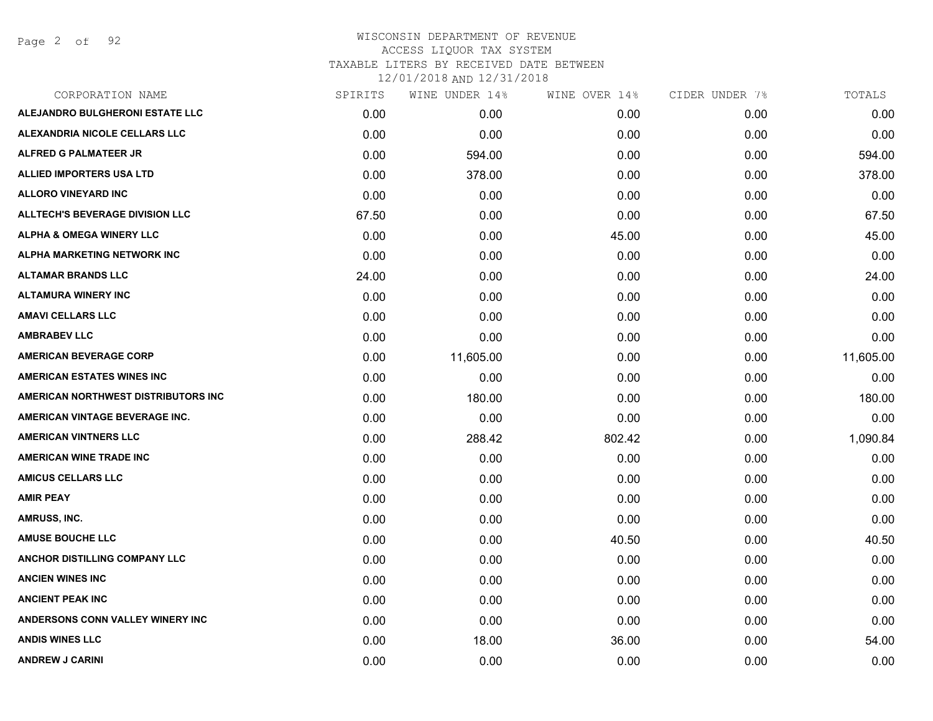Page 2 of 92

| CORPORATION NAME                       | SPIRITS | WINE UNDER 14% | WINE OVER 14% | CIDER UNDER 7% | TOTALS    |
|----------------------------------------|---------|----------------|---------------|----------------|-----------|
| ALEJANDRO BULGHERONI ESTATE LLC        | 0.00    | 0.00           | 0.00          | 0.00           | 0.00      |
| ALEXANDRIA NICOLE CELLARS LLC          | 0.00    | 0.00           | 0.00          | 0.00           | 0.00      |
| ALFRED G PALMATEER JR                  | 0.00    | 594.00         | 0.00          | 0.00           | 594.00    |
| <b>ALLIED IMPORTERS USA LTD</b>        | 0.00    | 378.00         | 0.00          | 0.00           | 378.00    |
| <b>ALLORO VINEYARD INC</b>             | 0.00    | 0.00           | 0.00          | 0.00           | 0.00      |
| <b>ALLTECH'S BEVERAGE DIVISION LLC</b> | 67.50   | 0.00           | 0.00          | 0.00           | 67.50     |
| <b>ALPHA &amp; OMEGA WINERY LLC</b>    | 0.00    | 0.00           | 45.00         | 0.00           | 45.00     |
| <b>ALPHA MARKETING NETWORK INC</b>     | 0.00    | 0.00           | 0.00          | 0.00           | 0.00      |
| <b>ALTAMAR BRANDS LLC</b>              | 24.00   | 0.00           | 0.00          | 0.00           | 24.00     |
| <b>ALTAMURA WINERY INC</b>             | 0.00    | 0.00           | 0.00          | 0.00           | 0.00      |
| <b>AMAVI CELLARS LLC</b>               | 0.00    | 0.00           | 0.00          | 0.00           | 0.00      |
| <b>AMBRABEV LLC</b>                    | 0.00    | 0.00           | 0.00          | 0.00           | 0.00      |
| <b>AMERICAN BEVERAGE CORP</b>          | 0.00    | 11,605.00      | 0.00          | 0.00           | 11,605.00 |
| <b>AMERICAN ESTATES WINES INC</b>      | 0.00    | 0.00           | 0.00          | 0.00           | 0.00      |
| AMERICAN NORTHWEST DISTRIBUTORS INC    | 0.00    | 180.00         | 0.00          | 0.00           | 180.00    |
| AMERICAN VINTAGE BEVERAGE INC.         | 0.00    | 0.00           | 0.00          | 0.00           | 0.00      |
| <b>AMERICAN VINTNERS LLC</b>           | 0.00    | 288.42         | 802.42        | 0.00           | 1,090.84  |
| <b>AMERICAN WINE TRADE INC</b>         | 0.00    | 0.00           | 0.00          | 0.00           | 0.00      |
| <b>AMICUS CELLARS LLC</b>              | 0.00    | 0.00           | 0.00          | 0.00           | 0.00      |
| <b>AMIR PEAY</b>                       | 0.00    | 0.00           | 0.00          | 0.00           | 0.00      |
| AMRUSS, INC.                           | 0.00    | 0.00           | 0.00          | 0.00           | 0.00      |
| <b>AMUSE BOUCHE LLC</b>                | 0.00    | 0.00           | 40.50         | 0.00           | 40.50     |
| ANCHOR DISTILLING COMPANY LLC          | 0.00    | 0.00           | 0.00          | 0.00           | 0.00      |
| <b>ANCIEN WINES INC</b>                | 0.00    | 0.00           | 0.00          | 0.00           | 0.00      |
| <b>ANCIENT PEAK INC</b>                | 0.00    | 0.00           | 0.00          | 0.00           | 0.00      |
| ANDERSONS CONN VALLEY WINERY INC       | 0.00    | 0.00           | 0.00          | 0.00           | 0.00      |
| <b>ANDIS WINES LLC</b>                 | 0.00    | 18.00          | 36.00         | 0.00           | 54.00     |
| <b>ANDREW J CARINI</b>                 | 0.00    | 0.00           | 0.00          | 0.00           | 0.00      |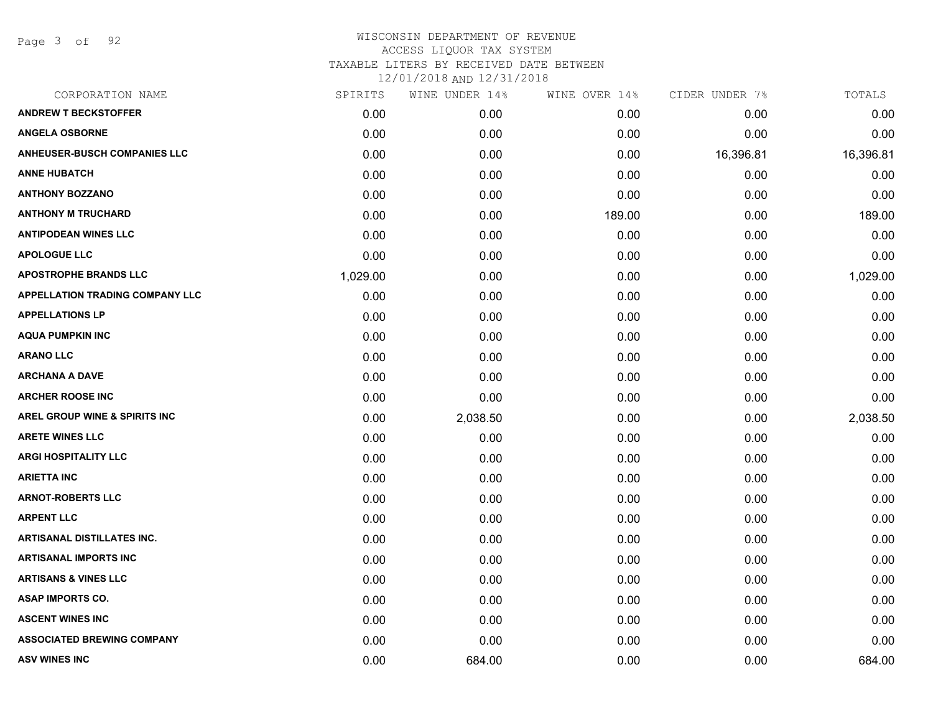Page 3 of 92

| CORPORATION NAME                       | SPIRITS  | WINE UNDER 14% | WINE OVER 14% | CIDER UNDER 7% | TOTALS    |
|----------------------------------------|----------|----------------|---------------|----------------|-----------|
| <b>ANDREW T BECKSTOFFER</b>            | 0.00     | 0.00           | 0.00          | 0.00           | 0.00      |
| <b>ANGELA OSBORNE</b>                  | 0.00     | 0.00           | 0.00          | 0.00           | 0.00      |
| <b>ANHEUSER-BUSCH COMPANIES LLC</b>    | 0.00     | 0.00           | 0.00          | 16,396.81      | 16,396.81 |
| <b>ANNE HUBATCH</b>                    | 0.00     | 0.00           | 0.00          | 0.00           | 0.00      |
| <b>ANTHONY BOZZANO</b>                 | 0.00     | 0.00           | 0.00          | 0.00           | 0.00      |
| <b>ANTHONY M TRUCHARD</b>              | 0.00     | 0.00           | 189.00        | 0.00           | 189.00    |
| <b>ANTIPODEAN WINES LLC</b>            | 0.00     | 0.00           | 0.00          | 0.00           | 0.00      |
| <b>APOLOGUE LLC</b>                    | 0.00     | 0.00           | 0.00          | 0.00           | 0.00      |
| <b>APOSTROPHE BRANDS LLC</b>           | 1,029.00 | 0.00           | 0.00          | 0.00           | 1,029.00  |
| <b>APPELLATION TRADING COMPANY LLC</b> | 0.00     | 0.00           | 0.00          | 0.00           | 0.00      |
| <b>APPELLATIONS LP</b>                 | 0.00     | 0.00           | 0.00          | 0.00           | 0.00      |
| <b>AQUA PUMPKIN INC</b>                | 0.00     | 0.00           | 0.00          | 0.00           | 0.00      |
| <b>ARANO LLC</b>                       | 0.00     | 0.00           | 0.00          | 0.00           | 0.00      |
| <b>ARCHANA A DAVE</b>                  | 0.00     | 0.00           | 0.00          | 0.00           | 0.00      |
| <b>ARCHER ROOSE INC</b>                | 0.00     | 0.00           | 0.00          | 0.00           | 0.00      |
| AREL GROUP WINE & SPIRITS INC          | 0.00     | 2,038.50       | 0.00          | 0.00           | 2,038.50  |
| <b>ARETE WINES LLC</b>                 | 0.00     | 0.00           | 0.00          | 0.00           | 0.00      |
| <b>ARGI HOSPITALITY LLC</b>            | 0.00     | 0.00           | 0.00          | 0.00           | 0.00      |
| <b>ARIETTA INC</b>                     | 0.00     | 0.00           | 0.00          | 0.00           | 0.00      |
| <b>ARNOT-ROBERTS LLC</b>               | 0.00     | 0.00           | 0.00          | 0.00           | 0.00      |
| <b>ARPENT LLC</b>                      | 0.00     | 0.00           | 0.00          | 0.00           | 0.00      |
| ARTISANAL DISTILLATES INC.             | 0.00     | 0.00           | 0.00          | 0.00           | 0.00      |
| <b>ARTISANAL IMPORTS INC</b>           | 0.00     | 0.00           | 0.00          | 0.00           | 0.00      |
| <b>ARTISANS &amp; VINES LLC</b>        | 0.00     | 0.00           | 0.00          | 0.00           | 0.00      |
| <b>ASAP IMPORTS CO.</b>                | 0.00     | 0.00           | 0.00          | 0.00           | 0.00      |
| <b>ASCENT WINES INC</b>                | 0.00     | 0.00           | 0.00          | 0.00           | 0.00      |
| <b>ASSOCIATED BREWING COMPANY</b>      | 0.00     | 0.00           | 0.00          | 0.00           | 0.00      |
| <b>ASV WINES INC</b>                   | 0.00     | 684.00         | 0.00          | 0.00           | 684.00    |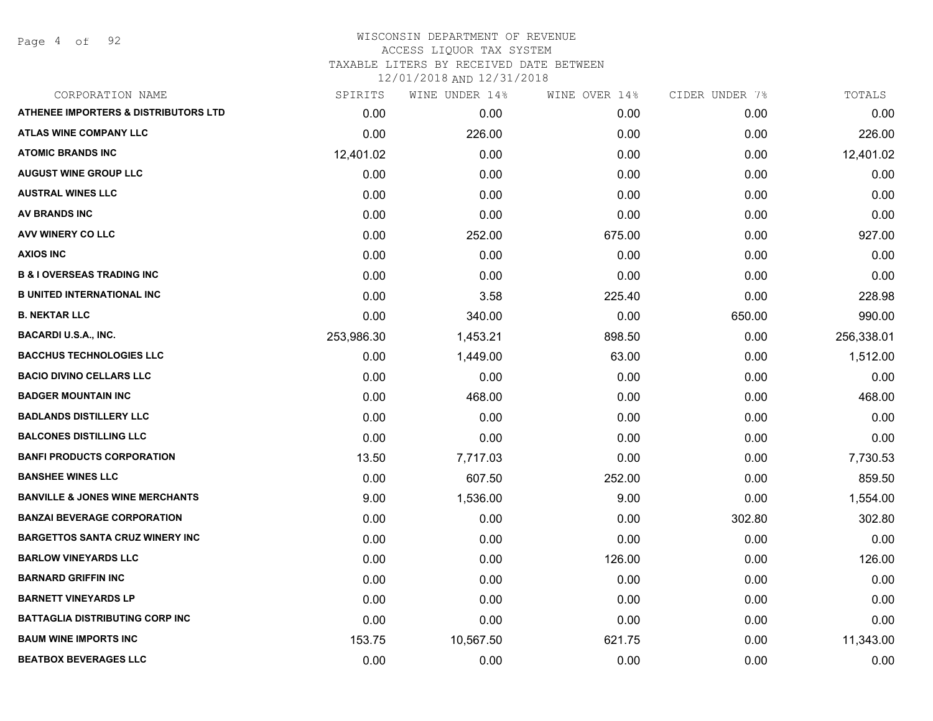Page 4 of 92

| CORPORATION NAME                           | SPIRITS    | WINE UNDER 14% | WINE OVER 14% | CIDER UNDER 7% | TOTALS     |
|--------------------------------------------|------------|----------------|---------------|----------------|------------|
| ATHENEE IMPORTERS & DISTRIBUTORS LTD       | 0.00       | 0.00           | 0.00          | 0.00           | 0.00       |
| <b>ATLAS WINE COMPANY LLC</b>              | 0.00       | 226.00         | 0.00          | 0.00           | 226.00     |
| <b>ATOMIC BRANDS INC</b>                   | 12,401.02  | 0.00           | 0.00          | 0.00           | 12,401.02  |
| <b>AUGUST WINE GROUP LLC</b>               | 0.00       | 0.00           | 0.00          | 0.00           | 0.00       |
| <b>AUSTRAL WINES LLC</b>                   | 0.00       | 0.00           | 0.00          | 0.00           | 0.00       |
| AV BRANDS INC                              | 0.00       | 0.00           | 0.00          | 0.00           | 0.00       |
| AVV WINERY CO LLC                          | 0.00       | 252.00         | 675.00        | 0.00           | 927.00     |
| <b>AXIOS INC</b>                           | 0.00       | 0.00           | 0.00          | 0.00           | 0.00       |
| <b>B &amp; I OVERSEAS TRADING INC</b>      | 0.00       | 0.00           | 0.00          | 0.00           | 0.00       |
| <b>B UNITED INTERNATIONAL INC</b>          | 0.00       | 3.58           | 225.40        | 0.00           | 228.98     |
| <b>B. NEKTAR LLC</b>                       | 0.00       | 340.00         | 0.00          | 650.00         | 990.00     |
| <b>BACARDI U.S.A., INC.</b>                | 253,986.30 | 1,453.21       | 898.50        | 0.00           | 256,338.01 |
| <b>BACCHUS TECHNOLOGIES LLC</b>            | 0.00       | 1,449.00       | 63.00         | 0.00           | 1,512.00   |
| <b>BACIO DIVINO CELLARS LLC</b>            | 0.00       | 0.00           | 0.00          | 0.00           | 0.00       |
| <b>BADGER MOUNTAIN INC</b>                 | 0.00       | 468.00         | 0.00          | 0.00           | 468.00     |
| <b>BADLANDS DISTILLERY LLC</b>             | 0.00       | 0.00           | 0.00          | 0.00           | 0.00       |
| <b>BALCONES DISTILLING LLC</b>             | 0.00       | 0.00           | 0.00          | 0.00           | 0.00       |
| <b>BANFI PRODUCTS CORPORATION</b>          | 13.50      | 7,717.03       | 0.00          | 0.00           | 7,730.53   |
| <b>BANSHEE WINES LLC</b>                   | 0.00       | 607.50         | 252.00        | 0.00           | 859.50     |
| <b>BANVILLE &amp; JONES WINE MERCHANTS</b> | 9.00       | 1,536.00       | 9.00          | 0.00           | 1,554.00   |
| <b>BANZAI BEVERAGE CORPORATION</b>         | 0.00       | 0.00           | 0.00          | 302.80         | 302.80     |
| <b>BARGETTOS SANTA CRUZ WINERY INC</b>     | 0.00       | 0.00           | 0.00          | 0.00           | 0.00       |
| <b>BARLOW VINEYARDS LLC</b>                | 0.00       | 0.00           | 126.00        | 0.00           | 126.00     |
| <b>BARNARD GRIFFIN INC</b>                 | 0.00       | 0.00           | 0.00          | 0.00           | 0.00       |
| <b>BARNETT VINEYARDS LP</b>                | 0.00       | 0.00           | 0.00          | 0.00           | 0.00       |
| <b>BATTAGLIA DISTRIBUTING CORP INC</b>     | 0.00       | 0.00           | 0.00          | 0.00           | 0.00       |
| <b>BAUM WINE IMPORTS INC</b>               | 153.75     | 10,567.50      | 621.75        | 0.00           | 11,343.00  |
| <b>BEATBOX BEVERAGES LLC</b>               | 0.00       | 0.00           | 0.00          | 0.00           | 0.00       |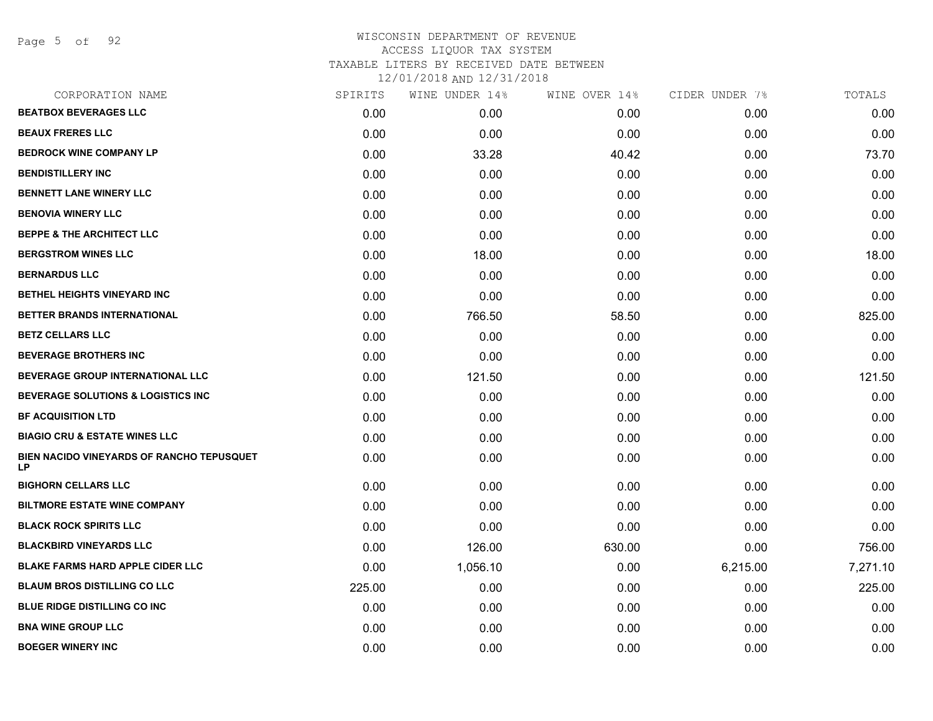Page 5 of 92

|        | WINE UNDER 14% |        | CIDER UNDER 7% | TOTALS   |
|--------|----------------|--------|----------------|----------|
| 0.00   | 0.00           | 0.00   | 0.00           | 0.00     |
| 0.00   | 0.00           | 0.00   | 0.00           | 0.00     |
| 0.00   | 33.28          | 40.42  | 0.00           | 73.70    |
| 0.00   | 0.00           | 0.00   | 0.00           | 0.00     |
| 0.00   | 0.00           | 0.00   | 0.00           | 0.00     |
| 0.00   | 0.00           | 0.00   | 0.00           | 0.00     |
| 0.00   | 0.00           | 0.00   | 0.00           | 0.00     |
| 0.00   | 18.00          | 0.00   | 0.00           | 18.00    |
| 0.00   | 0.00           | 0.00   | 0.00           | 0.00     |
| 0.00   | 0.00           | 0.00   | 0.00           | 0.00     |
| 0.00   | 766.50         | 58.50  | 0.00           | 825.00   |
| 0.00   | 0.00           | 0.00   | 0.00           | 0.00     |
| 0.00   | 0.00           | 0.00   | 0.00           | 0.00     |
| 0.00   | 121.50         | 0.00   | 0.00           | 121.50   |
| 0.00   | 0.00           | 0.00   | 0.00           | 0.00     |
| 0.00   | 0.00           | 0.00   | 0.00           | 0.00     |
| 0.00   | 0.00           | 0.00   | 0.00           | 0.00     |
| 0.00   | 0.00           | 0.00   | 0.00           | 0.00     |
| 0.00   | 0.00           | 0.00   | 0.00           | 0.00     |
| 0.00   | 0.00           | 0.00   | 0.00           | 0.00     |
| 0.00   | 0.00           | 0.00   | 0.00           | 0.00     |
| 0.00   | 126.00         | 630.00 | 0.00           | 756.00   |
| 0.00   | 1,056.10       | 0.00   | 6,215.00       | 7,271.10 |
| 225.00 | 0.00           | 0.00   | 0.00           | 225.00   |
| 0.00   | 0.00           | 0.00   | 0.00           | 0.00     |
| 0.00   | 0.00           | 0.00   | 0.00           | 0.00     |
| 0.00   | 0.00           | 0.00   | 0.00           | 0.00     |
|        | SPIRITS        |        | WINE OVER 14%  |          |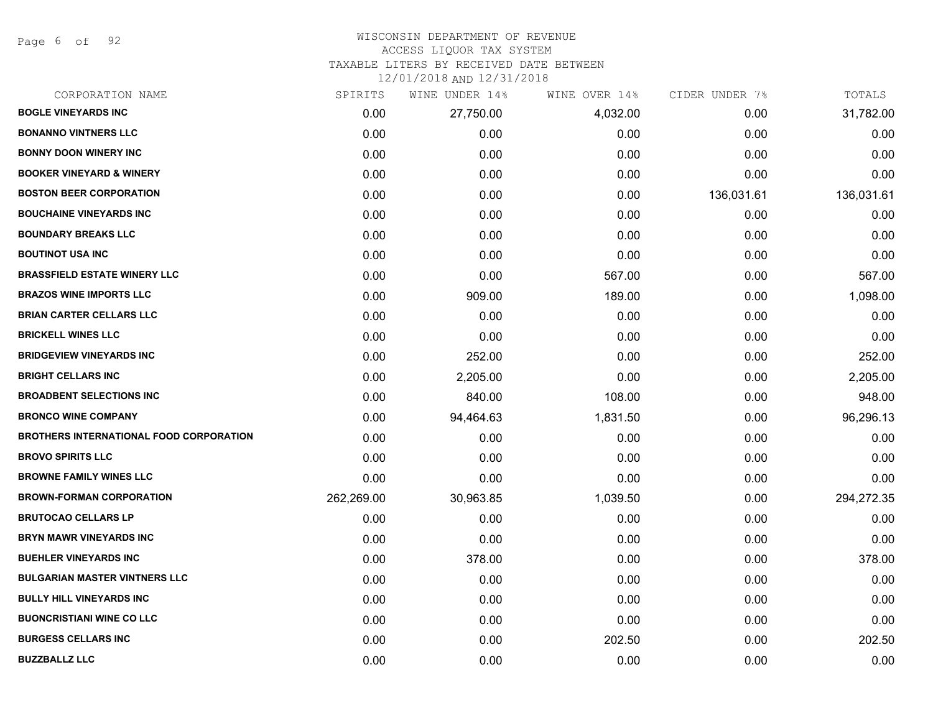Page 6 of 92

#### WISCONSIN DEPARTMENT OF REVENUE ACCESS LIQUOR TAX SYSTEM

TAXABLE LITERS BY RECEIVED DATE BETWEEN

| CORPORATION NAME                               | SPIRITS    | WINE UNDER 14% | WINE OVER 14% | CIDER UNDER 7% | TOTALS     |
|------------------------------------------------|------------|----------------|---------------|----------------|------------|
| <b>BOGLE VINEYARDS INC</b>                     | 0.00       | 27,750.00      | 4,032.00      | 0.00           | 31,782.00  |
| <b>BONANNO VINTNERS LLC</b>                    | 0.00       | 0.00           | 0.00          | 0.00           | 0.00       |
| <b>BONNY DOON WINERY INC</b>                   | 0.00       | 0.00           | 0.00          | 0.00           | 0.00       |
| <b>BOOKER VINEYARD &amp; WINERY</b>            | 0.00       | 0.00           | 0.00          | 0.00           | 0.00       |
| <b>BOSTON BEER CORPORATION</b>                 | 0.00       | 0.00           | 0.00          | 136,031.61     | 136,031.61 |
| <b>BOUCHAINE VINEYARDS INC</b>                 | 0.00       | 0.00           | 0.00          | 0.00           | 0.00       |
| <b>BOUNDARY BREAKS LLC</b>                     | 0.00       | 0.00           | 0.00          | 0.00           | 0.00       |
| <b>BOUTINOT USA INC</b>                        | 0.00       | 0.00           | 0.00          | 0.00           | 0.00       |
| <b>BRASSFIELD ESTATE WINERY LLC</b>            | 0.00       | 0.00           | 567.00        | 0.00           | 567.00     |
| <b>BRAZOS WINE IMPORTS LLC</b>                 | 0.00       | 909.00         | 189.00        | 0.00           | 1,098.00   |
| <b>BRIAN CARTER CELLARS LLC</b>                | 0.00       | 0.00           | 0.00          | 0.00           | 0.00       |
| <b>BRICKELL WINES LLC</b>                      | 0.00       | 0.00           | 0.00          | 0.00           | 0.00       |
| <b>BRIDGEVIEW VINEYARDS INC</b>                | 0.00       | 252.00         | 0.00          | 0.00           | 252.00     |
| <b>BRIGHT CELLARS INC</b>                      | 0.00       | 2,205.00       | 0.00          | 0.00           | 2,205.00   |
| <b>BROADBENT SELECTIONS INC</b>                | 0.00       | 840.00         | 108.00        | 0.00           | 948.00     |
| <b>BRONCO WINE COMPANY</b>                     | 0.00       | 94,464.63      | 1,831.50      | 0.00           | 96,296.13  |
| <b>BROTHERS INTERNATIONAL FOOD CORPORATION</b> | 0.00       | 0.00           | 0.00          | 0.00           | 0.00       |
| <b>BROVO SPIRITS LLC</b>                       | 0.00       | 0.00           | 0.00          | 0.00           | 0.00       |
| <b>BROWNE FAMILY WINES LLC</b>                 | 0.00       | 0.00           | 0.00          | 0.00           | 0.00       |
| <b>BROWN-FORMAN CORPORATION</b>                | 262,269.00 | 30,963.85      | 1,039.50      | 0.00           | 294,272.35 |
| <b>BRUTOCAO CELLARS LP</b>                     | 0.00       | 0.00           | 0.00          | 0.00           | 0.00       |
| <b>BRYN MAWR VINEYARDS INC</b>                 | 0.00       | 0.00           | 0.00          | 0.00           | 0.00       |
| <b>BUEHLER VINEYARDS INC</b>                   | 0.00       | 378.00         | 0.00          | 0.00           | 378.00     |
| <b>BULGARIAN MASTER VINTNERS LLC</b>           | 0.00       | 0.00           | 0.00          | 0.00           | 0.00       |
| <b>BULLY HILL VINEYARDS INC</b>                | 0.00       | 0.00           | 0.00          | 0.00           | 0.00       |
| <b>BUONCRISTIANI WINE CO LLC</b>               | 0.00       | 0.00           | 0.00          | 0.00           | 0.00       |
| <b>BURGESS CELLARS INC</b>                     | 0.00       | 0.00           | 202.50        | 0.00           | 202.50     |
| <b>BUZZBALLZ LLC</b>                           | 0.00       | 0.00           | 0.00          | 0.00           | 0.00       |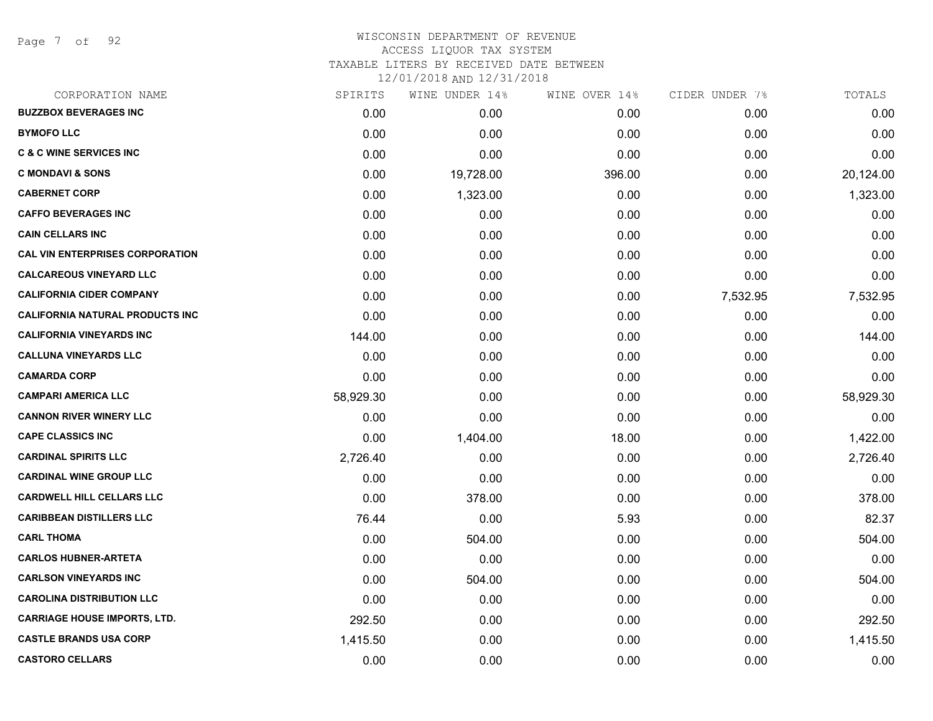Page 7 of 92

| CORPORATION NAME                       | SPIRITS   | WINE UNDER 14% | WINE OVER 14% | CIDER UNDER 7% | TOTALS    |
|----------------------------------------|-----------|----------------|---------------|----------------|-----------|
| <b>BUZZBOX BEVERAGES INC</b>           | 0.00      | 0.00           | 0.00          | 0.00           | 0.00      |
| <b>BYMOFO LLC</b>                      | 0.00      | 0.00           | 0.00          | 0.00           | 0.00      |
| <b>C &amp; C WINE SERVICES INC</b>     | 0.00      | 0.00           | 0.00          | 0.00           | 0.00      |
| <b>C MONDAVI &amp; SONS</b>            | 0.00      | 19,728.00      | 396.00        | 0.00           | 20,124.00 |
| <b>CABERNET CORP</b>                   | 0.00      | 1,323.00       | 0.00          | 0.00           | 1,323.00  |
| <b>CAFFO BEVERAGES INC</b>             | 0.00      | 0.00           | 0.00          | 0.00           | 0.00      |
| <b>CAIN CELLARS INC</b>                | 0.00      | 0.00           | 0.00          | 0.00           | 0.00      |
| <b>CAL VIN ENTERPRISES CORPORATION</b> | 0.00      | 0.00           | 0.00          | 0.00           | 0.00      |
| <b>CALCAREOUS VINEYARD LLC</b>         | 0.00      | 0.00           | 0.00          | 0.00           | 0.00      |
| <b>CALIFORNIA CIDER COMPANY</b>        | 0.00      | 0.00           | 0.00          | 7,532.95       | 7,532.95  |
| <b>CALIFORNIA NATURAL PRODUCTS INC</b> | 0.00      | 0.00           | 0.00          | 0.00           | 0.00      |
| <b>CALIFORNIA VINEYARDS INC</b>        | 144.00    | 0.00           | 0.00          | 0.00           | 144.00    |
| <b>CALLUNA VINEYARDS LLC</b>           | 0.00      | 0.00           | 0.00          | 0.00           | 0.00      |
| <b>CAMARDA CORP</b>                    | 0.00      | 0.00           | 0.00          | 0.00           | 0.00      |
| <b>CAMPARI AMERICA LLC</b>             | 58,929.30 | 0.00           | 0.00          | 0.00           | 58,929.30 |
| <b>CANNON RIVER WINERY LLC</b>         | 0.00      | 0.00           | 0.00          | 0.00           | 0.00      |
| <b>CAPE CLASSICS INC</b>               | 0.00      | 1,404.00       | 18.00         | 0.00           | 1,422.00  |
| <b>CARDINAL SPIRITS LLC</b>            | 2,726.40  | 0.00           | 0.00          | 0.00           | 2,726.40  |
| <b>CARDINAL WINE GROUP LLC</b>         | 0.00      | 0.00           | 0.00          | 0.00           | 0.00      |
| <b>CARDWELL HILL CELLARS LLC</b>       | 0.00      | 378.00         | 0.00          | 0.00           | 378.00    |
| <b>CARIBBEAN DISTILLERS LLC</b>        | 76.44     | 0.00           | 5.93          | 0.00           | 82.37     |
| <b>CARL THOMA</b>                      | 0.00      | 504.00         | 0.00          | 0.00           | 504.00    |
| <b>CARLOS HUBNER-ARTETA</b>            | 0.00      | 0.00           | 0.00          | 0.00           | 0.00      |
| <b>CARLSON VINEYARDS INC</b>           | 0.00      | 504.00         | 0.00          | 0.00           | 504.00    |
| <b>CAROLINA DISTRIBUTION LLC</b>       | 0.00      | 0.00           | 0.00          | 0.00           | 0.00      |
| <b>CARRIAGE HOUSE IMPORTS, LTD.</b>    | 292.50    | 0.00           | 0.00          | 0.00           | 292.50    |
| <b>CASTLE BRANDS USA CORP</b>          | 1,415.50  | 0.00           | 0.00          | 0.00           | 1,415.50  |
| <b>CASTORO CELLARS</b>                 | 0.00      | 0.00           | 0.00          | 0.00           | 0.00      |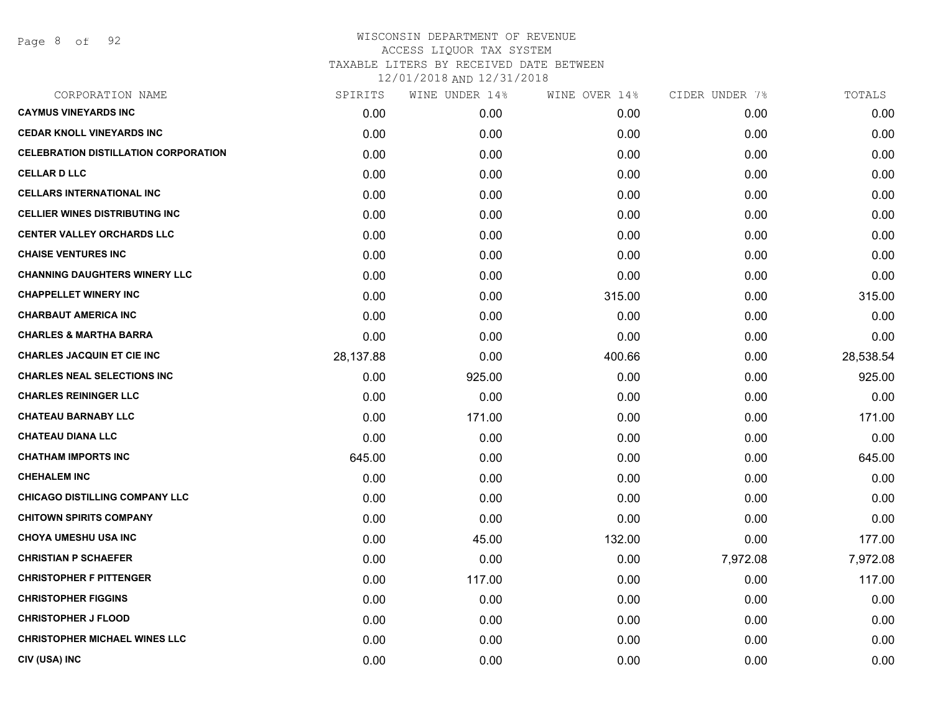| SPIRITS   | WINE UNDER 14% | WINE OVER 14% |          | TOTALS         |
|-----------|----------------|---------------|----------|----------------|
| 0.00      | 0.00           | 0.00          | 0.00     | 0.00           |
| 0.00      | 0.00           | 0.00          | 0.00     | 0.00           |
| 0.00      | 0.00           | 0.00          | 0.00     | 0.00           |
| 0.00      | 0.00           | 0.00          | 0.00     | 0.00           |
| 0.00      | 0.00           | 0.00          | 0.00     | 0.00           |
| 0.00      | 0.00           | 0.00          | 0.00     | 0.00           |
| 0.00      | 0.00           | 0.00          | 0.00     | 0.00           |
| 0.00      | 0.00           | 0.00          | 0.00     | 0.00           |
| 0.00      | 0.00           | 0.00          | 0.00     | 0.00           |
| 0.00      | 0.00           | 315.00        | 0.00     | 315.00         |
| 0.00      | 0.00           | 0.00          | 0.00     | 0.00           |
| 0.00      | 0.00           | 0.00          | 0.00     | 0.00           |
| 28,137.88 | 0.00           | 400.66        | 0.00     | 28,538.54      |
| 0.00      | 925.00         | 0.00          | 0.00     | 925.00         |
| 0.00      | 0.00           | 0.00          | 0.00     | 0.00           |
| 0.00      | 171.00         | 0.00          | 0.00     | 171.00         |
| 0.00      | 0.00           | 0.00          | 0.00     | 0.00           |
| 645.00    | 0.00           | 0.00          | 0.00     | 645.00         |
| 0.00      | 0.00           | 0.00          | 0.00     | 0.00           |
| 0.00      | 0.00           | 0.00          | 0.00     | 0.00           |
| 0.00      | 0.00           | 0.00          | 0.00     | 0.00           |
| 0.00      | 45.00          | 132.00        | 0.00     | 177.00         |
| 0.00      | 0.00           | 0.00          | 7,972.08 | 7,972.08       |
| 0.00      | 117.00         | 0.00          | 0.00     | 117.00         |
| 0.00      | 0.00           | 0.00          | 0.00     | 0.00           |
| 0.00      | 0.00           | 0.00          | 0.00     | 0.00           |
| 0.00      | 0.00           | 0.00          | 0.00     | 0.00           |
| 0.00      | 0.00           | 0.00          | 0.00     | 0.00           |
|           |                |               |          | CIDER UNDER 7% |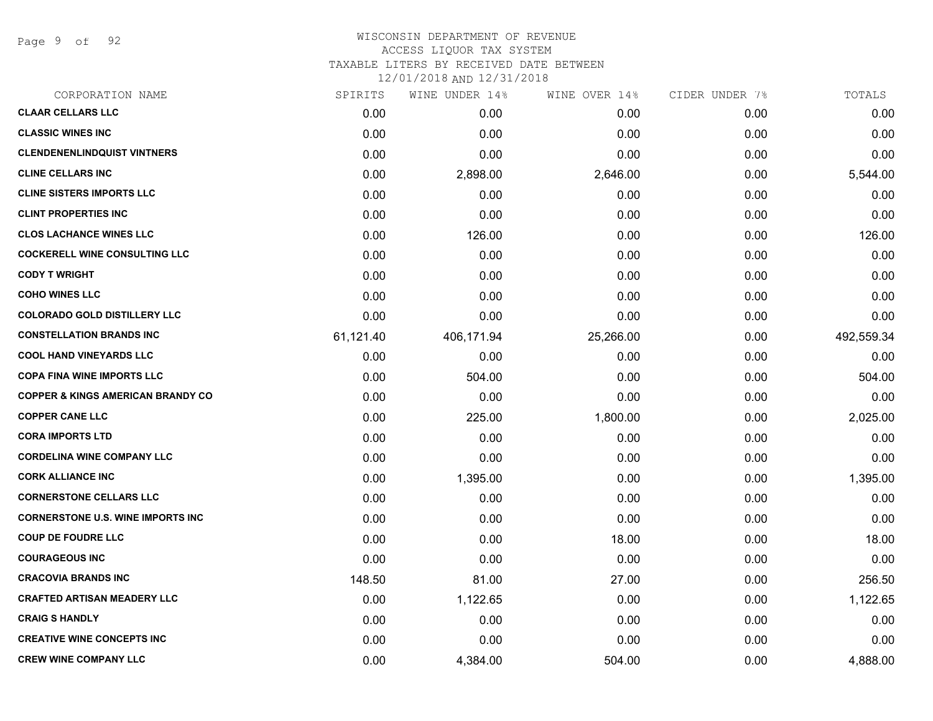Page 9 of 92

## WISCONSIN DEPARTMENT OF REVENUE ACCESS LIQUOR TAX SYSTEM TAXABLE LITERS BY RECEIVED DATE BETWEEN

| CORPORATION NAME                             | SPIRITS   | WINE UNDER 14% | WINE OVER 14% | CIDER UNDER 7% | TOTALS     |
|----------------------------------------------|-----------|----------------|---------------|----------------|------------|
| <b>CLAAR CELLARS LLC</b>                     | 0.00      | 0.00           | 0.00          | 0.00           | 0.00       |
| <b>CLASSIC WINES INC</b>                     | 0.00      | 0.00           | 0.00          | 0.00           | 0.00       |
| <b>CLENDENENLINDQUIST VINTNERS</b>           | 0.00      | 0.00           | 0.00          | 0.00           | 0.00       |
| <b>CLINE CELLARS INC</b>                     | 0.00      | 2,898.00       | 2,646.00      | 0.00           | 5,544.00   |
| <b>CLINE SISTERS IMPORTS LLC</b>             | 0.00      | 0.00           | 0.00          | 0.00           | 0.00       |
| <b>CLINT PROPERTIES INC</b>                  | 0.00      | 0.00           | 0.00          | 0.00           | 0.00       |
| <b>CLOS LACHANCE WINES LLC</b>               | 0.00      | 126.00         | 0.00          | 0.00           | 126.00     |
| <b>COCKERELL WINE CONSULTING LLC</b>         | 0.00      | 0.00           | 0.00          | 0.00           | 0.00       |
| <b>CODY T WRIGHT</b>                         | 0.00      | 0.00           | 0.00          | 0.00           | 0.00       |
| <b>COHO WINES LLC</b>                        | 0.00      | 0.00           | 0.00          | 0.00           | 0.00       |
| <b>COLORADO GOLD DISTILLERY LLC</b>          | 0.00      | 0.00           | 0.00          | 0.00           | 0.00       |
| <b>CONSTELLATION BRANDS INC</b>              | 61,121.40 | 406,171.94     | 25,266.00     | 0.00           | 492,559.34 |
| <b>COOL HAND VINEYARDS LLC</b>               | 0.00      | 0.00           | 0.00          | 0.00           | 0.00       |
| <b>COPA FINA WINE IMPORTS LLC</b>            | 0.00      | 504.00         | 0.00          | 0.00           | 504.00     |
| <b>COPPER &amp; KINGS AMERICAN BRANDY CO</b> | 0.00      | 0.00           | 0.00          | 0.00           | 0.00       |
| <b>COPPER CANE LLC</b>                       | 0.00      | 225.00         | 1,800.00      | 0.00           | 2,025.00   |
| <b>CORA IMPORTS LTD</b>                      | 0.00      | 0.00           | 0.00          | 0.00           | 0.00       |
| <b>CORDELINA WINE COMPANY LLC</b>            | 0.00      | 0.00           | 0.00          | 0.00           | 0.00       |
| <b>CORK ALLIANCE INC</b>                     | 0.00      | 1,395.00       | 0.00          | 0.00           | 1,395.00   |
| <b>CORNERSTONE CELLARS LLC</b>               | 0.00      | 0.00           | 0.00          | 0.00           | 0.00       |
| <b>CORNERSTONE U.S. WINE IMPORTS INC</b>     | 0.00      | 0.00           | 0.00          | 0.00           | 0.00       |
| <b>COUP DE FOUDRE LLC</b>                    | 0.00      | 0.00           | 18.00         | 0.00           | 18.00      |
| <b>COURAGEOUS INC</b>                        | 0.00      | 0.00           | 0.00          | 0.00           | 0.00       |
| <b>CRACOVIA BRANDS INC</b>                   | 148.50    | 81.00          | 27.00         | 0.00           | 256.50     |
| <b>CRAFTED ARTISAN MEADERY LLC</b>           | 0.00      | 1,122.65       | 0.00          | 0.00           | 1,122.65   |
| <b>CRAIG S HANDLY</b>                        | 0.00      | 0.00           | 0.00          | 0.00           | 0.00       |
| <b>CREATIVE WINE CONCEPTS INC</b>            | 0.00      | 0.00           | 0.00          | 0.00           | 0.00       |
| <b>CREW WINE COMPANY LLC</b>                 | 0.00      | 4,384.00       | 504.00        | 0.00           | 4,888.00   |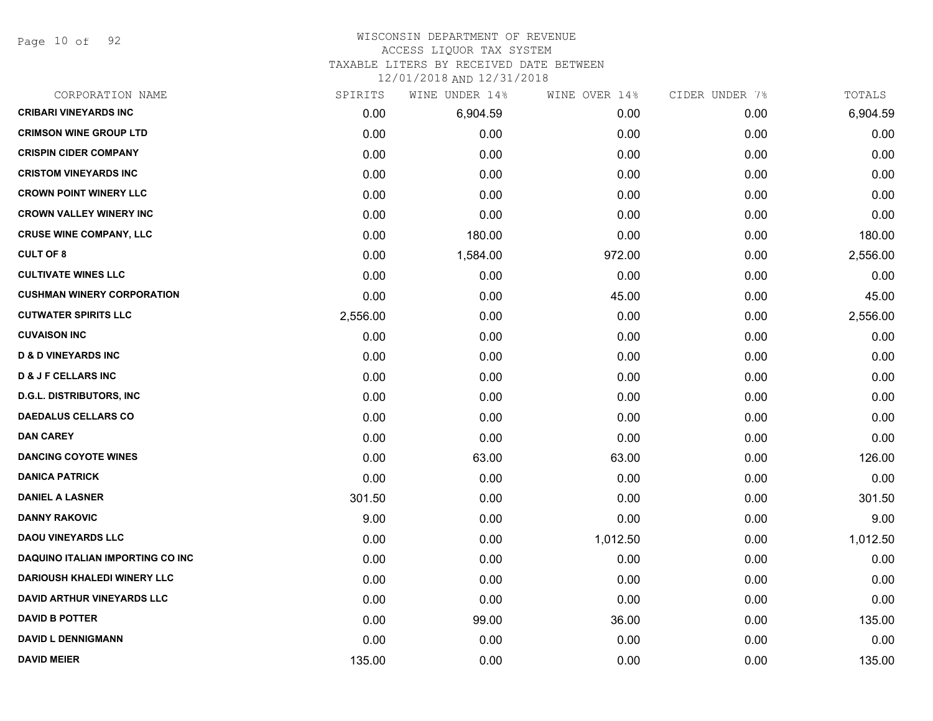Page 10 of 92

#### WISCONSIN DEPARTMENT OF REVENUE ACCESS LIQUOR TAX SYSTEM

TAXABLE LITERS BY RECEIVED DATE BETWEEN

| CORPORATION NAME                        | SPIRITS  | WINE UNDER 14% | WINE OVER 14% | CIDER UNDER 7% | TOTALS   |
|-----------------------------------------|----------|----------------|---------------|----------------|----------|
| <b>CRIBARI VINEYARDS INC</b>            | 0.00     | 6,904.59       | 0.00          | 0.00           | 6,904.59 |
| <b>CRIMSON WINE GROUP LTD</b>           | 0.00     | 0.00           | 0.00          | 0.00           | 0.00     |
| <b>CRISPIN CIDER COMPANY</b>            | 0.00     | 0.00           | 0.00          | 0.00           | 0.00     |
| <b>CRISTOM VINEYARDS INC</b>            | 0.00     | 0.00           | 0.00          | 0.00           | 0.00     |
| <b>CROWN POINT WINERY LLC</b>           | 0.00     | 0.00           | 0.00          | 0.00           | 0.00     |
| <b>CROWN VALLEY WINERY INC</b>          | 0.00     | 0.00           | 0.00          | 0.00           | 0.00     |
| <b>CRUSE WINE COMPANY, LLC</b>          | 0.00     | 180.00         | 0.00          | 0.00           | 180.00   |
| <b>CULT OF 8</b>                        | 0.00     | 1,584.00       | 972.00        | 0.00           | 2,556.00 |
| <b>CULTIVATE WINES LLC</b>              | 0.00     | 0.00           | 0.00          | 0.00           | 0.00     |
| <b>CUSHMAN WINERY CORPORATION</b>       | 0.00     | 0.00           | 45.00         | 0.00           | 45.00    |
| <b>CUTWATER SPIRITS LLC</b>             | 2,556.00 | 0.00           | 0.00          | 0.00           | 2,556.00 |
| <b>CUVAISON INC</b>                     | 0.00     | 0.00           | 0.00          | 0.00           | 0.00     |
| <b>D &amp; D VINEYARDS INC</b>          | 0.00     | 0.00           | 0.00          | 0.00           | 0.00     |
| <b>D &amp; J F CELLARS INC</b>          | 0.00     | 0.00           | 0.00          | 0.00           | 0.00     |
| <b>D.G.L. DISTRIBUTORS, INC.</b>        | 0.00     | 0.00           | 0.00          | 0.00           | 0.00     |
| <b>DAEDALUS CELLARS CO</b>              | 0.00     | 0.00           | 0.00          | 0.00           | 0.00     |
| <b>DAN CAREY</b>                        | 0.00     | 0.00           | 0.00          | 0.00           | 0.00     |
| <b>DANCING COYOTE WINES</b>             | 0.00     | 63.00          | 63.00         | 0.00           | 126.00   |
| <b>DANICA PATRICK</b>                   | 0.00     | 0.00           | 0.00          | 0.00           | 0.00     |
| <b>DANIEL A LASNER</b>                  | 301.50   | 0.00           | 0.00          | 0.00           | 301.50   |
| <b>DANNY RAKOVIC</b>                    | 9.00     | 0.00           | 0.00          | 0.00           | 9.00     |
| <b>DAOU VINEYARDS LLC</b>               | 0.00     | 0.00           | 1,012.50      | 0.00           | 1,012.50 |
| <b>DAQUINO ITALIAN IMPORTING CO INC</b> | 0.00     | 0.00           | 0.00          | 0.00           | 0.00     |
| <b>DARIOUSH KHALEDI WINERY LLC</b>      | 0.00     | 0.00           | 0.00          | 0.00           | 0.00     |
| <b>DAVID ARTHUR VINEYARDS LLC</b>       | 0.00     | 0.00           | 0.00          | 0.00           | 0.00     |
| <b>DAVID B POTTER</b>                   | 0.00     | 99.00          | 36.00         | 0.00           | 135.00   |
| <b>DAVID L DENNIGMANN</b>               | 0.00     | 0.00           | 0.00          | 0.00           | 0.00     |
| <b>DAVID MEIER</b>                      | 135.00   | 0.00           | 0.00          | 0.00           | 135.00   |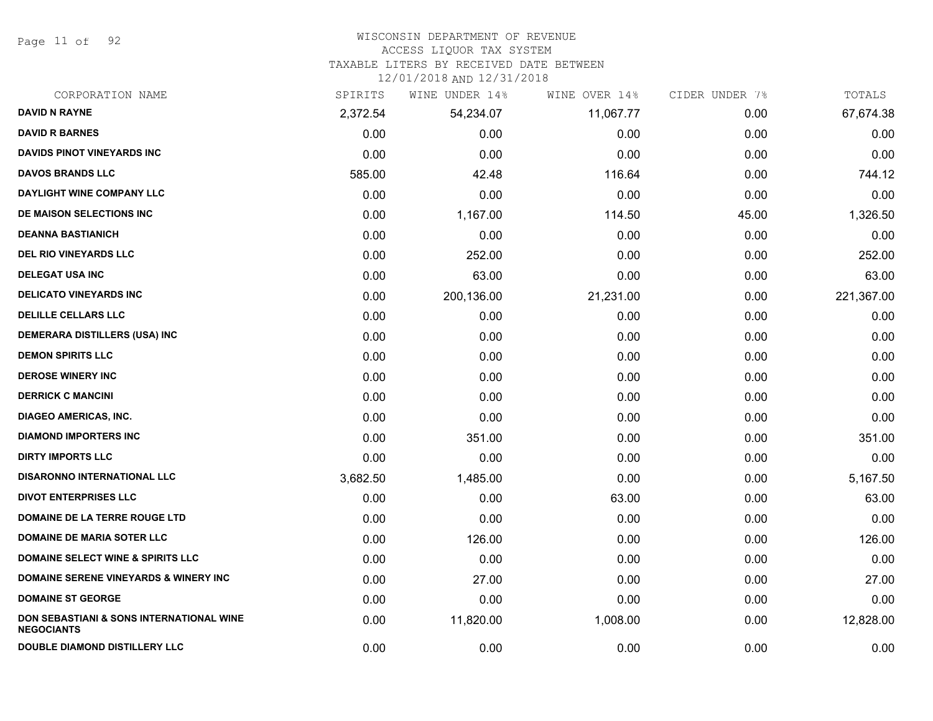Page 11 of 92

# WISCONSIN DEPARTMENT OF REVENUE

# ACCESS LIQUOR TAX SYSTEM

TAXABLE LITERS BY RECEIVED DATE BETWEEN

| CORPORATION NAME                                              | SPIRITS  | WINE UNDER 14% | WINE OVER 14% | CIDER UNDER 7% | TOTALS     |
|---------------------------------------------------------------|----------|----------------|---------------|----------------|------------|
| <b>DAVID N RAYNE</b>                                          | 2,372.54 | 54,234.07      | 11,067.77     | 0.00           | 67,674.38  |
| <b>DAVID R BARNES</b>                                         | 0.00     | 0.00           | 0.00          | 0.00           | 0.00       |
| <b>DAVIDS PINOT VINEYARDS INC</b>                             | 0.00     | 0.00           | 0.00          | 0.00           | 0.00       |
| <b>DAVOS BRANDS LLC</b>                                       | 585.00   | 42.48          | 116.64        | 0.00           | 744.12     |
| DAYLIGHT WINE COMPANY LLC                                     | 0.00     | 0.00           | 0.00          | 0.00           | 0.00       |
| DE MAISON SELECTIONS INC                                      | 0.00     | 1,167.00       | 114.50        | 45.00          | 1,326.50   |
| <b>DEANNA BASTIANICH</b>                                      | 0.00     | 0.00           | 0.00          | 0.00           | 0.00       |
| <b>DEL RIO VINEYARDS LLC</b>                                  | 0.00     | 252.00         | 0.00          | 0.00           | 252.00     |
| <b>DELEGAT USA INC</b>                                        | 0.00     | 63.00          | 0.00          | 0.00           | 63.00      |
| <b>DELICATO VINEYARDS INC</b>                                 | 0.00     | 200,136.00     | 21,231.00     | 0.00           | 221,367.00 |
| <b>DELILLE CELLARS LLC</b>                                    | 0.00     | 0.00           | 0.00          | 0.00           | 0.00       |
| <b>DEMERARA DISTILLERS (USA) INC</b>                          | 0.00     | 0.00           | 0.00          | 0.00           | 0.00       |
| <b>DEMON SPIRITS LLC</b>                                      | 0.00     | 0.00           | 0.00          | 0.00           | 0.00       |
| <b>DEROSE WINERY INC</b>                                      | 0.00     | 0.00           | 0.00          | 0.00           | 0.00       |
| <b>DERRICK C MANCINI</b>                                      | 0.00     | 0.00           | 0.00          | 0.00           | 0.00       |
| <b>DIAGEO AMERICAS, INC.</b>                                  | 0.00     | 0.00           | 0.00          | 0.00           | 0.00       |
| <b>DIAMOND IMPORTERS INC</b>                                  | 0.00     | 351.00         | 0.00          | 0.00           | 351.00     |
| <b>DIRTY IMPORTS LLC</b>                                      | 0.00     | 0.00           | 0.00          | 0.00           | 0.00       |
| <b>DISARONNO INTERNATIONAL LLC</b>                            | 3,682.50 | 1,485.00       | 0.00          | 0.00           | 5,167.50   |
| <b>DIVOT ENTERPRISES LLC</b>                                  | 0.00     | 0.00           | 63.00         | 0.00           | 63.00      |
| DOMAINE DE LA TERRE ROUGE LTD                                 | 0.00     | 0.00           | 0.00          | 0.00           | 0.00       |
| <b>DOMAINE DE MARIA SOTER LLC</b>                             | 0.00     | 126.00         | 0.00          | 0.00           | 126.00     |
| <b>DOMAINE SELECT WINE &amp; SPIRITS LLC</b>                  | 0.00     | 0.00           | 0.00          | 0.00           | 0.00       |
| <b>DOMAINE SERENE VINEYARDS &amp; WINERY INC</b>              | 0.00     | 27.00          | 0.00          | 0.00           | 27.00      |
| <b>DOMAINE ST GEORGE</b>                                      | 0.00     | 0.00           | 0.00          | 0.00           | 0.00       |
| DON SEBASTIANI & SONS INTERNATIONAL WINE<br><b>NEGOCIANTS</b> | 0.00     | 11,820.00      | 1,008.00      | 0.00           | 12,828.00  |
| DOUBLE DIAMOND DISTILLERY LLC                                 | 0.00     | 0.00           | 0.00          | 0.00           | 0.00       |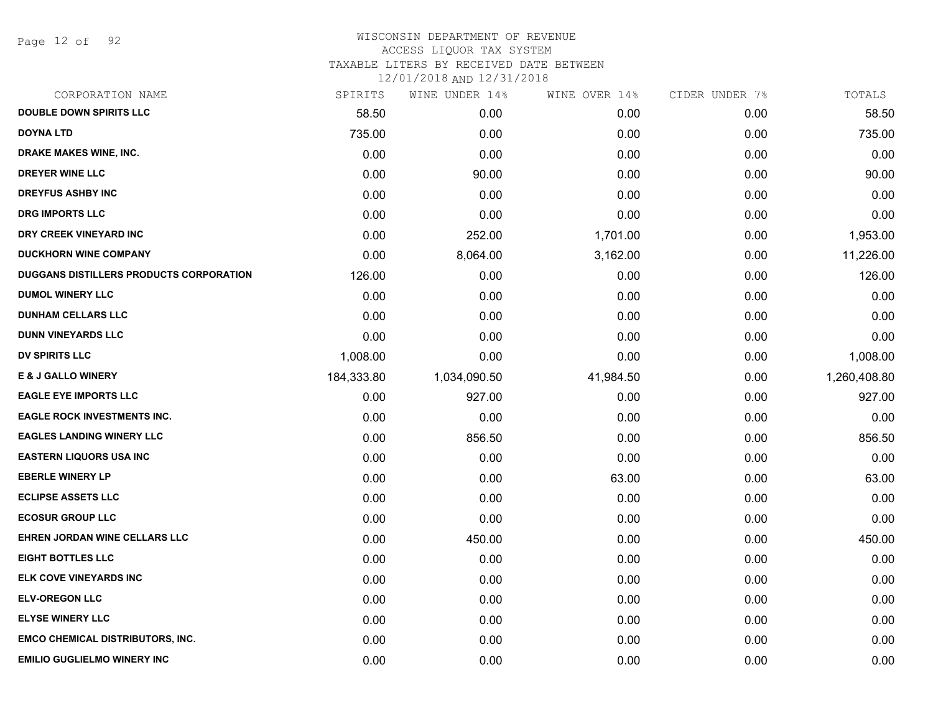Page 12 of 92

#### WISCONSIN DEPARTMENT OF REVENUE ACCESS LIQUOR TAX SYSTEM TAXABLE LITERS BY RECEIVED DATE BETWEEN

| CORPORATION NAME                               | SPIRITS    | WINE UNDER 14% | WINE OVER 14% | CIDER UNDER 7% | TOTALS       |
|------------------------------------------------|------------|----------------|---------------|----------------|--------------|
| <b>DOUBLE DOWN SPIRITS LLC</b>                 | 58.50      | 0.00           | 0.00          | 0.00           | 58.50        |
| <b>DOYNA LTD</b>                               | 735.00     | 0.00           | 0.00          | 0.00           | 735.00       |
| DRAKE MAKES WINE, INC.                         | 0.00       | 0.00           | 0.00          | 0.00           | 0.00         |
| <b>DREYER WINE LLC</b>                         | 0.00       | 90.00          | 0.00          | 0.00           | 90.00        |
| <b>DREYFUS ASHBY INC</b>                       | 0.00       | 0.00           | 0.00          | 0.00           | 0.00         |
| <b>DRG IMPORTS LLC</b>                         | 0.00       | 0.00           | 0.00          | 0.00           | 0.00         |
| DRY CREEK VINEYARD INC                         | 0.00       | 252.00         | 1,701.00      | 0.00           | 1,953.00     |
| <b>DUCKHORN WINE COMPANY</b>                   | 0.00       | 8,064.00       | 3,162.00      | 0.00           | 11,226.00    |
| <b>DUGGANS DISTILLERS PRODUCTS CORPORATION</b> | 126.00     | 0.00           | 0.00          | 0.00           | 126.00       |
| <b>DUMOL WINERY LLC</b>                        | 0.00       | 0.00           | 0.00          | 0.00           | 0.00         |
| <b>DUNHAM CELLARS LLC</b>                      | 0.00       | 0.00           | 0.00          | 0.00           | 0.00         |
| <b>DUNN VINEYARDS LLC</b>                      | 0.00       | 0.00           | 0.00          | 0.00           | 0.00         |
| <b>DV SPIRITS LLC</b>                          | 1,008.00   | 0.00           | 0.00          | 0.00           | 1,008.00     |
| <b>E &amp; J GALLO WINERY</b>                  | 184,333.80 | 1,034,090.50   | 41,984.50     | 0.00           | 1,260,408.80 |
| <b>EAGLE EYE IMPORTS LLC</b>                   | 0.00       | 927.00         | 0.00          | 0.00           | 927.00       |
| <b>EAGLE ROCK INVESTMENTS INC.</b>             | 0.00       | 0.00           | 0.00          | 0.00           | 0.00         |
| <b>EAGLES LANDING WINERY LLC</b>               | 0.00       | 856.50         | 0.00          | 0.00           | 856.50       |
| <b>EASTERN LIQUORS USA INC</b>                 | 0.00       | 0.00           | 0.00          | 0.00           | 0.00         |
| <b>EBERLE WINERY LP</b>                        | 0.00       | 0.00           | 63.00         | 0.00           | 63.00        |
| <b>ECLIPSE ASSETS LLC</b>                      | 0.00       | 0.00           | 0.00          | 0.00           | 0.00         |
| <b>ECOSUR GROUP LLC</b>                        | 0.00       | 0.00           | 0.00          | 0.00           | 0.00         |
| EHREN JORDAN WINE CELLARS LLC                  | 0.00       | 450.00         | 0.00          | 0.00           | 450.00       |
| <b>EIGHT BOTTLES LLC</b>                       | 0.00       | 0.00           | 0.00          | 0.00           | 0.00         |
| ELK COVE VINEYARDS INC                         | 0.00       | 0.00           | 0.00          | 0.00           | 0.00         |
| <b>ELV-OREGON LLC</b>                          | 0.00       | 0.00           | 0.00          | 0.00           | 0.00         |
| <b>ELYSE WINERY LLC</b>                        | 0.00       | 0.00           | 0.00          | 0.00           | 0.00         |
| <b>EMCO CHEMICAL DISTRIBUTORS, INC.</b>        | 0.00       | 0.00           | 0.00          | 0.00           | 0.00         |
| <b>EMILIO GUGLIELMO WINERY INC</b>             | 0.00       | 0.00           | 0.00          | 0.00           | 0.00         |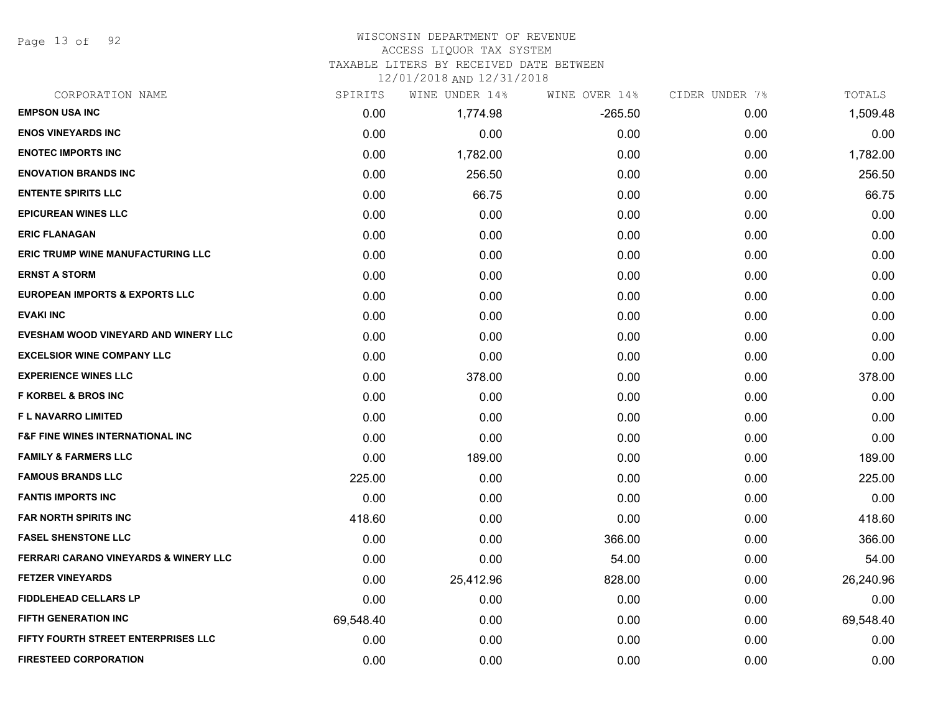Page 13 of 92

# WISCONSIN DEPARTMENT OF REVENUE

#### ACCESS LIQUOR TAX SYSTEM

TAXABLE LITERS BY RECEIVED DATE BETWEEN

| CORPORATION NAME                                 | SPIRITS   | WINE UNDER 14% | WINE OVER 14% | CIDER UNDER 7% | TOTALS    |
|--------------------------------------------------|-----------|----------------|---------------|----------------|-----------|
| <b>EMPSON USA INC</b>                            | 0.00      | 1,774.98       | -265.50       | 0.00           | 1,509.48  |
| <b>ENOS VINEYARDS INC</b>                        | 0.00      | 0.00           | 0.00          | 0.00           | 0.00      |
| <b>ENOTEC IMPORTS INC</b>                        | 0.00      | 1,782.00       | 0.00          | 0.00           | 1,782.00  |
| <b>ENOVATION BRANDS INC</b>                      | 0.00      | 256.50         | 0.00          | 0.00           | 256.50    |
| <b>ENTENTE SPIRITS LLC</b>                       | 0.00      | 66.75          | 0.00          | 0.00           | 66.75     |
| <b>EPICUREAN WINES LLC</b>                       | 0.00      | 0.00           | 0.00          | 0.00           | 0.00      |
| <b>ERIC FLANAGAN</b>                             | 0.00      | 0.00           | 0.00          | 0.00           | 0.00      |
| <b>ERIC TRUMP WINE MANUFACTURING LLC</b>         | 0.00      | 0.00           | 0.00          | 0.00           | 0.00      |
| <b>ERNST A STORM</b>                             | 0.00      | 0.00           | 0.00          | 0.00           | 0.00      |
| <b>EUROPEAN IMPORTS &amp; EXPORTS LLC</b>        | 0.00      | 0.00           | 0.00          | 0.00           | 0.00      |
| <b>EVAKI INC</b>                                 | 0.00      | 0.00           | 0.00          | 0.00           | 0.00      |
| EVESHAM WOOD VINEYARD AND WINERY LLC             | 0.00      | 0.00           | 0.00          | 0.00           | 0.00      |
| <b>EXCELSIOR WINE COMPANY LLC</b>                | 0.00      | 0.00           | 0.00          | 0.00           | 0.00      |
| <b>EXPERIENCE WINES LLC</b>                      | 0.00      | 378.00         | 0.00          | 0.00           | 378.00    |
| <b>F KORBEL &amp; BROS INC</b>                   | 0.00      | 0.00           | 0.00          | 0.00           | 0.00      |
| <b>FL NAVARRO LIMITED</b>                        | 0.00      | 0.00           | 0.00          | 0.00           | 0.00      |
| <b>F&amp;F FINE WINES INTERNATIONAL INC</b>      | 0.00      | 0.00           | 0.00          | 0.00           | 0.00      |
| <b>FAMILY &amp; FARMERS LLC</b>                  | 0.00      | 189.00         | 0.00          | 0.00           | 189.00    |
| <b>FAMOUS BRANDS LLC</b>                         | 225.00    | 0.00           | 0.00          | 0.00           | 225.00    |
| <b>FANTIS IMPORTS INC</b>                        | 0.00      | 0.00           | 0.00          | 0.00           | 0.00      |
| <b>FAR NORTH SPIRITS INC</b>                     | 418.60    | 0.00           | 0.00          | 0.00           | 418.60    |
| <b>FASEL SHENSTONE LLC</b>                       | 0.00      | 0.00           | 366.00        | 0.00           | 366.00    |
| <b>FERRARI CARANO VINEYARDS &amp; WINERY LLC</b> | 0.00      | 0.00           | 54.00         | 0.00           | 54.00     |
| <b>FETZER VINEYARDS</b>                          | 0.00      | 25,412.96      | 828.00        | 0.00           | 26,240.96 |
| <b>FIDDLEHEAD CELLARS LP</b>                     | 0.00      | 0.00           | 0.00          | 0.00           | 0.00      |
| <b>FIFTH GENERATION INC</b>                      | 69,548.40 | 0.00           | 0.00          | 0.00           | 69,548.40 |
| FIFTY FOURTH STREET ENTERPRISES LLC              | 0.00      | 0.00           | 0.00          | 0.00           | 0.00      |
| <b>FIRESTEED CORPORATION</b>                     | 0.00      | 0.00           | 0.00          | 0.00           | 0.00      |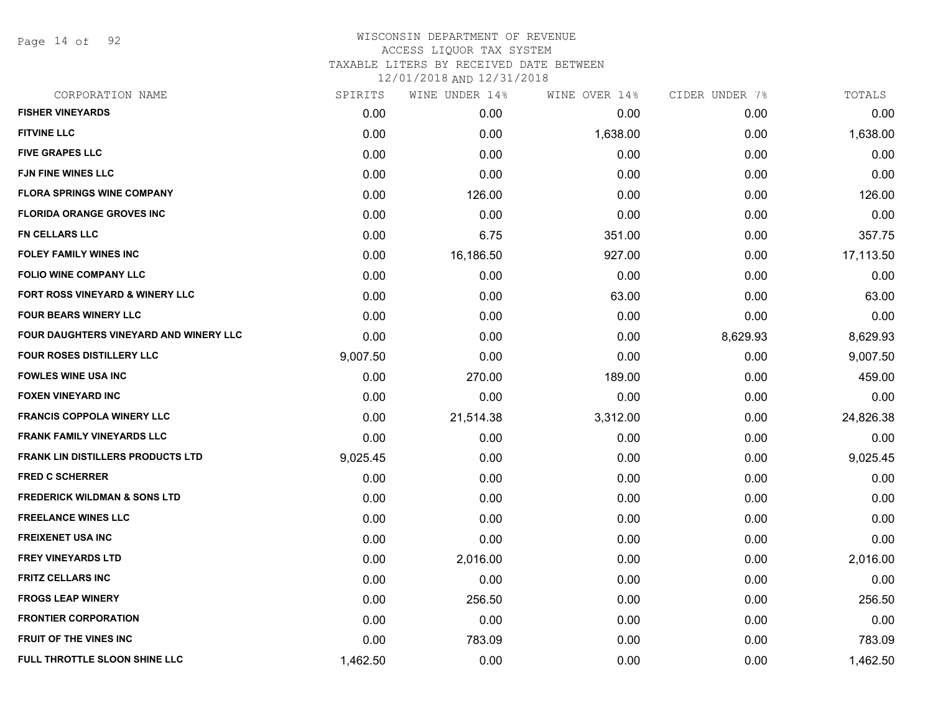Page 14 of 92

## WISCONSIN DEPARTMENT OF REVENUE ACCESS LIQUOR TAX SYSTEM TAXABLE LITERS BY RECEIVED DATE BETWEEN

| CORPORATION NAME                         | SPIRITS  | WINE UNDER 14% | WINE OVER 14% | CIDER UNDER 7% | TOTALS    |
|------------------------------------------|----------|----------------|---------------|----------------|-----------|
| <b>FISHER VINEYARDS</b>                  | 0.00     | 0.00           | 0.00          | 0.00           | 0.00      |
| <b>FITVINE LLC</b>                       | 0.00     | 0.00           | 1,638.00      | 0.00           | 1,638.00  |
| <b>FIVE GRAPES LLC</b>                   | 0.00     | 0.00           | 0.00          | 0.00           | 0.00      |
| <b>FJN FINE WINES LLC</b>                | 0.00     | 0.00           | 0.00          | 0.00           | 0.00      |
| <b>FLORA SPRINGS WINE COMPANY</b>        | 0.00     | 126.00         | 0.00          | 0.00           | 126.00    |
| <b>FLORIDA ORANGE GROVES INC</b>         | 0.00     | 0.00           | 0.00          | 0.00           | 0.00      |
| <b>FN CELLARS LLC</b>                    | 0.00     | 6.75           | 351.00        | 0.00           | 357.75    |
| <b>FOLEY FAMILY WINES INC</b>            | 0.00     | 16,186.50      | 927.00        | 0.00           | 17,113.50 |
| <b>FOLIO WINE COMPANY LLC</b>            | 0.00     | 0.00           | 0.00          | 0.00           | 0.00      |
| FORT ROSS VINEYARD & WINERY LLC          | 0.00     | 0.00           | 63.00         | 0.00           | 63.00     |
| <b>FOUR BEARS WINERY LLC</b>             | 0.00     | 0.00           | 0.00          | 0.00           | 0.00      |
| FOUR DAUGHTERS VINEYARD AND WINERY LLC   | 0.00     | 0.00           | 0.00          | 8,629.93       | 8,629.93  |
| <b>FOUR ROSES DISTILLERY LLC</b>         | 9,007.50 | 0.00           | 0.00          | 0.00           | 9,007.50  |
| <b>FOWLES WINE USA INC</b>               | 0.00     | 270.00         | 189.00        | 0.00           | 459.00    |
| <b>FOXEN VINEYARD INC</b>                | 0.00     | 0.00           | 0.00          | 0.00           | 0.00      |
| <b>FRANCIS COPPOLA WINERY LLC</b>        | 0.00     | 21,514.38      | 3,312.00      | 0.00           | 24,826.38 |
| <b>FRANK FAMILY VINEYARDS LLC</b>        | 0.00     | 0.00           | 0.00          | 0.00           | 0.00      |
| <b>FRANK LIN DISTILLERS PRODUCTS LTD</b> | 9,025.45 | 0.00           | 0.00          | 0.00           | 9,025.45  |
| <b>FRED C SCHERRER</b>                   | 0.00     | 0.00           | 0.00          | 0.00           | 0.00      |
| <b>FREDERICK WILDMAN &amp; SONS LTD</b>  | 0.00     | 0.00           | 0.00          | 0.00           | 0.00      |
| <b>FREELANCE WINES LLC</b>               | 0.00     | 0.00           | 0.00          | 0.00           | 0.00      |
| <b>FREIXENET USA INC</b>                 | 0.00     | 0.00           | 0.00          | 0.00           | 0.00      |
| <b>FREY VINEYARDS LTD</b>                | 0.00     | 2,016.00       | 0.00          | 0.00           | 2,016.00  |
| <b>FRITZ CELLARS INC</b>                 | 0.00     | 0.00           | 0.00          | 0.00           | 0.00      |
| <b>FROGS LEAP WINERY</b>                 | 0.00     | 256.50         | 0.00          | 0.00           | 256.50    |
| <b>FRONTIER CORPORATION</b>              | 0.00     | 0.00           | 0.00          | 0.00           | 0.00      |
| <b>FRUIT OF THE VINES INC</b>            | 0.00     | 783.09         | 0.00          | 0.00           | 783.09    |
| FULL THROTTLE SLOON SHINE LLC            | 1,462.50 | 0.00           | 0.00          | 0.00           | 1,462.50  |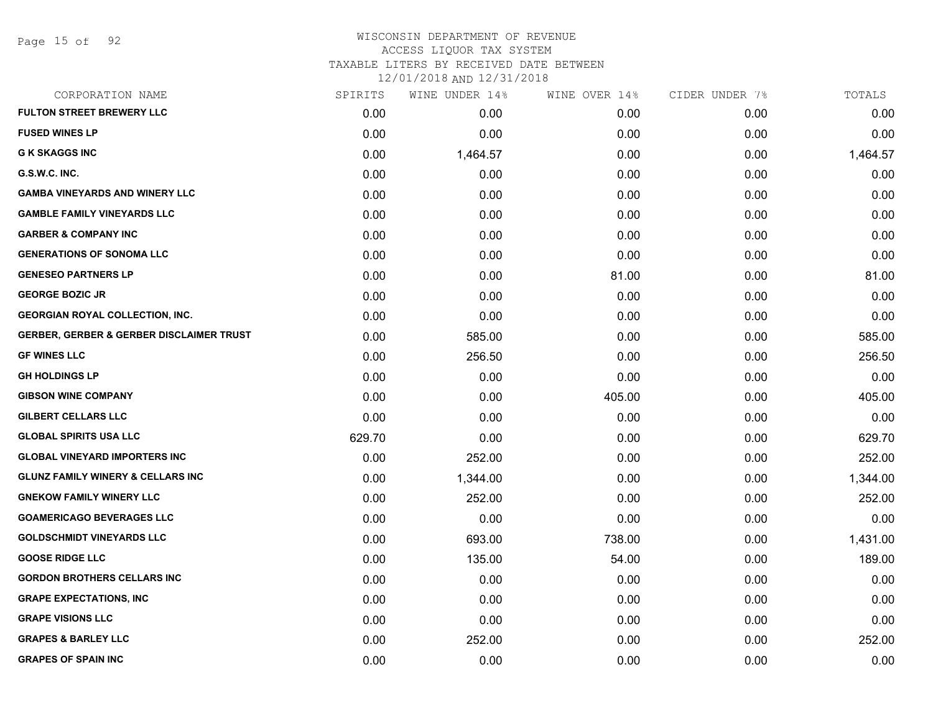# WISCONSIN DEPARTMENT OF REVENUE ACCESS LIQUOR TAX SYSTEM

TAXABLE LITERS BY RECEIVED DATE BETWEEN

| CORPORATION NAME                                    | SPIRITS | WINE UNDER 14% | WINE OVER 14% | CIDER UNDER 7% | TOTALS   |
|-----------------------------------------------------|---------|----------------|---------------|----------------|----------|
| <b>FULTON STREET BREWERY LLC</b>                    | 0.00    | 0.00           | 0.00          | 0.00           | 0.00     |
| <b>FUSED WINES LP</b>                               | 0.00    | 0.00           | 0.00          | 0.00           | 0.00     |
| <b>G K SKAGGS INC</b>                               | 0.00    | 1,464.57       | 0.00          | 0.00           | 1,464.57 |
| G.S.W.C. INC.                                       | 0.00    | 0.00           | 0.00          | 0.00           | 0.00     |
| <b>GAMBA VINEYARDS AND WINERY LLC</b>               | 0.00    | 0.00           | 0.00          | 0.00           | 0.00     |
| <b>GAMBLE FAMILY VINEYARDS LLC</b>                  | 0.00    | 0.00           | 0.00          | 0.00           | 0.00     |
| <b>GARBER &amp; COMPANY INC</b>                     | 0.00    | 0.00           | 0.00          | 0.00           | 0.00     |
| <b>GENERATIONS OF SONOMA LLC</b>                    | 0.00    | 0.00           | 0.00          | 0.00           | 0.00     |
| <b>GENESEO PARTNERS LP</b>                          | 0.00    | 0.00           | 81.00         | 0.00           | 81.00    |
| <b>GEORGE BOZIC JR</b>                              | 0.00    | 0.00           | 0.00          | 0.00           | 0.00     |
| <b>GEORGIAN ROYAL COLLECTION, INC.</b>              | 0.00    | 0.00           | 0.00          | 0.00           | 0.00     |
| <b>GERBER, GERBER &amp; GERBER DISCLAIMER TRUST</b> | 0.00    | 585.00         | 0.00          | 0.00           | 585.00   |
| <b>GF WINES LLC</b>                                 | 0.00    | 256.50         | 0.00          | 0.00           | 256.50   |
| <b>GH HOLDINGS LP</b>                               | 0.00    | 0.00           | 0.00          | 0.00           | 0.00     |
| <b>GIBSON WINE COMPANY</b>                          | 0.00    | 0.00           | 405.00        | 0.00           | 405.00   |
| <b>GILBERT CELLARS LLC</b>                          | 0.00    | 0.00           | 0.00          | 0.00           | 0.00     |
| <b>GLOBAL SPIRITS USA LLC</b>                       | 629.70  | 0.00           | 0.00          | 0.00           | 629.70   |
| <b>GLOBAL VINEYARD IMPORTERS INC.</b>               | 0.00    | 252.00         | 0.00          | 0.00           | 252.00   |
| <b>GLUNZ FAMILY WINERY &amp; CELLARS INC</b>        | 0.00    | 1,344.00       | 0.00          | 0.00           | 1,344.00 |
| <b>GNEKOW FAMILY WINERY LLC</b>                     | 0.00    | 252.00         | 0.00          | 0.00           | 252.00   |
| <b>GOAMERICAGO BEVERAGES LLC</b>                    | 0.00    | 0.00           | 0.00          | 0.00           | 0.00     |
| <b>GOLDSCHMIDT VINEYARDS LLC</b>                    | 0.00    | 693.00         | 738.00        | 0.00           | 1,431.00 |
| <b>GOOSE RIDGE LLC</b>                              | 0.00    | 135.00         | 54.00         | 0.00           | 189.00   |
| <b>GORDON BROTHERS CELLARS INC</b>                  | 0.00    | 0.00           | 0.00          | 0.00           | 0.00     |
| <b>GRAPE EXPECTATIONS, INC</b>                      | 0.00    | 0.00           | 0.00          | 0.00           | 0.00     |
| <b>GRAPE VISIONS LLC</b>                            | 0.00    | 0.00           | 0.00          | 0.00           | 0.00     |
| <b>GRAPES &amp; BARLEY LLC</b>                      | 0.00    | 252.00         | 0.00          | 0.00           | 252.00   |
| <b>GRAPES OF SPAIN INC</b>                          | 0.00    | 0.00           | 0.00          | 0.00           | 0.00     |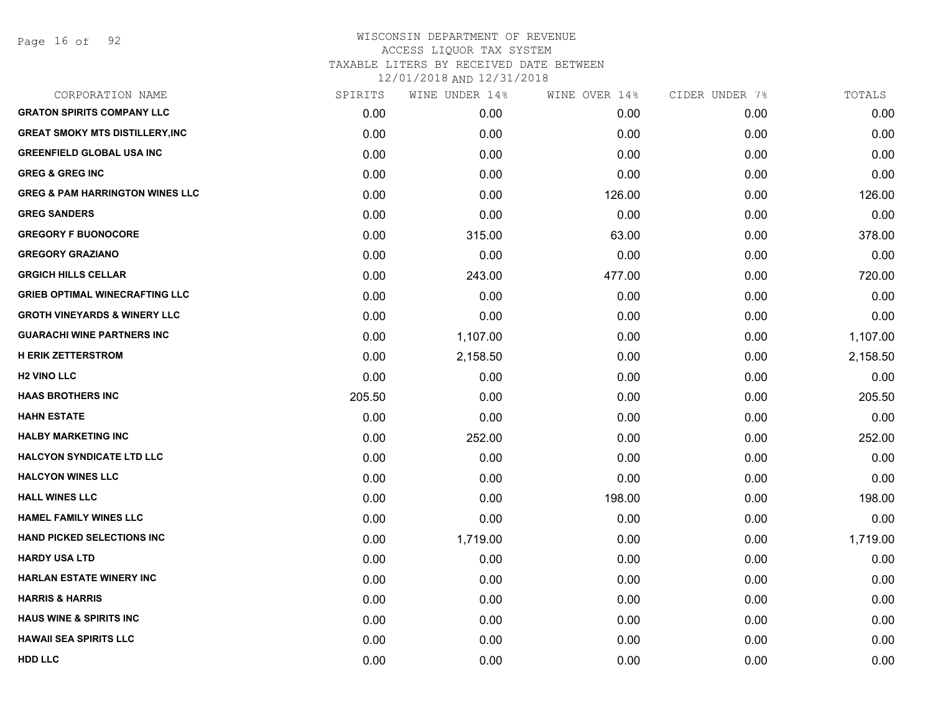| CORPORATION NAME                           | SPIRITS | WINE UNDER 14% | WINE OVER 14% | CIDER UNDER 7% | TOTALS   |
|--------------------------------------------|---------|----------------|---------------|----------------|----------|
| <b>GRATON SPIRITS COMPANY LLC</b>          | 0.00    | 0.00           | 0.00          | 0.00           | 0.00     |
| <b>GREAT SMOKY MTS DISTILLERY, INC</b>     | 0.00    | 0.00           | 0.00          | 0.00           | 0.00     |
| <b>GREENFIELD GLOBAL USA INC</b>           | 0.00    | 0.00           | 0.00          | 0.00           | 0.00     |
| <b>GREG &amp; GREG INC</b>                 | 0.00    | 0.00           | 0.00          | 0.00           | 0.00     |
| <b>GREG &amp; PAM HARRINGTON WINES LLC</b> | 0.00    | 0.00           | 126.00        | 0.00           | 126.00   |
| <b>GREG SANDERS</b>                        | 0.00    | 0.00           | 0.00          | 0.00           | 0.00     |
| <b>GREGORY F BUONOCORE</b>                 | 0.00    | 315.00         | 63.00         | 0.00           | 378.00   |
| <b>GREGORY GRAZIANO</b>                    | 0.00    | 0.00           | 0.00          | 0.00           | 0.00     |
| <b>GRGICH HILLS CELLAR</b>                 | 0.00    | 243.00         | 477.00        | 0.00           | 720.00   |
| <b>GRIEB OPTIMAL WINECRAFTING LLC</b>      | 0.00    | 0.00           | 0.00          | 0.00           | 0.00     |
| <b>GROTH VINEYARDS &amp; WINERY LLC</b>    | 0.00    | 0.00           | 0.00          | 0.00           | 0.00     |
| <b>GUARACHI WINE PARTNERS INC</b>          | 0.00    | 1,107.00       | 0.00          | 0.00           | 1,107.00 |
| <b>H ERIK ZETTERSTROM</b>                  | 0.00    | 2,158.50       | 0.00          | 0.00           | 2,158.50 |
| <b>H2 VINO LLC</b>                         | 0.00    | 0.00           | 0.00          | 0.00           | 0.00     |
| <b>HAAS BROTHERS INC</b>                   | 205.50  | 0.00           | 0.00          | 0.00           | 205.50   |
| <b>HAHN ESTATE</b>                         | 0.00    | 0.00           | 0.00          | 0.00           | 0.00     |
| <b>HALBY MARKETING INC</b>                 | 0.00    | 252.00         | 0.00          | 0.00           | 252.00   |
| <b>HALCYON SYNDICATE LTD LLC</b>           | 0.00    | 0.00           | 0.00          | 0.00           | 0.00     |
| <b>HALCYON WINES LLC</b>                   | 0.00    | 0.00           | 0.00          | 0.00           | 0.00     |
| <b>HALL WINES LLC</b>                      | 0.00    | 0.00           | 198.00        | 0.00           | 198.00   |
| <b>HAMEL FAMILY WINES LLC</b>              | 0.00    | 0.00           | 0.00          | 0.00           | 0.00     |
| <b>HAND PICKED SELECTIONS INC</b>          | 0.00    | 1,719.00       | 0.00          | 0.00           | 1,719.00 |
| <b>HARDY USA LTD</b>                       | 0.00    | 0.00           | 0.00          | 0.00           | 0.00     |
| <b>HARLAN ESTATE WINERY INC</b>            | 0.00    | 0.00           | 0.00          | 0.00           | 0.00     |
| <b>HARRIS &amp; HARRIS</b>                 | 0.00    | 0.00           | 0.00          | 0.00           | 0.00     |
| <b>HAUS WINE &amp; SPIRITS INC</b>         | 0.00    | 0.00           | 0.00          | 0.00           | 0.00     |
| <b>HAWAII SEA SPIRITS LLC</b>              | 0.00    | 0.00           | 0.00          | 0.00           | 0.00     |
| <b>HDD LLC</b>                             | 0.00    | 0.00           | 0.00          | 0.00           | 0.00     |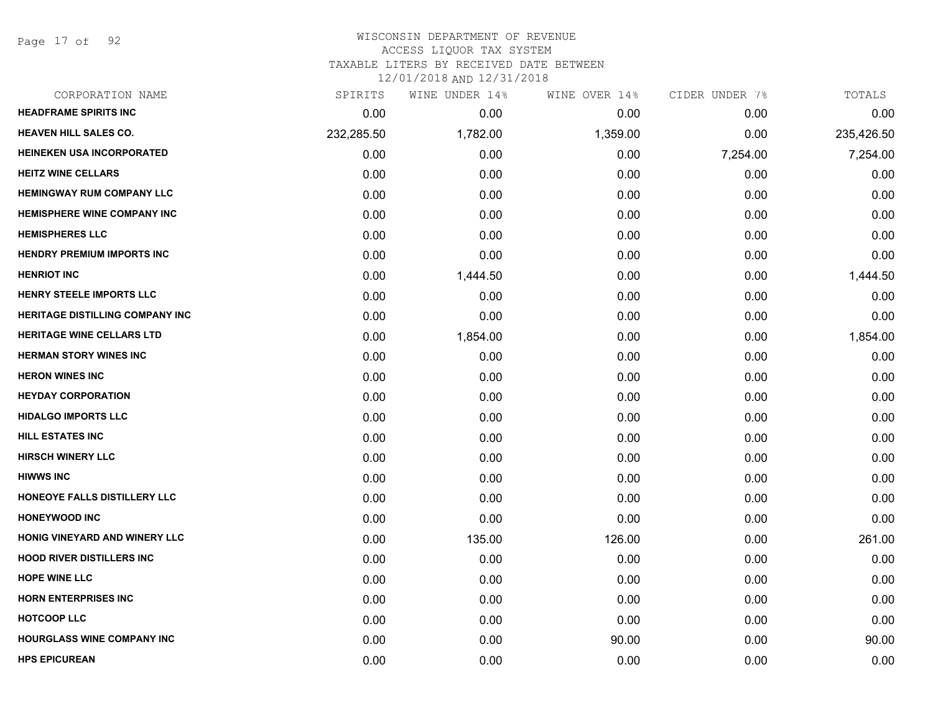Page 17 of 92

## WISCONSIN DEPARTMENT OF REVENUE ACCESS LIQUOR TAX SYSTEM TAXABLE LITERS BY RECEIVED DATE BETWEEN

| CORPORATION NAME                       | SPIRITS    | WINE UNDER 14% | WINE OVER 14% | CIDER UNDER 7% | TOTALS     |
|----------------------------------------|------------|----------------|---------------|----------------|------------|
| <b>HEADFRAME SPIRITS INC</b>           | 0.00       | 0.00           | 0.00          | 0.00           | 0.00       |
| <b>HEAVEN HILL SALES CO.</b>           | 232,285.50 | 1,782.00       | 1,359.00      | 0.00           | 235,426.50 |
| <b>HEINEKEN USA INCORPORATED</b>       | 0.00       | 0.00           | 0.00          | 7,254.00       | 7,254.00   |
| <b>HEITZ WINE CELLARS</b>              | 0.00       | 0.00           | 0.00          | 0.00           | 0.00       |
| <b>HEMINGWAY RUM COMPANY LLC</b>       | 0.00       | 0.00           | 0.00          | 0.00           | 0.00       |
| <b>HEMISPHERE WINE COMPANY INC</b>     | 0.00       | 0.00           | 0.00          | 0.00           | 0.00       |
| <b>HEMISPHERES LLC</b>                 | 0.00       | 0.00           | 0.00          | 0.00           | 0.00       |
| <b>HENDRY PREMIUM IMPORTS INC</b>      | 0.00       | 0.00           | 0.00          | 0.00           | 0.00       |
| <b>HENRIOT INC</b>                     | 0.00       | 1,444.50       | 0.00          | 0.00           | 1,444.50   |
| HENRY STEELE IMPORTS LLC               | 0.00       | 0.00           | 0.00          | 0.00           | 0.00       |
| <b>HERITAGE DISTILLING COMPANY INC</b> | 0.00       | 0.00           | 0.00          | 0.00           | 0.00       |
| <b>HERITAGE WINE CELLARS LTD</b>       | 0.00       | 1,854.00       | 0.00          | 0.00           | 1,854.00   |
| <b>HERMAN STORY WINES INC</b>          | 0.00       | 0.00           | 0.00          | 0.00           | 0.00       |
| <b>HERON WINES INC</b>                 | 0.00       | 0.00           | 0.00          | 0.00           | 0.00       |
| <b>HEYDAY CORPORATION</b>              | 0.00       | 0.00           | 0.00          | 0.00           | 0.00       |
| <b>HIDALGO IMPORTS LLC</b>             | 0.00       | 0.00           | 0.00          | 0.00           | 0.00       |
| <b>HILL ESTATES INC</b>                | 0.00       | 0.00           | 0.00          | 0.00           | 0.00       |
| <b>HIRSCH WINERY LLC</b>               | 0.00       | 0.00           | 0.00          | 0.00           | 0.00       |
| <b>HIWWS INC</b>                       | 0.00       | 0.00           | 0.00          | 0.00           | 0.00       |
| HONEOYE FALLS DISTILLERY LLC           | 0.00       | 0.00           | 0.00          | 0.00           | 0.00       |
| <b>HONEYWOOD INC</b>                   | 0.00       | 0.00           | 0.00          | 0.00           | 0.00       |
| HONIG VINEYARD AND WINERY LLC          | 0.00       | 135.00         | 126.00        | 0.00           | 261.00     |
| <b>HOOD RIVER DISTILLERS INC</b>       | 0.00       | 0.00           | 0.00          | 0.00           | 0.00       |
| <b>HOPE WINE LLC</b>                   | 0.00       | 0.00           | 0.00          | 0.00           | 0.00       |
| <b>HORN ENTERPRISES INC</b>            | 0.00       | 0.00           | 0.00          | 0.00           | 0.00       |
| <b>HOTCOOP LLC</b>                     | 0.00       | 0.00           | 0.00          | 0.00           | 0.00       |
| <b>HOURGLASS WINE COMPANY INC</b>      | 0.00       | 0.00           | 90.00         | 0.00           | 90.00      |
| <b>HPS EPICUREAN</b>                   | 0.00       | 0.00           | 0.00          | 0.00           | 0.00       |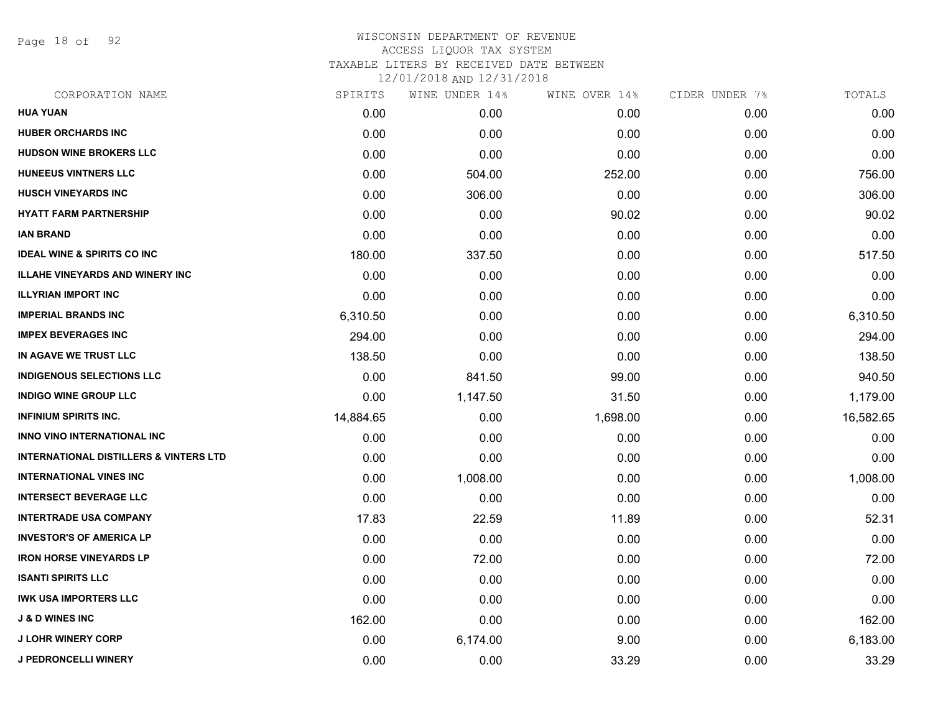Page 18 of 92

| CORPORATION NAME                                  | SPIRITS   | WINE UNDER 14% | WINE OVER 14% | CIDER UNDER 7% | TOTALS    |
|---------------------------------------------------|-----------|----------------|---------------|----------------|-----------|
| <b>HUA YUAN</b>                                   | 0.00      | 0.00           | 0.00          | 0.00           | 0.00      |
| <b>HUBER ORCHARDS INC</b>                         | 0.00      | 0.00           | 0.00          | 0.00           | 0.00      |
| <b>HUDSON WINE BROKERS LLC</b>                    | 0.00      | 0.00           | 0.00          | 0.00           | 0.00      |
| <b>HUNEEUS VINTNERS LLC</b>                       | 0.00      | 504.00         | 252.00        | 0.00           | 756.00    |
| <b>HUSCH VINEYARDS INC</b>                        | 0.00      | 306.00         | 0.00          | 0.00           | 306.00    |
| <b>HYATT FARM PARTNERSHIP</b>                     | 0.00      | 0.00           | 90.02         | 0.00           | 90.02     |
| <b>IAN BRAND</b>                                  | 0.00      | 0.00           | 0.00          | 0.00           | 0.00      |
| <b>IDEAL WINE &amp; SPIRITS CO INC</b>            | 180.00    | 337.50         | 0.00          | 0.00           | 517.50    |
| <b>ILLAHE VINEYARDS AND WINERY INC</b>            | 0.00      | 0.00           | 0.00          | 0.00           | 0.00      |
| <b>ILLYRIAN IMPORT INC</b>                        | 0.00      | 0.00           | 0.00          | 0.00           | 0.00      |
| <b>IMPERIAL BRANDS INC</b>                        | 6,310.50  | 0.00           | 0.00          | 0.00           | 6,310.50  |
| <b>IMPEX BEVERAGES INC</b>                        | 294.00    | 0.00           | 0.00          | 0.00           | 294.00    |
| IN AGAVE WE TRUST LLC                             | 138.50    | 0.00           | 0.00          | 0.00           | 138.50    |
| <b>INDIGENOUS SELECTIONS LLC</b>                  | 0.00      | 841.50         | 99.00         | 0.00           | 940.50    |
| <b>INDIGO WINE GROUP LLC</b>                      | 0.00      | 1,147.50       | 31.50         | 0.00           | 1,179.00  |
| <b>INFINIUM SPIRITS INC.</b>                      | 14,884.65 | 0.00           | 1,698.00      | 0.00           | 16,582.65 |
| <b>INNO VINO INTERNATIONAL INC</b>                | 0.00      | 0.00           | 0.00          | 0.00           | 0.00      |
| <b>INTERNATIONAL DISTILLERS &amp; VINTERS LTD</b> | 0.00      | 0.00           | 0.00          | 0.00           | 0.00      |
| <b>INTERNATIONAL VINES INC</b>                    | 0.00      | 1,008.00       | 0.00          | 0.00           | 1,008.00  |
| <b>INTERSECT BEVERAGE LLC</b>                     | 0.00      | 0.00           | 0.00          | 0.00           | 0.00      |
| <b>INTERTRADE USA COMPANY</b>                     | 17.83     | 22.59          | 11.89         | 0.00           | 52.31     |
| <b>INVESTOR'S OF AMERICA LP</b>                   | 0.00      | 0.00           | 0.00          | 0.00           | 0.00      |
| <b>IRON HORSE VINEYARDS LP</b>                    | 0.00      | 72.00          | 0.00          | 0.00           | 72.00     |
| <b>ISANTI SPIRITS LLC</b>                         | 0.00      | 0.00           | 0.00          | 0.00           | 0.00      |
| <b>IWK USA IMPORTERS LLC</b>                      | 0.00      | 0.00           | 0.00          | 0.00           | 0.00      |
| <b>J &amp; D WINES INC</b>                        | 162.00    | 0.00           | 0.00          | 0.00           | 162.00    |
| <b>J LOHR WINERY CORP</b>                         | 0.00      | 6,174.00       | 9.00          | 0.00           | 6,183.00  |
| <b>J PEDRONCELLI WINERY</b>                       | 0.00      | 0.00           | 33.29         | 0.00           | 33.29     |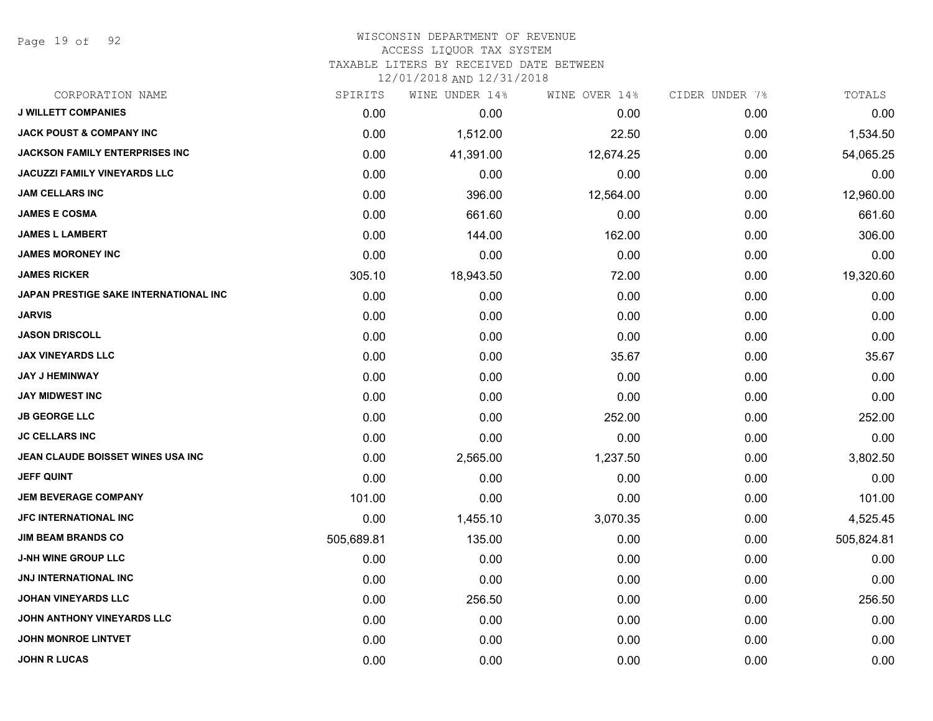Page 19 of 92

#### WISCONSIN DEPARTMENT OF REVENUE ACCESS LIQUOR TAX SYSTEM TAXABLE LITERS BY RECEIVED DATE BETWEEN

| CORPORATION NAME                      | SPIRITS    | WINE UNDER 14% | WINE OVER 14% | CIDER UNDER 7% | TOTALS     |
|---------------------------------------|------------|----------------|---------------|----------------|------------|
| <b>J WILLETT COMPANIES</b>            | 0.00       | 0.00           | 0.00          | 0.00           | 0.00       |
| <b>JACK POUST &amp; COMPANY INC</b>   | 0.00       | 1,512.00       | 22.50         | 0.00           | 1,534.50   |
| <b>JACKSON FAMILY ENTERPRISES INC</b> | 0.00       | 41,391.00      | 12,674.25     | 0.00           | 54,065.25  |
| <b>JACUZZI FAMILY VINEYARDS LLC</b>   | 0.00       | 0.00           | 0.00          | 0.00           | 0.00       |
| <b>JAM CELLARS INC</b>                | 0.00       | 396.00         | 12,564.00     | 0.00           | 12,960.00  |
| <b>JAMES E COSMA</b>                  | 0.00       | 661.60         | 0.00          | 0.00           | 661.60     |
| <b>JAMES L LAMBERT</b>                | 0.00       | 144.00         | 162.00        | 0.00           | 306.00     |
| <b>JAMES MORONEY INC</b>              | 0.00       | 0.00           | 0.00          | 0.00           | 0.00       |
| <b>JAMES RICKER</b>                   | 305.10     | 18,943.50      | 72.00         | 0.00           | 19,320.60  |
| JAPAN PRESTIGE SAKE INTERNATIONAL INC | 0.00       | 0.00           | 0.00          | 0.00           | 0.00       |
| <b>JARVIS</b>                         | 0.00       | 0.00           | 0.00          | 0.00           | 0.00       |
| <b>JASON DRISCOLL</b>                 | 0.00       | 0.00           | 0.00          | 0.00           | 0.00       |
| <b>JAX VINEYARDS LLC</b>              | 0.00       | 0.00           | 35.67         | 0.00           | 35.67      |
| <b>JAY J HEMINWAY</b>                 | 0.00       | 0.00           | 0.00          | 0.00           | 0.00       |
| <b>JAY MIDWEST INC</b>                | 0.00       | 0.00           | 0.00          | 0.00           | 0.00       |
| <b>JB GEORGE LLC</b>                  | 0.00       | 0.00           | 252.00        | 0.00           | 252.00     |
| <b>JC CELLARS INC</b>                 | 0.00       | 0.00           | 0.00          | 0.00           | 0.00       |
| JEAN CLAUDE BOISSET WINES USA INC     | 0.00       | 2,565.00       | 1,237.50      | 0.00           | 3,802.50   |
| <b>JEFF QUINT</b>                     | 0.00       | 0.00           | 0.00          | 0.00           | 0.00       |
| <b>JEM BEVERAGE COMPANY</b>           | 101.00     | 0.00           | 0.00          | 0.00           | 101.00     |
| JFC INTERNATIONAL INC                 | 0.00       | 1,455.10       | 3,070.35      | 0.00           | 4,525.45   |
| <b>JIM BEAM BRANDS CO</b>             | 505,689.81 | 135.00         | 0.00          | 0.00           | 505,824.81 |
| <b>J-NH WINE GROUP LLC</b>            | 0.00       | 0.00           | 0.00          | 0.00           | 0.00       |
| <b>JNJ INTERNATIONAL INC</b>          | 0.00       | 0.00           | 0.00          | 0.00           | 0.00       |
| <b>JOHAN VINEYARDS LLC</b>            | 0.00       | 256.50         | 0.00          | 0.00           | 256.50     |
| JOHN ANTHONY VINEYARDS LLC            | 0.00       | 0.00           | 0.00          | 0.00           | 0.00       |
| <b>JOHN MONROE LINTVET</b>            | 0.00       | 0.00           | 0.00          | 0.00           | 0.00       |
| <b>JOHN R LUCAS</b>                   | 0.00       | 0.00           | 0.00          | 0.00           | 0.00       |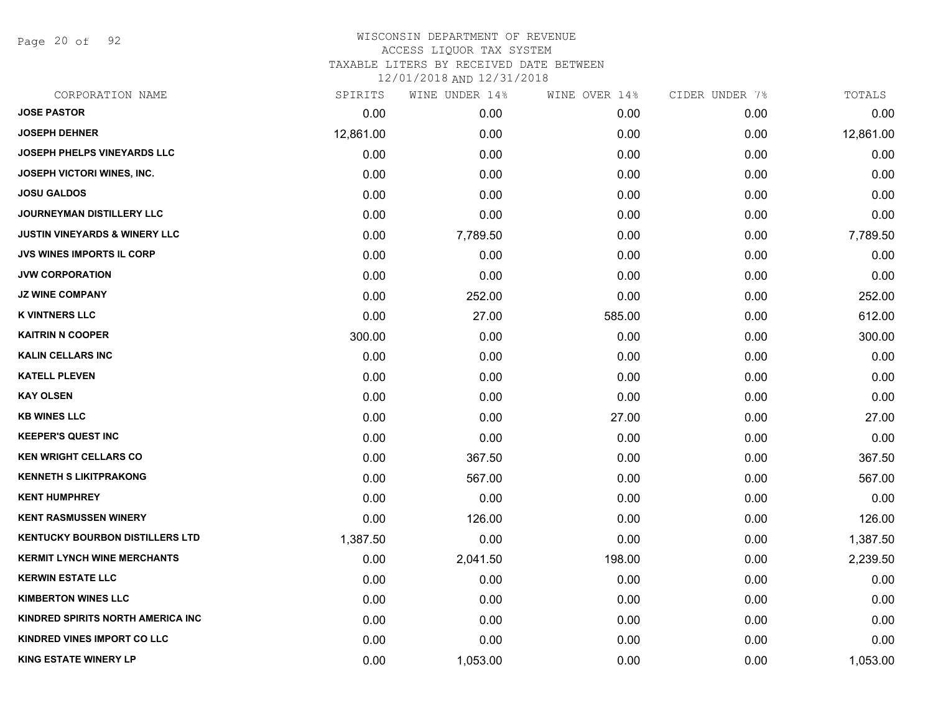Page 20 of 92

| CORPORATION NAME                         | SPIRITS   | WINE UNDER 14% | WINE OVER 14% | CIDER UNDER 7% | TOTALS    |
|------------------------------------------|-----------|----------------|---------------|----------------|-----------|
| <b>JOSE PASTOR</b>                       | 0.00      | 0.00           | 0.00          | 0.00           | 0.00      |
| <b>JOSEPH DEHNER</b>                     | 12,861.00 | 0.00           | 0.00          | 0.00           | 12,861.00 |
| <b>JOSEPH PHELPS VINEYARDS LLC</b>       | 0.00      | 0.00           | 0.00          | 0.00           | 0.00      |
| JOSEPH VICTORI WINES, INC.               | 0.00      | 0.00           | 0.00          | 0.00           | 0.00      |
| <b>JOSU GALDOS</b>                       | 0.00      | 0.00           | 0.00          | 0.00           | 0.00      |
| JOURNEYMAN DISTILLERY LLC                | 0.00      | 0.00           | 0.00          | 0.00           | 0.00      |
| <b>JUSTIN VINEYARDS &amp; WINERY LLC</b> | 0.00      | 7,789.50       | 0.00          | 0.00           | 7,789.50  |
| <b>JVS WINES IMPORTS IL CORP</b>         | 0.00      | 0.00           | 0.00          | 0.00           | 0.00      |
| <b>JVW CORPORATION</b>                   | 0.00      | 0.00           | 0.00          | 0.00           | 0.00      |
| <b>JZ WINE COMPANY</b>                   | 0.00      | 252.00         | 0.00          | 0.00           | 252.00    |
| <b>K VINTNERS LLC</b>                    | 0.00      | 27.00          | 585.00        | 0.00           | 612.00    |
| <b>KAITRIN N COOPER</b>                  | 300.00    | 0.00           | 0.00          | 0.00           | 300.00    |
| <b>KALIN CELLARS INC</b>                 | 0.00      | 0.00           | 0.00          | 0.00           | 0.00      |
| <b>KATELL PLEVEN</b>                     | 0.00      | 0.00           | 0.00          | 0.00           | 0.00      |
| <b>KAY OLSEN</b>                         | 0.00      | 0.00           | 0.00          | 0.00           | 0.00      |
| <b>KB WINES LLC</b>                      | 0.00      | 0.00           | 27.00         | 0.00           | 27.00     |
| <b>KEEPER'S QUEST INC</b>                | 0.00      | 0.00           | 0.00          | 0.00           | 0.00      |
| <b>KEN WRIGHT CELLARS CO</b>             | 0.00      | 367.50         | 0.00          | 0.00           | 367.50    |
| <b>KENNETH S LIKITPRAKONG</b>            | 0.00      | 567.00         | 0.00          | 0.00           | 567.00    |
| <b>KENT HUMPHREY</b>                     | 0.00      | 0.00           | 0.00          | 0.00           | 0.00      |
| <b>KENT RASMUSSEN WINERY</b>             | 0.00      | 126.00         | 0.00          | 0.00           | 126.00    |
| <b>KENTUCKY BOURBON DISTILLERS LTD</b>   | 1,387.50  | 0.00           | 0.00          | 0.00           | 1,387.50  |
| <b>KERMIT LYNCH WINE MERCHANTS</b>       | 0.00      | 2,041.50       | 198.00        | 0.00           | 2,239.50  |
| <b>KERWIN ESTATE LLC</b>                 | 0.00      | 0.00           | 0.00          | 0.00           | 0.00      |
| <b>KIMBERTON WINES LLC</b>               | 0.00      | 0.00           | 0.00          | 0.00           | 0.00      |
| <b>KINDRED SPIRITS NORTH AMERICA INC</b> | 0.00      | 0.00           | 0.00          | 0.00           | 0.00      |
| <b>KINDRED VINES IMPORT CO LLC</b>       | 0.00      | 0.00           | 0.00          | 0.00           | 0.00      |
| <b>KING ESTATE WINERY LP</b>             | 0.00      | 1,053.00       | 0.00          | 0.00           | 1,053.00  |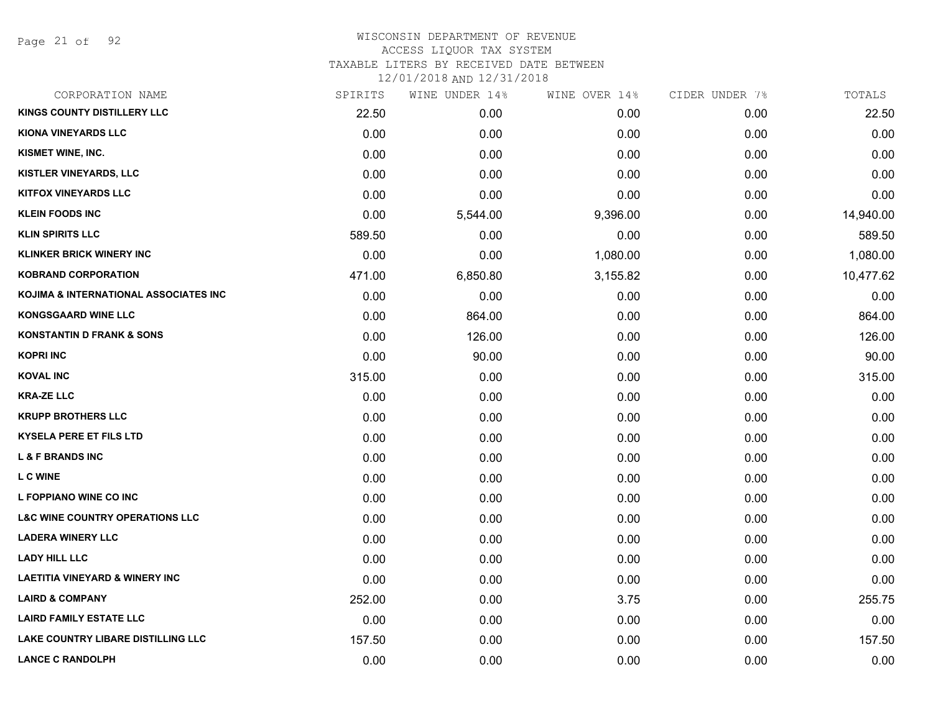Page 21 of 92

# WISCONSIN DEPARTMENT OF REVENUE ACCESS LIQUOR TAX SYSTEM TAXABLE LITERS BY RECEIVED DATE BETWEEN

| CORPORATION NAME                           | SPIRITS | WINE UNDER 14% | WINE OVER 14% | CIDER UNDER 7% | TOTALS    |
|--------------------------------------------|---------|----------------|---------------|----------------|-----------|
| <b>KINGS COUNTY DISTILLERY LLC</b>         | 22.50   | 0.00           | 0.00          | 0.00           | 22.50     |
| <b>KIONA VINEYARDS LLC</b>                 | 0.00    | 0.00           | 0.00          | 0.00           | 0.00      |
| KISMET WINE, INC.                          | 0.00    | 0.00           | 0.00          | 0.00           | 0.00      |
| KISTLER VINEYARDS, LLC                     | 0.00    | 0.00           | 0.00          | 0.00           | 0.00      |
| <b>KITFOX VINEYARDS LLC</b>                | 0.00    | 0.00           | 0.00          | 0.00           | 0.00      |
| <b>KLEIN FOODS INC</b>                     | 0.00    | 5,544.00       | 9,396.00      | 0.00           | 14,940.00 |
| <b>KLIN SPIRITS LLC</b>                    | 589.50  | 0.00           | 0.00          | 0.00           | 589.50    |
| <b>KLINKER BRICK WINERY INC</b>            | 0.00    | 0.00           | 1,080.00      | 0.00           | 1,080.00  |
| <b>KOBRAND CORPORATION</b>                 | 471.00  | 6,850.80       | 3,155.82      | 0.00           | 10,477.62 |
| KOJIMA & INTERNATIONAL ASSOCIATES INC      | 0.00    | 0.00           | 0.00          | 0.00           | 0.00      |
| <b>KONGSGAARD WINE LLC</b>                 | 0.00    | 864.00         | 0.00          | 0.00           | 864.00    |
| <b>KONSTANTIN D FRANK &amp; SONS</b>       | 0.00    | 126.00         | 0.00          | 0.00           | 126.00    |
| <b>KOPRI INC</b>                           | 0.00    | 90.00          | 0.00          | 0.00           | 90.00     |
| <b>KOVAL INC</b>                           | 315.00  | 0.00           | 0.00          | 0.00           | 315.00    |
| <b>KRA-ZE LLC</b>                          | 0.00    | 0.00           | 0.00          | 0.00           | 0.00      |
| <b>KRUPP BROTHERS LLC</b>                  | 0.00    | 0.00           | 0.00          | 0.00           | 0.00      |
| <b>KYSELA PERE ET FILS LTD</b>             | 0.00    | 0.00           | 0.00          | 0.00           | 0.00      |
| <b>L &amp; F BRANDS INC</b>                | 0.00    | 0.00           | 0.00          | 0.00           | 0.00      |
| <b>LCWINE</b>                              | 0.00    | 0.00           | 0.00          | 0.00           | 0.00      |
| L FOPPIANO WINE CO INC                     | 0.00    | 0.00           | 0.00          | 0.00           | 0.00      |
| <b>L&amp;C WINE COUNTRY OPERATIONS LLC</b> | 0.00    | 0.00           | 0.00          | 0.00           | 0.00      |
| <b>LADERA WINERY LLC</b>                   | 0.00    | 0.00           | 0.00          | 0.00           | 0.00      |
| <b>LADY HILL LLC</b>                       | 0.00    | 0.00           | 0.00          | 0.00           | 0.00      |
| <b>LAETITIA VINEYARD &amp; WINERY INC</b>  | 0.00    | 0.00           | 0.00          | 0.00           | 0.00      |
| <b>LAIRD &amp; COMPANY</b>                 | 252.00  | 0.00           | 3.75          | 0.00           | 255.75    |
| <b>LAIRD FAMILY ESTATE LLC</b>             | 0.00    | 0.00           | 0.00          | 0.00           | 0.00      |
| LAKE COUNTRY LIBARE DISTILLING LLC         | 157.50  | 0.00           | 0.00          | 0.00           | 157.50    |
| <b>LANCE C RANDOLPH</b>                    | 0.00    | 0.00           | 0.00          | 0.00           | 0.00      |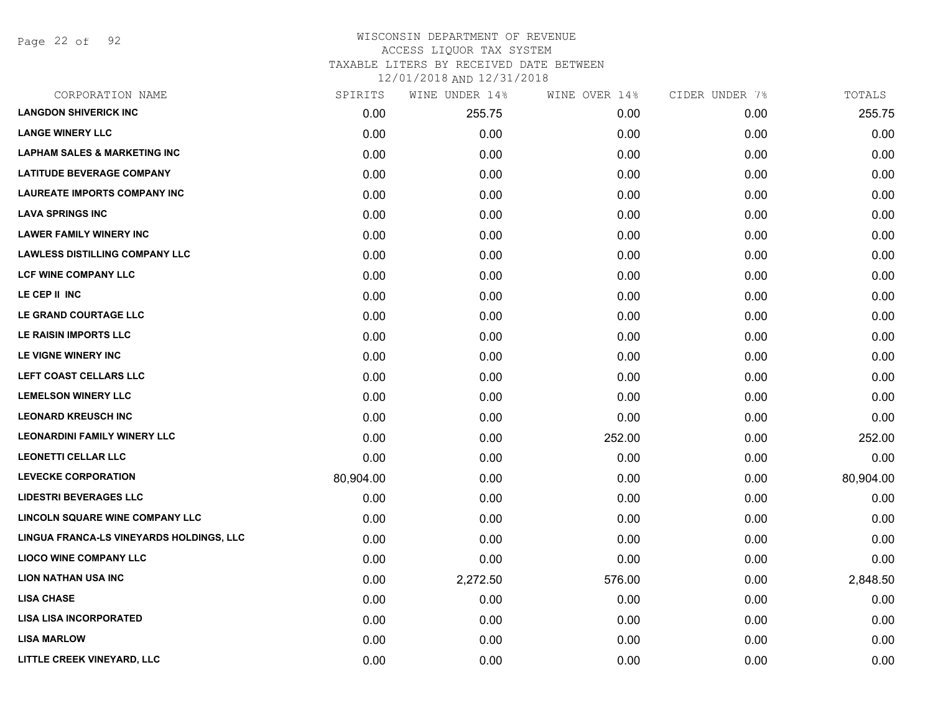Page 22 of 92

| CORPORATION NAME                         | SPIRITS   | WINE UNDER 14% | WINE OVER 14% | CIDER UNDER 7% | TOTALS    |
|------------------------------------------|-----------|----------------|---------------|----------------|-----------|
| <b>LANGDON SHIVERICK INC</b>             | 0.00      | 255.75         | 0.00          | 0.00           | 255.75    |
| <b>LANGE WINERY LLC</b>                  | 0.00      | 0.00           | 0.00          | 0.00           | 0.00      |
| <b>LAPHAM SALES &amp; MARKETING INC</b>  | 0.00      | 0.00           | 0.00          | 0.00           | 0.00      |
| <b>LATITUDE BEVERAGE COMPANY</b>         | 0.00      | 0.00           | 0.00          | 0.00           | 0.00      |
| <b>LAUREATE IMPORTS COMPANY INC</b>      | 0.00      | 0.00           | 0.00          | 0.00           | 0.00      |
| <b>LAVA SPRINGS INC</b>                  | 0.00      | 0.00           | 0.00          | 0.00           | 0.00      |
| <b>LAWER FAMILY WINERY INC</b>           | 0.00      | 0.00           | 0.00          | 0.00           | 0.00      |
| <b>LAWLESS DISTILLING COMPANY LLC</b>    | 0.00      | 0.00           | 0.00          | 0.00           | 0.00      |
| <b>LCF WINE COMPANY LLC</b>              | 0.00      | 0.00           | 0.00          | 0.00           | 0.00      |
| LE CEP II INC                            | 0.00      | 0.00           | 0.00          | 0.00           | 0.00      |
| LE GRAND COURTAGE LLC                    | 0.00      | 0.00           | 0.00          | 0.00           | 0.00      |
| LE RAISIN IMPORTS LLC                    | 0.00      | 0.00           | 0.00          | 0.00           | 0.00      |
| LE VIGNE WINERY INC                      | 0.00      | 0.00           | 0.00          | 0.00           | 0.00      |
| LEFT COAST CELLARS LLC                   | 0.00      | 0.00           | 0.00          | 0.00           | 0.00      |
| <b>LEMELSON WINERY LLC</b>               | 0.00      | 0.00           | 0.00          | 0.00           | 0.00      |
| <b>LEONARD KREUSCH INC</b>               | 0.00      | 0.00           | 0.00          | 0.00           | 0.00      |
| <b>LEONARDINI FAMILY WINERY LLC</b>      | 0.00      | 0.00           | 252.00        | 0.00           | 252.00    |
| <b>LEONETTI CELLAR LLC</b>               | 0.00      | 0.00           | 0.00          | 0.00           | 0.00      |
| <b>LEVECKE CORPORATION</b>               | 80,904.00 | 0.00           | 0.00          | 0.00           | 80,904.00 |
| <b>LIDESTRI BEVERAGES LLC</b>            | 0.00      | 0.00           | 0.00          | 0.00           | 0.00      |
| LINCOLN SQUARE WINE COMPANY LLC          | 0.00      | 0.00           | 0.00          | 0.00           | 0.00      |
| LINGUA FRANCA-LS VINEYARDS HOLDINGS, LLC | 0.00      | 0.00           | 0.00          | 0.00           | 0.00      |
| <b>LIOCO WINE COMPANY LLC</b>            | 0.00      | 0.00           | 0.00          | 0.00           | 0.00      |
| <b>LION NATHAN USA INC</b>               | 0.00      | 2,272.50       | 576.00        | 0.00           | 2,848.50  |
| <b>LISA CHASE</b>                        | 0.00      | 0.00           | 0.00          | 0.00           | 0.00      |
| <b>LISA LISA INCORPORATED</b>            | 0.00      | 0.00           | 0.00          | 0.00           | 0.00      |
| <b>LISA MARLOW</b>                       | 0.00      | 0.00           | 0.00          | 0.00           | 0.00      |
| LITTLE CREEK VINEYARD, LLC               | 0.00      | 0.00           | 0.00          | 0.00           | 0.00      |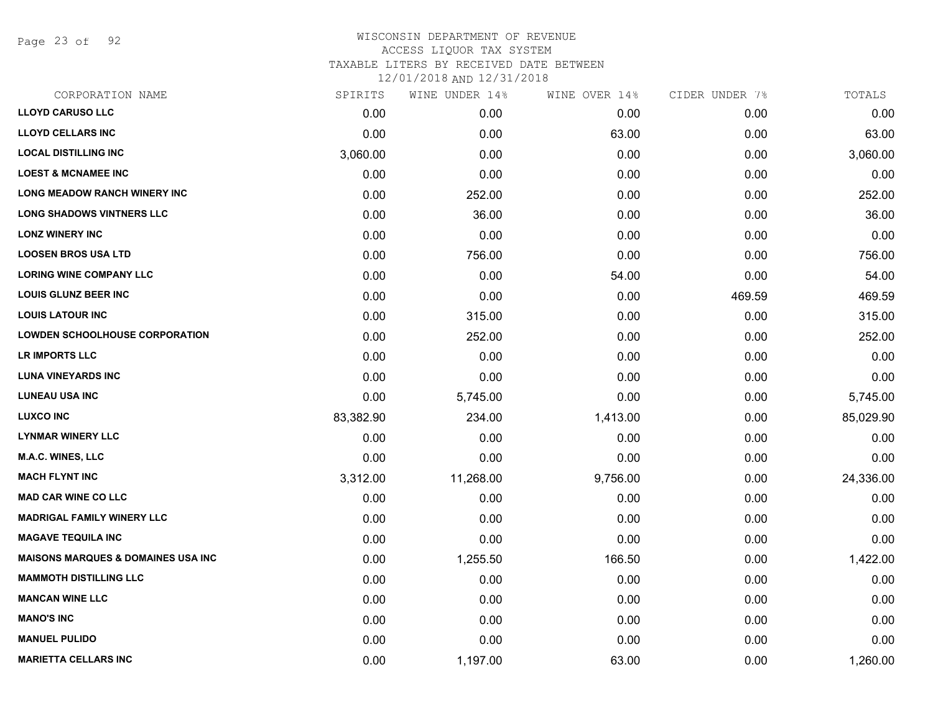Page 23 of 92

# WISCONSIN DEPARTMENT OF REVENUE ACCESS LIQUOR TAX SYSTEM TAXABLE LITERS BY RECEIVED DATE BETWEEN

| CORPORATION NAME                              | SPIRITS   | WINE UNDER 14% | WINE OVER 14% | CIDER UNDER 7% | TOTALS    |
|-----------------------------------------------|-----------|----------------|---------------|----------------|-----------|
| <b>LLOYD CARUSO LLC</b>                       | 0.00      | 0.00           | 0.00          | 0.00           | 0.00      |
| <b>LLOYD CELLARS INC</b>                      | 0.00      | 0.00           | 63.00         | 0.00           | 63.00     |
| <b>LOCAL DISTILLING INC</b>                   | 3,060.00  | 0.00           | 0.00          | 0.00           | 3,060.00  |
| <b>LOEST &amp; MCNAMEE INC</b>                | 0.00      | 0.00           | 0.00          | 0.00           | 0.00      |
| <b>LONG MEADOW RANCH WINERY INC</b>           | 0.00      | 252.00         | 0.00          | 0.00           | 252.00    |
| <b>LONG SHADOWS VINTNERS LLC</b>              | 0.00      | 36.00          | 0.00          | 0.00           | 36.00     |
| <b>LONZ WINERY INC</b>                        | 0.00      | 0.00           | 0.00          | 0.00           | 0.00      |
| <b>LOOSEN BROS USA LTD</b>                    | 0.00      | 756.00         | 0.00          | 0.00           | 756.00    |
| <b>LORING WINE COMPANY LLC</b>                | 0.00      | 0.00           | 54.00         | 0.00           | 54.00     |
| <b>LOUIS GLUNZ BEER INC</b>                   | 0.00      | 0.00           | 0.00          | 469.59         | 469.59    |
| <b>LOUIS LATOUR INC</b>                       | 0.00      | 315.00         | 0.00          | 0.00           | 315.00    |
| <b>LOWDEN SCHOOLHOUSE CORPORATION</b>         | 0.00      | 252.00         | 0.00          | 0.00           | 252.00    |
| LR IMPORTS LLC                                | 0.00      | 0.00           | 0.00          | 0.00           | 0.00      |
| <b>LUNA VINEYARDS INC</b>                     | 0.00      | 0.00           | 0.00          | 0.00           | 0.00      |
| <b>LUNEAU USA INC</b>                         | 0.00      | 5,745.00       | 0.00          | 0.00           | 5,745.00  |
| <b>LUXCO INC</b>                              | 83,382.90 | 234.00         | 1,413.00      | 0.00           | 85,029.90 |
| <b>LYNMAR WINERY LLC</b>                      | 0.00      | 0.00           | 0.00          | 0.00           | 0.00      |
| M.A.C. WINES, LLC                             | 0.00      | 0.00           | 0.00          | 0.00           | 0.00      |
| <b>MACH FLYNT INC</b>                         | 3,312.00  | 11,268.00      | 9,756.00      | 0.00           | 24,336.00 |
| <b>MAD CAR WINE CO LLC</b>                    | 0.00      | 0.00           | 0.00          | 0.00           | 0.00      |
| <b>MADRIGAL FAMILY WINERY LLC</b>             | 0.00      | 0.00           | 0.00          | 0.00           | 0.00      |
| <b>MAGAVE TEQUILA INC</b>                     | 0.00      | 0.00           | 0.00          | 0.00           | 0.00      |
| <b>MAISONS MARQUES &amp; DOMAINES USA INC</b> | 0.00      | 1,255.50       | 166.50        | 0.00           | 1,422.00  |
| <b>MAMMOTH DISTILLING LLC</b>                 | 0.00      | 0.00           | 0.00          | 0.00           | 0.00      |
| <b>MANCAN WINE LLC</b>                        | 0.00      | 0.00           | 0.00          | 0.00           | 0.00      |
| <b>MANO'S INC</b>                             | 0.00      | 0.00           | 0.00          | 0.00           | 0.00      |
| <b>MANUEL PULIDO</b>                          | 0.00      | 0.00           | 0.00          | 0.00           | 0.00      |
| <b>MARIETTA CELLARS INC</b>                   | 0.00      | 1,197.00       | 63.00         | 0.00           | 1,260.00  |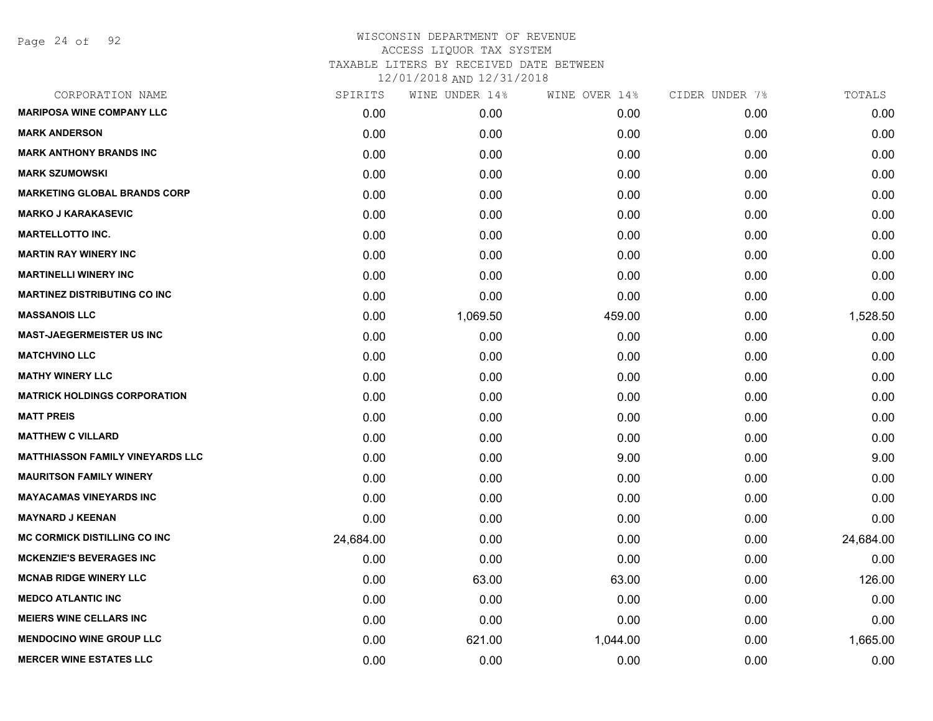| CORPORATION NAME                        | SPIRITS   | WINE UNDER 14% | WINE OVER 14% | CIDER UNDER 7% | TOTALS    |
|-----------------------------------------|-----------|----------------|---------------|----------------|-----------|
| <b>MARIPOSA WINE COMPANY LLC</b>        | 0.00      | 0.00           | 0.00          | 0.00           | 0.00      |
| <b>MARK ANDERSON</b>                    | 0.00      | 0.00           | 0.00          | 0.00           | 0.00      |
| <b>MARK ANTHONY BRANDS INC</b>          | 0.00      | 0.00           | 0.00          | 0.00           | 0.00      |
| <b>MARK SZUMOWSKI</b>                   | 0.00      | 0.00           | 0.00          | 0.00           | 0.00      |
| <b>MARKETING GLOBAL BRANDS CORP</b>     | 0.00      | 0.00           | 0.00          | 0.00           | 0.00      |
| <b>MARKO J KARAKASEVIC</b>              | 0.00      | 0.00           | 0.00          | 0.00           | 0.00      |
| <b>MARTELLOTTO INC.</b>                 | 0.00      | 0.00           | 0.00          | 0.00           | 0.00      |
| <b>MARTIN RAY WINERY INC</b>            | 0.00      | 0.00           | 0.00          | 0.00           | 0.00      |
| <b>MARTINELLI WINERY INC</b>            | 0.00      | 0.00           | 0.00          | 0.00           | 0.00      |
| <b>MARTINEZ DISTRIBUTING CO INC</b>     | 0.00      | 0.00           | 0.00          | 0.00           | 0.00      |
| <b>MASSANOIS LLC</b>                    | 0.00      | 1,069.50       | 459.00        | 0.00           | 1,528.50  |
| <b>MAST-JAEGERMEISTER US INC</b>        | 0.00      | 0.00           | 0.00          | 0.00           | 0.00      |
| <b>MATCHVINO LLC</b>                    | 0.00      | 0.00           | 0.00          | 0.00           | 0.00      |
| <b>MATHY WINERY LLC</b>                 | 0.00      | 0.00           | 0.00          | 0.00           | 0.00      |
| <b>MATRICK HOLDINGS CORPORATION</b>     | 0.00      | 0.00           | 0.00          | 0.00           | 0.00      |
| <b>MATT PREIS</b>                       | 0.00      | 0.00           | 0.00          | 0.00           | 0.00      |
| <b>MATTHEW C VILLARD</b>                | 0.00      | 0.00           | 0.00          | 0.00           | 0.00      |
| <b>MATTHIASSON FAMILY VINEYARDS LLC</b> | 0.00      | 0.00           | 9.00          | 0.00           | 9.00      |
| <b>MAURITSON FAMILY WINERY</b>          | 0.00      | 0.00           | 0.00          | 0.00           | 0.00      |
| <b>MAYACAMAS VINEYARDS INC</b>          | 0.00      | 0.00           | 0.00          | 0.00           | 0.00      |
| <b>MAYNARD J KEENAN</b>                 | 0.00      | 0.00           | 0.00          | 0.00           | 0.00      |
| <b>MC CORMICK DISTILLING CO INC</b>     | 24,684.00 | 0.00           | 0.00          | 0.00           | 24,684.00 |
| <b>MCKENZIE'S BEVERAGES INC</b>         | 0.00      | 0.00           | 0.00          | 0.00           | 0.00      |
| <b>MCNAB RIDGE WINERY LLC</b>           | 0.00      | 63.00          | 63.00         | 0.00           | 126.00    |
| <b>MEDCO ATLANTIC INC</b>               | 0.00      | 0.00           | 0.00          | 0.00           | 0.00      |
| <b>MEIERS WINE CELLARS INC</b>          | 0.00      | 0.00           | 0.00          | 0.00           | 0.00      |
| <b>MENDOCINO WINE GROUP LLC</b>         | 0.00      | 621.00         | 1,044.00      | 0.00           | 1,665.00  |
| <b>MERCER WINE ESTATES LLC</b>          | 0.00      | 0.00           | 0.00          | 0.00           | 0.00      |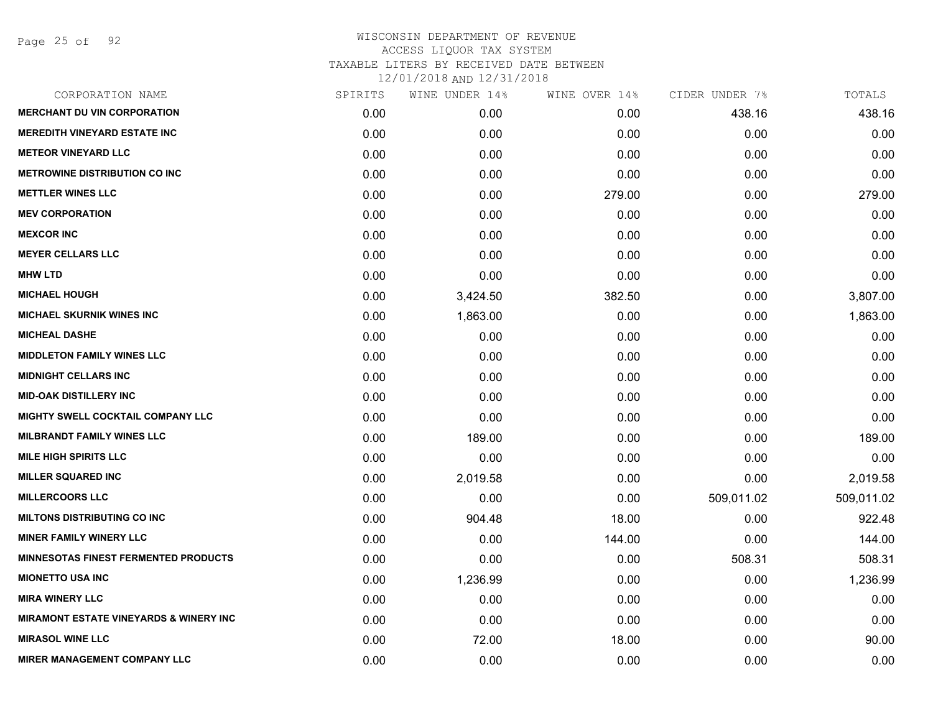Page 25 of 92

| CORPORATION NAME                                  | SPIRITS | WINE UNDER 14% | WINE OVER 14% | CIDER UNDER 7% | TOTALS     |
|---------------------------------------------------|---------|----------------|---------------|----------------|------------|
| <b>MERCHANT DU VIN CORPORATION</b>                | 0.00    | 0.00           | 0.00          | 438.16         | 438.16     |
| <b>MEREDITH VINEYARD ESTATE INC</b>               | 0.00    | 0.00           | 0.00          | 0.00           | 0.00       |
| <b>METEOR VINEYARD LLC</b>                        | 0.00    | 0.00           | 0.00          | 0.00           | 0.00       |
| <b>METROWINE DISTRIBUTION CO INC</b>              | 0.00    | 0.00           | 0.00          | 0.00           | 0.00       |
| <b>METTLER WINES LLC</b>                          | 0.00    | 0.00           | 279.00        | 0.00           | 279.00     |
| <b>MEV CORPORATION</b>                            | 0.00    | 0.00           | 0.00          | 0.00           | 0.00       |
| <b>MEXCOR INC</b>                                 | 0.00    | 0.00           | 0.00          | 0.00           | 0.00       |
| <b>MEYER CELLARS LLC</b>                          | 0.00    | 0.00           | 0.00          | 0.00           | 0.00       |
| <b>MHW LTD</b>                                    | 0.00    | 0.00           | 0.00          | 0.00           | 0.00       |
| <b>MICHAEL HOUGH</b>                              | 0.00    | 3,424.50       | 382.50        | 0.00           | 3,807.00   |
| <b>MICHAEL SKURNIK WINES INC</b>                  | 0.00    | 1,863.00       | 0.00          | 0.00           | 1,863.00   |
| <b>MICHEAL DASHE</b>                              | 0.00    | 0.00           | 0.00          | 0.00           | 0.00       |
| <b>MIDDLETON FAMILY WINES LLC</b>                 | 0.00    | 0.00           | 0.00          | 0.00           | 0.00       |
| <b>MIDNIGHT CELLARS INC</b>                       | 0.00    | 0.00           | 0.00          | 0.00           | 0.00       |
| <b>MID-OAK DISTILLERY INC</b>                     | 0.00    | 0.00           | 0.00          | 0.00           | 0.00       |
| MIGHTY SWELL COCKTAIL COMPANY LLC                 | 0.00    | 0.00           | 0.00          | 0.00           | 0.00       |
| <b>MILBRANDT FAMILY WINES LLC</b>                 | 0.00    | 189.00         | 0.00          | 0.00           | 189.00     |
| <b>MILE HIGH SPIRITS LLC</b>                      | 0.00    | 0.00           | 0.00          | 0.00           | 0.00       |
| <b>MILLER SQUARED INC</b>                         | 0.00    | 2,019.58       | 0.00          | 0.00           | 2,019.58   |
| <b>MILLERCOORS LLC</b>                            | 0.00    | 0.00           | 0.00          | 509,011.02     | 509,011.02 |
| <b>MILTONS DISTRIBUTING CO INC</b>                | 0.00    | 904.48         | 18.00         | 0.00           | 922.48     |
| <b>MINER FAMILY WINERY LLC</b>                    | 0.00    | 0.00           | 144.00        | 0.00           | 144.00     |
| <b>MINNESOTAS FINEST FERMENTED PRODUCTS</b>       | 0.00    | 0.00           | 0.00          | 508.31         | 508.31     |
| <b>MIONETTO USA INC</b>                           | 0.00    | 1,236.99       | 0.00          | 0.00           | 1,236.99   |
| <b>MIRA WINERY LLC</b>                            | 0.00    | 0.00           | 0.00          | 0.00           | 0.00       |
| <b>MIRAMONT ESTATE VINEYARDS &amp; WINERY INC</b> | 0.00    | 0.00           | 0.00          | 0.00           | 0.00       |
| <b>MIRASOL WINE LLC</b>                           | 0.00    | 72.00          | 18.00         | 0.00           | 90.00      |
| <b>MIRER MANAGEMENT COMPANY LLC</b>               | 0.00    | 0.00           | 0.00          | 0.00           | 0.00       |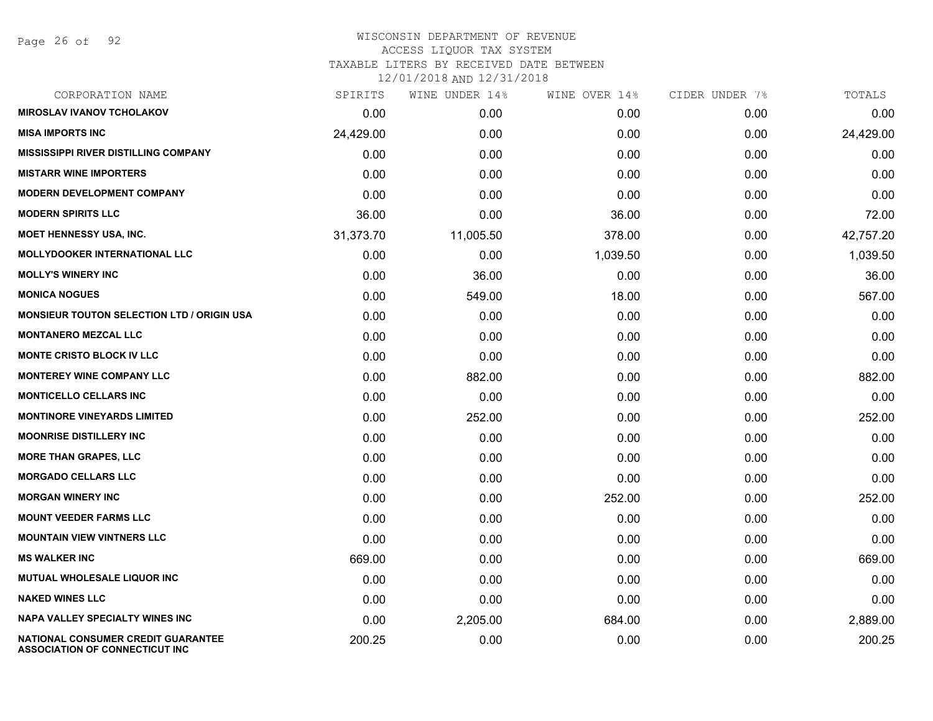| CORPORATION NAME                                                            | SPIRITS   | WINE UNDER 14% | WINE OVER 14% | CIDER UNDER 7% | TOTALS    |
|-----------------------------------------------------------------------------|-----------|----------------|---------------|----------------|-----------|
| <b>MIROSLAV IVANOV TCHOLAKOV</b>                                            | 0.00      | 0.00           | 0.00          | 0.00           | 0.00      |
| <b>MISA IMPORTS INC</b>                                                     | 24,429.00 | 0.00           | 0.00          | 0.00           | 24,429.00 |
| <b>MISSISSIPPI RIVER DISTILLING COMPANY</b>                                 | 0.00      | 0.00           | 0.00          | 0.00           | 0.00      |
| <b>MISTARR WINE IMPORTERS</b>                                               | 0.00      | 0.00           | 0.00          | 0.00           | 0.00      |
| <b>MODERN DEVELOPMENT COMPANY</b>                                           | 0.00      | 0.00           | 0.00          | 0.00           | 0.00      |
| <b>MODERN SPIRITS LLC</b>                                                   | 36.00     | 0.00           | 36.00         | 0.00           | 72.00     |
| <b>MOET HENNESSY USA, INC.</b>                                              | 31,373.70 | 11,005.50      | 378.00        | 0.00           | 42,757.20 |
| <b>MOLLYDOOKER INTERNATIONAL LLC</b>                                        | 0.00      | 0.00           | 1,039.50      | 0.00           | 1,039.50  |
| <b>MOLLY'S WINERY INC</b>                                                   | 0.00      | 36.00          | 0.00          | 0.00           | 36.00     |
| <b>MONICA NOGUES</b>                                                        | 0.00      | 549.00         | 18.00         | 0.00           | 567.00    |
| <b>MONSIEUR TOUTON SELECTION LTD / ORIGIN USA</b>                           | 0.00      | 0.00           | 0.00          | 0.00           | 0.00      |
| <b>MONTANERO MEZCAL LLC</b>                                                 | 0.00      | 0.00           | 0.00          | 0.00           | 0.00      |
| <b>MONTE CRISTO BLOCK IV LLC</b>                                            | 0.00      | 0.00           | 0.00          | 0.00           | 0.00      |
| <b>MONTEREY WINE COMPANY LLC</b>                                            | 0.00      | 882.00         | 0.00          | 0.00           | 882.00    |
| <b>MONTICELLO CELLARS INC</b>                                               | 0.00      | 0.00           | 0.00          | 0.00           | 0.00      |
| <b>MONTINORE VINEYARDS LIMITED</b>                                          | 0.00      | 252.00         | 0.00          | 0.00           | 252.00    |
| <b>MOONRISE DISTILLERY INC</b>                                              | 0.00      | 0.00           | 0.00          | 0.00           | 0.00      |
| <b>MORE THAN GRAPES, LLC</b>                                                | 0.00      | 0.00           | 0.00          | 0.00           | 0.00      |
| <b>MORGADO CELLARS LLC</b>                                                  | 0.00      | 0.00           | 0.00          | 0.00           | 0.00      |
| <b>MORGAN WINERY INC</b>                                                    | 0.00      | 0.00           | 252.00        | 0.00           | 252.00    |
| <b>MOUNT VEEDER FARMS LLC</b>                                               | 0.00      | 0.00           | 0.00          | 0.00           | 0.00      |
| <b>MOUNTAIN VIEW VINTNERS LLC</b>                                           | 0.00      | 0.00           | 0.00          | 0.00           | 0.00      |
| <b>MS WALKER INC</b>                                                        | 669.00    | 0.00           | 0.00          | 0.00           | 669.00    |
| MUTUAL WHOLESALE LIQUOR INC                                                 | 0.00      | 0.00           | 0.00          | 0.00           | 0.00      |
| <b>NAKED WINES LLC</b>                                                      | 0.00      | 0.00           | 0.00          | 0.00           | 0.00      |
| <b>NAPA VALLEY SPECIALTY WINES INC</b>                                      | 0.00      | 2,205.00       | 684.00        | 0.00           | 2,889.00  |
| NATIONAL CONSUMER CREDIT GUARANTEE<br><b>ASSOCIATION OF CONNECTICUT INC</b> | 200.25    | 0.00           | 0.00          | 0.00           | 200.25    |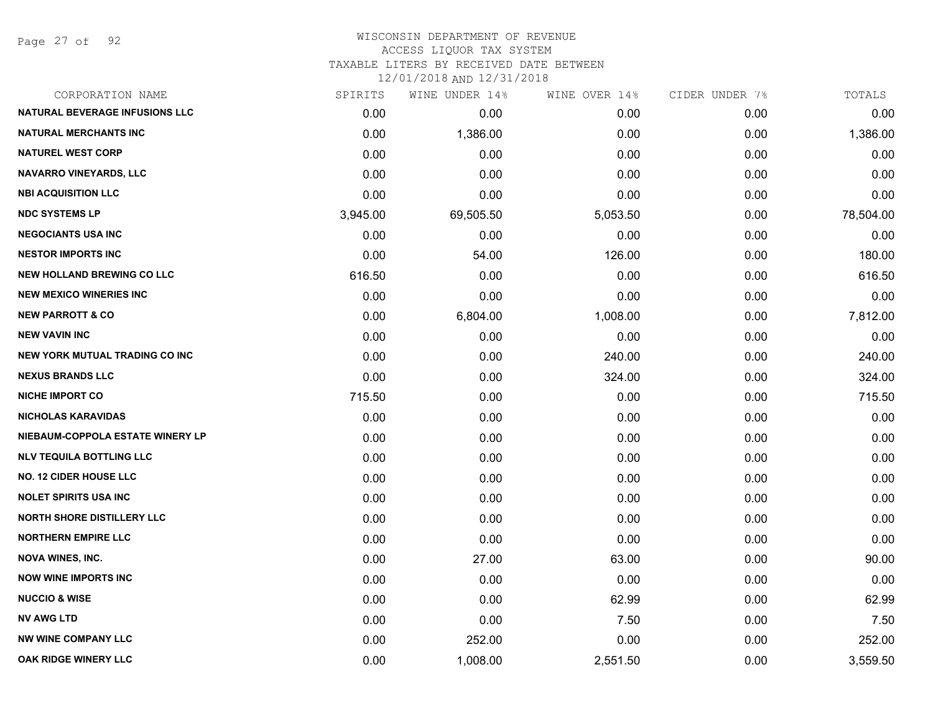Page 27 of 92

### WISCONSIN DEPARTMENT OF REVENUE ACCESS LIQUOR TAX SYSTEM

TAXABLE LITERS BY RECEIVED DATE BETWEEN

| CORPORATION NAME                      | SPIRITS  | WINE UNDER 14% | WINE OVER 14% | CIDER UNDER 7% | TOTALS    |
|---------------------------------------|----------|----------------|---------------|----------------|-----------|
| <b>NATURAL BEVERAGE INFUSIONS LLC</b> | 0.00     | 0.00           | 0.00          | 0.00           | 0.00      |
| <b>NATURAL MERCHANTS INC</b>          | 0.00     | 1,386.00       | 0.00          | 0.00           | 1,386.00  |
| <b>NATUREL WEST CORP</b>              | 0.00     | 0.00           | 0.00          | 0.00           | 0.00      |
| <b>NAVARRO VINEYARDS, LLC</b>         | 0.00     | 0.00           | 0.00          | 0.00           | 0.00      |
| <b>NBI ACQUISITION LLC</b>            | 0.00     | 0.00           | 0.00          | 0.00           | 0.00      |
| <b>NDC SYSTEMS LP</b>                 | 3,945.00 | 69,505.50      | 5,053.50      | 0.00           | 78,504.00 |
| <b>NEGOCIANTS USA INC</b>             | 0.00     | 0.00           | 0.00          | 0.00           | 0.00      |
| <b>NESTOR IMPORTS INC</b>             | 0.00     | 54.00          | 126.00        | 0.00           | 180.00    |
| <b>NEW HOLLAND BREWING CO LLC</b>     | 616.50   | 0.00           | 0.00          | 0.00           | 616.50    |
| <b>NEW MEXICO WINERIES INC</b>        | 0.00     | 0.00           | 0.00          | 0.00           | 0.00      |
| <b>NEW PARROTT &amp; CO</b>           | 0.00     | 6,804.00       | 1,008.00      | 0.00           | 7,812.00  |
| <b>NEW VAVIN INC</b>                  | 0.00     | 0.00           | 0.00          | 0.00           | 0.00      |
| <b>NEW YORK MUTUAL TRADING CO INC</b> | 0.00     | 0.00           | 240.00        | 0.00           | 240.00    |
| <b>NEXUS BRANDS LLC</b>               | 0.00     | 0.00           | 324.00        | 0.00           | 324.00    |
| <b>NICHE IMPORT CO</b>                | 715.50   | 0.00           | 0.00          | 0.00           | 715.50    |
| <b>NICHOLAS KARAVIDAS</b>             | 0.00     | 0.00           | 0.00          | 0.00           | 0.00      |
| NIEBAUM-COPPOLA ESTATE WINERY LP      | 0.00     | 0.00           | 0.00          | 0.00           | 0.00      |
| <b>NLV TEQUILA BOTTLING LLC</b>       | 0.00     | 0.00           | 0.00          | 0.00           | 0.00      |
| <b>NO. 12 CIDER HOUSE LLC</b>         | 0.00     | 0.00           | 0.00          | 0.00           | 0.00      |
| <b>NOLET SPIRITS USA INC</b>          | 0.00     | 0.00           | 0.00          | 0.00           | 0.00      |
| <b>NORTH SHORE DISTILLERY LLC</b>     | 0.00     | 0.00           | 0.00          | 0.00           | 0.00      |
| <b>NORTHERN EMPIRE LLC</b>            | 0.00     | 0.00           | 0.00          | 0.00           | 0.00      |
| <b>NOVA WINES, INC.</b>               | 0.00     | 27.00          | 63.00         | 0.00           | 90.00     |
| <b>NOW WINE IMPORTS INC</b>           | 0.00     | 0.00           | 0.00          | 0.00           | 0.00      |
| <b>NUCCIO &amp; WISE</b>              | 0.00     | 0.00           | 62.99         | 0.00           | 62.99     |
| <b>NV AWG LTD</b>                     | 0.00     | 0.00           | 7.50          | 0.00           | 7.50      |
| <b>NW WINE COMPANY LLC</b>            | 0.00     | 252.00         | 0.00          | 0.00           | 252.00    |
| OAK RIDGE WINERY LLC                  | 0.00     | 1,008.00       | 2,551.50      | 0.00           | 3,559.50  |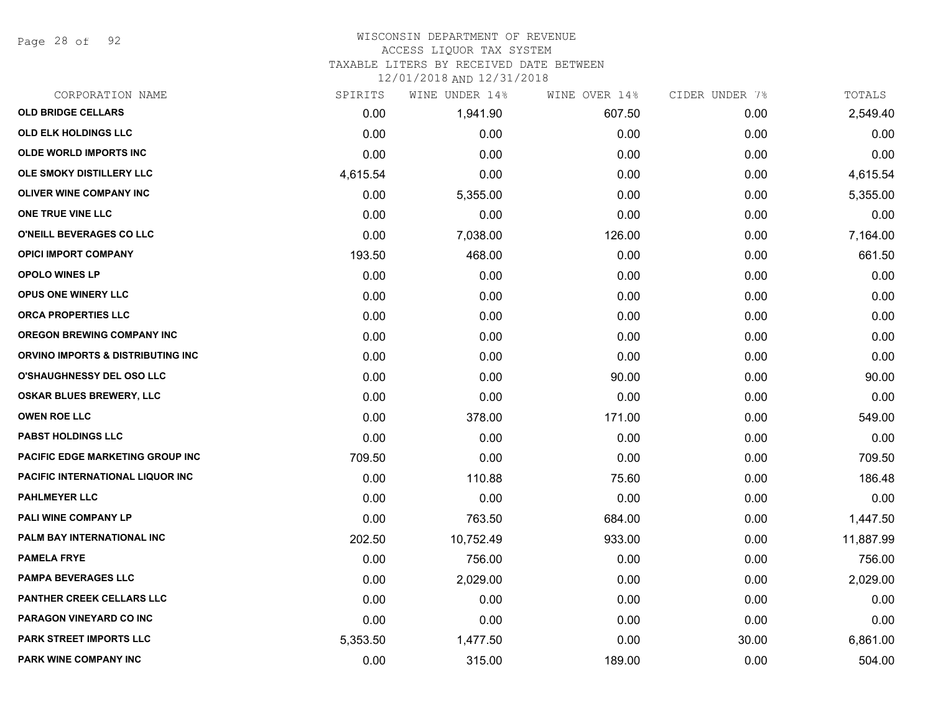Page 28 of 92

# WISCONSIN DEPARTMENT OF REVENUE

#### ACCESS LIQUOR TAX SYSTEM

TAXABLE LITERS BY RECEIVED DATE BETWEEN

| CORPORATION NAME                        | SPIRITS  | WINE UNDER 14% | WINE OVER 14% | CIDER UNDER 7% | TOTALS    |
|-----------------------------------------|----------|----------------|---------------|----------------|-----------|
| <b>OLD BRIDGE CELLARS</b>               | 0.00     | 1,941.90       | 607.50        | 0.00           | 2,549.40  |
| <b>OLD ELK HOLDINGS LLC</b>             | 0.00     | 0.00           | 0.00          | 0.00           | 0.00      |
| <b>OLDE WORLD IMPORTS INC</b>           | 0.00     | 0.00           | 0.00          | 0.00           | 0.00      |
| OLE SMOKY DISTILLERY LLC                | 4,615.54 | 0.00           | 0.00          | 0.00           | 4,615.54  |
| OLIVER WINE COMPANY INC                 | 0.00     | 5,355.00       | 0.00          | 0.00           | 5,355.00  |
| ONE TRUE VINE LLC                       | 0.00     | 0.00           | 0.00          | 0.00           | 0.00      |
| O'NEILL BEVERAGES CO LLC                | 0.00     | 7,038.00       | 126.00        | 0.00           | 7,164.00  |
| <b>OPICI IMPORT COMPANY</b>             | 193.50   | 468.00         | 0.00          | 0.00           | 661.50    |
| <b>OPOLO WINES LP</b>                   | 0.00     | 0.00           | 0.00          | 0.00           | 0.00      |
| <b>OPUS ONE WINERY LLC</b>              | 0.00     | 0.00           | 0.00          | 0.00           | 0.00      |
| ORCA PROPERTIES LLC                     | 0.00     | 0.00           | 0.00          | 0.00           | 0.00      |
| <b>OREGON BREWING COMPANY INC</b>       | 0.00     | 0.00           | 0.00          | 0.00           | 0.00      |
| ORVINO IMPORTS & DISTRIBUTING INC       | 0.00     | 0.00           | 0.00          | 0.00           | 0.00      |
| <b>O'SHAUGHNESSY DEL OSO LLC</b>        | 0.00     | 0.00           | 90.00         | 0.00           | 90.00     |
| <b>OSKAR BLUES BREWERY, LLC</b>         | 0.00     | 0.00           | 0.00          | 0.00           | 0.00      |
| <b>OWEN ROE LLC</b>                     | 0.00     | 378.00         | 171.00        | 0.00           | 549.00    |
| <b>PABST HOLDINGS LLC</b>               | 0.00     | 0.00           | 0.00          | 0.00           | 0.00      |
| <b>PACIFIC EDGE MARKETING GROUP INC</b> | 709.50   | 0.00           | 0.00          | 0.00           | 709.50    |
| PACIFIC INTERNATIONAL LIQUOR INC        | 0.00     | 110.88         | 75.60         | 0.00           | 186.48    |
| <b>PAHLMEYER LLC</b>                    | 0.00     | 0.00           | 0.00          | 0.00           | 0.00      |
| <b>PALI WINE COMPANY LP</b>             | 0.00     | 763.50         | 684.00        | 0.00           | 1,447.50  |
| PALM BAY INTERNATIONAL INC              | 202.50   | 10,752.49      | 933.00        | 0.00           | 11,887.99 |
| <b>PAMELA FRYE</b>                      | 0.00     | 756.00         | 0.00          | 0.00           | 756.00    |
| <b>PAMPA BEVERAGES LLC</b>              | 0.00     | 2,029.00       | 0.00          | 0.00           | 2,029.00  |
| <b>PANTHER CREEK CELLARS LLC</b>        | 0.00     | 0.00           | 0.00          | 0.00           | 0.00      |
| <b>PARAGON VINEYARD CO INC</b>          | 0.00     | 0.00           | 0.00          | 0.00           | 0.00      |
| PARK STREET IMPORTS LLC                 | 5,353.50 | 1,477.50       | 0.00          | 30.00          | 6,861.00  |
| PARK WINE COMPANY INC                   | 0.00     | 315.00         | 189.00        | 0.00           | 504.00    |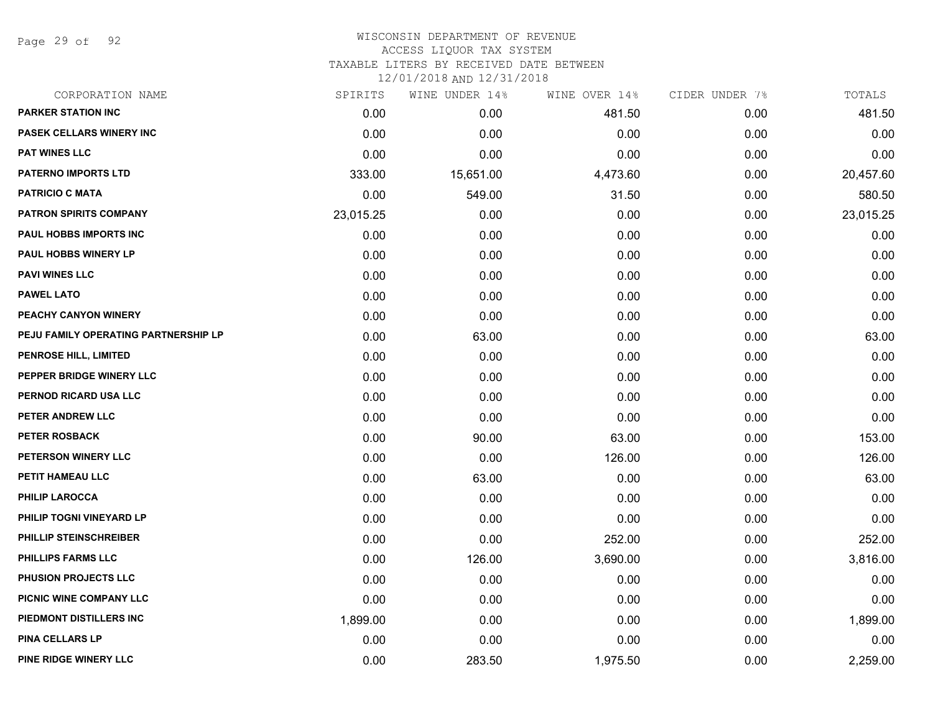Page 29 of 92

# WISCONSIN DEPARTMENT OF REVENUE ACCESS LIQUOR TAX SYSTEM

TAXABLE LITERS BY RECEIVED DATE BETWEEN

| CORPORATION NAME                     | SPIRITS   | WINE UNDER 14% | WINE OVER 14% | CIDER UNDER 7% | TOTALS    |
|--------------------------------------|-----------|----------------|---------------|----------------|-----------|
| <b>PARKER STATION INC</b>            | 0.00      | 0.00           | 481.50        | 0.00           | 481.50    |
| PASEK CELLARS WINERY INC             | 0.00      | 0.00           | 0.00          | 0.00           | 0.00      |
| <b>PAT WINES LLC</b>                 | 0.00      | 0.00           | 0.00          | 0.00           | 0.00      |
| <b>PATERNO IMPORTS LTD</b>           | 333.00    | 15,651.00      | 4,473.60      | 0.00           | 20,457.60 |
| <b>PATRICIO C MATA</b>               | 0.00      | 549.00         | 31.50         | 0.00           | 580.50    |
| <b>PATRON SPIRITS COMPANY</b>        | 23,015.25 | 0.00           | 0.00          | 0.00           | 23,015.25 |
| PAUL HOBBS IMPORTS INC               | 0.00      | 0.00           | 0.00          | 0.00           | 0.00      |
| <b>PAUL HOBBS WINERY LP</b>          | 0.00      | 0.00           | 0.00          | 0.00           | 0.00      |
| <b>PAVI WINES LLC</b>                | 0.00      | 0.00           | 0.00          | 0.00           | 0.00      |
| <b>PAWEL LATO</b>                    | 0.00      | 0.00           | 0.00          | 0.00           | 0.00      |
| PEACHY CANYON WINERY                 | 0.00      | 0.00           | 0.00          | 0.00           | 0.00      |
| PEJU FAMILY OPERATING PARTNERSHIP LP | 0.00      | 63.00          | 0.00          | 0.00           | 63.00     |
| PENROSE HILL, LIMITED                | 0.00      | 0.00           | 0.00          | 0.00           | 0.00      |
| PEPPER BRIDGE WINERY LLC             | 0.00      | 0.00           | 0.00          | 0.00           | 0.00      |
| PERNOD RICARD USA LLC                | 0.00      | 0.00           | 0.00          | 0.00           | 0.00      |
| PETER ANDREW LLC                     | 0.00      | 0.00           | 0.00          | 0.00           | 0.00      |
| <b>PETER ROSBACK</b>                 | 0.00      | 90.00          | 63.00         | 0.00           | 153.00    |
| <b>PETERSON WINERY LLC</b>           | 0.00      | 0.00           | 126.00        | 0.00           | 126.00    |
| PETIT HAMEAU LLC                     | 0.00      | 63.00          | 0.00          | 0.00           | 63.00     |
| <b>PHILIP LAROCCA</b>                | 0.00      | 0.00           | 0.00          | 0.00           | 0.00      |
| PHILIP TOGNI VINEYARD LP             | 0.00      | 0.00           | 0.00          | 0.00           | 0.00      |
| PHILLIP STEINSCHREIBER               | 0.00      | 0.00           | 252.00        | 0.00           | 252.00    |
| PHILLIPS FARMS LLC                   | 0.00      | 126.00         | 3,690.00      | 0.00           | 3,816.00  |
| PHUSION PROJECTS LLC                 | 0.00      | 0.00           | 0.00          | 0.00           | 0.00      |
| PICNIC WINE COMPANY LLC              | 0.00      | 0.00           | 0.00          | 0.00           | 0.00      |
| PIEDMONT DISTILLERS INC              | 1,899.00  | 0.00           | 0.00          | 0.00           | 1,899.00  |
| <b>PINA CELLARS LP</b>               | 0.00      | 0.00           | 0.00          | 0.00           | 0.00      |
| PINE RIDGE WINERY LLC                | 0.00      | 283.50         | 1,975.50      | 0.00           | 2,259.00  |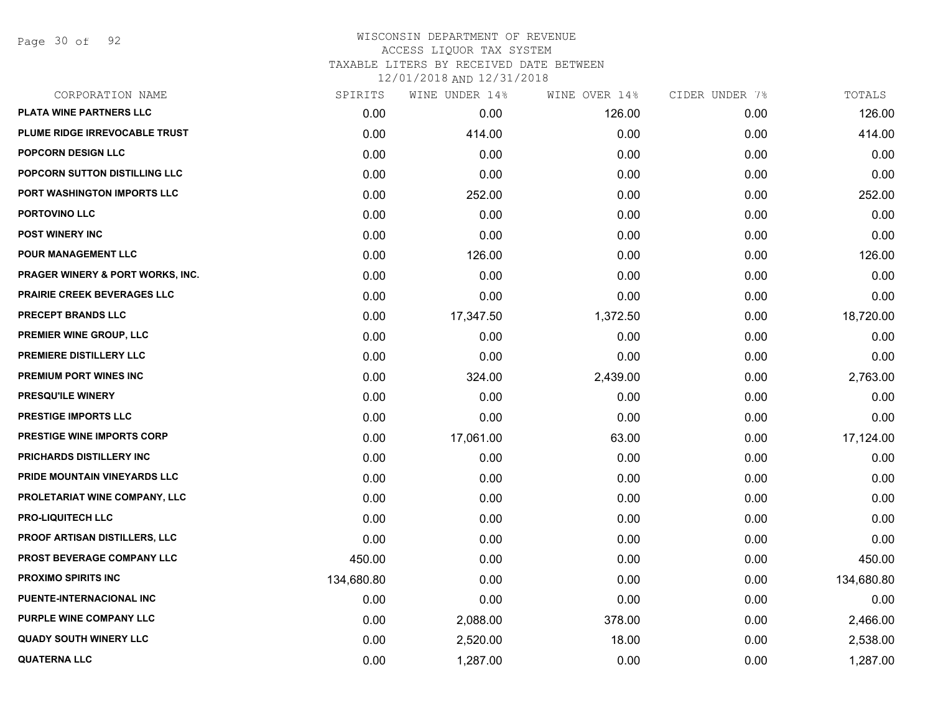Page 30 of 92

| CORPORATION NAME                            | SPIRITS    | WINE UNDER 14% | WINE OVER 14% | CIDER UNDER 7% | TOTALS     |
|---------------------------------------------|------------|----------------|---------------|----------------|------------|
| PLATA WINE PARTNERS LLC                     | 0.00       | 0.00           | 126.00        | 0.00           | 126.00     |
| PLUME RIDGE IRREVOCABLE TRUST               | 0.00       | 414.00         | 0.00          | 0.00           | 414.00     |
| <b>POPCORN DESIGN LLC</b>                   | 0.00       | 0.00           | 0.00          | 0.00           | 0.00       |
| <b>POPCORN SUTTON DISTILLING LLC</b>        | 0.00       | 0.00           | 0.00          | 0.00           | 0.00       |
| PORT WASHINGTON IMPORTS LLC                 | 0.00       | 252.00         | 0.00          | 0.00           | 252.00     |
| PORTOVINO LLC                               | 0.00       | 0.00           | 0.00          | 0.00           | 0.00       |
| <b>POST WINERY INC</b>                      | 0.00       | 0.00           | 0.00          | 0.00           | 0.00       |
| <b>POUR MANAGEMENT LLC</b>                  | 0.00       | 126.00         | 0.00          | 0.00           | 126.00     |
| <b>PRAGER WINERY &amp; PORT WORKS, INC.</b> | 0.00       | 0.00           | 0.00          | 0.00           | 0.00       |
| <b>PRAIRIE CREEK BEVERAGES LLC</b>          | 0.00       | 0.00           | 0.00          | 0.00           | 0.00       |
| <b>PRECEPT BRANDS LLC</b>                   | 0.00       | 17,347.50      | 1,372.50      | 0.00           | 18,720.00  |
| PREMIER WINE GROUP, LLC                     | 0.00       | 0.00           | 0.00          | 0.00           | 0.00       |
| PREMIERE DISTILLERY LLC                     | 0.00       | 0.00           | 0.00          | 0.00           | 0.00       |
| PREMIUM PORT WINES INC                      | 0.00       | 324.00         | 2,439.00      | 0.00           | 2,763.00   |
| PRESQU'ILE WINERY                           | 0.00       | 0.00           | 0.00          | 0.00           | 0.00       |
| PRESTIGE IMPORTS LLC                        | 0.00       | 0.00           | 0.00          | 0.00           | 0.00       |
| PRESTIGE WINE IMPORTS CORP                  | 0.00       | 17,061.00      | 63.00         | 0.00           | 17,124.00  |
| PRICHARDS DISTILLERY INC                    | 0.00       | 0.00           | 0.00          | 0.00           | 0.00       |
| PRIDE MOUNTAIN VINEYARDS LLC                | 0.00       | 0.00           | 0.00          | 0.00           | 0.00       |
| PROLETARIAT WINE COMPANY, LLC               | 0.00       | 0.00           | 0.00          | 0.00           | 0.00       |
| <b>PRO-LIQUITECH LLC</b>                    | 0.00       | 0.00           | 0.00          | 0.00           | 0.00       |
| PROOF ARTISAN DISTILLERS, LLC               | 0.00       | 0.00           | 0.00          | 0.00           | 0.00       |
| PROST BEVERAGE COMPANY LLC                  | 450.00     | 0.00           | 0.00          | 0.00           | 450.00     |
| <b>PROXIMO SPIRITS INC</b>                  | 134,680.80 | 0.00           | 0.00          | 0.00           | 134,680.80 |
| PUENTE-INTERNACIONAL INC                    | 0.00       | 0.00           | 0.00          | 0.00           | 0.00       |
| PURPLE WINE COMPANY LLC                     | 0.00       | 2,088.00       | 378.00        | 0.00           | 2,466.00   |
| <b>QUADY SOUTH WINERY LLC</b>               | 0.00       | 2,520.00       | 18.00         | 0.00           | 2,538.00   |
| <b>QUATERNA LLC</b>                         | 0.00       | 1,287.00       | 0.00          | 0.00           | 1,287.00   |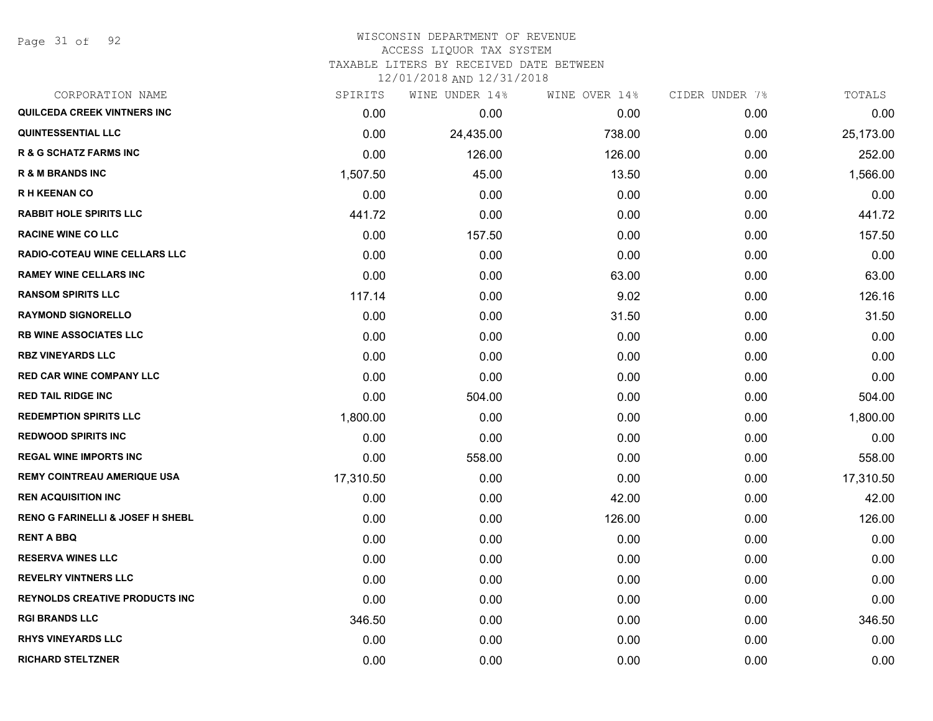Page 31 of 92

#### WISCONSIN DEPARTMENT OF REVENUE ACCESS LIQUOR TAX SYSTEM TAXABLE LITERS BY RECEIVED DATE BETWEEN

| CORPORATION NAME                            | SPIRITS   | WINE UNDER 14% | WINE OVER 14% | CIDER UNDER 7% | TOTALS    |
|---------------------------------------------|-----------|----------------|---------------|----------------|-----------|
| QUILCEDA CREEK VINTNERS INC                 | 0.00      | 0.00           | 0.00          | 0.00           | 0.00      |
| <b>QUINTESSENTIAL LLC</b>                   | 0.00      | 24,435.00      | 738.00        | 0.00           | 25,173.00 |
| <b>R &amp; G SCHATZ FARMS INC</b>           | 0.00      | 126.00         | 126.00        | 0.00           | 252.00    |
| <b>R &amp; M BRANDS INC</b>                 | 1,507.50  | 45.00          | 13.50         | 0.00           | 1,566.00  |
| <b>RH KEENAN CO</b>                         | 0.00      | 0.00           | 0.00          | 0.00           | 0.00      |
| <b>RABBIT HOLE SPIRITS LLC</b>              | 441.72    | 0.00           | 0.00          | 0.00           | 441.72    |
| <b>RACINE WINE CO LLC</b>                   | 0.00      | 157.50         | 0.00          | 0.00           | 157.50    |
| <b>RADIO-COTEAU WINE CELLARS LLC</b>        | 0.00      | 0.00           | 0.00          | 0.00           | 0.00      |
| <b>RAMEY WINE CELLARS INC</b>               | 0.00      | 0.00           | 63.00         | 0.00           | 63.00     |
| <b>RANSOM SPIRITS LLC</b>                   | 117.14    | 0.00           | 9.02          | 0.00           | 126.16    |
| <b>RAYMOND SIGNORELLO</b>                   | 0.00      | 0.00           | 31.50         | 0.00           | 31.50     |
| <b>RB WINE ASSOCIATES LLC</b>               | 0.00      | 0.00           | 0.00          | 0.00           | 0.00      |
| <b>RBZ VINEYARDS LLC</b>                    | 0.00      | 0.00           | 0.00          | 0.00           | 0.00      |
| <b>RED CAR WINE COMPANY LLC</b>             | 0.00      | 0.00           | 0.00          | 0.00           | 0.00      |
| <b>RED TAIL RIDGE INC</b>                   | 0.00      | 504.00         | 0.00          | 0.00           | 504.00    |
| <b>REDEMPTION SPIRITS LLC</b>               | 1,800.00  | 0.00           | 0.00          | 0.00           | 1,800.00  |
| <b>REDWOOD SPIRITS INC</b>                  | 0.00      | 0.00           | 0.00          | 0.00           | 0.00      |
| <b>REGAL WINE IMPORTS INC</b>               | 0.00      | 558.00         | 0.00          | 0.00           | 558.00    |
| <b>REMY COINTREAU AMERIQUE USA</b>          | 17,310.50 | 0.00           | 0.00          | 0.00           | 17,310.50 |
| <b>REN ACQUISITION INC</b>                  | 0.00      | 0.00           | 42.00         | 0.00           | 42.00     |
| <b>RENO G FARINELLI &amp; JOSEF H SHEBL</b> | 0.00      | 0.00           | 126.00        | 0.00           | 126.00    |
| <b>RENT A BBQ</b>                           | 0.00      | 0.00           | 0.00          | 0.00           | 0.00      |
| <b>RESERVA WINES LLC</b>                    | 0.00      | 0.00           | 0.00          | 0.00           | 0.00      |
| <b>REVELRY VINTNERS LLC</b>                 | 0.00      | 0.00           | 0.00          | 0.00           | 0.00      |
| <b>REYNOLDS CREATIVE PRODUCTS INC.</b>      | 0.00      | 0.00           | 0.00          | 0.00           | 0.00      |
| <b>RGI BRANDS LLC</b>                       | 346.50    | 0.00           | 0.00          | 0.00           | 346.50    |
| <b>RHYS VINEYARDS LLC</b>                   | 0.00      | 0.00           | 0.00          | 0.00           | 0.00      |
| <b>RICHARD STELTZNER</b>                    | 0.00      | 0.00           | 0.00          | 0.00           | 0.00      |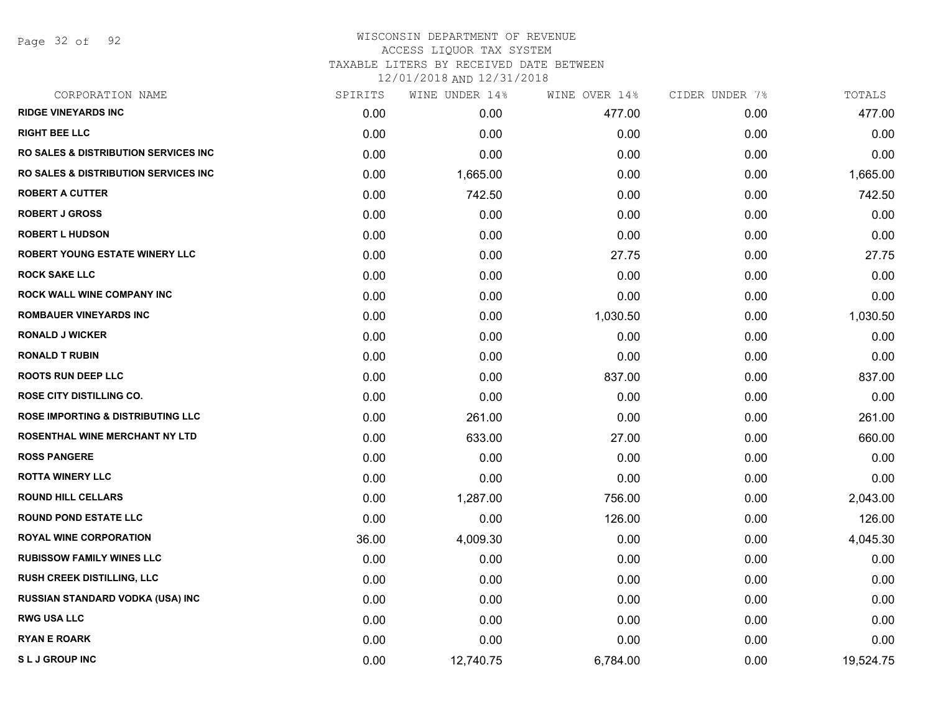Page 32 of 92

#### WISCONSIN DEPARTMENT OF REVENUE ACCESS LIQUOR TAX SYSTEM TAXABLE LITERS BY RECEIVED DATE BETWEEN

| CORPORATION NAME                                 | SPIRITS | WINE UNDER 14% | WINE OVER 14% | CIDER UNDER 7% | TOTALS    |
|--------------------------------------------------|---------|----------------|---------------|----------------|-----------|
| <b>RIDGE VINEYARDS INC</b>                       | 0.00    | 0.00           | 477.00        | 0.00           | 477.00    |
| <b>RIGHT BEE LLC</b>                             | 0.00    | 0.00           | 0.00          | 0.00           | 0.00      |
| <b>RO SALES &amp; DISTRIBUTION SERVICES INC</b>  | 0.00    | 0.00           | 0.00          | 0.00           | 0.00      |
| <b>RO SALES &amp; DISTRIBUTION SERVICES INC.</b> | 0.00    | 1,665.00       | 0.00          | 0.00           | 1,665.00  |
| <b>ROBERT A CUTTER</b>                           | 0.00    | 742.50         | 0.00          | 0.00           | 742.50    |
| <b>ROBERT J GROSS</b>                            | 0.00    | 0.00           | 0.00          | 0.00           | 0.00      |
| <b>ROBERT L HUDSON</b>                           | 0.00    | 0.00           | 0.00          | 0.00           | 0.00      |
| ROBERT YOUNG ESTATE WINERY LLC                   | 0.00    | 0.00           | 27.75         | 0.00           | 27.75     |
| <b>ROCK SAKE LLC</b>                             | 0.00    | 0.00           | 0.00          | 0.00           | 0.00      |
| <b>ROCK WALL WINE COMPANY INC</b>                | 0.00    | 0.00           | 0.00          | 0.00           | 0.00      |
| ROMBAUER VINEYARDS INC                           | 0.00    | 0.00           | 1,030.50      | 0.00           | 1,030.50  |
| <b>RONALD J WICKER</b>                           | 0.00    | 0.00           | 0.00          | 0.00           | 0.00      |
| <b>RONALD T RUBIN</b>                            | 0.00    | 0.00           | 0.00          | 0.00           | 0.00      |
| <b>ROOTS RUN DEEP LLC</b>                        | 0.00    | 0.00           | 837.00        | 0.00           | 837.00    |
| <b>ROSE CITY DISTILLING CO.</b>                  | 0.00    | 0.00           | 0.00          | 0.00           | 0.00      |
| <b>ROSE IMPORTING &amp; DISTRIBUTING LLC</b>     | 0.00    | 261.00         | 0.00          | 0.00           | 261.00    |
| ROSENTHAL WINE MERCHANT NY LTD                   | 0.00    | 633.00         | 27.00         | 0.00           | 660.00    |
| <b>ROSS PANGERE</b>                              | 0.00    | 0.00           | 0.00          | 0.00           | 0.00      |
| <b>ROTTA WINERY LLC</b>                          | 0.00    | 0.00           | 0.00          | 0.00           | 0.00      |
| <b>ROUND HILL CELLARS</b>                        | 0.00    | 1,287.00       | 756.00        | 0.00           | 2,043.00  |
| <b>ROUND POND ESTATE LLC</b>                     | 0.00    | 0.00           | 126.00        | 0.00           | 126.00    |
| <b>ROYAL WINE CORPORATION</b>                    | 36.00   | 4,009.30       | 0.00          | 0.00           | 4,045.30  |
| <b>RUBISSOW FAMILY WINES LLC</b>                 | 0.00    | 0.00           | 0.00          | 0.00           | 0.00      |
| RUSH CREEK DISTILLING, LLC                       | 0.00    | 0.00           | 0.00          | 0.00           | 0.00      |
| RUSSIAN STANDARD VODKA (USA) INC                 | 0.00    | 0.00           | 0.00          | 0.00           | 0.00      |
| <b>RWG USA LLC</b>                               | 0.00    | 0.00           | 0.00          | 0.00           | 0.00      |
| <b>RYAN E ROARK</b>                              | 0.00    | 0.00           | 0.00          | 0.00           | 0.00      |
| <b>SLJ GROUP INC</b>                             | 0.00    | 12,740.75      | 6,784.00      | 0.00           | 19,524.75 |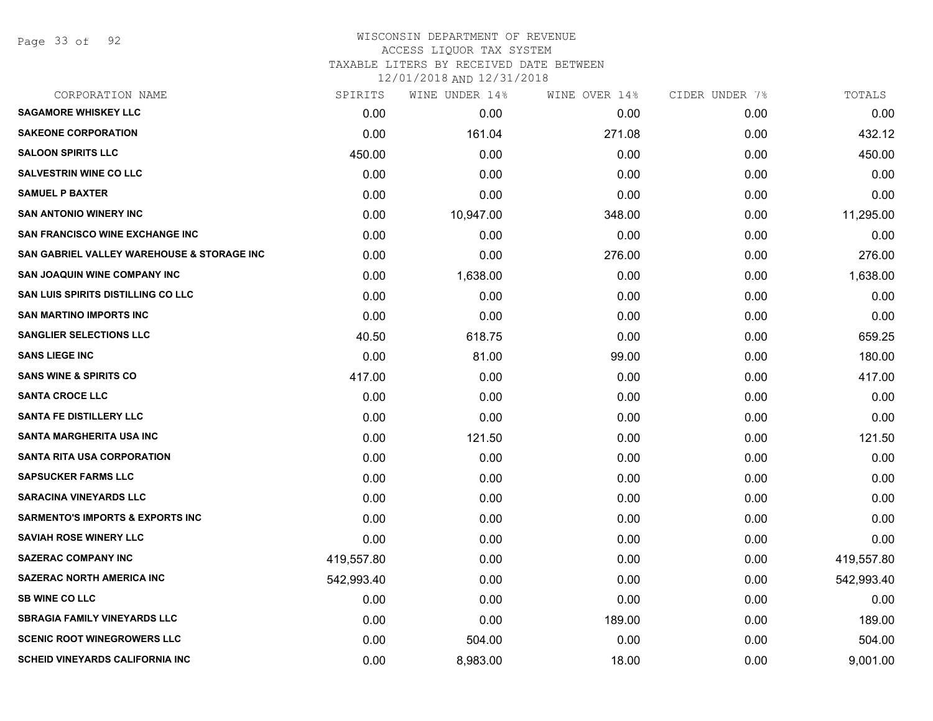Page 33 of 92

#### WISCONSIN DEPARTMENT OF REVENUE ACCESS LIQUOR TAX SYSTEM

TAXABLE LITERS BY RECEIVED DATE BETWEEN

| CORPORATION NAME                            | SPIRITS    | WINE UNDER 14% | WINE OVER 14% | CIDER UNDER 7% | TOTALS     |
|---------------------------------------------|------------|----------------|---------------|----------------|------------|
| <b>SAGAMORE WHISKEY LLC</b>                 | 0.00       | 0.00           | 0.00          | 0.00           | 0.00       |
| <b>SAKEONE CORPORATION</b>                  | 0.00       | 161.04         | 271.08        | 0.00           | 432.12     |
| <b>SALOON SPIRITS LLC</b>                   | 450.00     | 0.00           | 0.00          | 0.00           | 450.00     |
| <b>SALVESTRIN WINE CO LLC</b>               | 0.00       | 0.00           | 0.00          | 0.00           | 0.00       |
| <b>SAMUEL P BAXTER</b>                      | 0.00       | 0.00           | 0.00          | 0.00           | 0.00       |
| <b>SAN ANTONIO WINERY INC</b>               | 0.00       | 10,947.00      | 348.00        | 0.00           | 11,295.00  |
| <b>SAN FRANCISCO WINE EXCHANGE INC.</b>     | 0.00       | 0.00           | 0.00          | 0.00           | 0.00       |
| SAN GABRIEL VALLEY WAREHOUSE & STORAGE INC  | 0.00       | 0.00           | 276.00        | 0.00           | 276.00     |
| <b>SAN JOAQUIN WINE COMPANY INC</b>         | 0.00       | 1,638.00       | 0.00          | 0.00           | 1,638.00   |
| SAN LUIS SPIRITS DISTILLING CO LLC          | 0.00       | 0.00           | 0.00          | 0.00           | 0.00       |
| <b>SAN MARTINO IMPORTS INC</b>              | 0.00       | 0.00           | 0.00          | 0.00           | 0.00       |
| <b>SANGLIER SELECTIONS LLC</b>              | 40.50      | 618.75         | 0.00          | 0.00           | 659.25     |
| <b>SANS LIEGE INC</b>                       | 0.00       | 81.00          | 99.00         | 0.00           | 180.00     |
| <b>SANS WINE &amp; SPIRITS CO</b>           | 417.00     | 0.00           | 0.00          | 0.00           | 417.00     |
| <b>SANTA CROCE LLC</b>                      | 0.00       | 0.00           | 0.00          | 0.00           | 0.00       |
| <b>SANTA FE DISTILLERY LLC</b>              | 0.00       | 0.00           | 0.00          | 0.00           | 0.00       |
| <b>SANTA MARGHERITA USA INC</b>             | 0.00       | 121.50         | 0.00          | 0.00           | 121.50     |
| <b>SANTA RITA USA CORPORATION</b>           | 0.00       | 0.00           | 0.00          | 0.00           | 0.00       |
| <b>SAPSUCKER FARMS LLC</b>                  | 0.00       | 0.00           | 0.00          | 0.00           | 0.00       |
| <b>SARACINA VINEYARDS LLC</b>               | 0.00       | 0.00           | 0.00          | 0.00           | 0.00       |
| <b>SARMENTO'S IMPORTS &amp; EXPORTS INC</b> | 0.00       | 0.00           | 0.00          | 0.00           | 0.00       |
| <b>SAVIAH ROSE WINERY LLC</b>               | 0.00       | 0.00           | 0.00          | 0.00           | 0.00       |
| <b>SAZERAC COMPANY INC</b>                  | 419,557.80 | 0.00           | 0.00          | 0.00           | 419,557.80 |
| <b>SAZERAC NORTH AMERICA INC</b>            | 542,993.40 | 0.00           | 0.00          | 0.00           | 542,993.40 |
| <b>SB WINE CO LLC</b>                       | 0.00       | 0.00           | 0.00          | 0.00           | 0.00       |
| <b>SBRAGIA FAMILY VINEYARDS LLC</b>         | 0.00       | 0.00           | 189.00        | 0.00           | 189.00     |
| <b>SCENIC ROOT WINEGROWERS LLC</b>          | 0.00       | 504.00         | 0.00          | 0.00           | 504.00     |
| <b>SCHEID VINEYARDS CALIFORNIA INC</b>      | 0.00       | 8,983.00       | 18.00         | 0.00           | 9,001.00   |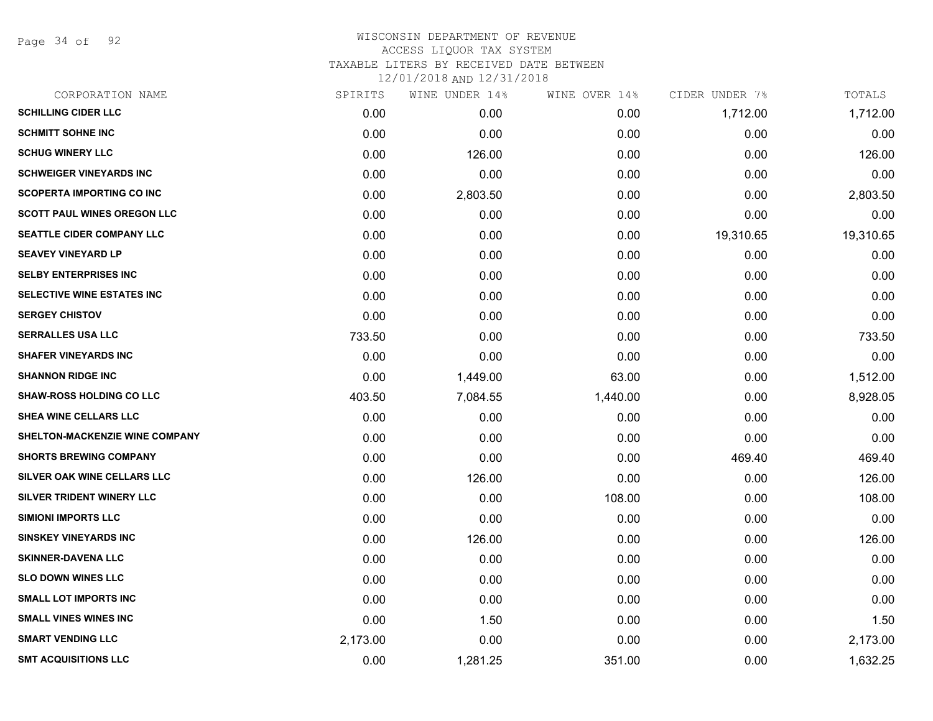Page 34 of 92

| CORPORATION NAME                   | SPIRITS  | WINE UNDER 14% | WINE OVER 14% | CIDER UNDER 7% | TOTALS    |
|------------------------------------|----------|----------------|---------------|----------------|-----------|
| <b>SCHILLING CIDER LLC</b>         | 0.00     | 0.00           | 0.00          | 1,712.00       | 1,712.00  |
| <b>SCHMITT SOHNE INC</b>           | 0.00     | 0.00           | 0.00          | 0.00           | 0.00      |
| <b>SCHUG WINERY LLC</b>            | 0.00     | 126.00         | 0.00          | 0.00           | 126.00    |
| <b>SCHWEIGER VINEYARDS INC</b>     | 0.00     | 0.00           | 0.00          | 0.00           | 0.00      |
| <b>SCOPERTA IMPORTING CO INC</b>   | 0.00     | 2,803.50       | 0.00          | 0.00           | 2,803.50  |
| <b>SCOTT PAUL WINES OREGON LLC</b> | 0.00     | 0.00           | 0.00          | 0.00           | 0.00      |
| SEATTLE CIDER COMPANY LLC          | 0.00     | 0.00           | 0.00          | 19,310.65      | 19,310.65 |
| <b>SEAVEY VINEYARD LP</b>          | 0.00     | 0.00           | 0.00          | 0.00           | 0.00      |
| <b>SELBY ENTERPRISES INC</b>       | 0.00     | 0.00           | 0.00          | 0.00           | 0.00      |
| <b>SELECTIVE WINE ESTATES INC</b>  | 0.00     | 0.00           | 0.00          | 0.00           | 0.00      |
| <b>SERGEY CHISTOV</b>              | 0.00     | 0.00           | 0.00          | 0.00           | 0.00      |
| <b>SERRALLES USA LLC</b>           | 733.50   | 0.00           | 0.00          | 0.00           | 733.50    |
| <b>SHAFER VINEYARDS INC</b>        | 0.00     | 0.00           | 0.00          | 0.00           | 0.00      |
| <b>SHANNON RIDGE INC</b>           | 0.00     | 1,449.00       | 63.00         | 0.00           | 1,512.00  |
| <b>SHAW-ROSS HOLDING CO LLC</b>    | 403.50   | 7,084.55       | 1,440.00      | 0.00           | 8,928.05  |
| SHEA WINE CELLARS LLC              | 0.00     | 0.00           | 0.00          | 0.00           | 0.00      |
| SHELTON-MACKENZIE WINE COMPANY     | 0.00     | 0.00           | 0.00          | 0.00           | 0.00      |
| <b>SHORTS BREWING COMPANY</b>      | 0.00     | 0.00           | 0.00          | 469.40         | 469.40    |
| SILVER OAK WINE CELLARS LLC        | 0.00     | 126.00         | 0.00          | 0.00           | 126.00    |
| SILVER TRIDENT WINERY LLC          | 0.00     | 0.00           | 108.00        | 0.00           | 108.00    |
| <b>SIMIONI IMPORTS LLC</b>         | 0.00     | 0.00           | 0.00          | 0.00           | 0.00      |
| <b>SINSKEY VINEYARDS INC</b>       | 0.00     | 126.00         | 0.00          | 0.00           | 126.00    |
| <b>SKINNER-DAVENA LLC</b>          | 0.00     | 0.00           | 0.00          | 0.00           | 0.00      |
| <b>SLO DOWN WINES LLC</b>          | 0.00     | 0.00           | 0.00          | 0.00           | 0.00      |
| <b>SMALL LOT IMPORTS INC</b>       | 0.00     | 0.00           | 0.00          | 0.00           | 0.00      |
| <b>SMALL VINES WINES INC</b>       | 0.00     | 1.50           | 0.00          | 0.00           | 1.50      |
| <b>SMART VENDING LLC</b>           | 2,173.00 | 0.00           | 0.00          | 0.00           | 2,173.00  |
| <b>SMT ACQUISITIONS LLC</b>        | 0.00     | 1,281.25       | 351.00        | 0.00           | 1,632.25  |
|                                    |          |                |               |                |           |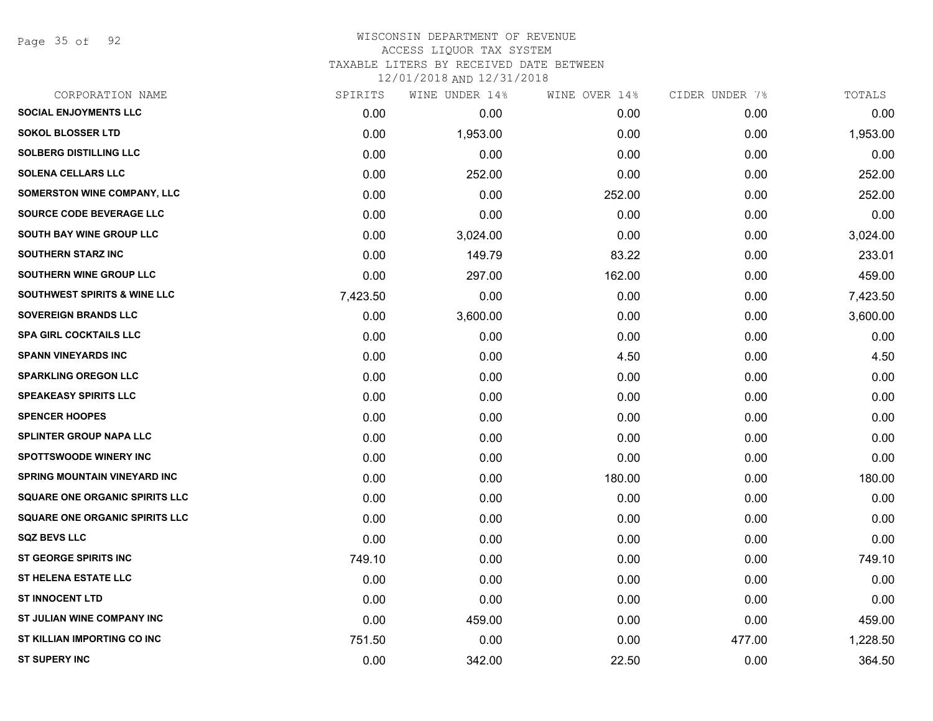Page 35 of 92

#### WISCONSIN DEPARTMENT OF REVENUE ACCESS LIQUOR TAX SYSTEM TAXABLE LITERS BY RECEIVED DATE BETWEEN

| CORPORATION NAME                        | SPIRITS  | WINE UNDER 14% | WINE OVER 14% | CIDER UNDER 7% | TOTALS   |
|-----------------------------------------|----------|----------------|---------------|----------------|----------|
| <b>SOCIAL ENJOYMENTS LLC</b>            | 0.00     | 0.00           | 0.00          | 0.00           | 0.00     |
| <b>SOKOL BLOSSER LTD</b>                | 0.00     | 1,953.00       | 0.00          | 0.00           | 1,953.00 |
| <b>SOLBERG DISTILLING LLC</b>           | 0.00     | 0.00           | 0.00          | 0.00           | 0.00     |
| <b>SOLENA CELLARS LLC</b>               | 0.00     | 252.00         | 0.00          | 0.00           | 252.00   |
| <b>SOMERSTON WINE COMPANY, LLC</b>      | 0.00     | 0.00           | 252.00        | 0.00           | 252.00   |
| SOURCE CODE BEVERAGE LLC                | 0.00     | 0.00           | 0.00          | 0.00           | 0.00     |
| SOUTH BAY WINE GROUP LLC                | 0.00     | 3,024.00       | 0.00          | 0.00           | 3,024.00 |
| <b>SOUTHERN STARZ INC</b>               | 0.00     | 149.79         | 83.22         | 0.00           | 233.01   |
| SOUTHERN WINE GROUP LLC                 | 0.00     | 297.00         | 162.00        | 0.00           | 459.00   |
| <b>SOUTHWEST SPIRITS &amp; WINE LLC</b> | 7,423.50 | 0.00           | 0.00          | 0.00           | 7,423.50 |
| <b>SOVEREIGN BRANDS LLC</b>             | 0.00     | 3,600.00       | 0.00          | 0.00           | 3,600.00 |
| <b>SPA GIRL COCKTAILS LLC</b>           | 0.00     | 0.00           | 0.00          | 0.00           | 0.00     |
| <b>SPANN VINEYARDS INC</b>              | 0.00     | 0.00           | 4.50          | 0.00           | 4.50     |
| <b>SPARKLING OREGON LLC</b>             | 0.00     | 0.00           | 0.00          | 0.00           | 0.00     |
| <b>SPEAKEASY SPIRITS LLC</b>            | 0.00     | 0.00           | 0.00          | 0.00           | 0.00     |
| <b>SPENCER HOOPES</b>                   | 0.00     | 0.00           | 0.00          | 0.00           | 0.00     |
| <b>SPLINTER GROUP NAPA LLC</b>          | 0.00     | 0.00           | 0.00          | 0.00           | 0.00     |
| <b>SPOTTSWOODE WINERY INC</b>           | 0.00     | 0.00           | 0.00          | 0.00           | 0.00     |
| <b>SPRING MOUNTAIN VINEYARD INC</b>     | 0.00     | 0.00           | 180.00        | 0.00           | 180.00   |
| <b>SQUARE ONE ORGANIC SPIRITS LLC</b>   | 0.00     | 0.00           | 0.00          | 0.00           | 0.00     |
| <b>SQUARE ONE ORGANIC SPIRITS LLC</b>   | 0.00     | 0.00           | 0.00          | 0.00           | 0.00     |
| <b>SQZ BEVS LLC</b>                     | 0.00     | 0.00           | 0.00          | 0.00           | 0.00     |
| ST GEORGE SPIRITS INC                   | 749.10   | 0.00           | 0.00          | 0.00           | 749.10   |
| <b>ST HELENA ESTATE LLC</b>             | 0.00     | 0.00           | 0.00          | 0.00           | 0.00     |
| <b>ST INNOCENT LTD</b>                  | 0.00     | 0.00           | 0.00          | 0.00           | 0.00     |
| ST JULIAN WINE COMPANY INC              | 0.00     | 459.00         | 0.00          | 0.00           | 459.00   |
| ST KILLIAN IMPORTING CO INC             | 751.50   | 0.00           | 0.00          | 477.00         | 1,228.50 |
| <b>ST SUPERY INC</b>                    | 0.00     | 342.00         | 22.50         | 0.00           | 364.50   |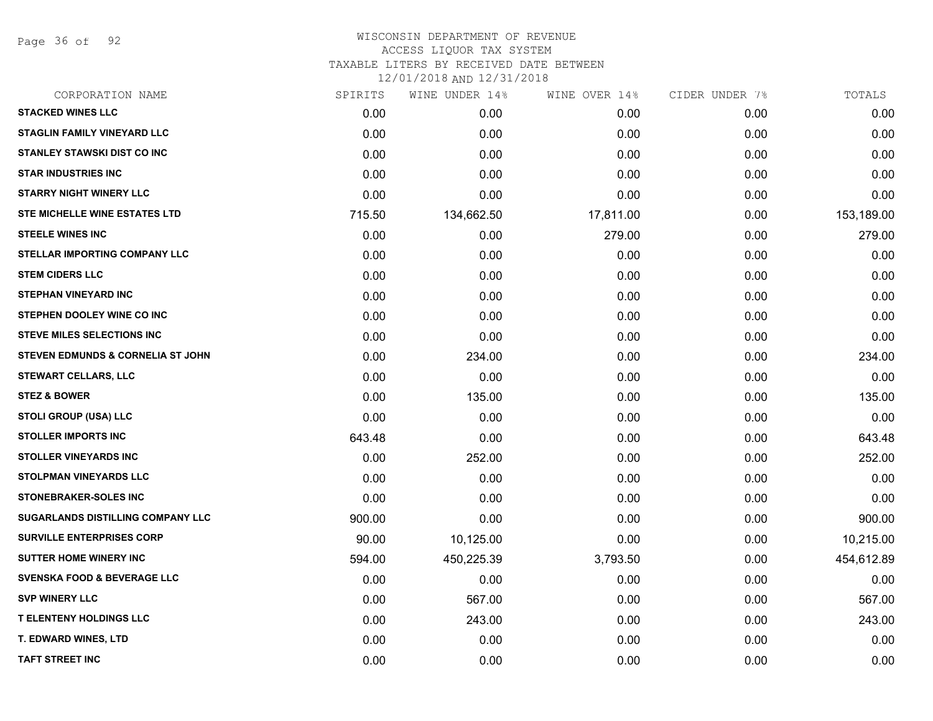Page 36 of 92

#### WISCONSIN DEPARTMENT OF REVENUE ACCESS LIQUOR TAX SYSTEM TAXABLE LITERS BY RECEIVED DATE BETWEEN

| CORPORATION NAME                             | SPIRITS | WINE UNDER 14% | WINE OVER 14% | CIDER UNDER 7% | TOTALS     |
|----------------------------------------------|---------|----------------|---------------|----------------|------------|
| <b>STACKED WINES LLC</b>                     | 0.00    | 0.00           | 0.00          | 0.00           | 0.00       |
| <b>STAGLIN FAMILY VINEYARD LLC</b>           | 0.00    | 0.00           | 0.00          | 0.00           | 0.00       |
| <b>STANLEY STAWSKI DIST CO INC</b>           | 0.00    | 0.00           | 0.00          | 0.00           | 0.00       |
| <b>STAR INDUSTRIES INC</b>                   | 0.00    | 0.00           | 0.00          | 0.00           | 0.00       |
| <b>STARRY NIGHT WINERY LLC</b>               | 0.00    | 0.00           | 0.00          | 0.00           | 0.00       |
| STE MICHELLE WINE ESTATES LTD                | 715.50  | 134,662.50     | 17,811.00     | 0.00           | 153,189.00 |
| <b>STEELE WINES INC</b>                      | 0.00    | 0.00           | 279.00        | 0.00           | 279.00     |
| <b>STELLAR IMPORTING COMPANY LLC</b>         | 0.00    | 0.00           | 0.00          | 0.00           | 0.00       |
| <b>STEM CIDERS LLC</b>                       | 0.00    | 0.00           | 0.00          | 0.00           | 0.00       |
| <b>STEPHAN VINEYARD INC</b>                  | 0.00    | 0.00           | 0.00          | 0.00           | 0.00       |
| STEPHEN DOOLEY WINE CO INC                   | 0.00    | 0.00           | 0.00          | 0.00           | 0.00       |
| <b>STEVE MILES SELECTIONS INC</b>            | 0.00    | 0.00           | 0.00          | 0.00           | 0.00       |
| <b>STEVEN EDMUNDS &amp; CORNELIA ST JOHN</b> | 0.00    | 234.00         | 0.00          | 0.00           | 234.00     |
| <b>STEWART CELLARS, LLC</b>                  | 0.00    | 0.00           | 0.00          | 0.00           | 0.00       |
| <b>STEZ &amp; BOWER</b>                      | 0.00    | 135.00         | 0.00          | 0.00           | 135.00     |
| <b>STOLI GROUP (USA) LLC</b>                 | 0.00    | 0.00           | 0.00          | 0.00           | 0.00       |
| <b>STOLLER IMPORTS INC</b>                   | 643.48  | 0.00           | 0.00          | 0.00           | 643.48     |
| <b>STOLLER VINEYARDS INC</b>                 | 0.00    | 252.00         | 0.00          | 0.00           | 252.00     |
| <b>STOLPMAN VINEYARDS LLC</b>                | 0.00    | 0.00           | 0.00          | 0.00           | 0.00       |
| <b>STONEBRAKER-SOLES INC</b>                 | 0.00    | 0.00           | 0.00          | 0.00           | 0.00       |
| SUGARLANDS DISTILLING COMPANY LLC            | 900.00  | 0.00           | 0.00          | 0.00           | 900.00     |
| <b>SURVILLE ENTERPRISES CORP</b>             | 90.00   | 10,125.00      | 0.00          | 0.00           | 10,215.00  |
| <b>SUTTER HOME WINERY INC</b>                | 594.00  | 450,225.39     | 3,793.50      | 0.00           | 454,612.89 |
| <b>SVENSKA FOOD &amp; BEVERAGE LLC</b>       | 0.00    | 0.00           | 0.00          | 0.00           | 0.00       |
| <b>SVP WINERY LLC</b>                        | 0.00    | 567.00         | 0.00          | 0.00           | 567.00     |
| <b>T ELENTENY HOLDINGS LLC</b>               | 0.00    | 243.00         | 0.00          | 0.00           | 243.00     |
| T. EDWARD WINES, LTD                         | 0.00    | 0.00           | 0.00          | 0.00           | 0.00       |
| <b>TAFT STREET INC</b>                       | 0.00    | 0.00           | 0.00          | 0.00           | 0.00       |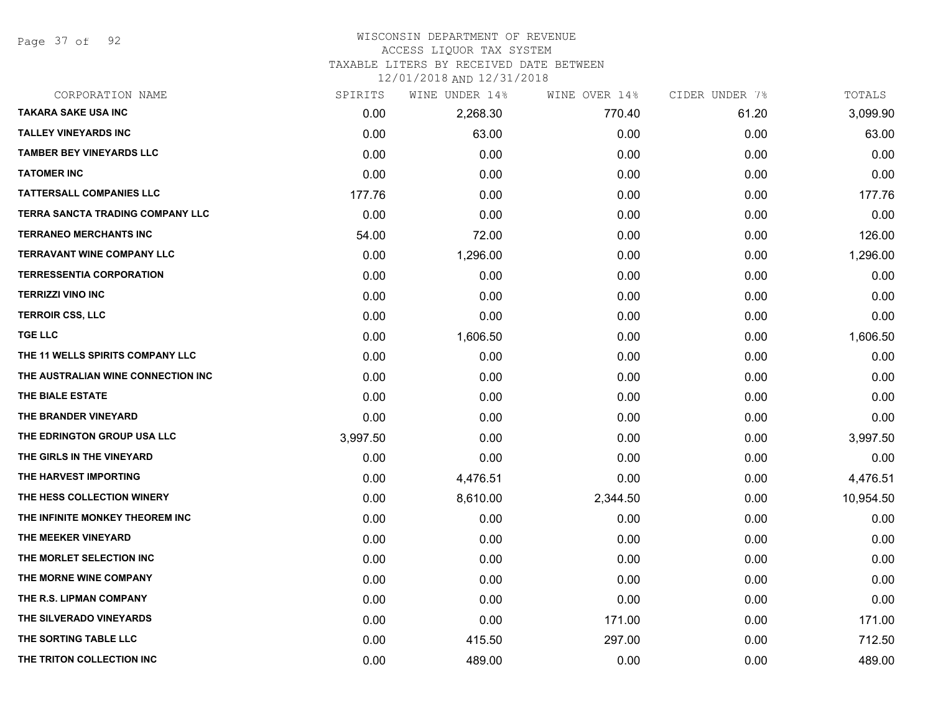Page 37 of 92

# WISCONSIN DEPARTMENT OF REVENUE

# ACCESS LIQUOR TAX SYSTEM

TAXABLE LITERS BY RECEIVED DATE BETWEEN

| CORPORATION NAME                   | SPIRITS  | WINE UNDER 14% | WINE OVER 14% | CIDER UNDER 7% | TOTALS    |
|------------------------------------|----------|----------------|---------------|----------------|-----------|
| <b>TAKARA SAKE USA INC</b>         | 0.00     | 2,268.30       | 770.40        | 61.20          | 3,099.90  |
| <b>TALLEY VINEYARDS INC</b>        | 0.00     | 63.00          | 0.00          | 0.00           | 63.00     |
| <b>TAMBER BEY VINEYARDS LLC</b>    | 0.00     | 0.00           | 0.00          | 0.00           | 0.00      |
| <b>TATOMER INC</b>                 | 0.00     | 0.00           | 0.00          | 0.00           | 0.00      |
| <b>TATTERSALL COMPANIES LLC</b>    | 177.76   | 0.00           | 0.00          | 0.00           | 177.76    |
| TERRA SANCTA TRADING COMPANY LLC   | 0.00     | 0.00           | 0.00          | 0.00           | 0.00      |
| <b>TERRANEO MERCHANTS INC</b>      | 54.00    | 72.00          | 0.00          | 0.00           | 126.00    |
| <b>TERRAVANT WINE COMPANY LLC</b>  | 0.00     | 1,296.00       | 0.00          | 0.00           | 1,296.00  |
| <b>TERRESSENTIA CORPORATION</b>    | 0.00     | 0.00           | 0.00          | 0.00           | 0.00      |
| <b>TERRIZZI VINO INC</b>           | 0.00     | 0.00           | 0.00          | 0.00           | 0.00      |
| <b>TERROIR CSS, LLC</b>            | 0.00     | 0.00           | 0.00          | 0.00           | 0.00      |
| <b>TGE LLC</b>                     | 0.00     | 1,606.50       | 0.00          | 0.00           | 1,606.50  |
| THE 11 WELLS SPIRITS COMPANY LLC   | 0.00     | 0.00           | 0.00          | 0.00           | 0.00      |
| THE AUSTRALIAN WINE CONNECTION INC | 0.00     | 0.00           | 0.00          | 0.00           | 0.00      |
| THE BIALE ESTATE                   | 0.00     | 0.00           | 0.00          | 0.00           | 0.00      |
| THE BRANDER VINEYARD               | 0.00     | 0.00           | 0.00          | 0.00           | 0.00      |
| THE EDRINGTON GROUP USA LLC        | 3,997.50 | 0.00           | 0.00          | 0.00           | 3,997.50  |
| THE GIRLS IN THE VINEYARD          | 0.00     | 0.00           | 0.00          | 0.00           | 0.00      |
| THE HARVEST IMPORTING              | 0.00     | 4,476.51       | 0.00          | 0.00           | 4,476.51  |
| THE HESS COLLECTION WINERY         | 0.00     | 8,610.00       | 2,344.50      | 0.00           | 10,954.50 |
| THE INFINITE MONKEY THEOREM INC    | 0.00     | 0.00           | 0.00          | 0.00           | 0.00      |
| THE MEEKER VINEYARD                | 0.00     | 0.00           | 0.00          | 0.00           | 0.00      |
| THE MORLET SELECTION INC           | 0.00     | 0.00           | 0.00          | 0.00           | 0.00      |
| THE MORNE WINE COMPANY             | 0.00     | 0.00           | 0.00          | 0.00           | 0.00      |
| THE R.S. LIPMAN COMPANY            | 0.00     | 0.00           | 0.00          | 0.00           | 0.00      |
| THE SILVERADO VINEYARDS            | 0.00     | 0.00           | 171.00        | 0.00           | 171.00    |
| THE SORTING TABLE LLC              | 0.00     | 415.50         | 297.00        | 0.00           | 712.50    |
| THE TRITON COLLECTION INC          | 0.00     | 489.00         | 0.00          | 0.00           | 489.00    |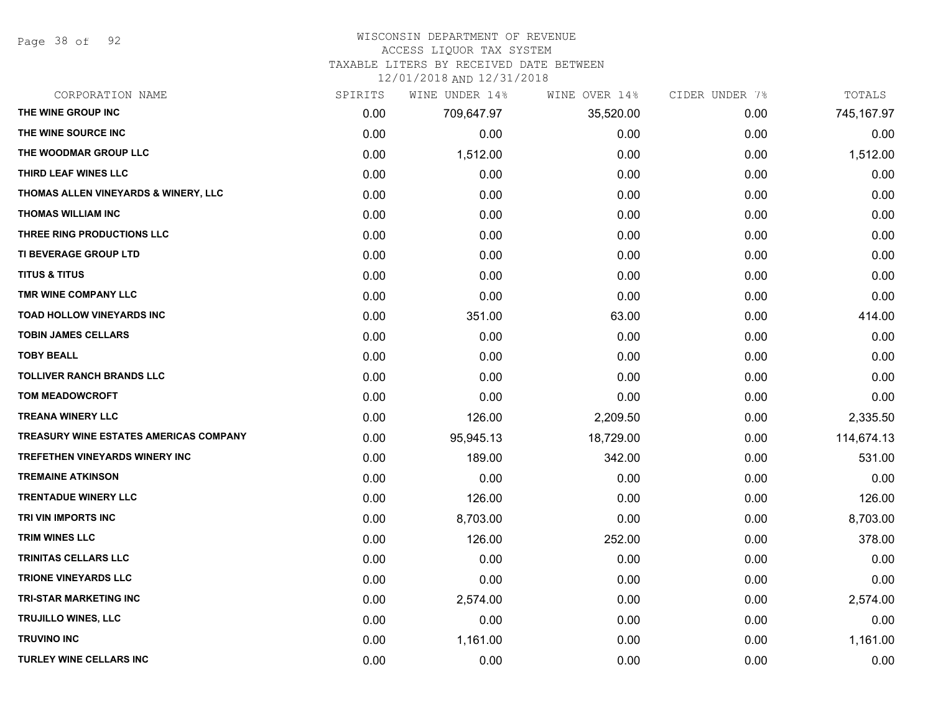Page 38 of 92

#### WISCONSIN DEPARTMENT OF REVENUE

#### ACCESS LIQUOR TAX SYSTEM

TAXABLE LITERS BY RECEIVED DATE BETWEEN

| CORPORATION NAME                              | SPIRITS | WINE UNDER 14% | WINE OVER 14% | CIDER UNDER 7% | TOTALS     |
|-----------------------------------------------|---------|----------------|---------------|----------------|------------|
| THE WINE GROUP INC                            | 0.00    | 709,647.97     | 35,520.00     | 0.00           | 745,167.97 |
| THE WINE SOURCE INC                           | 0.00    | 0.00           | 0.00          | 0.00           | 0.00       |
| THE WOODMAR GROUP LLC                         | 0.00    | 1,512.00       | 0.00          | 0.00           | 1,512.00   |
| THIRD LEAF WINES LLC                          | 0.00    | 0.00           | 0.00          | 0.00           | 0.00       |
| THOMAS ALLEN VINEYARDS & WINERY, LLC          | 0.00    | 0.00           | 0.00          | 0.00           | 0.00       |
| <b>THOMAS WILLIAM INC</b>                     | 0.00    | 0.00           | 0.00          | 0.00           | 0.00       |
| THREE RING PRODUCTIONS LLC                    | 0.00    | 0.00           | 0.00          | 0.00           | 0.00       |
| TI BEVERAGE GROUP LTD                         | 0.00    | 0.00           | 0.00          | 0.00           | 0.00       |
| <b>TITUS &amp; TITUS</b>                      | 0.00    | 0.00           | 0.00          | 0.00           | 0.00       |
| TMR WINE COMPANY LLC                          | 0.00    | 0.00           | 0.00          | 0.00           | 0.00       |
| TOAD HOLLOW VINEYARDS INC                     | 0.00    | 351.00         | 63.00         | 0.00           | 414.00     |
| <b>TOBIN JAMES CELLARS</b>                    | 0.00    | 0.00           | 0.00          | 0.00           | 0.00       |
| <b>TOBY BEALL</b>                             | 0.00    | 0.00           | 0.00          | 0.00           | 0.00       |
| <b>TOLLIVER RANCH BRANDS LLC</b>              | 0.00    | 0.00           | 0.00          | 0.00           | 0.00       |
| <b>TOM MEADOWCROFT</b>                        | 0.00    | 0.00           | 0.00          | 0.00           | 0.00       |
| <b>TREANA WINERY LLC</b>                      | 0.00    | 126.00         | 2,209.50      | 0.00           | 2,335.50   |
| <b>TREASURY WINE ESTATES AMERICAS COMPANY</b> | 0.00    | 95,945.13      | 18,729.00     | 0.00           | 114,674.13 |
| TREFETHEN VINEYARDS WINERY INC                | 0.00    | 189.00         | 342.00        | 0.00           | 531.00     |
| <b>TREMAINE ATKINSON</b>                      | 0.00    | 0.00           | 0.00          | 0.00           | 0.00       |
| <b>TRENTADUE WINERY LLC</b>                   | 0.00    | 126.00         | 0.00          | 0.00           | 126.00     |
| TRI VIN IMPORTS INC                           | 0.00    | 8,703.00       | 0.00          | 0.00           | 8,703.00   |
| <b>TRIM WINES LLC</b>                         | 0.00    | 126.00         | 252.00        | 0.00           | 378.00     |
| <b>TRINITAS CELLARS LLC</b>                   | 0.00    | 0.00           | 0.00          | 0.00           | 0.00       |
| <b>TRIONE VINEYARDS LLC</b>                   | 0.00    | 0.00           | 0.00          | 0.00           | 0.00       |
| <b>TRI-STAR MARKETING INC</b>                 | 0.00    | 2,574.00       | 0.00          | 0.00           | 2,574.00   |
| <b>TRUJILLO WINES, LLC</b>                    | 0.00    | 0.00           | 0.00          | 0.00           | 0.00       |
| <b>TRUVINO INC</b>                            | 0.00    | 1,161.00       | 0.00          | 0.00           | 1,161.00   |
| <b>TURLEY WINE CELLARS INC</b>                | 0.00    | 0.00           | 0.00          | 0.00           | 0.00       |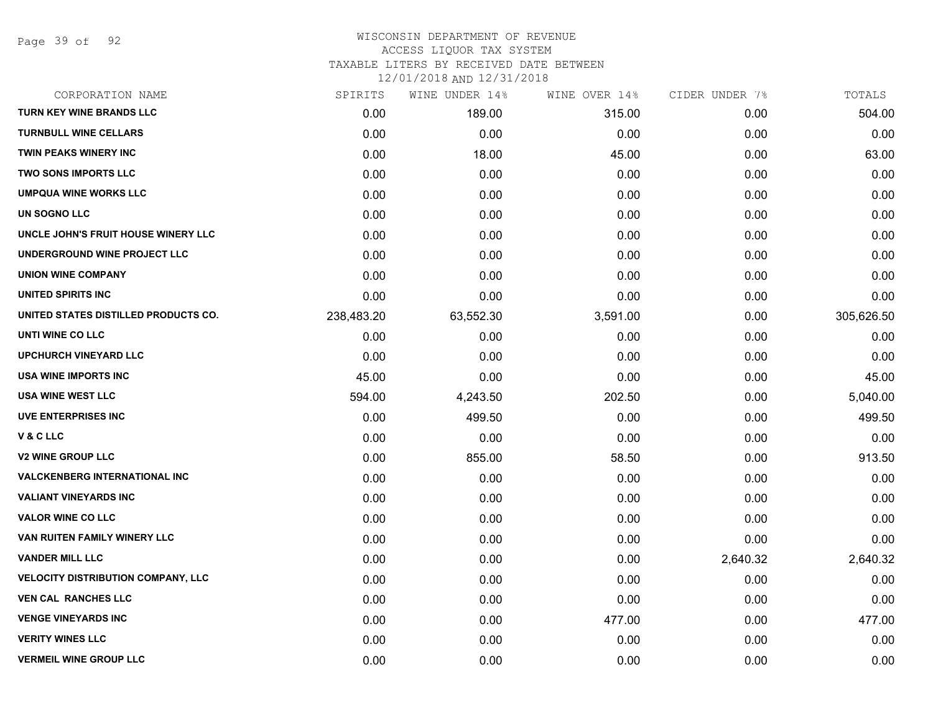Page 39 of 92

## WISCONSIN DEPARTMENT OF REVENUE ACCESS LIQUOR TAX SYSTEM

TAXABLE LITERS BY RECEIVED DATE BETWEEN

| CORPORATION NAME                          | SPIRITS    | WINE UNDER 14% | WINE OVER 14% | CIDER UNDER 7% | TOTALS     |
|-------------------------------------------|------------|----------------|---------------|----------------|------------|
| <b>TURN KEY WINE BRANDS LLC</b>           | 0.00       | 189.00         | 315.00        | 0.00           | 504.00     |
| <b>TURNBULL WINE CELLARS</b>              | 0.00       | 0.00           | 0.00          | 0.00           | 0.00       |
| <b>TWIN PEAKS WINERY INC</b>              | 0.00       | 18.00          | 45.00         | 0.00           | 63.00      |
| <b>TWO SONS IMPORTS LLC</b>               | 0.00       | 0.00           | 0.00          | 0.00           | 0.00       |
| <b>UMPQUA WINE WORKS LLC</b>              | 0.00       | 0.00           | 0.00          | 0.00           | 0.00       |
| UN SOGNO LLC                              | 0.00       | 0.00           | 0.00          | 0.00           | 0.00       |
| UNCLE JOHN'S FRUIT HOUSE WINERY LLC       | 0.00       | 0.00           | 0.00          | 0.00           | 0.00       |
| UNDERGROUND WINE PROJECT LLC              | 0.00       | 0.00           | 0.00          | 0.00           | 0.00       |
| <b>UNION WINE COMPANY</b>                 | 0.00       | 0.00           | 0.00          | 0.00           | 0.00       |
| UNITED SPIRITS INC                        | 0.00       | 0.00           | 0.00          | 0.00           | 0.00       |
| UNITED STATES DISTILLED PRODUCTS CO.      | 238,483.20 | 63,552.30      | 3,591.00      | 0.00           | 305,626.50 |
| UNTI WINE CO LLC                          | 0.00       | 0.00           | 0.00          | 0.00           | 0.00       |
| <b>UPCHURCH VINEYARD LLC</b>              | 0.00       | 0.00           | 0.00          | 0.00           | 0.00       |
| <b>USA WINE IMPORTS INC</b>               | 45.00      | 0.00           | 0.00          | 0.00           | 45.00      |
| <b>USA WINE WEST LLC</b>                  | 594.00     | 4,243.50       | 202.50        | 0.00           | 5,040.00   |
| <b>UVE ENTERPRISES INC</b>                | 0.00       | 499.50         | 0.00          | 0.00           | 499.50     |
| V & C LLC                                 | 0.00       | 0.00           | 0.00          | 0.00           | 0.00       |
| <b>V2 WINE GROUP LLC</b>                  | 0.00       | 855.00         | 58.50         | 0.00           | 913.50     |
| <b>VALCKENBERG INTERNATIONAL INC</b>      | 0.00       | 0.00           | 0.00          | 0.00           | 0.00       |
| <b>VALIANT VINEYARDS INC</b>              | 0.00       | 0.00           | 0.00          | 0.00           | 0.00       |
| <b>VALOR WINE CO LLC</b>                  | 0.00       | 0.00           | 0.00          | 0.00           | 0.00       |
| VAN RUITEN FAMILY WINERY LLC              | 0.00       | 0.00           | 0.00          | 0.00           | 0.00       |
| <b>VANDER MILL LLC</b>                    | 0.00       | 0.00           | 0.00          | 2,640.32       | 2,640.32   |
| <b>VELOCITY DISTRIBUTION COMPANY, LLC</b> | 0.00       | 0.00           | 0.00          | 0.00           | 0.00       |
| <b>VEN CAL RANCHES LLC</b>                | 0.00       | 0.00           | 0.00          | 0.00           | 0.00       |
| <b>VENGE VINEYARDS INC</b>                | 0.00       | 0.00           | 477.00        | 0.00           | 477.00     |
| <b>VERITY WINES LLC</b>                   | 0.00       | 0.00           | 0.00          | 0.00           | 0.00       |
| <b>VERMEIL WINE GROUP LLC</b>             | 0.00       | 0.00           | 0.00          | 0.00           | 0.00       |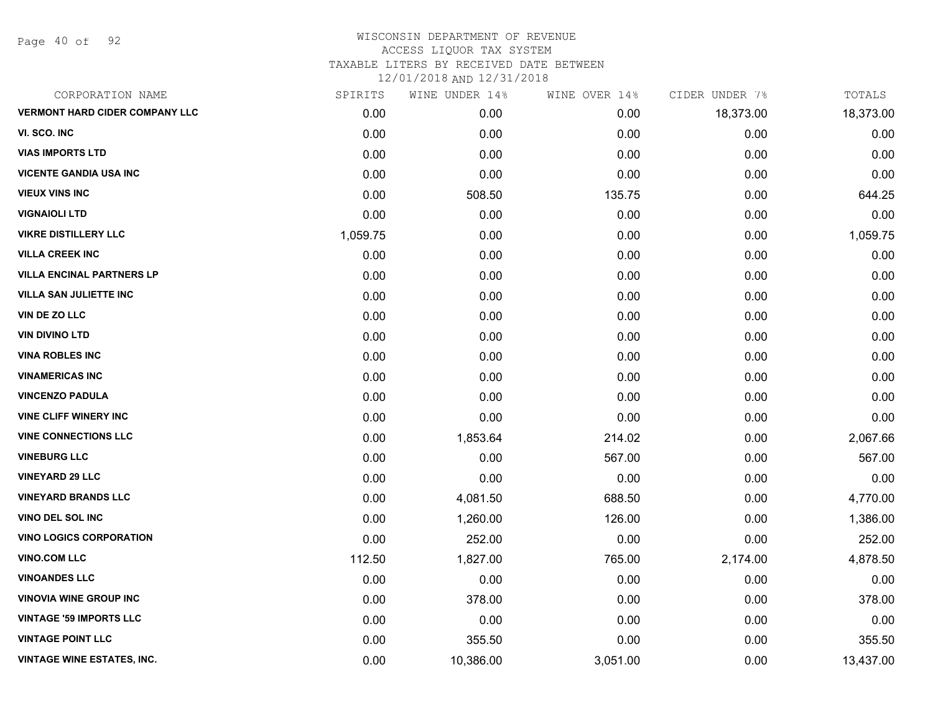Page 40 of 92

| CORPORATION NAME                      | SPIRITS  | WINE UNDER 14% | WINE OVER 14% | CIDER UNDER 7% | TOTALS    |
|---------------------------------------|----------|----------------|---------------|----------------|-----------|
| <b>VERMONT HARD CIDER COMPANY LLC</b> | 0.00     | 0.00           | 0.00          | 18,373.00      | 18,373.00 |
| VI. SCO. INC                          | 0.00     | 0.00           | 0.00          | 0.00           | 0.00      |
| <b>VIAS IMPORTS LTD</b>               | 0.00     | 0.00           | 0.00          | 0.00           | 0.00      |
| <b>VICENTE GANDIA USA INC</b>         | 0.00     | 0.00           | 0.00          | 0.00           | 0.00      |
| <b>VIEUX VINS INC</b>                 | 0.00     | 508.50         | 135.75        | 0.00           | 644.25    |
| <b>VIGNAIOLI LTD</b>                  | 0.00     | 0.00           | 0.00          | 0.00           | 0.00      |
| <b>VIKRE DISTILLERY LLC</b>           | 1,059.75 | 0.00           | 0.00          | 0.00           | 1,059.75  |
| <b>VILLA CREEK INC</b>                | 0.00     | 0.00           | 0.00          | 0.00           | 0.00      |
| <b>VILLA ENCINAL PARTNERS LP</b>      | 0.00     | 0.00           | 0.00          | 0.00           | 0.00      |
| <b>VILLA SAN JULIETTE INC</b>         | 0.00     | 0.00           | 0.00          | 0.00           | 0.00      |
| VIN DE ZO LLC                         | 0.00     | 0.00           | 0.00          | 0.00           | 0.00      |
| <b>VIN DIVINO LTD</b>                 | 0.00     | 0.00           | 0.00          | 0.00           | 0.00      |
| <b>VINA ROBLES INC</b>                | 0.00     | 0.00           | 0.00          | 0.00           | 0.00      |
| <b>VINAMERICAS INC</b>                | 0.00     | 0.00           | 0.00          | 0.00           | 0.00      |
| <b>VINCENZO PADULA</b>                | 0.00     | 0.00           | 0.00          | 0.00           | 0.00      |
| <b>VINE CLIFF WINERY INC</b>          | 0.00     | 0.00           | 0.00          | 0.00           | 0.00      |
| <b>VINE CONNECTIONS LLC</b>           | 0.00     | 1,853.64       | 214.02        | 0.00           | 2,067.66  |
| <b>VINEBURG LLC</b>                   | 0.00     | 0.00           | 567.00        | 0.00           | 567.00    |
| <b>VINEYARD 29 LLC</b>                | 0.00     | 0.00           | 0.00          | 0.00           | 0.00      |
| <b>VINEYARD BRANDS LLC</b>            | 0.00     | 4,081.50       | 688.50        | 0.00           | 4,770.00  |
| <b>VINO DEL SOL INC</b>               | 0.00     | 1,260.00       | 126.00        | 0.00           | 1,386.00  |
| <b>VINO LOGICS CORPORATION</b>        | 0.00     | 252.00         | 0.00          | 0.00           | 252.00    |
| <b>VINO.COM LLC</b>                   | 112.50   | 1,827.00       | 765.00        | 2,174.00       | 4,878.50  |
| <b>VINOANDES LLC</b>                  | 0.00     | 0.00           | 0.00          | 0.00           | 0.00      |
| <b>VINOVIA WINE GROUP INC</b>         | 0.00     | 378.00         | 0.00          | 0.00           | 378.00    |
| <b>VINTAGE '59 IMPORTS LLC</b>        | 0.00     | 0.00           | 0.00          | 0.00           | 0.00      |
| <b>VINTAGE POINT LLC</b>              | 0.00     | 355.50         | 0.00          | 0.00           | 355.50    |
| <b>VINTAGE WINE ESTATES, INC.</b>     | 0.00     | 10,386.00      | 3,051.00      | 0.00           | 13,437.00 |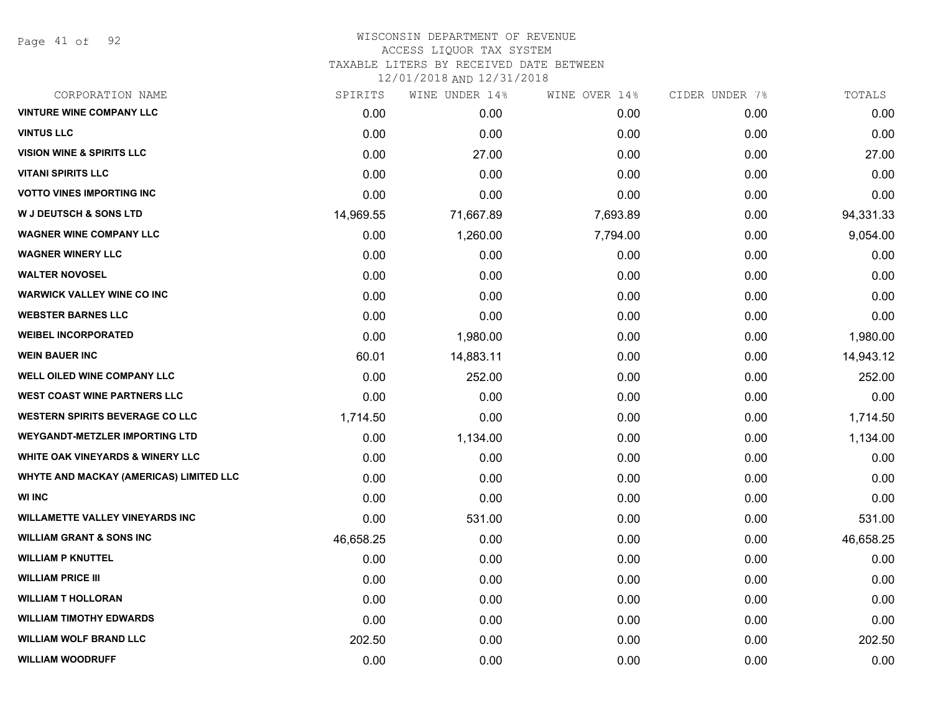Page 41 of 92

# WISCONSIN DEPARTMENT OF REVENUE ACCESS LIQUOR TAX SYSTEM TAXABLE LITERS BY RECEIVED DATE BETWEEN

| CORPORATION NAME                            | SPIRITS   | WINE UNDER 14% | WINE OVER 14% | CIDER UNDER 7% | TOTALS    |
|---------------------------------------------|-----------|----------------|---------------|----------------|-----------|
| <b>VINTURE WINE COMPANY LLC</b>             | 0.00      | 0.00           | 0.00          | 0.00           | 0.00      |
| <b>VINTUS LLC</b>                           | 0.00      | 0.00           | 0.00          | 0.00           | 0.00      |
| <b>VISION WINE &amp; SPIRITS LLC</b>        | 0.00      | 27.00          | 0.00          | 0.00           | 27.00     |
| <b>VITANI SPIRITS LLC</b>                   | 0.00      | 0.00           | 0.00          | 0.00           | 0.00      |
| <b>VOTTO VINES IMPORTING INC</b>            | 0.00      | 0.00           | 0.00          | 0.00           | 0.00      |
| <b>W J DEUTSCH &amp; SONS LTD</b>           | 14,969.55 | 71,667.89      | 7,693.89      | 0.00           | 94,331.33 |
| <b>WAGNER WINE COMPANY LLC</b>              | 0.00      | 1,260.00       | 7,794.00      | 0.00           | 9,054.00  |
| <b>WAGNER WINERY LLC</b>                    | 0.00      | 0.00           | 0.00          | 0.00           | 0.00      |
| <b>WALTER NOVOSEL</b>                       | 0.00      | 0.00           | 0.00          | 0.00           | 0.00      |
| <b>WARWICK VALLEY WINE CO INC</b>           | 0.00      | 0.00           | 0.00          | 0.00           | 0.00      |
| <b>WEBSTER BARNES LLC</b>                   | 0.00      | 0.00           | 0.00          | 0.00           | 0.00      |
| <b>WEIBEL INCORPORATED</b>                  | 0.00      | 1,980.00       | 0.00          | 0.00           | 1,980.00  |
| <b>WEIN BAUER INC</b>                       | 60.01     | 14,883.11      | 0.00          | 0.00           | 14,943.12 |
| WELL OILED WINE COMPANY LLC                 | 0.00      | 252.00         | 0.00          | 0.00           | 252.00    |
| <b>WEST COAST WINE PARTNERS LLC</b>         | 0.00      | 0.00           | 0.00          | 0.00           | 0.00      |
| <b>WESTERN SPIRITS BEVERAGE CO LLC</b>      | 1,714.50  | 0.00           | 0.00          | 0.00           | 1,714.50  |
| <b>WEYGANDT-METZLER IMPORTING LTD</b>       | 0.00      | 1,134.00       | 0.00          | 0.00           | 1,134.00  |
| <b>WHITE OAK VINEYARDS &amp; WINERY LLC</b> | 0.00      | 0.00           | 0.00          | 0.00           | 0.00      |
| WHYTE AND MACKAY (AMERICAS) LIMITED LLC     | 0.00      | 0.00           | 0.00          | 0.00           | 0.00      |
| <b>WI INC</b>                               | 0.00      | 0.00           | 0.00          | 0.00           | 0.00      |
| <b>WILLAMETTE VALLEY VINEYARDS INC</b>      | 0.00      | 531.00         | 0.00          | 0.00           | 531.00    |
| <b>WILLIAM GRANT &amp; SONS INC</b>         | 46,658.25 | 0.00           | 0.00          | 0.00           | 46,658.25 |
| <b>WILLIAM P KNUTTEL</b>                    | 0.00      | 0.00           | 0.00          | 0.00           | 0.00      |
| <b>WILLIAM PRICE III</b>                    | 0.00      | 0.00           | 0.00          | 0.00           | 0.00      |
| <b>WILLIAM T HOLLORAN</b>                   | 0.00      | 0.00           | 0.00          | 0.00           | 0.00      |
| <b>WILLIAM TIMOTHY EDWARDS</b>              | 0.00      | 0.00           | 0.00          | 0.00           | 0.00      |
| <b>WILLIAM WOLF BRAND LLC</b>               | 202.50    | 0.00           | 0.00          | 0.00           | 202.50    |
| <b>WILLIAM WOODRUFF</b>                     | 0.00      | 0.00           | 0.00          | 0.00           | 0.00      |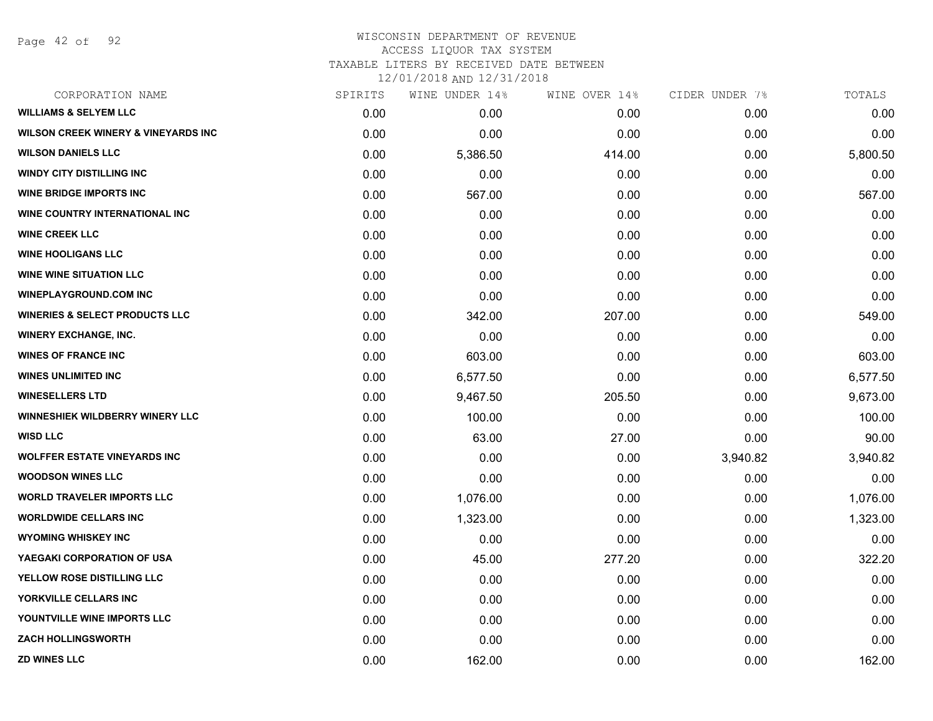Page 42 of 92

# WISCONSIN DEPARTMENT OF REVENUE ACCESS LIQUOR TAX SYSTEM TAXABLE LITERS BY RECEIVED DATE BETWEEN

| CORPORATION NAME                               | SPIRITS | WINE UNDER 14% | WINE OVER 14% | CIDER UNDER 7% | TOTALS   |
|------------------------------------------------|---------|----------------|---------------|----------------|----------|
| <b>WILLIAMS &amp; SELYEM LLC</b>               | 0.00    | 0.00           | 0.00          | 0.00           | 0.00     |
| <b>WILSON CREEK WINERY &amp; VINEYARDS INC</b> | 0.00    | 0.00           | 0.00          | 0.00           | 0.00     |
| <b>WILSON DANIELS LLC</b>                      | 0.00    | 5,386.50       | 414.00        | 0.00           | 5,800.50 |
| <b>WINDY CITY DISTILLING INC</b>               | 0.00    | 0.00           | 0.00          | 0.00           | 0.00     |
| <b>WINE BRIDGE IMPORTS INC</b>                 | 0.00    | 567.00         | 0.00          | 0.00           | 567.00   |
| WINE COUNTRY INTERNATIONAL INC                 | 0.00    | 0.00           | 0.00          | 0.00           | 0.00     |
| <b>WINE CREEK LLC</b>                          | 0.00    | 0.00           | 0.00          | 0.00           | 0.00     |
| <b>WINE HOOLIGANS LLC</b>                      | 0.00    | 0.00           | 0.00          | 0.00           | 0.00     |
| <b>WINE WINE SITUATION LLC</b>                 | 0.00    | 0.00           | 0.00          | 0.00           | 0.00     |
| <b>WINEPLAYGROUND.COM INC</b>                  | 0.00    | 0.00           | 0.00          | 0.00           | 0.00     |
| <b>WINERIES &amp; SELECT PRODUCTS LLC</b>      | 0.00    | 342.00         | 207.00        | 0.00           | 549.00   |
| <b>WINERY EXCHANGE, INC.</b>                   | 0.00    | 0.00           | 0.00          | 0.00           | 0.00     |
| <b>WINES OF FRANCE INC</b>                     | 0.00    | 603.00         | 0.00          | 0.00           | 603.00   |
| <b>WINES UNLIMITED INC</b>                     | 0.00    | 6,577.50       | 0.00          | 0.00           | 6,577.50 |
| <b>WINESELLERS LTD</b>                         | 0.00    | 9,467.50       | 205.50        | 0.00           | 9,673.00 |
| <b>WINNESHIEK WILDBERRY WINERY LLC</b>         | 0.00    | 100.00         | 0.00          | 0.00           | 100.00   |
| <b>WISD LLC</b>                                | 0.00    | 63.00          | 27.00         | 0.00           | 90.00    |
| <b>WOLFFER ESTATE VINEYARDS INC</b>            | 0.00    | 0.00           | 0.00          | 3,940.82       | 3,940.82 |
| <b>WOODSON WINES LLC</b>                       | 0.00    | 0.00           | 0.00          | 0.00           | 0.00     |
| <b>WORLD TRAVELER IMPORTS LLC</b>              | 0.00    | 1,076.00       | 0.00          | 0.00           | 1,076.00 |
| <b>WORLDWIDE CELLARS INC</b>                   | 0.00    | 1,323.00       | 0.00          | 0.00           | 1,323.00 |
| <b>WYOMING WHISKEY INC</b>                     | 0.00    | 0.00           | 0.00          | 0.00           | 0.00     |
| YAEGAKI CORPORATION OF USA                     | 0.00    | 45.00          | 277.20        | 0.00           | 322.20   |
| YELLOW ROSE DISTILLING LLC                     | 0.00    | 0.00           | 0.00          | 0.00           | 0.00     |
| YORKVILLE CELLARS INC                          | 0.00    | 0.00           | 0.00          | 0.00           | 0.00     |
| YOUNTVILLE WINE IMPORTS LLC                    | 0.00    | 0.00           | 0.00          | 0.00           | 0.00     |
| <b>ZACH HOLLINGSWORTH</b>                      | 0.00    | 0.00           | 0.00          | 0.00           | 0.00     |
| <b>ZD WINES LLC</b>                            | 0.00    | 162.00         | 0.00          | 0.00           | 162.00   |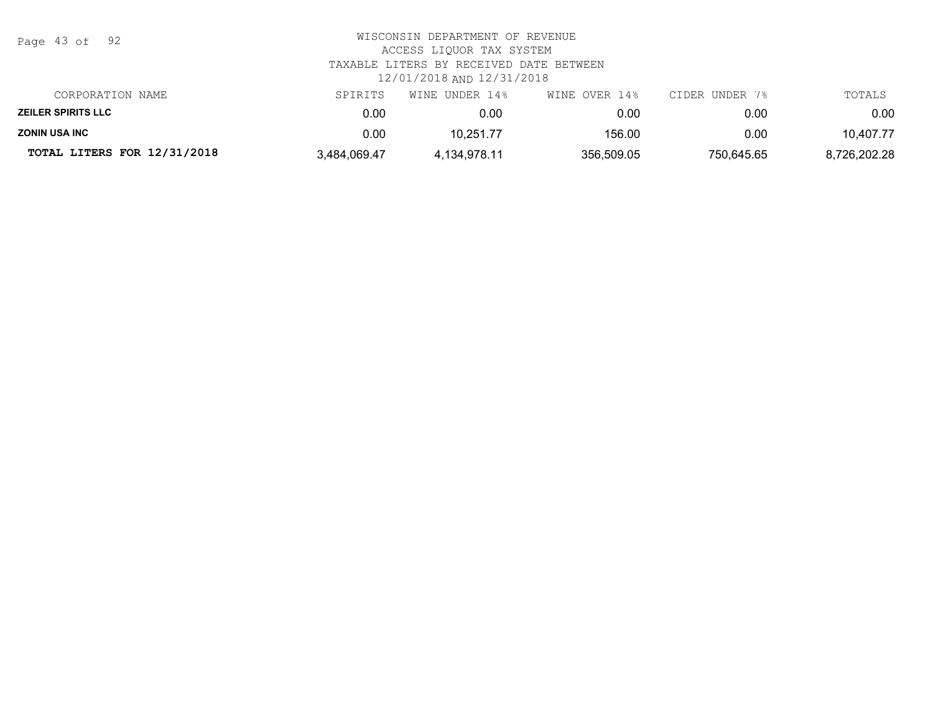| TOTAL LITERS FOR 12/31/2018 | 3,484,069.47                                                | 4,134,978.11                                                         | 356,509.05    | 750.645.65     | 8,726,202.28 |  |  |
|-----------------------------|-------------------------------------------------------------|----------------------------------------------------------------------|---------------|----------------|--------------|--|--|
| <b>ZONIN USA INC</b>        | 0.00                                                        | 10.251.77                                                            | 156.00        | 0.00           | 10,407.77    |  |  |
| <b>ZEILER SPIRITS LLC</b>   | 0.00                                                        | 0.00                                                                 | 0.00          | 0.00           | 0.00         |  |  |
| CORPORATION NAME            | SPIRITS                                                     | WINE UNDER 14%                                                       | WINE OVER 14% | CIDER UNDER 7% | TOTALS       |  |  |
|                             |                                                             | TAXABLE LITERS BY RECEIVED DATE BETWEEN<br>12/01/2018 AND 12/31/2018 |               |                |              |  |  |
| Page 43 of 92               | WISCONSIN DEPARTMENT OF REVENUE<br>ACCESS LIQUOR TAX SYSTEM |                                                                      |               |                |              |  |  |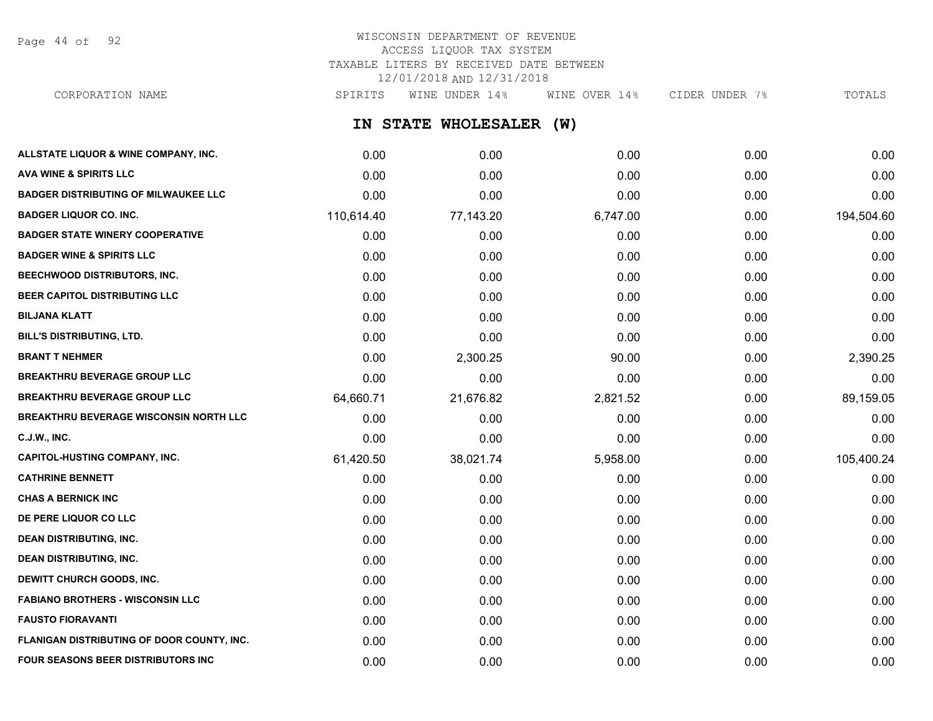Page 44 of 92

## WISCONSIN DEPARTMENT OF REVENUE ACCESS LIQUOR TAX SYSTEM TAXABLE LITERS BY RECEIVED DATE BETWEEN 12/01/2018 AND 12/31/2018

**IN STATE WHOLESALER (W) ALLSTATE LIQUOR & WINE COMPANY, INC.** 0.00 0.00 0.00 0.00 0.00 **AVA WINE & SPIRITS LLC** 0.00 0.00 0.00 0.00 0.00 CORPORATION NAME SPIRITS WINE UNDER 14% WINE OVER 14% CIDER UNDER 7% TOTALS

| <b>BADGER DISTRIBUTING OF MILWAUKEE LLC</b> | 0.00       | 0.00      | 0.00     | 0.00 | 0.00       |
|---------------------------------------------|------------|-----------|----------|------|------------|
| <b>BADGER LIQUOR CO. INC.</b>               | 110,614.40 | 77,143.20 | 6,747.00 | 0.00 | 194,504.60 |
| <b>BADGER STATE WINERY COOPERATIVE</b>      | 0.00       | 0.00      | 0.00     | 0.00 | 0.00       |
| <b>BADGER WINE &amp; SPIRITS LLC</b>        | 0.00       | 0.00      | 0.00     | 0.00 | 0.00       |
| BEECHWOOD DISTRIBUTORS, INC.                | 0.00       | 0.00      | 0.00     | 0.00 | 0.00       |
| BEER CAPITOL DISTRIBUTING LLC               | 0.00       | 0.00      | 0.00     | 0.00 | 0.00       |
| <b>BILJANA KLATT</b>                        | 0.00       | 0.00      | 0.00     | 0.00 | 0.00       |
| BILL'S DISTRIBUTING, LTD.                   | 0.00       | 0.00      | 0.00     | 0.00 | 0.00       |
| <b>BRANT T NEHMER</b>                       | 0.00       | 2,300.25  | 90.00    | 0.00 | 2,390.25   |
| <b>BREAKTHRU BEVERAGE GROUP LLC</b>         | 0.00       | 0.00      | 0.00     | 0.00 | 0.00       |
| <b>BREAKTHRU BEVERAGE GROUP LLC</b>         | 64,660.71  | 21,676.82 | 2,821.52 | 0.00 | 89,159.05  |
| BREAKTHRU BEVERAGE WISCONSIN NORTH LLC      | 0.00       | 0.00      | 0.00     | 0.00 | 0.00       |
| <b>C.J.W., INC.</b>                         | 0.00       | 0.00      | 0.00     | 0.00 | 0.00       |
| <b>CAPITOL-HUSTING COMPANY, INC.</b>        | 61,420.50  | 38,021.74 | 5,958.00 | 0.00 | 105,400.24 |
| <b>CATHRINE BENNETT</b>                     | 0.00       | 0.00      | 0.00     | 0.00 | 0.00       |
| <b>CHAS A BERNICK INC</b>                   | 0.00       | 0.00      | 0.00     | 0.00 | 0.00       |
| DE PERE LIQUOR CO LLC                       | 0.00       | 0.00      | 0.00     | 0.00 | 0.00       |
| <b>DEAN DISTRIBUTING, INC.</b>              | 0.00       | 0.00      | 0.00     | 0.00 | 0.00       |
| <b>DEAN DISTRIBUTING, INC.</b>              | 0.00       | 0.00      | 0.00     | 0.00 | 0.00       |
| DEWITT CHURCH GOODS, INC.                   | 0.00       | 0.00      | 0.00     | 0.00 | 0.00       |
| <b>FABIANO BROTHERS - WISCONSIN LLC</b>     | 0.00       | 0.00      | 0.00     | 0.00 | 0.00       |
| <b>FAUSTO FIORAVANTI</b>                    | 0.00       | 0.00      | 0.00     | 0.00 | 0.00       |
| FLANIGAN DISTRIBUTING OF DOOR COUNTY, INC.  | 0.00       | 0.00      | 0.00     | 0.00 | 0.00       |
| <b>FOUR SEASONS BEER DISTRIBUTORS INC</b>   | 0.00       | 0.00      | 0.00     | 0.00 | 0.00       |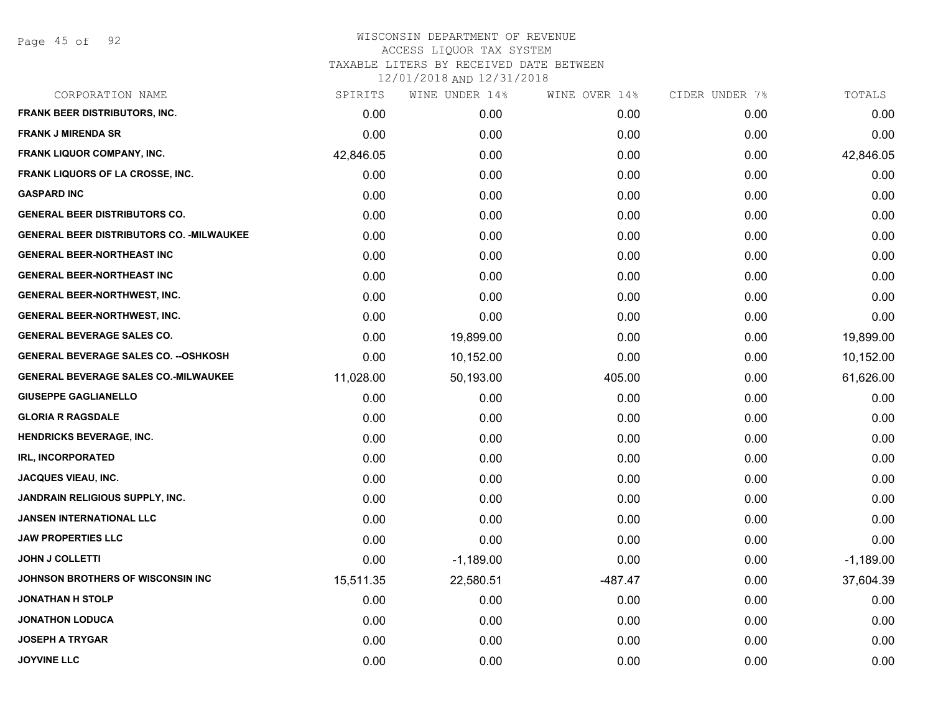| SPIRITS   | WINE UNDER 14% | WINE OVER 14% | CIDER UNDER 7% | TOTALS      |
|-----------|----------------|---------------|----------------|-------------|
| 0.00      | 0.00           | 0.00          | 0.00           | 0.00        |
| 0.00      | 0.00           | 0.00          | 0.00           | 0.00        |
| 42,846.05 | 0.00           | 0.00          | 0.00           | 42,846.05   |
| 0.00      | 0.00           | 0.00          | 0.00           | 0.00        |
| 0.00      | 0.00           | 0.00          | 0.00           | 0.00        |
| 0.00      | 0.00           | 0.00          | 0.00           | 0.00        |
| 0.00      | 0.00           | 0.00          | 0.00           | 0.00        |
| 0.00      | 0.00           | 0.00          | 0.00           | 0.00        |
| 0.00      | 0.00           | 0.00          | 0.00           | 0.00        |
| 0.00      | 0.00           | 0.00          | 0.00           | 0.00        |
| 0.00      | 0.00           | 0.00          | 0.00           | 0.00        |
| 0.00      | 19,899.00      | 0.00          | 0.00           | 19,899.00   |
| 0.00      | 10,152.00      | 0.00          | 0.00           | 10,152.00   |
| 11,028.00 | 50,193.00      | 405.00        | 0.00           | 61,626.00   |
| 0.00      | 0.00           | 0.00          | 0.00           | 0.00        |
| 0.00      | 0.00           | 0.00          | 0.00           | 0.00        |
| 0.00      | 0.00           | 0.00          | 0.00           | 0.00        |
| 0.00      | 0.00           | 0.00          | 0.00           | 0.00        |
| 0.00      | 0.00           | 0.00          | 0.00           | 0.00        |
| 0.00      | 0.00           | 0.00          | 0.00           | 0.00        |
| 0.00      | 0.00           | 0.00          | 0.00           | 0.00        |
| 0.00      | 0.00           | 0.00          | 0.00           | 0.00        |
| 0.00      | $-1,189.00$    | 0.00          | 0.00           | $-1,189.00$ |
| 15,511.35 | 22,580.51      | $-487.47$     | 0.00           | 37,604.39   |
| 0.00      | 0.00           | 0.00          | 0.00           | 0.00        |
| 0.00      | 0.00           | 0.00          | 0.00           | 0.00        |
| 0.00      | 0.00           | 0.00          | 0.00           | 0.00        |
| 0.00      | 0.00           | 0.00          | 0.00           | 0.00        |
|           |                |               |                |             |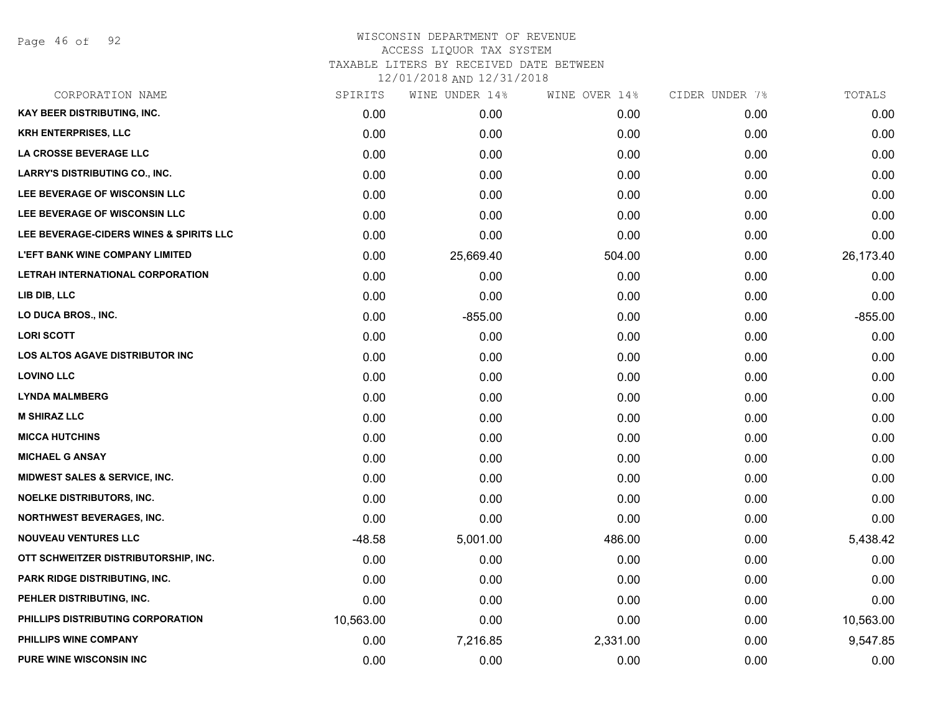Page 46 of 92

# WISCONSIN DEPARTMENT OF REVENUE ACCESS LIQUOR TAX SYSTEM TAXABLE LITERS BY RECEIVED DATE BETWEEN

| CORPORATION NAME                        | SPIRITS   | WINE UNDER 14% | WINE OVER 14% | CIDER UNDER 7% | TOTALS    |
|-----------------------------------------|-----------|----------------|---------------|----------------|-----------|
| <b>KAY BEER DISTRIBUTING, INC.</b>      | 0.00      | 0.00           | 0.00          | 0.00           | 0.00      |
| <b>KRH ENTERPRISES, LLC</b>             | 0.00      | 0.00           | 0.00          | 0.00           | 0.00      |
| LA CROSSE BEVERAGE LLC                  | 0.00      | 0.00           | 0.00          | 0.00           | 0.00      |
| <b>LARRY'S DISTRIBUTING CO., INC.</b>   | 0.00      | 0.00           | 0.00          | 0.00           | 0.00      |
| LEE BEVERAGE OF WISCONSIN LLC           | 0.00      | 0.00           | 0.00          | 0.00           | 0.00      |
| LEE BEVERAGE OF WISCONSIN LLC           | 0.00      | 0.00           | 0.00          | 0.00           | 0.00      |
| LEE BEVERAGE-CIDERS WINES & SPIRITS LLC | 0.00      | 0.00           | 0.00          | 0.00           | 0.00      |
| <b>L'EFT BANK WINE COMPANY LIMITED</b>  | 0.00      | 25,669.40      | 504.00        | 0.00           | 26,173.40 |
| LETRAH INTERNATIONAL CORPORATION        | 0.00      | 0.00           | 0.00          | 0.00           | 0.00      |
| LIB DIB, LLC                            | 0.00      | 0.00           | 0.00          | 0.00           | 0.00      |
| LO DUCA BROS., INC.                     | 0.00      | $-855.00$      | 0.00          | 0.00           | $-855.00$ |
| <b>LORI SCOTT</b>                       | 0.00      | 0.00           | 0.00          | 0.00           | 0.00      |
| LOS ALTOS AGAVE DISTRIBUTOR INC         | 0.00      | 0.00           | 0.00          | 0.00           | 0.00      |
| <b>LOVINO LLC</b>                       | 0.00      | 0.00           | 0.00          | 0.00           | 0.00      |
| <b>LYNDA MALMBERG</b>                   | 0.00      | 0.00           | 0.00          | 0.00           | 0.00      |
| <b>M SHIRAZ LLC</b>                     | 0.00      | 0.00           | 0.00          | 0.00           | 0.00      |
| <b>MICCA HUTCHINS</b>                   | 0.00      | 0.00           | 0.00          | 0.00           | 0.00      |
| <b>MICHAEL G ANSAY</b>                  | 0.00      | 0.00           | 0.00          | 0.00           | 0.00      |
| MIDWEST SALES & SERVICE, INC.           | 0.00      | 0.00           | 0.00          | 0.00           | 0.00      |
| <b>NOELKE DISTRIBUTORS, INC.</b>        | 0.00      | 0.00           | 0.00          | 0.00           | 0.00      |
| <b>NORTHWEST BEVERAGES, INC.</b>        | 0.00      | 0.00           | 0.00          | 0.00           | 0.00      |
| <b>NOUVEAU VENTURES LLC</b>             | $-48.58$  | 5,001.00       | 486.00        | 0.00           | 5,438.42  |
| OTT SCHWEITZER DISTRIBUTORSHIP, INC.    | 0.00      | 0.00           | 0.00          | 0.00           | 0.00      |
| PARK RIDGE DISTRIBUTING, INC.           | 0.00      | 0.00           | 0.00          | 0.00           | 0.00      |
| PEHLER DISTRIBUTING, INC.               | 0.00      | 0.00           | 0.00          | 0.00           | 0.00      |
| PHILLIPS DISTRIBUTING CORPORATION       | 10,563.00 | 0.00           | 0.00          | 0.00           | 10,563.00 |
| PHILLIPS WINE COMPANY                   | 0.00      | 7,216.85       | 2,331.00      | 0.00           | 9,547.85  |
| PURE WINE WISCONSIN INC                 | 0.00      | 0.00           | 0.00          | 0.00           | 0.00      |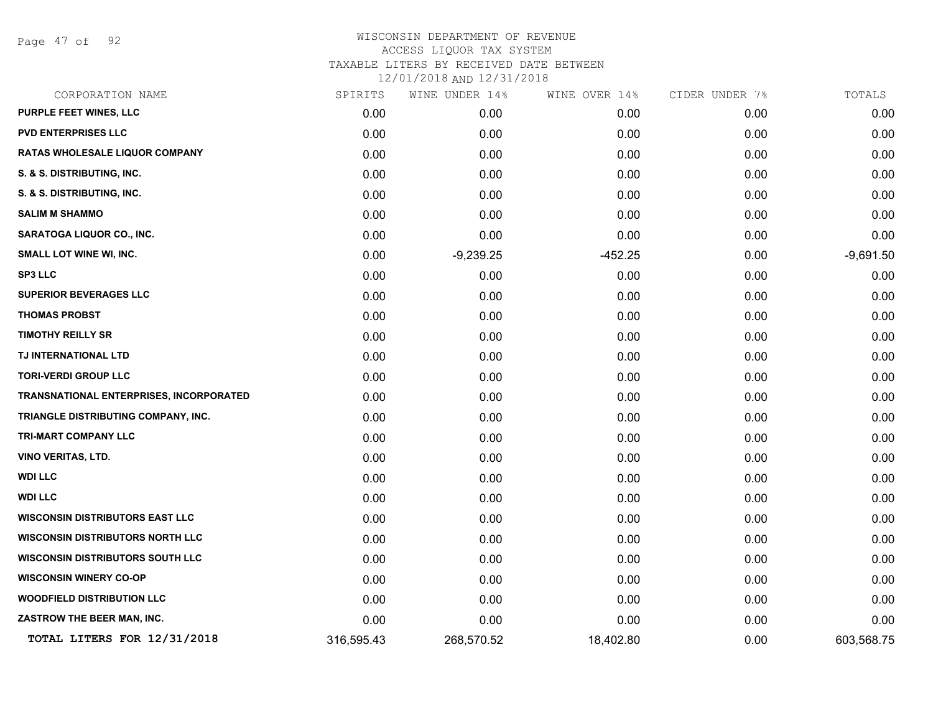Page 47 of 92

| CORPORATION NAME                               | SPIRITS    | WINE UNDER 14% | WINE OVER 14% | CIDER UNDER 7% | TOTALS      |
|------------------------------------------------|------------|----------------|---------------|----------------|-------------|
| PURPLE FEET WINES, LLC                         | 0.00       | 0.00           | 0.00          | 0.00           | 0.00        |
| <b>PVD ENTERPRISES LLC</b>                     | 0.00       | 0.00           | 0.00          | 0.00           | 0.00        |
| <b>RATAS WHOLESALE LIQUOR COMPANY</b>          | 0.00       | 0.00           | 0.00          | 0.00           | 0.00        |
| S. & S. DISTRIBUTING, INC.                     | 0.00       | 0.00           | 0.00          | 0.00           | 0.00        |
| S. & S. DISTRIBUTING, INC.                     | 0.00       | 0.00           | 0.00          | 0.00           | 0.00        |
| <b>SALIM M SHAMMO</b>                          | 0.00       | 0.00           | 0.00          | 0.00           | 0.00        |
| SARATOGA LIQUOR CO., INC.                      | 0.00       | 0.00           | 0.00          | 0.00           | 0.00        |
| <b>SMALL LOT WINE WI, INC.</b>                 | 0.00       | $-9,239.25$    | $-452.25$     | 0.00           | $-9,691.50$ |
| <b>SP3 LLC</b>                                 | 0.00       | 0.00           | 0.00          | 0.00           | 0.00        |
| <b>SUPERIOR BEVERAGES LLC</b>                  | 0.00       | 0.00           | 0.00          | 0.00           | 0.00        |
| <b>THOMAS PROBST</b>                           | 0.00       | 0.00           | 0.00          | 0.00           | 0.00        |
| <b>TIMOTHY REILLY SR</b>                       | 0.00       | 0.00           | 0.00          | 0.00           | 0.00        |
| TJ INTERNATIONAL LTD                           | 0.00       | 0.00           | 0.00          | 0.00           | 0.00        |
| <b>TORI-VERDI GROUP LLC</b>                    | 0.00       | 0.00           | 0.00          | 0.00           | 0.00        |
| <b>TRANSNATIONAL ENTERPRISES, INCORPORATED</b> | 0.00       | 0.00           | 0.00          | 0.00           | 0.00        |
| TRIANGLE DISTRIBUTING COMPANY, INC.            | 0.00       | 0.00           | 0.00          | 0.00           | 0.00        |
| TRI-MART COMPANY LLC                           | 0.00       | 0.00           | 0.00          | 0.00           | 0.00        |
| <b>VINO VERITAS, LTD.</b>                      | 0.00       | 0.00           | 0.00          | 0.00           | 0.00        |
| <b>WDI LLC</b>                                 | 0.00       | 0.00           | 0.00          | 0.00           | 0.00        |
| <b>WDI LLC</b>                                 | 0.00       | 0.00           | 0.00          | 0.00           | 0.00        |
| <b>WISCONSIN DISTRIBUTORS EAST LLC</b>         | 0.00       | 0.00           | 0.00          | 0.00           | 0.00        |
| <b>WISCONSIN DISTRIBUTORS NORTH LLC</b>        | 0.00       | 0.00           | 0.00          | 0.00           | 0.00        |
| <b>WISCONSIN DISTRIBUTORS SOUTH LLC</b>        | 0.00       | 0.00           | 0.00          | 0.00           | 0.00        |
| <b>WISCONSIN WINERY CO-OP</b>                  | 0.00       | 0.00           | 0.00          | 0.00           | 0.00        |
| <b>WOODFIELD DISTRIBUTION LLC</b>              | 0.00       | 0.00           | 0.00          | 0.00           | 0.00        |
| ZASTROW THE BEER MAN, INC.                     | 0.00       | 0.00           | 0.00          | 0.00           | 0.00        |
| TOTAL LITERS FOR 12/31/2018                    | 316,595.43 | 268,570.52     | 18,402.80     | 0.00           | 603,568.75  |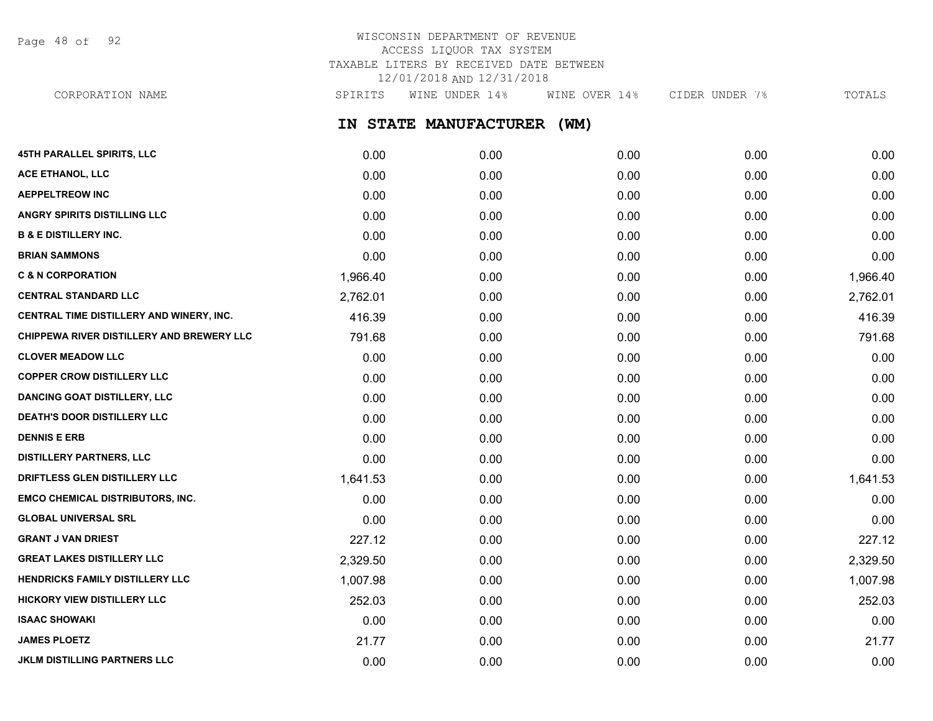Page 48 of 92

## WISCONSIN DEPARTMENT OF REVENUE ACCESS LIQUOR TAX SYSTEM TAXABLE LITERS BY RECEIVED DATE BETWEEN 12/01/2018 AND 12/31/2018

**IN STATE MANUFACTURER (WM) 45TH PARALLEL SPIRITS, LLC** 0.00 0.00 0.00 0.00 0.00 **ACE ETHANOL, LLC** 0.00 0.00 0.00 0.00 0.00 **AEPPELTREOW INC** 0.00 0.00 0.00 0.00 0.00 CORPORATION NAME SPIRITS WINE UNDER 14% WINE OVER 14% CIDER UNDER 7% TOTALS

| ANGRY SPIRITS DISTILLING LLC                     | 0.00     | 0.00 | 0.00 | 0.00 | 0.00     |
|--------------------------------------------------|----------|------|------|------|----------|
| <b>B &amp; E DISTILLERY INC.</b>                 | 0.00     | 0.00 | 0.00 | 0.00 | 0.00     |
| <b>BRIAN SAMMONS</b>                             | 0.00     | 0.00 | 0.00 | 0.00 | 0.00     |
| <b>C &amp; N CORPORATION</b>                     | 1,966.40 | 0.00 | 0.00 | 0.00 | 1,966.40 |
| <b>CENTRAL STANDARD LLC</b>                      | 2,762.01 | 0.00 | 0.00 | 0.00 | 2,762.01 |
| CENTRAL TIME DISTILLERY AND WINERY, INC.         | 416.39   | 0.00 | 0.00 | 0.00 | 416.39   |
| <b>CHIPPEWA RIVER DISTILLERY AND BREWERY LLC</b> | 791.68   | 0.00 | 0.00 | 0.00 | 791.68   |
| <b>CLOVER MEADOW LLC</b>                         | 0.00     | 0.00 | 0.00 | 0.00 | 0.00     |
| <b>COPPER CROW DISTILLERY LLC</b>                | 0.00     | 0.00 | 0.00 | 0.00 | 0.00     |
| <b>DANCING GOAT DISTILLERY, LLC</b>              | 0.00     | 0.00 | 0.00 | 0.00 | 0.00     |
| <b>DEATH'S DOOR DISTILLERY LLC</b>               | 0.00     | 0.00 | 0.00 | 0.00 | 0.00     |
| <b>DENNIS E ERB</b>                              | 0.00     | 0.00 | 0.00 | 0.00 | 0.00     |
| <b>DISTILLERY PARTNERS, LLC</b>                  | 0.00     | 0.00 | 0.00 | 0.00 | 0.00     |
| <b>DRIFTLESS GLEN DISTILLERY LLC</b>             | 1,641.53 | 0.00 | 0.00 | 0.00 | 1,641.53 |
| <b>EMCO CHEMICAL DISTRIBUTORS, INC.</b>          | 0.00     | 0.00 | 0.00 | 0.00 | 0.00     |
| <b>GLOBAL UNIVERSAL SRL</b>                      | 0.00     | 0.00 | 0.00 | 0.00 | 0.00     |
| <b>GRANT J VAN DRIEST</b>                        | 227.12   | 0.00 | 0.00 | 0.00 | 227.12   |
| <b>GREAT LAKES DISTILLERY LLC</b>                | 2,329.50 | 0.00 | 0.00 | 0.00 | 2,329.50 |
| <b>HENDRICKS FAMILY DISTILLERY LLC</b>           | 1,007.98 | 0.00 | 0.00 | 0.00 | 1,007.98 |
| <b>HICKORY VIEW DISTILLERY LLC</b>               | 252.03   | 0.00 | 0.00 | 0.00 | 252.03   |
| <b>ISAAC SHOWAKI</b>                             | 0.00     | 0.00 | 0.00 | 0.00 | 0.00     |
| <b>JAMES PLOETZ</b>                              | 21.77    | 0.00 | 0.00 | 0.00 | 21.77    |
| JKLM DISTILLING PARTNERS LLC                     | 0.00     | 0.00 | 0.00 | 0.00 | 0.00     |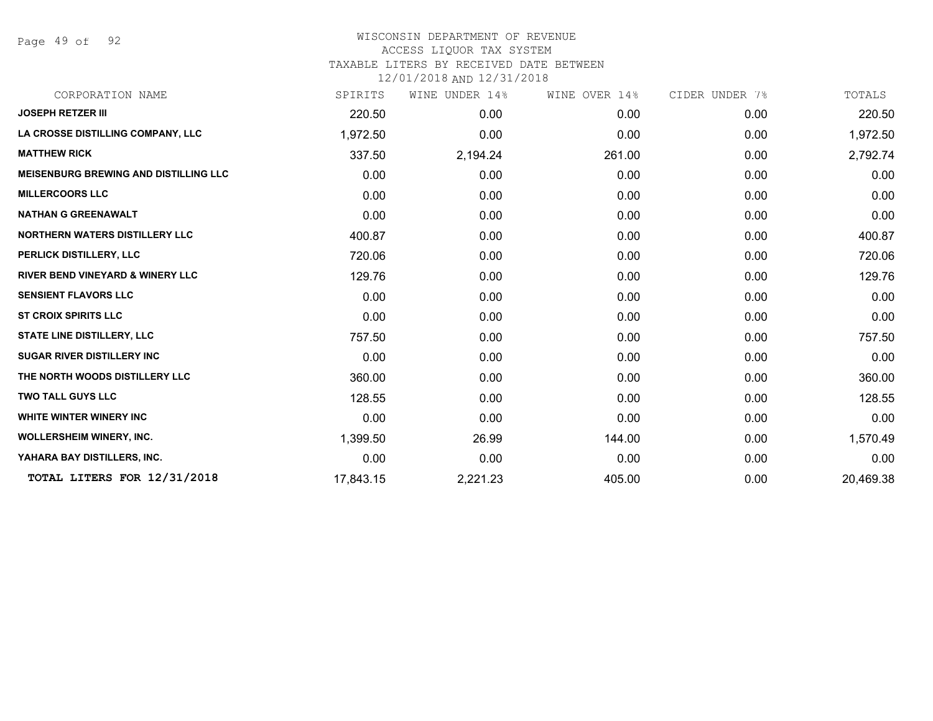Page 49 of 92

## WISCONSIN DEPARTMENT OF REVENUE ACCESS LIQUOR TAX SYSTEM TAXABLE LITERS BY RECEIVED DATE BETWEEN

| CORPORATION NAME                             | SPIRITS   | WINE UNDER 14% | WINE OVER 14% | CIDER UNDER 7% | TOTALS    |
|----------------------------------------------|-----------|----------------|---------------|----------------|-----------|
| <b>JOSEPH RETZER III</b>                     | 220.50    | 0.00           | 0.00          | 0.00           | 220.50    |
| LA CROSSE DISTILLING COMPANY, LLC            | 1,972.50  | 0.00           | 0.00          | 0.00           | 1,972.50  |
| <b>MATTHEW RICK</b>                          | 337.50    | 2,194.24       | 261.00        | 0.00           | 2,792.74  |
| <b>MEISENBURG BREWING AND DISTILLING LLC</b> | 0.00      | 0.00           | 0.00          | 0.00           | 0.00      |
| <b>MILLERCOORS LLC</b>                       | 0.00      | 0.00           | 0.00          | 0.00           | 0.00      |
| <b>NATHAN G GREENAWALT</b>                   | 0.00      | 0.00           | 0.00          | 0.00           | 0.00      |
| <b>NORTHERN WATERS DISTILLERY LLC</b>        | 400.87    | 0.00           | 0.00          | 0.00           | 400.87    |
| PERLICK DISTILLERY, LLC                      | 720.06    | 0.00           | 0.00          | 0.00           | 720.06    |
| <b>RIVER BEND VINEYARD &amp; WINERY LLC</b>  | 129.76    | 0.00           | 0.00          | 0.00           | 129.76    |
| <b>SENSIENT FLAVORS LLC</b>                  | 0.00      | 0.00           | 0.00          | 0.00           | 0.00      |
| <b>ST CROIX SPIRITS LLC</b>                  | 0.00      | 0.00           | 0.00          | 0.00           | 0.00      |
| <b>STATE LINE DISTILLERY, LLC</b>            | 757.50    | 0.00           | 0.00          | 0.00           | 757.50    |
| <b>SUGAR RIVER DISTILLERY INC</b>            | 0.00      | 0.00           | 0.00          | 0.00           | 0.00      |
| THE NORTH WOODS DISTILLERY LLC               | 360.00    | 0.00           | 0.00          | 0.00           | 360.00    |
| <b>TWO TALL GUYS LLC</b>                     | 128.55    | 0.00           | 0.00          | 0.00           | 128.55    |
| <b>WHITE WINTER WINERY INC</b>               | 0.00      | 0.00           | 0.00          | 0.00           | 0.00      |
| <b>WOLLERSHEIM WINERY, INC.</b>              | 1,399.50  | 26.99          | 144.00        | 0.00           | 1,570.49  |
| YAHARA BAY DISTILLERS, INC.                  | 0.00      | 0.00           | 0.00          | 0.00           | 0.00      |
| TOTAL LITERS FOR 12/31/2018                  | 17,843.15 | 2,221.23       | 405.00        | 0.00           | 20,469.38 |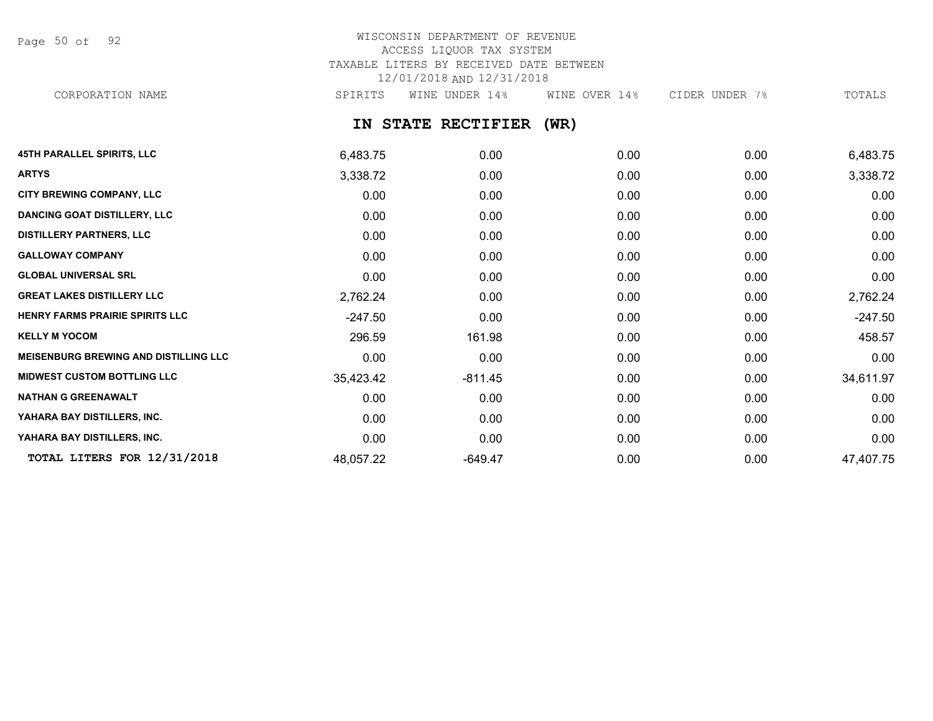Page 50 of 92

# WISCONSIN DEPARTMENT OF REVENUE ACCESS LIQUOR TAX SYSTEM TAXABLE LITERS BY RECEIVED DATE BETWEEN 12/01/2018 AND 12/31/2018

CORPORATION NAME SPIRITS WINE UNDER 14% WINE OVER 14% CIDER UNDER 7% TOTALS

**IN STATE RECTIFIER (WR)**

| <b>45TH PARALLEL SPIRITS, LLC</b>            | 6,483.75  | 0.00      | 0.00 | 0.00 | 6,483.75  |
|----------------------------------------------|-----------|-----------|------|------|-----------|
| <b>ARTYS</b>                                 | 3,338.72  | 0.00      | 0.00 | 0.00 | 3,338.72  |
| CITY BREWING COMPANY, LLC                    | 0.00      | 0.00      | 0.00 | 0.00 | 0.00      |
| <b>DANCING GOAT DISTILLERY, LLC</b>          | 0.00      | 0.00      | 0.00 | 0.00 | 0.00      |
| <b>DISTILLERY PARTNERS, LLC</b>              | 0.00      | 0.00      | 0.00 | 0.00 | 0.00      |
| <b>GALLOWAY COMPANY</b>                      | 0.00      | 0.00      | 0.00 | 0.00 | 0.00      |
| <b>GLOBAL UNIVERSAL SRL</b>                  | 0.00      | 0.00      | 0.00 | 0.00 | 0.00      |
| <b>GREAT LAKES DISTILLERY LLC</b>            | 2,762.24  | 0.00      | 0.00 | 0.00 | 2,762.24  |
| HENRY FARMS PRAIRIE SPIRITS LLC              | $-247.50$ | 0.00      | 0.00 | 0.00 | $-247.50$ |
| <b>KELLY M YOCOM</b>                         | 296.59    | 161.98    | 0.00 | 0.00 | 458.57    |
| <b>MEISENBURG BREWING AND DISTILLING LLC</b> | 0.00      | 0.00      | 0.00 | 0.00 | 0.00      |
| <b>MIDWEST CUSTOM BOTTLING LLC</b>           | 35,423.42 | $-811.45$ | 0.00 | 0.00 | 34,611.97 |
| <b>NATHAN G GREENAWALT</b>                   | 0.00      | 0.00      | 0.00 | 0.00 | 0.00      |
| YAHARA BAY DISTILLERS, INC.                  | 0.00      | 0.00      | 0.00 | 0.00 | 0.00      |
| YAHARA BAY DISTILLERS, INC.                  | 0.00      | 0.00      | 0.00 | 0.00 | 0.00      |
| TOTAL LITERS FOR 12/31/2018                  | 48,057.22 | $-649.47$ | 0.00 | 0.00 | 47,407.75 |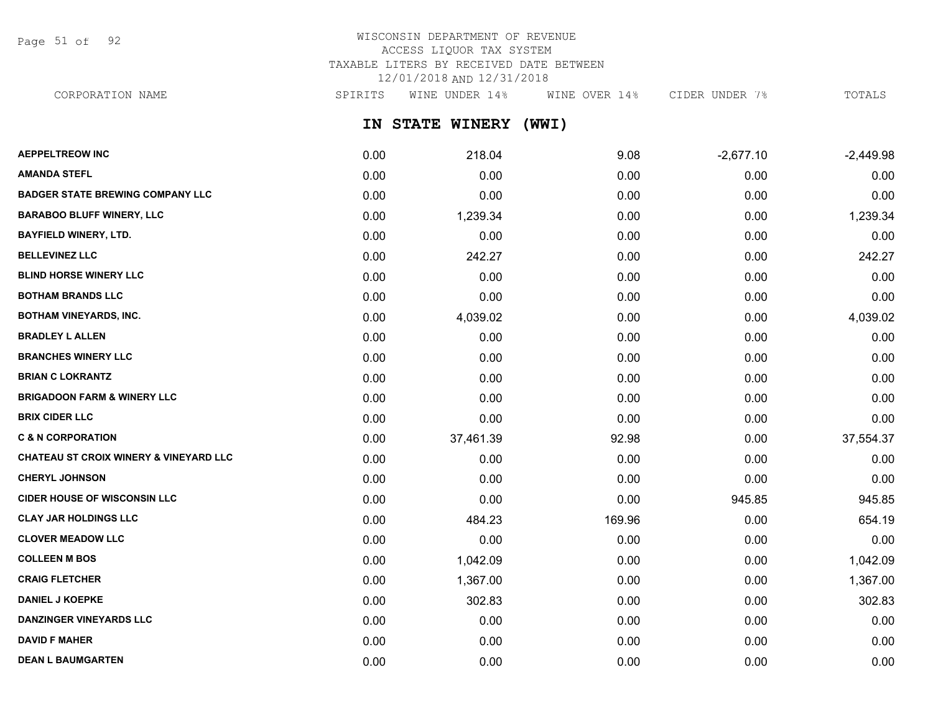Page 51 of 92

# WISCONSIN DEPARTMENT OF REVENUE ACCESS LIQUOR TAX SYSTEM TAXABLE LITERS BY RECEIVED DATE BETWEEN 12/01/2018 AND 12/31/2018

CORPORATION NAME SPIRITS WINE UNDER 14% WINE OVER 14% CIDER UNDER 7% TOTALS

**IN STATE WINERY (WWI)**

| <b>AEPPELTREOW INC</b>                            | 0.00 | 218.04    | 9.08   | $-2,677.10$ | $-2,449.98$ |
|---------------------------------------------------|------|-----------|--------|-------------|-------------|
| <b>AMANDA STEFL</b>                               | 0.00 | 0.00      | 0.00   | 0.00        | 0.00        |
| <b>BADGER STATE BREWING COMPANY LLC</b>           | 0.00 | 0.00      | 0.00   | 0.00        | 0.00        |
| <b>BARABOO BLUFF WINERY, LLC</b>                  | 0.00 | 1,239.34  | 0.00   | 0.00        | 1,239.34    |
| <b>BAYFIELD WINERY, LTD.</b>                      | 0.00 | 0.00      | 0.00   | 0.00        | 0.00        |
| <b>BELLEVINEZ LLC</b>                             | 0.00 | 242.27    | 0.00   | 0.00        | 242.27      |
| <b>BLIND HORSE WINERY LLC</b>                     | 0.00 | 0.00      | 0.00   | 0.00        | 0.00        |
| <b>BOTHAM BRANDS LLC</b>                          | 0.00 | 0.00      | 0.00   | 0.00        | 0.00        |
| <b>BOTHAM VINEYARDS, INC.</b>                     | 0.00 | 4,039.02  | 0.00   | 0.00        | 4,039.02    |
| <b>BRADLEY L ALLEN</b>                            | 0.00 | 0.00      | 0.00   | 0.00        | 0.00        |
| <b>BRANCHES WINERY LLC</b>                        | 0.00 | 0.00      | 0.00   | 0.00        | 0.00        |
| <b>BRIAN C LOKRANTZ</b>                           | 0.00 | 0.00      | 0.00   | 0.00        | 0.00        |
| <b>BRIGADOON FARM &amp; WINERY LLC</b>            | 0.00 | 0.00      | 0.00   | 0.00        | 0.00        |
| <b>BRIX CIDER LLC</b>                             | 0.00 | 0.00      | 0.00   | 0.00        | 0.00        |
| <b>C &amp; N CORPORATION</b>                      | 0.00 | 37,461.39 | 92.98  | 0.00        | 37,554.37   |
| <b>CHATEAU ST CROIX WINERY &amp; VINEYARD LLC</b> | 0.00 | 0.00      | 0.00   | 0.00        | 0.00        |
| <b>CHERYL JOHNSON</b>                             | 0.00 | 0.00      | 0.00   | 0.00        | 0.00        |
| <b>CIDER HOUSE OF WISCONSIN LLC</b>               | 0.00 | 0.00      | 0.00   | 945.85      | 945.85      |
| <b>CLAY JAR HOLDINGS LLC</b>                      | 0.00 | 484.23    | 169.96 | 0.00        | 654.19      |
| <b>CLOVER MEADOW LLC</b>                          | 0.00 | 0.00      | 0.00   | 0.00        | 0.00        |
| <b>COLLEEN M BOS</b>                              | 0.00 | 1,042.09  | 0.00   | 0.00        | 1,042.09    |
| <b>CRAIG FLETCHER</b>                             | 0.00 | 1,367.00  | 0.00   | 0.00        | 1,367.00    |
| <b>DANIEL J KOEPKE</b>                            | 0.00 | 302.83    | 0.00   | 0.00        | 302.83      |
| <b>DANZINGER VINEYARDS LLC</b>                    | 0.00 | 0.00      | 0.00   | 0.00        | 0.00        |
| <b>DAVID F MAHER</b>                              | 0.00 | 0.00      | 0.00   | 0.00        | 0.00        |
| <b>DEAN L BAUMGARTEN</b>                          | 0.00 | 0.00      | 0.00   | 0.00        | 0.00        |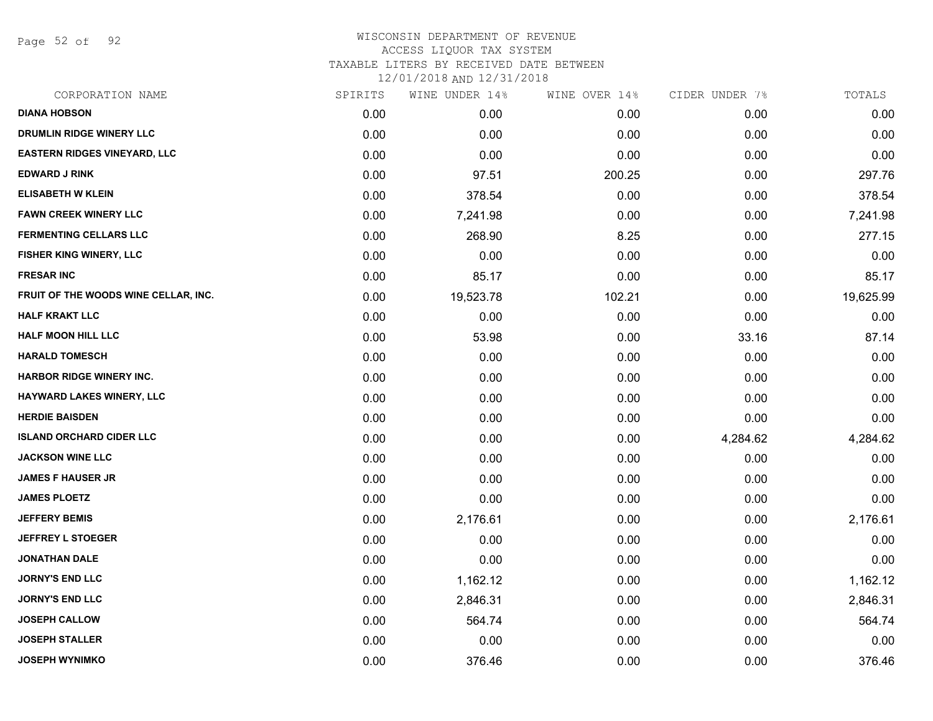Page 52 of 92

| CORPORATION NAME                     | SPIRITS | WINE UNDER 14% | WINE OVER 14% | CIDER UNDER 7% | TOTALS    |
|--------------------------------------|---------|----------------|---------------|----------------|-----------|
| <b>DIANA HOBSON</b>                  | 0.00    | 0.00           | 0.00          | 0.00           | 0.00      |
| DRUMLIN RIDGE WINERY LLC             | 0.00    | 0.00           | 0.00          | 0.00           | 0.00      |
| <b>EASTERN RIDGES VINEYARD, LLC</b>  | 0.00    | 0.00           | 0.00          | 0.00           | 0.00      |
| <b>EDWARD J RINK</b>                 | 0.00    | 97.51          | 200.25        | 0.00           | 297.76    |
| <b>ELISABETH W KLEIN</b>             | 0.00    | 378.54         | 0.00          | 0.00           | 378.54    |
| <b>FAWN CREEK WINERY LLC</b>         | 0.00    | 7,241.98       | 0.00          | 0.00           | 7,241.98  |
| <b>FERMENTING CELLARS LLC</b>        | 0.00    | 268.90         | 8.25          | 0.00           | 277.15    |
| FISHER KING WINERY, LLC              | 0.00    | 0.00           | 0.00          | 0.00           | 0.00      |
| <b>FRESAR INC</b>                    | 0.00    | 85.17          | 0.00          | 0.00           | 85.17     |
| FRUIT OF THE WOODS WINE CELLAR, INC. | 0.00    | 19,523.78      | 102.21        | 0.00           | 19,625.99 |
| <b>HALF KRAKT LLC</b>                | 0.00    | 0.00           | 0.00          | 0.00           | 0.00      |
| <b>HALF MOON HILL LLC</b>            | 0.00    | 53.98          | 0.00          | 33.16          | 87.14     |
| <b>HARALD TOMESCH</b>                | 0.00    | 0.00           | 0.00          | 0.00           | 0.00      |
| <b>HARBOR RIDGE WINERY INC.</b>      | 0.00    | 0.00           | 0.00          | 0.00           | 0.00      |
| HAYWARD LAKES WINERY, LLC            | 0.00    | 0.00           | 0.00          | 0.00           | 0.00      |
| <b>HERDIE BAISDEN</b>                | 0.00    | 0.00           | 0.00          | 0.00           | 0.00      |
| <b>ISLAND ORCHARD CIDER LLC</b>      | 0.00    | 0.00           | 0.00          | 4,284.62       | 4,284.62  |
| <b>JACKSON WINE LLC</b>              | 0.00    | 0.00           | 0.00          | 0.00           | 0.00      |
| <b>JAMES F HAUSER JR</b>             | 0.00    | 0.00           | 0.00          | 0.00           | 0.00      |
| <b>JAMES PLOETZ</b>                  | 0.00    | 0.00           | 0.00          | 0.00           | 0.00      |
| <b>JEFFERY BEMIS</b>                 | 0.00    | 2,176.61       | 0.00          | 0.00           | 2,176.61  |
| <b>JEFFREY L STOEGER</b>             | 0.00    | 0.00           | 0.00          | 0.00           | 0.00      |
| <b>JONATHAN DALE</b>                 | 0.00    | 0.00           | 0.00          | 0.00           | 0.00      |
| <b>JORNY'S END LLC</b>               | 0.00    | 1,162.12       | 0.00          | 0.00           | 1,162.12  |
| <b>JORNY'S END LLC</b>               | 0.00    | 2,846.31       | 0.00          | 0.00           | 2,846.31  |
| <b>JOSEPH CALLOW</b>                 | 0.00    | 564.74         | 0.00          | 0.00           | 564.74    |
| <b>JOSEPH STALLER</b>                | 0.00    | 0.00           | 0.00          | 0.00           | 0.00      |
| <b>JOSEPH WYNIMKO</b>                | 0.00    | 376.46         | 0.00          | 0.00           | 376.46    |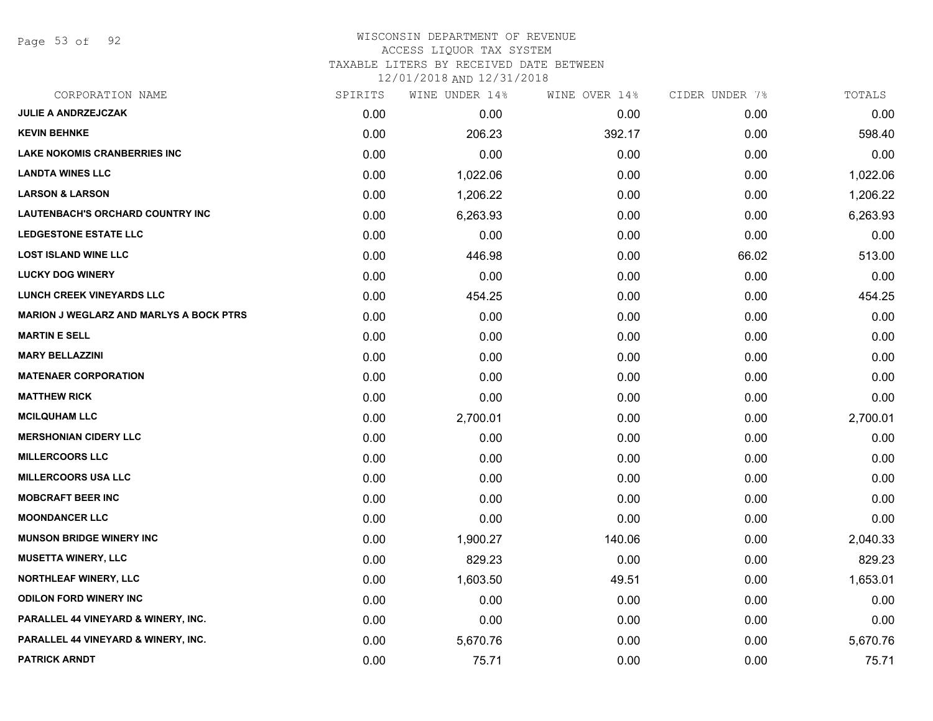Page 53 of 92

### WISCONSIN DEPARTMENT OF REVENUE ACCESS LIQUOR TAX SYSTEM TAXABLE LITERS BY RECEIVED DATE BETWEEN

| CORPORATION NAME                               | SPIRITS | WINE UNDER 14% | WINE OVER 14% | CIDER UNDER 7% | TOTALS   |
|------------------------------------------------|---------|----------------|---------------|----------------|----------|
| JULIE A ANDRZEJCZAK                            | 0.00    | 0.00           | 0.00          | 0.00           | 0.00     |
| <b>KEVIN BEHNKE</b>                            | 0.00    | 206.23         | 392.17        | 0.00           | 598.40   |
| <b>LAKE NOKOMIS CRANBERRIES INC</b>            | 0.00    | 0.00           | 0.00          | 0.00           | 0.00     |
| <b>LANDTA WINES LLC</b>                        | 0.00    | 1,022.06       | 0.00          | 0.00           | 1,022.06 |
| <b>LARSON &amp; LARSON</b>                     | 0.00    | 1,206.22       | 0.00          | 0.00           | 1,206.22 |
| <b>LAUTENBACH'S ORCHARD COUNTRY INC</b>        | 0.00    | 6,263.93       | 0.00          | 0.00           | 6,263.93 |
| <b>LEDGESTONE ESTATE LLC</b>                   | 0.00    | 0.00           | 0.00          | 0.00           | 0.00     |
| <b>LOST ISLAND WINE LLC</b>                    | 0.00    | 446.98         | 0.00          | 66.02          | 513.00   |
| <b>LUCKY DOG WINERY</b>                        | 0.00    | 0.00           | 0.00          | 0.00           | 0.00     |
| <b>LUNCH CREEK VINEYARDS LLC</b>               | 0.00    | 454.25         | 0.00          | 0.00           | 454.25   |
| <b>MARION J WEGLARZ AND MARLYS A BOCK PTRS</b> | 0.00    | 0.00           | 0.00          | 0.00           | 0.00     |
| <b>MARTIN E SELL</b>                           | 0.00    | 0.00           | 0.00          | 0.00           | 0.00     |
| <b>MARY BELLAZZINI</b>                         | 0.00    | 0.00           | 0.00          | 0.00           | 0.00     |
| <b>MATENAER CORPORATION</b>                    | 0.00    | 0.00           | 0.00          | 0.00           | 0.00     |
| <b>MATTHEW RICK</b>                            | 0.00    | 0.00           | 0.00          | 0.00           | 0.00     |
| <b>MCILQUHAM LLC</b>                           | 0.00    | 2,700.01       | 0.00          | 0.00           | 2,700.01 |
| <b>MERSHONIAN CIDERY LLC</b>                   | 0.00    | 0.00           | 0.00          | 0.00           | 0.00     |
| <b>MILLERCOORS LLC</b>                         | 0.00    | 0.00           | 0.00          | 0.00           | 0.00     |
| <b>MILLERCOORS USA LLC</b>                     | 0.00    | 0.00           | 0.00          | 0.00           | 0.00     |
| <b>MOBCRAFT BEER INC</b>                       | 0.00    | 0.00           | 0.00          | 0.00           | 0.00     |
| <b>MOONDANCER LLC</b>                          | 0.00    | 0.00           | 0.00          | 0.00           | 0.00     |
| <b>MUNSON BRIDGE WINERY INC</b>                | 0.00    | 1,900.27       | 140.06        | 0.00           | 2,040.33 |
| <b>MUSETTA WINERY, LLC</b>                     | 0.00    | 829.23         | 0.00          | 0.00           | 829.23   |
| <b>NORTHLEAF WINERY, LLC</b>                   | 0.00    | 1,603.50       | 49.51         | 0.00           | 1,653.01 |
| <b>ODILON FORD WINERY INC</b>                  | 0.00    | 0.00           | 0.00          | 0.00           | 0.00     |
| PARALLEL 44 VINEYARD & WINERY, INC.            | 0.00    | 0.00           | 0.00          | 0.00           | 0.00     |
| PARALLEL 44 VINEYARD & WINERY, INC.            | 0.00    | 5,670.76       | 0.00          | 0.00           | 5,670.76 |
| <b>PATRICK ARNDT</b>                           | 0.00    | 75.71          | 0.00          | 0.00           | 75.71    |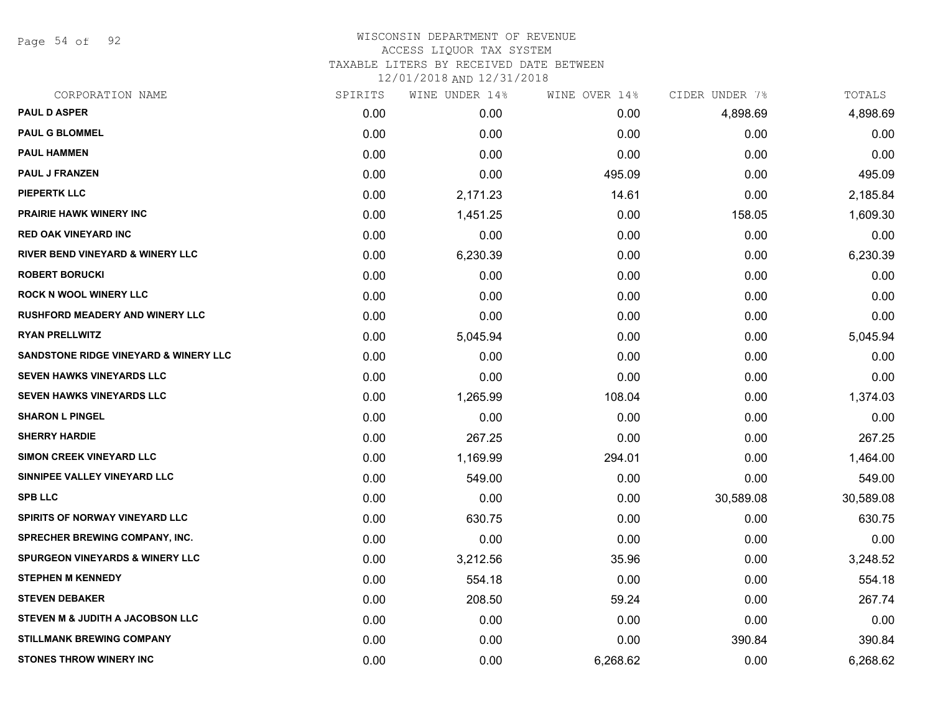Page 54 of 92

# WISCONSIN DEPARTMENT OF REVENUE ACCESS LIQUOR TAX SYSTEM TAXABLE LITERS BY RECEIVED DATE BETWEEN

| CORPORATION NAME                                 | SPIRITS | WINE UNDER 14% | WINE OVER 14% | CIDER UNDER 7% | TOTALS    |
|--------------------------------------------------|---------|----------------|---------------|----------------|-----------|
| <b>PAUL D ASPER</b>                              | 0.00    | 0.00           | 0.00          | 4,898.69       | 4,898.69  |
| <b>PAUL G BLOMMEL</b>                            | 0.00    | 0.00           | 0.00          | 0.00           | 0.00      |
| <b>PAUL HAMMEN</b>                               | 0.00    | 0.00           | 0.00          | 0.00           | 0.00      |
| <b>PAUL J FRANZEN</b>                            | 0.00    | 0.00           | 495.09        | 0.00           | 495.09    |
| <b>PIEPERTK LLC</b>                              | 0.00    | 2,171.23       | 14.61         | 0.00           | 2,185.84  |
| <b>PRAIRIE HAWK WINERY INC</b>                   | 0.00    | 1,451.25       | 0.00          | 158.05         | 1,609.30  |
| <b>RED OAK VINEYARD INC</b>                      | 0.00    | 0.00           | 0.00          | 0.00           | 0.00      |
| <b>RIVER BEND VINEYARD &amp; WINERY LLC</b>      | 0.00    | 6,230.39       | 0.00          | 0.00           | 6,230.39  |
| <b>ROBERT BORUCKI</b>                            | 0.00    | 0.00           | 0.00          | 0.00           | 0.00      |
| <b>ROCK N WOOL WINERY LLC</b>                    | 0.00    | 0.00           | 0.00          | 0.00           | 0.00      |
| <b>RUSHFORD MEADERY AND WINERY LLC</b>           | 0.00    | 0.00           | 0.00          | 0.00           | 0.00      |
| <b>RYAN PRELLWITZ</b>                            | 0.00    | 5,045.94       | 0.00          | 0.00           | 5,045.94  |
| <b>SANDSTONE RIDGE VINEYARD &amp; WINERY LLC</b> | 0.00    | 0.00           | 0.00          | 0.00           | 0.00      |
| <b>SEVEN HAWKS VINEYARDS LLC</b>                 | 0.00    | 0.00           | 0.00          | 0.00           | 0.00      |
| SEVEN HAWKS VINEYARDS LLC                        | 0.00    | 1,265.99       | 108.04        | 0.00           | 1,374.03  |
| <b>SHARON L PINGEL</b>                           | 0.00    | 0.00           | 0.00          | 0.00           | 0.00      |
| <b>SHERRY HARDIE</b>                             | 0.00    | 267.25         | 0.00          | 0.00           | 267.25    |
| SIMON CREEK VINEYARD LLC                         | 0.00    | 1,169.99       | 294.01        | 0.00           | 1,464.00  |
| SINNIPEE VALLEY VINEYARD LLC                     | 0.00    | 549.00         | 0.00          | 0.00           | 549.00    |
| <b>SPB LLC</b>                                   | 0.00    | 0.00           | 0.00          | 30,589.08      | 30,589.08 |
| SPIRITS OF NORWAY VINEYARD LLC                   | 0.00    | 630.75         | 0.00          | 0.00           | 630.75    |
| <b>SPRECHER BREWING COMPANY, INC.</b>            | 0.00    | 0.00           | 0.00          | 0.00           | 0.00      |
| <b>SPURGEON VINEYARDS &amp; WINERY LLC</b>       | 0.00    | 3,212.56       | 35.96         | 0.00           | 3,248.52  |
| <b>STEPHEN M KENNEDY</b>                         | 0.00    | 554.18         | 0.00          | 0.00           | 554.18    |
| <b>STEVEN DEBAKER</b>                            | 0.00    | 208.50         | 59.24         | 0.00           | 267.74    |
| STEVEN M & JUDITH A JACOBSON LLC                 | 0.00    | 0.00           | 0.00          | 0.00           | 0.00      |
| <b>STILLMANK BREWING COMPANY</b>                 | 0.00    | 0.00           | 0.00          | 390.84         | 390.84    |
| <b>STONES THROW WINERY INC</b>                   | 0.00    | 0.00           | 6,268.62      | 0.00           | 6,268.62  |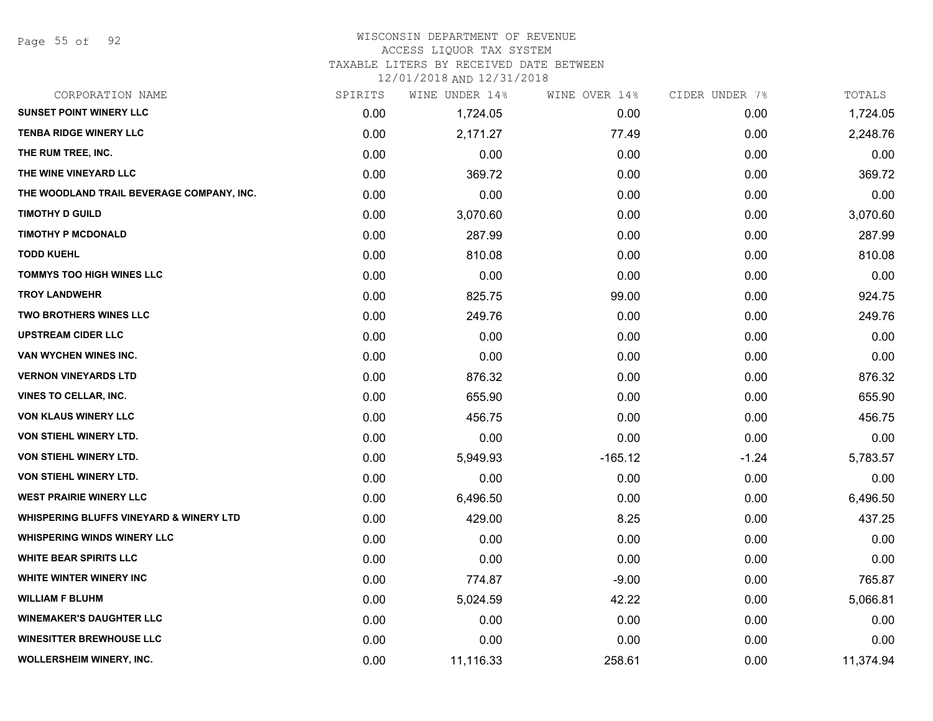#### WISCONSIN DEPARTMENT OF REVENUE

#### ACCESS LIQUOR TAX SYSTEM

TAXABLE LITERS BY RECEIVED DATE BETWEEN

| CORPORATION NAME                                   | SPIRITS | WINE UNDER 14% | WINE OVER 14% | CIDER UNDER 7% | TOTALS    |
|----------------------------------------------------|---------|----------------|---------------|----------------|-----------|
| <b>SUNSET POINT WINERY LLC</b>                     | 0.00    | 1,724.05       | 0.00          | 0.00           | 1,724.05  |
| <b>TENBA RIDGE WINERY LLC</b>                      | 0.00    | 2,171.27       | 77.49         | 0.00           | 2,248.76  |
| THE RUM TREE, INC.                                 | 0.00    | 0.00           | 0.00          | 0.00           | 0.00      |
| THE WINE VINEYARD LLC                              | 0.00    | 369.72         | 0.00          | 0.00           | 369.72    |
| THE WOODLAND TRAIL BEVERAGE COMPANY, INC.          | 0.00    | 0.00           | 0.00          | 0.00           | 0.00      |
| <b>TIMOTHY D GUILD</b>                             | 0.00    | 3,070.60       | 0.00          | 0.00           | 3,070.60  |
| <b>TIMOTHY P MCDONALD</b>                          | 0.00    | 287.99         | 0.00          | 0.00           | 287.99    |
| <b>TODD KUEHL</b>                                  | 0.00    | 810.08         | 0.00          | 0.00           | 810.08    |
| <b>TOMMYS TOO HIGH WINES LLC</b>                   | 0.00    | 0.00           | 0.00          | 0.00           | 0.00      |
| <b>TROY LANDWEHR</b>                               | 0.00    | 825.75         | 99.00         | 0.00           | 924.75    |
| <b>TWO BROTHERS WINES LLC</b>                      | 0.00    | 249.76         | 0.00          | 0.00           | 249.76    |
| <b>UPSTREAM CIDER LLC</b>                          | 0.00    | 0.00           | 0.00          | 0.00           | 0.00      |
| VAN WYCHEN WINES INC.                              | 0.00    | 0.00           | 0.00          | 0.00           | 0.00      |
| <b>VERNON VINEYARDS LTD</b>                        | 0.00    | 876.32         | 0.00          | 0.00           | 876.32    |
| <b>VINES TO CELLAR, INC.</b>                       | 0.00    | 655.90         | 0.00          | 0.00           | 655.90    |
| <b>VON KLAUS WINERY LLC</b>                        | 0.00    | 456.75         | 0.00          | 0.00           | 456.75    |
| VON STIEHL WINERY LTD.                             | 0.00    | 0.00           | 0.00          | 0.00           | 0.00      |
| VON STIEHL WINERY LTD.                             | 0.00    | 5,949.93       | $-165.12$     | $-1.24$        | 5,783.57  |
| VON STIEHL WINERY LTD.                             | 0.00    | 0.00           | 0.00          | 0.00           | 0.00      |
| <b>WEST PRAIRIE WINERY LLC</b>                     | 0.00    | 6,496.50       | 0.00          | 0.00           | 6,496.50  |
| <b>WHISPERING BLUFFS VINEYARD &amp; WINERY LTD</b> | 0.00    | 429.00         | 8.25          | 0.00           | 437.25    |
| <b>WHISPERING WINDS WINERY LLC</b>                 | 0.00    | 0.00           | 0.00          | 0.00           | 0.00      |
| <b>WHITE BEAR SPIRITS LLC</b>                      | 0.00    | 0.00           | 0.00          | 0.00           | 0.00      |
| <b>WHITE WINTER WINERY INC.</b>                    | 0.00    | 774.87         | $-9.00$       | 0.00           | 765.87    |
| <b>WILLIAM F BLUHM</b>                             | 0.00    | 5,024.59       | 42.22         | 0.00           | 5,066.81  |
| <b>WINEMAKER'S DAUGHTER LLC</b>                    | 0.00    | 0.00           | 0.00          | 0.00           | 0.00      |
| <b>WINESITTER BREWHOUSE LLC</b>                    | 0.00    | 0.00           | 0.00          | 0.00           | 0.00      |
| WOLLERSHEIM WINERY, INC.                           | 0.00    | 11,116.33      | 258.61        | 0.00           | 11,374.94 |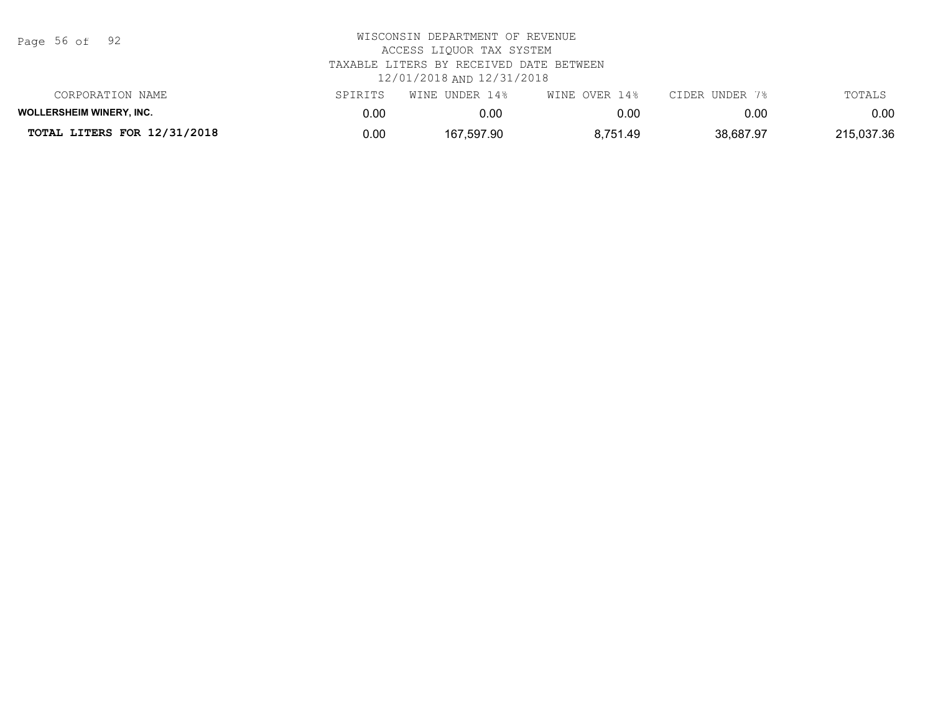Page 56 of 92

| TOTAL LITERS FOR 12/31/2018     | 0.00     | 167,597.90     | 8.751.49      | 38,687.97      | 215,037.36 |
|---------------------------------|----------|----------------|---------------|----------------|------------|
| <b>WOLLERSHEIM WINERY, INC.</b> | $0.00\,$ | 0.00           | 0.00          | 0.00           | 0.00       |
| CORPORATION NAME                | SPIRITS  | WINE UNDER 14% | WINE OVER 14% | CIDER UNDER 7% | TOTALS     |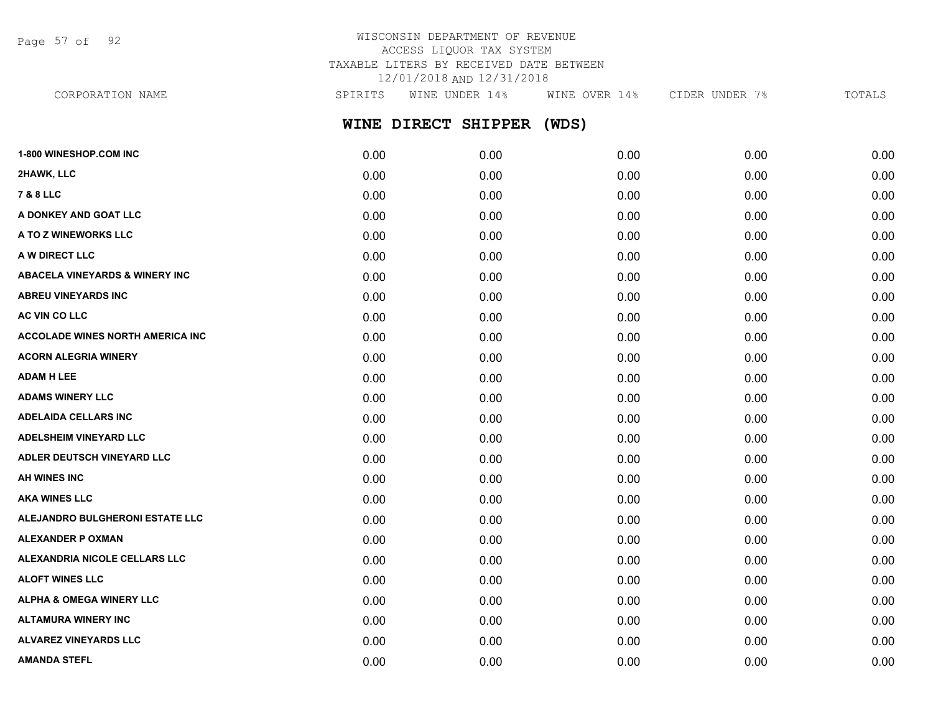Page 57 of 92

## WISCONSIN DEPARTMENT OF REVENUE ACCESS LIQUOR TAX SYSTEM TAXABLE LITERS BY RECEIVED DATE BETWEEN 12/01/2018 AND 12/31/2018

**WINE DIRECT SHIPPER (WDS) 1-800 WINESHOP.COM INC** 0.00 0.00 0.00 0.00 0.00 **2HAWK, LLC** 0.00 0.00 0.00 0.00 0.00 CORPORATION NAME SPIRITS WINE UNDER 14% WINE OVER 14% CIDER UNDER 7% TOTALS

**7 & 8 LLC** 0.00 0.00 0.00 0.00 0.00 **A DONKEY AND GOAT LLC** 0.00 0.00 0.00 0.00 0.00 **A TO Z WINEWORKS LLC** 0.00 0.00 0.00 0.00 0.00 **A W DIRECT LLC** 0.00 0.00 0.00 0.00 0.00 **ABACELA VINEYARDS & WINERY INC** 0.00 0.00 0.00 0.00 0.00 **ABREU VINEYARDS INC** 0.00 0.00 0.00 0.00 0.00 **AC VIN CO LLC** 0.00 0.00 0.00 0.00 0.00 **ACCOLADE WINES NORTH AMERICA INC** 0.00 0.00 0.00 0.00 0.00 **ACORN ALEGRIA WINERY** 0.00 0.00 0.00 0.00 0.00 **ADAM H LEE** 0.00 0.00 0.00 0.00 0.00 **ADAMS WINERY LLC** 0.00 0.00 0.00 0.00 0.00 **ADELAIDA CELLARS INC** 0.00 0.00 0.00 0.00 0.00 **ADELSHEIM VINEYARD LLC** 0.00 0.00 0.00 0.00 0.00 **ADLER DEUTSCH VINEYARD LLC** 0.00 0.00 0.00 0.00 0.00 **AH WINES INC** 0.00 0.00 0.00 0.00 0.00 **AKA WINES LLC** 0.00 0.00 0.00 0.00 0.00 **ALEJANDRO BULGHERONI ESTATE LLC** 0.00 0.00 0.00 0.00 0.00 **ALEXANDER P OXMAN** 0.00 0.00 0.00 0.00 0.00 **ALEXANDRIA NICOLE CELLARS LLC** 0.00 0.00 0.00 0.00 0.00 **ALOFT WINES LLC** 0.00 0.00 0.00 0.00 0.00 **ALPHA & OMEGA WINERY LLC** 0.00 0.00 0.00 0.00 0.00 **ALTAMURA WINERY INC** 0.00 0.00 0.00 0.00 0.00

**ALVAREZ VINEYARDS LLC** 0.00 0.00 0.00 0.00 0.00 **AMANDA STEFL** 0.00 0.00 0.00 0.00 0.00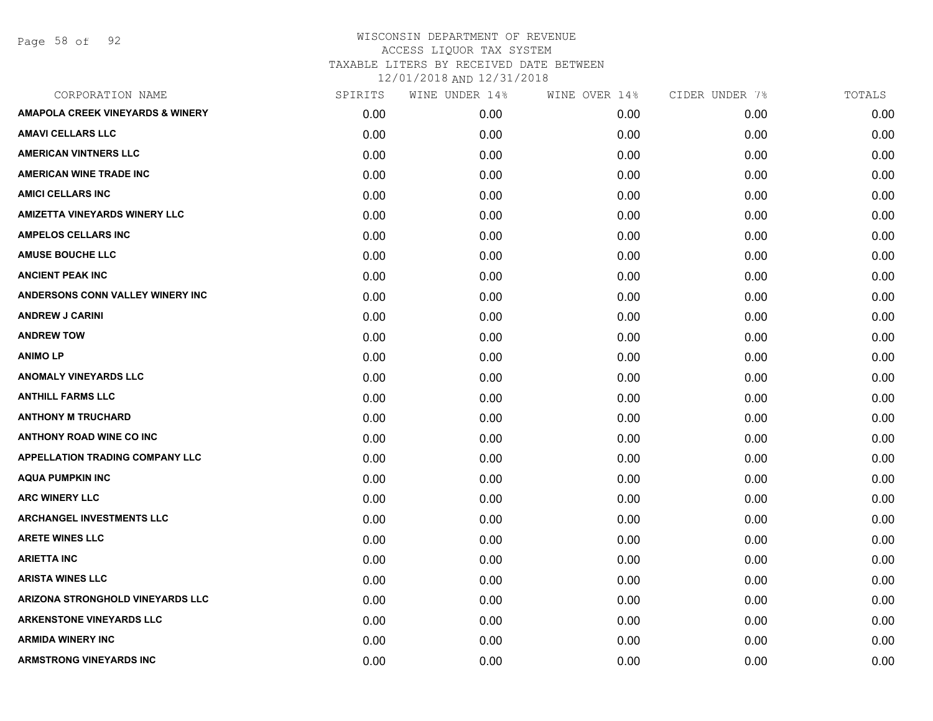Page 58 of 92

| CORPORATION NAME                            | SPIRITS | WINE UNDER 14% | WINE OVER 14% | CIDER UNDER 7% | TOTALS |
|---------------------------------------------|---------|----------------|---------------|----------------|--------|
| <b>AMAPOLA CREEK VINEYARDS &amp; WINERY</b> | 0.00    | 0.00           | 0.00          | 0.00           | 0.00   |
| <b>AMAVI CELLARS LLC</b>                    | 0.00    | 0.00           | 0.00          | 0.00           | 0.00   |
| <b>AMERICAN VINTNERS LLC</b>                | 0.00    | 0.00           | 0.00          | 0.00           | 0.00   |
| <b>AMERICAN WINE TRADE INC</b>              | 0.00    | 0.00           | 0.00          | 0.00           | 0.00   |
| <b>AMICI CELLARS INC</b>                    | 0.00    | 0.00           | 0.00          | 0.00           | 0.00   |
| <b>AMIZETTA VINEYARDS WINERY LLC</b>        | 0.00    | 0.00           | 0.00          | 0.00           | 0.00   |
| <b>AMPELOS CELLARS INC</b>                  | 0.00    | 0.00           | 0.00          | 0.00           | 0.00   |
| <b>AMUSE BOUCHE LLC</b>                     | 0.00    | 0.00           | 0.00          | 0.00           | 0.00   |
| <b>ANCIENT PEAK INC</b>                     | 0.00    | 0.00           | 0.00          | 0.00           | 0.00   |
| ANDERSONS CONN VALLEY WINERY INC            | 0.00    | 0.00           | 0.00          | 0.00           | 0.00   |
| <b>ANDREW J CARINI</b>                      | 0.00    | 0.00           | 0.00          | 0.00           | 0.00   |
| <b>ANDREW TOW</b>                           | 0.00    | 0.00           | 0.00          | 0.00           | 0.00   |
| <b>ANIMOLP</b>                              | 0.00    | 0.00           | 0.00          | 0.00           | 0.00   |
| <b>ANOMALY VINEYARDS LLC</b>                | 0.00    | 0.00           | 0.00          | 0.00           | 0.00   |
| <b>ANTHILL FARMS LLC</b>                    | 0.00    | 0.00           | 0.00          | 0.00           | 0.00   |
| <b>ANTHONY M TRUCHARD</b>                   | 0.00    | 0.00           | 0.00          | 0.00           | 0.00   |
| <b>ANTHONY ROAD WINE CO INC</b>             | 0.00    | 0.00           | 0.00          | 0.00           | 0.00   |
| <b>APPELLATION TRADING COMPANY LLC</b>      | 0.00    | 0.00           | 0.00          | 0.00           | 0.00   |
| <b>AQUA PUMPKIN INC</b>                     | 0.00    | 0.00           | 0.00          | 0.00           | 0.00   |
| <b>ARC WINERY LLC</b>                       | 0.00    | 0.00           | 0.00          | 0.00           | 0.00   |
| <b>ARCHANGEL INVESTMENTS LLC</b>            | 0.00    | 0.00           | 0.00          | 0.00           | 0.00   |
| <b>ARETE WINES LLC</b>                      | 0.00    | 0.00           | 0.00          | 0.00           | 0.00   |
| <b>ARIETTA INC</b>                          | 0.00    | 0.00           | 0.00          | 0.00           | 0.00   |
| <b>ARISTA WINES LLC</b>                     | 0.00    | 0.00           | 0.00          | 0.00           | 0.00   |
| ARIZONA STRONGHOLD VINEYARDS LLC            | 0.00    | 0.00           | 0.00          | 0.00           | 0.00   |
| <b>ARKENSTONE VINEYARDS LLC</b>             | 0.00    | 0.00           | 0.00          | 0.00           | 0.00   |
| <b>ARMIDA WINERY INC</b>                    | 0.00    | 0.00           | 0.00          | 0.00           | 0.00   |
| ARMSTRONG VINEYARDS INC                     | 0.00    | 0.00           | 0.00          | 0.00           | 0.00   |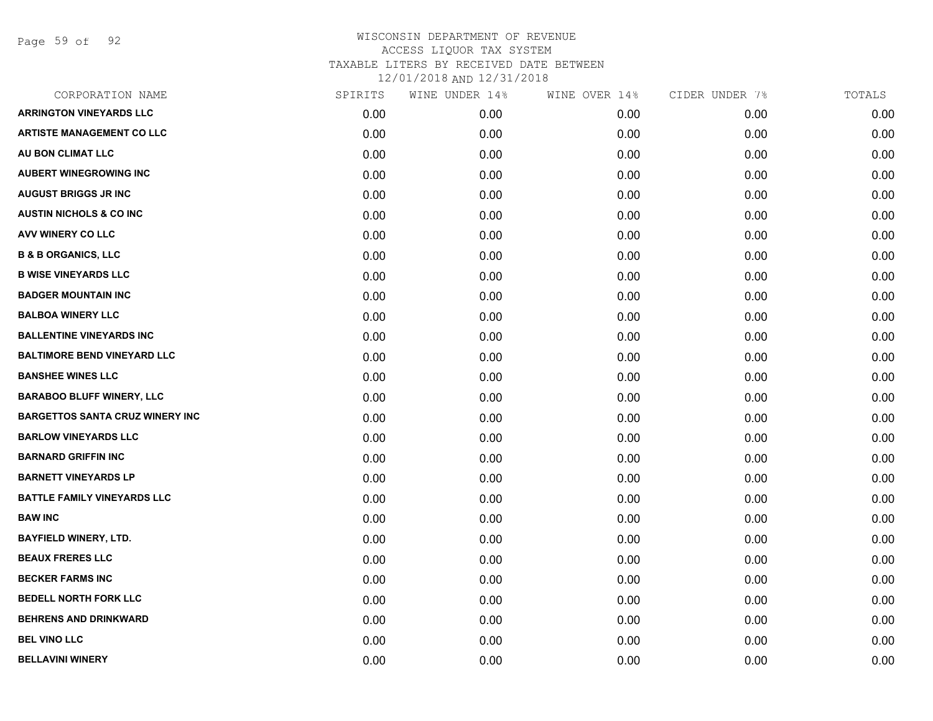Page 59 of 92

| CORPORATION NAME                       | SPIRITS | WINE UNDER 14% | WINE OVER 14% | CIDER UNDER 7% | TOTALS |
|----------------------------------------|---------|----------------|---------------|----------------|--------|
| <b>ARRINGTON VINEYARDS LLC</b>         | 0.00    | 0.00           | 0.00          | 0.00           | 0.00   |
| <b>ARTISTE MANAGEMENT CO LLC</b>       | 0.00    | 0.00           | 0.00          | 0.00           | 0.00   |
| AU BON CLIMAT LLC                      | 0.00    | 0.00           | 0.00          | 0.00           | 0.00   |
| <b>AUBERT WINEGROWING INC</b>          | 0.00    | 0.00           | 0.00          | 0.00           | 0.00   |
| <b>AUGUST BRIGGS JR INC</b>            | 0.00    | 0.00           | 0.00          | 0.00           | 0.00   |
| <b>AUSTIN NICHOLS &amp; CO INC</b>     | 0.00    | 0.00           | 0.00          | 0.00           | 0.00   |
| AVV WINERY CO LLC                      | 0.00    | 0.00           | 0.00          | 0.00           | 0.00   |
| <b>B &amp; B ORGANICS, LLC</b>         | 0.00    | 0.00           | 0.00          | 0.00           | 0.00   |
| <b>B WISE VINEYARDS LLC</b>            | 0.00    | 0.00           | 0.00          | 0.00           | 0.00   |
| <b>BADGER MOUNTAIN INC</b>             | 0.00    | 0.00           | 0.00          | 0.00           | 0.00   |
| <b>BALBOA WINERY LLC</b>               | 0.00    | 0.00           | 0.00          | 0.00           | 0.00   |
| <b>BALLENTINE VINEYARDS INC</b>        | 0.00    | 0.00           | 0.00          | 0.00           | 0.00   |
| <b>BALTIMORE BEND VINEYARD LLC</b>     | 0.00    | 0.00           | 0.00          | 0.00           | 0.00   |
| <b>BANSHEE WINES LLC</b>               | 0.00    | 0.00           | 0.00          | 0.00           | 0.00   |
| <b>BARABOO BLUFF WINERY, LLC</b>       | 0.00    | 0.00           | 0.00          | 0.00           | 0.00   |
| <b>BARGETTOS SANTA CRUZ WINERY INC</b> | 0.00    | 0.00           | 0.00          | 0.00           | 0.00   |
| <b>BARLOW VINEYARDS LLC</b>            | 0.00    | 0.00           | 0.00          | 0.00           | 0.00   |
| <b>BARNARD GRIFFIN INC</b>             | 0.00    | 0.00           | 0.00          | 0.00           | 0.00   |
| <b>BARNETT VINEYARDS LP</b>            | 0.00    | 0.00           | 0.00          | 0.00           | 0.00   |
| <b>BATTLE FAMILY VINEYARDS LLC</b>     | 0.00    | 0.00           | 0.00          | 0.00           | 0.00   |
| <b>BAW INC</b>                         | 0.00    | 0.00           | 0.00          | 0.00           | 0.00   |
| <b>BAYFIELD WINERY, LTD.</b>           | 0.00    | 0.00           | 0.00          | 0.00           | 0.00   |
| <b>BEAUX FRERES LLC</b>                | 0.00    | 0.00           | 0.00          | 0.00           | 0.00   |
| <b>BECKER FARMS INC</b>                | 0.00    | 0.00           | 0.00          | 0.00           | 0.00   |
| <b>BEDELL NORTH FORK LLC</b>           | 0.00    | 0.00           | 0.00          | 0.00           | 0.00   |
| <b>BEHRENS AND DRINKWARD</b>           | 0.00    | 0.00           | 0.00          | 0.00           | 0.00   |
| <b>BEL VINO LLC</b>                    | 0.00    | 0.00           | 0.00          | 0.00           | 0.00   |
| <b>BELLAVINI WINERY</b>                | 0.00    | 0.00           | 0.00          | 0.00           | 0.00   |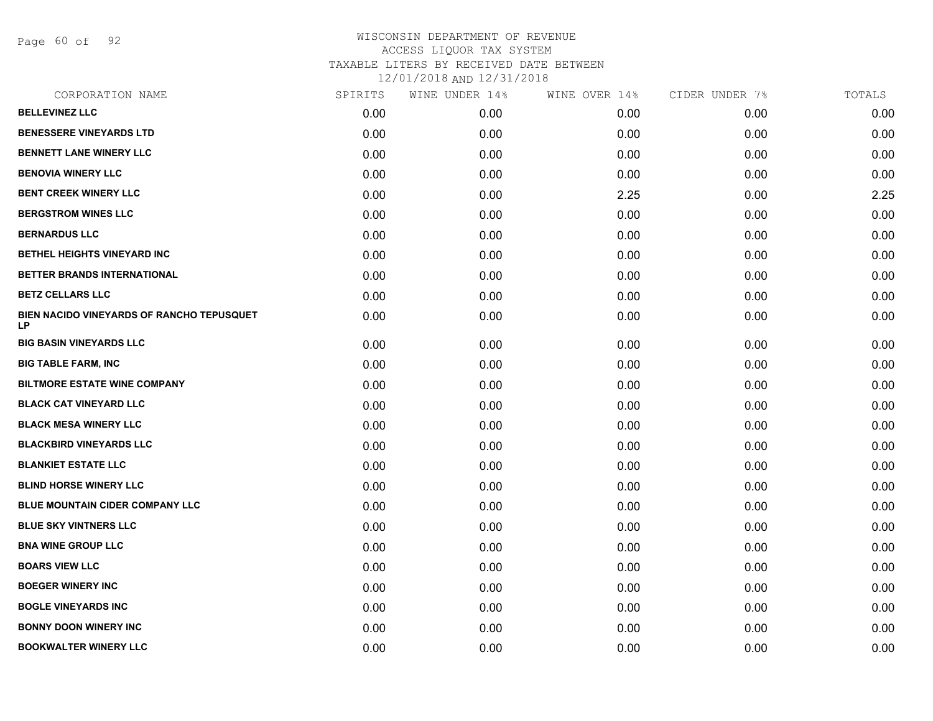Page 60 of 92

| <b>BELLEVINEZ LLC</b><br>0.00<br>0.00<br>0.00<br><b>BENESSERE VINEYARDS LTD</b><br>0.00<br>0.00<br>0.00<br><b>BENNETT LANE WINERY LLC</b><br>0.00<br>0.00<br>0.00<br><b>BENOVIA WINERY LLC</b><br>0.00<br>0.00<br>0.00<br><b>BENT CREEK WINERY LLC</b><br>0.00<br>0.00<br>2.25<br><b>BERGSTROM WINES LLC</b><br>0.00<br>0.00<br>0.00<br><b>BERNARDUS LLC</b><br>0.00<br>0.00<br>0.00<br>BETHEL HEIGHTS VINEYARD INC<br>0.00<br>0.00<br>0.00<br>BETTER BRANDS INTERNATIONAL<br>0.00<br>0.00<br>0.00<br><b>BETZ CELLARS LLC</b><br>0.00<br>0.00<br>0.00<br>BIEN NACIDO VINEYARDS OF RANCHO TEPUSQUET<br>0.00<br>0.00<br>0.00<br><b>LP</b><br><b>BIG BASIN VINEYARDS LLC</b><br>0.00<br>0.00<br>0.00<br><b>BIG TABLE FARM, INC</b><br>0.00<br>0.00<br>0.00<br><b>BILTMORE ESTATE WINE COMPANY</b><br>0.00<br>0.00<br>0.00<br><b>BLACK CAT VINEYARD LLC</b><br>0.00<br>0.00<br>0.00<br><b>BLACK MESA WINERY LLC</b><br>0.00<br>0.00<br>0.00<br><b>BLACKBIRD VINEYARDS LLC</b><br>0.00<br>0.00<br>0.00<br><b>BLANKIET ESTATE LLC</b><br>0.00<br>0.00<br>0.00<br><b>BLIND HORSE WINERY LLC</b><br>0.00<br>0.00<br>0.00<br><b>BLUE MOUNTAIN CIDER COMPANY LLC</b><br>0.00<br>0.00<br>0.00<br><b>BLUE SKY VINTNERS LLC</b><br>0.00<br>0.00<br>0.00<br><b>BNA WINE GROUP LLC</b><br>0.00<br>0.00<br>0.00<br><b>BOARS VIEW LLC</b><br>0.00<br>0.00<br>0.00<br><b>BOEGER WINERY INC</b><br>0.00<br>0.00<br>0.00<br><b>BOGLE VINEYARDS INC</b><br>0.00<br>0.00<br>0.00<br><b>BONNY DOON WINERY INC</b><br>0.00<br>0.00<br>0.00<br><b>BOOKWALTER WINERY LLC</b> | CORPORATION NAME | SPIRITS | WINE UNDER 14% | WINE OVER 14% | CIDER UNDER 7% | TOTALS |
|----------------------------------------------------------------------------------------------------------------------------------------------------------------------------------------------------------------------------------------------------------------------------------------------------------------------------------------------------------------------------------------------------------------------------------------------------------------------------------------------------------------------------------------------------------------------------------------------------------------------------------------------------------------------------------------------------------------------------------------------------------------------------------------------------------------------------------------------------------------------------------------------------------------------------------------------------------------------------------------------------------------------------------------------------------------------------------------------------------------------------------------------------------------------------------------------------------------------------------------------------------------------------------------------------------------------------------------------------------------------------------------------------------------------------------------------------------------------------------------------------------------------------------------------------|------------------|---------|----------------|---------------|----------------|--------|
|                                                                                                                                                                                                                                                                                                                                                                                                                                                                                                                                                                                                                                                                                                                                                                                                                                                                                                                                                                                                                                                                                                                                                                                                                                                                                                                                                                                                                                                                                                                                                    |                  |         |                |               | 0.00           | 0.00   |
|                                                                                                                                                                                                                                                                                                                                                                                                                                                                                                                                                                                                                                                                                                                                                                                                                                                                                                                                                                                                                                                                                                                                                                                                                                                                                                                                                                                                                                                                                                                                                    |                  |         |                |               | 0.00           | 0.00   |
|                                                                                                                                                                                                                                                                                                                                                                                                                                                                                                                                                                                                                                                                                                                                                                                                                                                                                                                                                                                                                                                                                                                                                                                                                                                                                                                                                                                                                                                                                                                                                    |                  |         |                |               | 0.00           | 0.00   |
|                                                                                                                                                                                                                                                                                                                                                                                                                                                                                                                                                                                                                                                                                                                                                                                                                                                                                                                                                                                                                                                                                                                                                                                                                                                                                                                                                                                                                                                                                                                                                    |                  |         |                |               | 0.00           | 0.00   |
|                                                                                                                                                                                                                                                                                                                                                                                                                                                                                                                                                                                                                                                                                                                                                                                                                                                                                                                                                                                                                                                                                                                                                                                                                                                                                                                                                                                                                                                                                                                                                    |                  |         |                |               | 0.00           | 2.25   |
|                                                                                                                                                                                                                                                                                                                                                                                                                                                                                                                                                                                                                                                                                                                                                                                                                                                                                                                                                                                                                                                                                                                                                                                                                                                                                                                                                                                                                                                                                                                                                    |                  |         |                |               | 0.00           | 0.00   |
|                                                                                                                                                                                                                                                                                                                                                                                                                                                                                                                                                                                                                                                                                                                                                                                                                                                                                                                                                                                                                                                                                                                                                                                                                                                                                                                                                                                                                                                                                                                                                    |                  |         |                |               | 0.00           | 0.00   |
|                                                                                                                                                                                                                                                                                                                                                                                                                                                                                                                                                                                                                                                                                                                                                                                                                                                                                                                                                                                                                                                                                                                                                                                                                                                                                                                                                                                                                                                                                                                                                    |                  |         |                |               | 0.00           | 0.00   |
|                                                                                                                                                                                                                                                                                                                                                                                                                                                                                                                                                                                                                                                                                                                                                                                                                                                                                                                                                                                                                                                                                                                                                                                                                                                                                                                                                                                                                                                                                                                                                    |                  |         |                |               | 0.00           | 0.00   |
|                                                                                                                                                                                                                                                                                                                                                                                                                                                                                                                                                                                                                                                                                                                                                                                                                                                                                                                                                                                                                                                                                                                                                                                                                                                                                                                                                                                                                                                                                                                                                    |                  |         |                |               | 0.00           | 0.00   |
|                                                                                                                                                                                                                                                                                                                                                                                                                                                                                                                                                                                                                                                                                                                                                                                                                                                                                                                                                                                                                                                                                                                                                                                                                                                                                                                                                                                                                                                                                                                                                    |                  |         |                |               | 0.00           | 0.00   |
|                                                                                                                                                                                                                                                                                                                                                                                                                                                                                                                                                                                                                                                                                                                                                                                                                                                                                                                                                                                                                                                                                                                                                                                                                                                                                                                                                                                                                                                                                                                                                    |                  |         |                |               | 0.00           | 0.00   |
|                                                                                                                                                                                                                                                                                                                                                                                                                                                                                                                                                                                                                                                                                                                                                                                                                                                                                                                                                                                                                                                                                                                                                                                                                                                                                                                                                                                                                                                                                                                                                    |                  |         |                |               | 0.00           | 0.00   |
|                                                                                                                                                                                                                                                                                                                                                                                                                                                                                                                                                                                                                                                                                                                                                                                                                                                                                                                                                                                                                                                                                                                                                                                                                                                                                                                                                                                                                                                                                                                                                    |                  |         |                |               | 0.00           | 0.00   |
|                                                                                                                                                                                                                                                                                                                                                                                                                                                                                                                                                                                                                                                                                                                                                                                                                                                                                                                                                                                                                                                                                                                                                                                                                                                                                                                                                                                                                                                                                                                                                    |                  |         |                |               | 0.00           | 0.00   |
|                                                                                                                                                                                                                                                                                                                                                                                                                                                                                                                                                                                                                                                                                                                                                                                                                                                                                                                                                                                                                                                                                                                                                                                                                                                                                                                                                                                                                                                                                                                                                    |                  |         |                |               | 0.00           | 0.00   |
|                                                                                                                                                                                                                                                                                                                                                                                                                                                                                                                                                                                                                                                                                                                                                                                                                                                                                                                                                                                                                                                                                                                                                                                                                                                                                                                                                                                                                                                                                                                                                    |                  |         |                |               | 0.00           | 0.00   |
|                                                                                                                                                                                                                                                                                                                                                                                                                                                                                                                                                                                                                                                                                                                                                                                                                                                                                                                                                                                                                                                                                                                                                                                                                                                                                                                                                                                                                                                                                                                                                    |                  |         |                |               | 0.00           | 0.00   |
|                                                                                                                                                                                                                                                                                                                                                                                                                                                                                                                                                                                                                                                                                                                                                                                                                                                                                                                                                                                                                                                                                                                                                                                                                                                                                                                                                                                                                                                                                                                                                    |                  |         |                |               | 0.00           | 0.00   |
|                                                                                                                                                                                                                                                                                                                                                                                                                                                                                                                                                                                                                                                                                                                                                                                                                                                                                                                                                                                                                                                                                                                                                                                                                                                                                                                                                                                                                                                                                                                                                    |                  |         |                |               | 0.00           | 0.00   |
|                                                                                                                                                                                                                                                                                                                                                                                                                                                                                                                                                                                                                                                                                                                                                                                                                                                                                                                                                                                                                                                                                                                                                                                                                                                                                                                                                                                                                                                                                                                                                    |                  |         |                |               | 0.00           | 0.00   |
|                                                                                                                                                                                                                                                                                                                                                                                                                                                                                                                                                                                                                                                                                                                                                                                                                                                                                                                                                                                                                                                                                                                                                                                                                                                                                                                                                                                                                                                                                                                                                    |                  |         |                |               | 0.00           | 0.00   |
|                                                                                                                                                                                                                                                                                                                                                                                                                                                                                                                                                                                                                                                                                                                                                                                                                                                                                                                                                                                                                                                                                                                                                                                                                                                                                                                                                                                                                                                                                                                                                    |                  |         |                |               | 0.00           | 0.00   |
|                                                                                                                                                                                                                                                                                                                                                                                                                                                                                                                                                                                                                                                                                                                                                                                                                                                                                                                                                                                                                                                                                                                                                                                                                                                                                                                                                                                                                                                                                                                                                    |                  |         |                |               | 0.00           | 0.00   |
|                                                                                                                                                                                                                                                                                                                                                                                                                                                                                                                                                                                                                                                                                                                                                                                                                                                                                                                                                                                                                                                                                                                                                                                                                                                                                                                                                                                                                                                                                                                                                    |                  |         |                |               | 0.00           | 0.00   |
|                                                                                                                                                                                                                                                                                                                                                                                                                                                                                                                                                                                                                                                                                                                                                                                                                                                                                                                                                                                                                                                                                                                                                                                                                                                                                                                                                                                                                                                                                                                                                    |                  |         |                |               | 0.00           | 0.00   |
|                                                                                                                                                                                                                                                                                                                                                                                                                                                                                                                                                                                                                                                                                                                                                                                                                                                                                                                                                                                                                                                                                                                                                                                                                                                                                                                                                                                                                                                                                                                                                    |                  | 0.00    | 0.00           | 0.00          | 0.00           | 0.00   |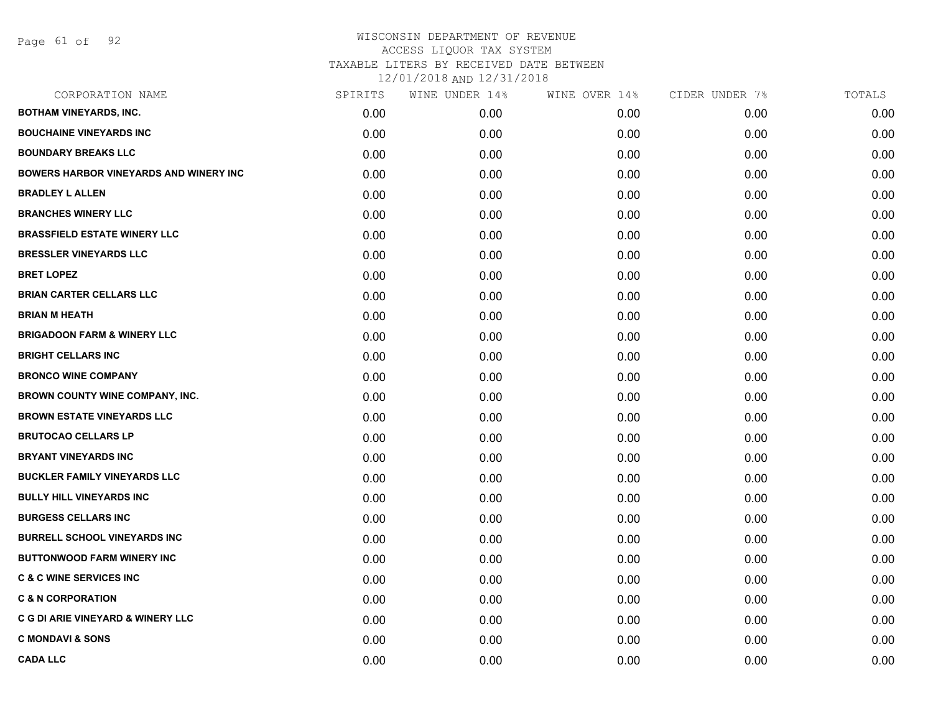| CORPORATION NAME                              | SPIRITS | WINE UNDER 14% | WINE OVER 14% | CIDER UNDER 7% | TOTALS |
|-----------------------------------------------|---------|----------------|---------------|----------------|--------|
| <b>BOTHAM VINEYARDS, INC.</b>                 | 0.00    | 0.00           | 0.00          | 0.00           | 0.00   |
| <b>BOUCHAINE VINEYARDS INC</b>                | 0.00    | 0.00           | 0.00          | 0.00           | 0.00   |
| <b>BOUNDARY BREAKS LLC</b>                    | 0.00    | 0.00           | 0.00          | 0.00           | 0.00   |
| <b>BOWERS HARBOR VINEYARDS AND WINERY INC</b> | 0.00    | 0.00           | 0.00          | 0.00           | 0.00   |
| <b>BRADLEY L ALLEN</b>                        | 0.00    | 0.00           | 0.00          | 0.00           | 0.00   |
| <b>BRANCHES WINERY LLC</b>                    | 0.00    | 0.00           | 0.00          | 0.00           | 0.00   |
| <b>BRASSFIELD ESTATE WINERY LLC</b>           | 0.00    | 0.00           | 0.00          | 0.00           | 0.00   |
| <b>BRESSLER VINEYARDS LLC</b>                 | 0.00    | 0.00           | 0.00          | 0.00           | 0.00   |
| <b>BRET LOPEZ</b>                             | 0.00    | 0.00           | 0.00          | 0.00           | 0.00   |
| <b>BRIAN CARTER CELLARS LLC</b>               | 0.00    | 0.00           | 0.00          | 0.00           | 0.00   |
| <b>BRIAN M HEATH</b>                          | 0.00    | 0.00           | 0.00          | 0.00           | 0.00   |
| <b>BRIGADOON FARM &amp; WINERY LLC</b>        | 0.00    | 0.00           | 0.00          | 0.00           | 0.00   |
| <b>BRIGHT CELLARS INC</b>                     | 0.00    | 0.00           | 0.00          | 0.00           | 0.00   |
| <b>BRONCO WINE COMPANY</b>                    | 0.00    | 0.00           | 0.00          | 0.00           | 0.00   |
| BROWN COUNTY WINE COMPANY, INC.               | 0.00    | 0.00           | 0.00          | 0.00           | 0.00   |
| <b>BROWN ESTATE VINEYARDS LLC</b>             | 0.00    | 0.00           | 0.00          | 0.00           | 0.00   |
| <b>BRUTOCAO CELLARS LP</b>                    | 0.00    | 0.00           | 0.00          | 0.00           | 0.00   |
| <b>BRYANT VINEYARDS INC</b>                   | 0.00    | 0.00           | 0.00          | 0.00           | 0.00   |
| <b>BUCKLER FAMILY VINEYARDS LLC</b>           | 0.00    | 0.00           | 0.00          | 0.00           | 0.00   |
| <b>BULLY HILL VINEYARDS INC</b>               | 0.00    | 0.00           | 0.00          | 0.00           | 0.00   |
| <b>BURGESS CELLARS INC</b>                    | 0.00    | 0.00           | 0.00          | 0.00           | 0.00   |
| <b>BURRELL SCHOOL VINEYARDS INC</b>           | 0.00    | 0.00           | 0.00          | 0.00           | 0.00   |
| <b>BUTTONWOOD FARM WINERY INC</b>             | 0.00    | 0.00           | 0.00          | 0.00           | 0.00   |
| <b>C &amp; C WINE SERVICES INC</b>            | 0.00    | 0.00           | 0.00          | 0.00           | 0.00   |
| <b>C &amp; N CORPORATION</b>                  | 0.00    | 0.00           | 0.00          | 0.00           | 0.00   |
| C G DI ARIE VINEYARD & WINERY LLC             | 0.00    | 0.00           | 0.00          | 0.00           | 0.00   |
| <b>C MONDAVI &amp; SONS</b>                   | 0.00    | 0.00           | 0.00          | 0.00           | 0.00   |
| <b>CADA LLC</b>                               | 0.00    | 0.00           | 0.00          | 0.00           | 0.00   |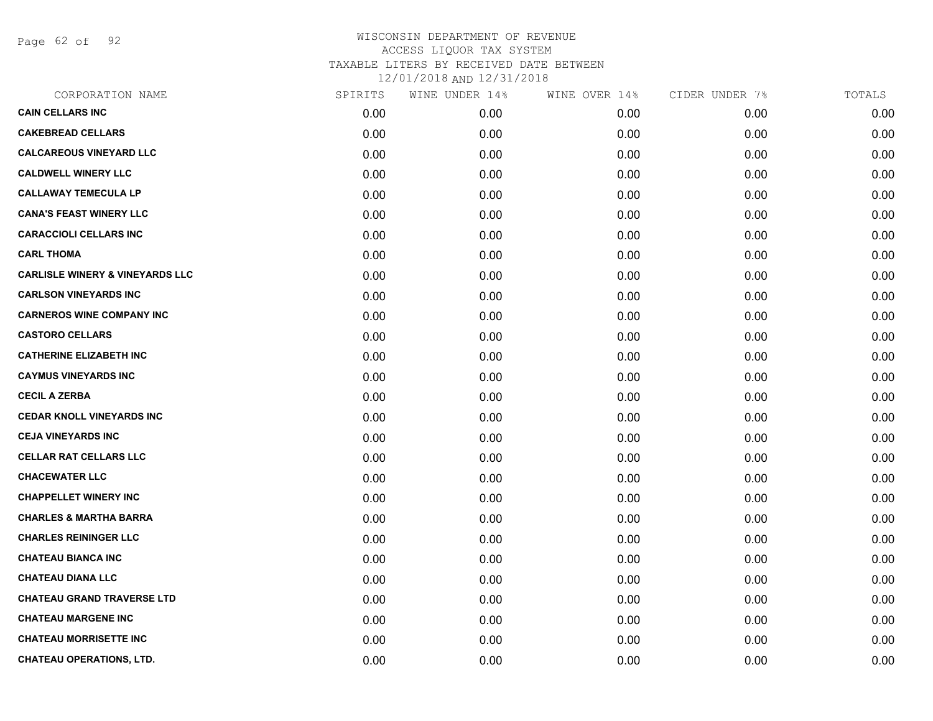Page 62 of 92

| CORPORATION NAME                           | SPIRITS | WINE UNDER 14% | WINE OVER 14% | CIDER UNDER 7% | TOTALS |
|--------------------------------------------|---------|----------------|---------------|----------------|--------|
| <b>CAIN CELLARS INC</b>                    | 0.00    | 0.00           | 0.00          | 0.00           | 0.00   |
| <b>CAKEBREAD CELLARS</b>                   | 0.00    | 0.00           | 0.00          | 0.00           | 0.00   |
| <b>CALCAREOUS VINEYARD LLC</b>             | 0.00    | 0.00           | 0.00          | 0.00           | 0.00   |
| <b>CALDWELL WINERY LLC</b>                 | 0.00    | 0.00           | 0.00          | 0.00           | 0.00   |
| <b>CALLAWAY TEMECULA LP</b>                | 0.00    | 0.00           | 0.00          | 0.00           | 0.00   |
| <b>CANA'S FEAST WINERY LLC</b>             | 0.00    | 0.00           | 0.00          | 0.00           | 0.00   |
| <b>CARACCIOLI CELLARS INC</b>              | 0.00    | 0.00           | 0.00          | 0.00           | 0.00   |
| <b>CARL THOMA</b>                          | 0.00    | 0.00           | 0.00          | 0.00           | 0.00   |
| <b>CARLISLE WINERY &amp; VINEYARDS LLC</b> | 0.00    | 0.00           | 0.00          | 0.00           | 0.00   |
| <b>CARLSON VINEYARDS INC</b>               | 0.00    | 0.00           | 0.00          | 0.00           | 0.00   |
| <b>CARNEROS WINE COMPANY INC</b>           | 0.00    | 0.00           | 0.00          | 0.00           | 0.00   |
| <b>CASTORO CELLARS</b>                     | 0.00    | 0.00           | 0.00          | 0.00           | 0.00   |
| <b>CATHERINE ELIZABETH INC</b>             | 0.00    | 0.00           | 0.00          | 0.00           | 0.00   |
| <b>CAYMUS VINEYARDS INC</b>                | 0.00    | 0.00           | 0.00          | 0.00           | 0.00   |
| <b>CECIL A ZERBA</b>                       | 0.00    | 0.00           | 0.00          | 0.00           | 0.00   |
| <b>CEDAR KNOLL VINEYARDS INC</b>           | 0.00    | 0.00           | 0.00          | 0.00           | 0.00   |
| <b>CEJA VINEYARDS INC</b>                  | 0.00    | 0.00           | 0.00          | 0.00           | 0.00   |
| <b>CELLAR RAT CELLARS LLC</b>              | 0.00    | 0.00           | 0.00          | 0.00           | 0.00   |
| <b>CHACEWATER LLC</b>                      | 0.00    | 0.00           | 0.00          | 0.00           | 0.00   |
| <b>CHAPPELLET WINERY INC</b>               | 0.00    | 0.00           | 0.00          | 0.00           | 0.00   |
| <b>CHARLES &amp; MARTHA BARRA</b>          | 0.00    | 0.00           | 0.00          | 0.00           | 0.00   |
| <b>CHARLES REININGER LLC</b>               | 0.00    | 0.00           | 0.00          | 0.00           | 0.00   |
| <b>CHATEAU BIANCA INC</b>                  | 0.00    | 0.00           | 0.00          | 0.00           | 0.00   |
| <b>CHATEAU DIANA LLC</b>                   | 0.00    | 0.00           | 0.00          | 0.00           | 0.00   |
| <b>CHATEAU GRAND TRAVERSE LTD</b>          | 0.00    | 0.00           | 0.00          | 0.00           | 0.00   |
| <b>CHATEAU MARGENE INC</b>                 | 0.00    | 0.00           | 0.00          | 0.00           | 0.00   |
| <b>CHATEAU MORRISETTE INC</b>              | 0.00    | 0.00           | 0.00          | 0.00           | 0.00   |
| <b>CHATEAU OPERATIONS, LTD.</b>            | 0.00    | 0.00           | 0.00          | 0.00           | 0.00   |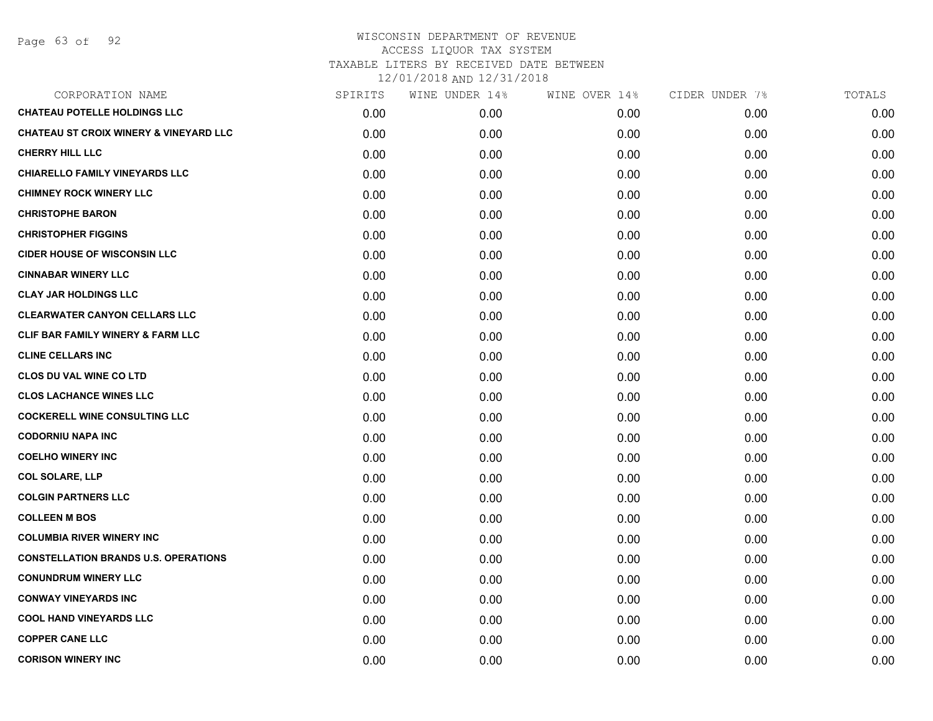| CORPORATION NAME                                  | SPIRITS | WINE UNDER 14% | WINE OVER 14% | CIDER UNDER 7% | TOTALS |
|---------------------------------------------------|---------|----------------|---------------|----------------|--------|
| <b>CHATEAU POTELLE HOLDINGS LLC</b>               | 0.00    | 0.00           | 0.00          | 0.00           | 0.00   |
| <b>CHATEAU ST CROIX WINERY &amp; VINEYARD LLC</b> | 0.00    | 0.00           | 0.00          | 0.00           | 0.00   |
| <b>CHERRY HILL LLC</b>                            | 0.00    | 0.00           | 0.00          | 0.00           | 0.00   |
| <b>CHIARELLO FAMILY VINEYARDS LLC</b>             | 0.00    | 0.00           | 0.00          | 0.00           | 0.00   |
| <b>CHIMNEY ROCK WINERY LLC</b>                    | 0.00    | 0.00           | 0.00          | 0.00           | 0.00   |
| <b>CHRISTOPHE BARON</b>                           | 0.00    | 0.00           | 0.00          | 0.00           | 0.00   |
| <b>CHRISTOPHER FIGGINS</b>                        | 0.00    | 0.00           | 0.00          | 0.00           | 0.00   |
| <b>CIDER HOUSE OF WISCONSIN LLC</b>               | 0.00    | 0.00           | 0.00          | 0.00           | 0.00   |
| <b>CINNABAR WINERY LLC</b>                        | 0.00    | 0.00           | 0.00          | 0.00           | 0.00   |
| <b>CLAY JAR HOLDINGS LLC</b>                      | 0.00    | 0.00           | 0.00          | 0.00           | 0.00   |
| <b>CLEARWATER CANYON CELLARS LLC</b>              | 0.00    | 0.00           | 0.00          | 0.00           | 0.00   |
| CLIF BAR FAMILY WINERY & FARM LLC                 | 0.00    | 0.00           | 0.00          | 0.00           | 0.00   |
| <b>CLINE CELLARS INC</b>                          | 0.00    | 0.00           | 0.00          | 0.00           | 0.00   |
| <b>CLOS DU VAL WINE CO LTD</b>                    | 0.00    | 0.00           | 0.00          | 0.00           | 0.00   |
| <b>CLOS LACHANCE WINES LLC</b>                    | 0.00    | 0.00           | 0.00          | 0.00           | 0.00   |
| <b>COCKERELL WINE CONSULTING LLC</b>              | 0.00    | 0.00           | 0.00          | 0.00           | 0.00   |
| <b>CODORNIU NAPA INC</b>                          | 0.00    | 0.00           | 0.00          | 0.00           | 0.00   |
| <b>COELHO WINERY INC</b>                          | 0.00    | 0.00           | 0.00          | 0.00           | 0.00   |
| <b>COL SOLARE, LLP</b>                            | 0.00    | 0.00           | 0.00          | 0.00           | 0.00   |
| <b>COLGIN PARTNERS LLC</b>                        | 0.00    | 0.00           | 0.00          | 0.00           | 0.00   |
| <b>COLLEEN M BOS</b>                              | 0.00    | 0.00           | 0.00          | 0.00           | 0.00   |
| <b>COLUMBIA RIVER WINERY INC</b>                  | 0.00    | 0.00           | 0.00          | 0.00           | 0.00   |
| <b>CONSTELLATION BRANDS U.S. OPERATIONS</b>       | 0.00    | 0.00           | 0.00          | 0.00           | 0.00   |
| <b>CONUNDRUM WINERY LLC</b>                       | 0.00    | 0.00           | 0.00          | 0.00           | 0.00   |
| <b>CONWAY VINEYARDS INC</b>                       | 0.00    | 0.00           | 0.00          | 0.00           | 0.00   |
| <b>COOL HAND VINEYARDS LLC</b>                    | 0.00    | 0.00           | 0.00          | 0.00           | 0.00   |
| <b>COPPER CANE LLC</b>                            | 0.00    | 0.00           | 0.00          | 0.00           | 0.00   |
| <b>CORISON WINERY INC</b>                         | 0.00    | 0.00           | 0.00          | 0.00           | 0.00   |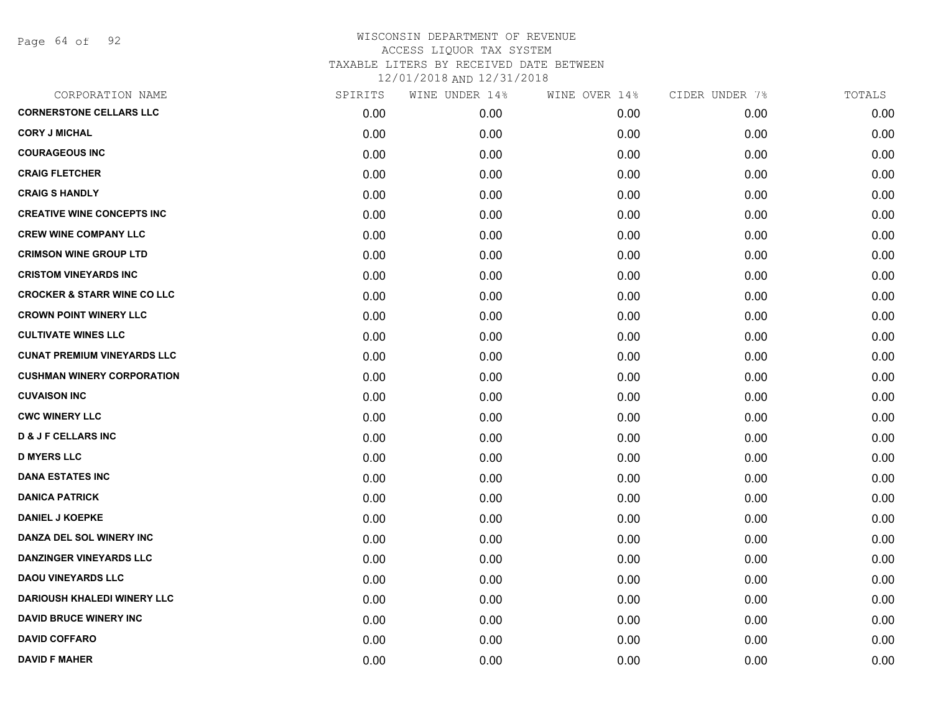Page 64 of 92

| CORPORATION NAME                       | SPIRITS | WINE UNDER 14% | WINE OVER 14% | CIDER UNDER 7% | TOTALS |
|----------------------------------------|---------|----------------|---------------|----------------|--------|
| <b>CORNERSTONE CELLARS LLC</b>         | 0.00    | 0.00           | 0.00          | 0.00           | 0.00   |
| <b>CORY J MICHAL</b>                   | 0.00    | 0.00           | 0.00          | 0.00           | 0.00   |
| <b>COURAGEOUS INC</b>                  | 0.00    | 0.00           | 0.00          | 0.00           | 0.00   |
| <b>CRAIG FLETCHER</b>                  | 0.00    | 0.00           | 0.00          | 0.00           | 0.00   |
| <b>CRAIG S HANDLY</b>                  | 0.00    | 0.00           | 0.00          | 0.00           | 0.00   |
| <b>CREATIVE WINE CONCEPTS INC</b>      | 0.00    | 0.00           | 0.00          | 0.00           | 0.00   |
| <b>CREW WINE COMPANY LLC</b>           | 0.00    | 0.00           | 0.00          | 0.00           | 0.00   |
| <b>CRIMSON WINE GROUP LTD</b>          | 0.00    | 0.00           | 0.00          | 0.00           | 0.00   |
| <b>CRISTOM VINEYARDS INC</b>           | 0.00    | 0.00           | 0.00          | 0.00           | 0.00   |
| <b>CROCKER &amp; STARR WINE CO LLC</b> | 0.00    | 0.00           | 0.00          | 0.00           | 0.00   |
| <b>CROWN POINT WINERY LLC</b>          | 0.00    | 0.00           | 0.00          | 0.00           | 0.00   |
| <b>CULTIVATE WINES LLC</b>             | 0.00    | 0.00           | 0.00          | 0.00           | 0.00   |
| <b>CUNAT PREMIUM VINEYARDS LLC</b>     | 0.00    | 0.00           | 0.00          | 0.00           | 0.00   |
| <b>CUSHMAN WINERY CORPORATION</b>      | 0.00    | 0.00           | 0.00          | 0.00           | 0.00   |
| <b>CUVAISON INC</b>                    | 0.00    | 0.00           | 0.00          | 0.00           | 0.00   |
| <b>CWC WINERY LLC</b>                  | 0.00    | 0.00           | 0.00          | 0.00           | 0.00   |
| <b>D &amp; J F CELLARS INC</b>         | 0.00    | 0.00           | 0.00          | 0.00           | 0.00   |
| <b>D MYERS LLC</b>                     | 0.00    | 0.00           | 0.00          | 0.00           | 0.00   |
| <b>DANA ESTATES INC</b>                | 0.00    | 0.00           | 0.00          | 0.00           | 0.00   |
| <b>DANICA PATRICK</b>                  | 0.00    | 0.00           | 0.00          | 0.00           | 0.00   |
| <b>DANIEL J KOEPKE</b>                 | 0.00    | 0.00           | 0.00          | 0.00           | 0.00   |
| DANZA DEL SOL WINERY INC               | 0.00    | 0.00           | 0.00          | 0.00           | 0.00   |
| <b>DANZINGER VINEYARDS LLC</b>         | 0.00    | 0.00           | 0.00          | 0.00           | 0.00   |
| <b>DAOU VINEYARDS LLC</b>              | 0.00    | 0.00           | 0.00          | 0.00           | 0.00   |
| <b>DARIOUSH KHALEDI WINERY LLC</b>     | 0.00    | 0.00           | 0.00          | 0.00           | 0.00   |
| <b>DAVID BRUCE WINERY INC</b>          | 0.00    | 0.00           | 0.00          | 0.00           | 0.00   |
| <b>DAVID COFFARO</b>                   | 0.00    | 0.00           | 0.00          | 0.00           | 0.00   |
| <b>DAVID F MAHER</b>                   | 0.00    | 0.00           | 0.00          | 0.00           | 0.00   |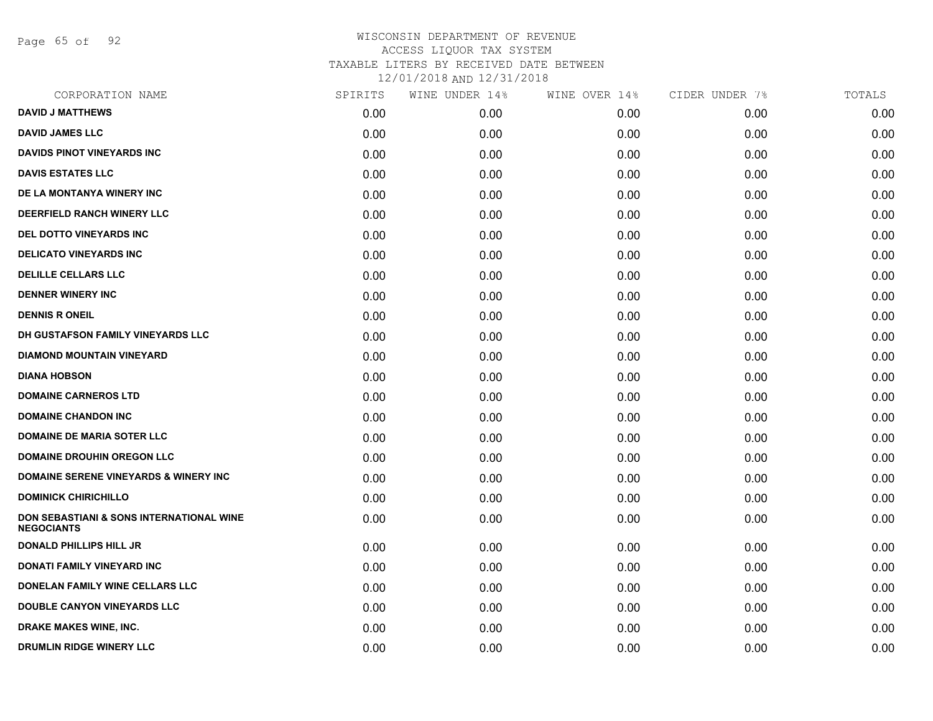Page 65 of 92

| CORPORATION NAME                                              | SPIRITS | WINE UNDER 14% | WINE OVER 14% | CIDER UNDER 7% | TOTALS |
|---------------------------------------------------------------|---------|----------------|---------------|----------------|--------|
| <b>DAVID J MATTHEWS</b>                                       | 0.00    | 0.00           | 0.00          | 0.00           | 0.00   |
| <b>DAVID JAMES LLC</b>                                        | 0.00    | 0.00           | 0.00          | 0.00           | 0.00   |
| DAVIDS PINOT VINEYARDS INC                                    | 0.00    | 0.00           | 0.00          | 0.00           | 0.00   |
| <b>DAVIS ESTATES LLC</b>                                      | 0.00    | 0.00           | 0.00          | 0.00           | 0.00   |
| DE LA MONTANYA WINERY INC                                     | 0.00    | 0.00           | 0.00          | 0.00           | 0.00   |
| DEERFIELD RANCH WINERY LLC                                    | 0.00    | 0.00           | 0.00          | 0.00           | 0.00   |
| DEL DOTTO VINEYARDS INC                                       | 0.00    | 0.00           | 0.00          | 0.00           | 0.00   |
| <b>DELICATO VINEYARDS INC</b>                                 | 0.00    | 0.00           | 0.00          | 0.00           | 0.00   |
| <b>DELILLE CELLARS LLC</b>                                    | 0.00    | 0.00           | 0.00          | 0.00           | 0.00   |
| <b>DENNER WINERY INC</b>                                      | 0.00    | 0.00           | 0.00          | 0.00           | 0.00   |
| <b>DENNIS R ONEIL</b>                                         | 0.00    | 0.00           | 0.00          | 0.00           | 0.00   |
| DH GUSTAFSON FAMILY VINEYARDS LLC                             | 0.00    | 0.00           | 0.00          | 0.00           | 0.00   |
| <b>DIAMOND MOUNTAIN VINEYARD</b>                              | 0.00    | 0.00           | 0.00          | 0.00           | 0.00   |
| <b>DIANA HOBSON</b>                                           | 0.00    | 0.00           | 0.00          | 0.00           | 0.00   |
| <b>DOMAINE CARNEROS LTD</b>                                   | 0.00    | 0.00           | 0.00          | 0.00           | 0.00   |
| <b>DOMAINE CHANDON INC</b>                                    | 0.00    | 0.00           | 0.00          | 0.00           | 0.00   |
| <b>DOMAINE DE MARIA SOTER LLC</b>                             | 0.00    | 0.00           | 0.00          | 0.00           | 0.00   |
| <b>DOMAINE DROUHIN OREGON LLC</b>                             | 0.00    | 0.00           | 0.00          | 0.00           | 0.00   |
| <b>DOMAINE SERENE VINEYARDS &amp; WINERY INC</b>              | 0.00    | 0.00           | 0.00          | 0.00           | 0.00   |
| <b>DOMINICK CHIRICHILLO</b>                                   | 0.00    | 0.00           | 0.00          | 0.00           | 0.00   |
| DON SEBASTIANI & SONS INTERNATIONAL WINE<br><b>NEGOCIANTS</b> | 0.00    | 0.00           | 0.00          | 0.00           | 0.00   |
| <b>DONALD PHILLIPS HILL JR</b>                                | 0.00    | 0.00           | 0.00          | 0.00           | 0.00   |
| <b>DONATI FAMILY VINEYARD INC</b>                             | 0.00    | 0.00           | 0.00          | 0.00           | 0.00   |
| <b>DONELAN FAMILY WINE CELLARS LLC</b>                        | 0.00    | 0.00           | 0.00          | 0.00           | 0.00   |
| DOUBLE CANYON VINEYARDS LLC                                   | 0.00    | 0.00           | 0.00          | 0.00           | 0.00   |
| DRAKE MAKES WINE, INC.                                        | 0.00    | 0.00           | 0.00          | 0.00           | 0.00   |
| <b>DRUMLIN RIDGE WINERY LLC</b>                               | 0.00    | 0.00           | 0.00          | 0.00           | 0.00   |
|                                                               |         |                |               |                |        |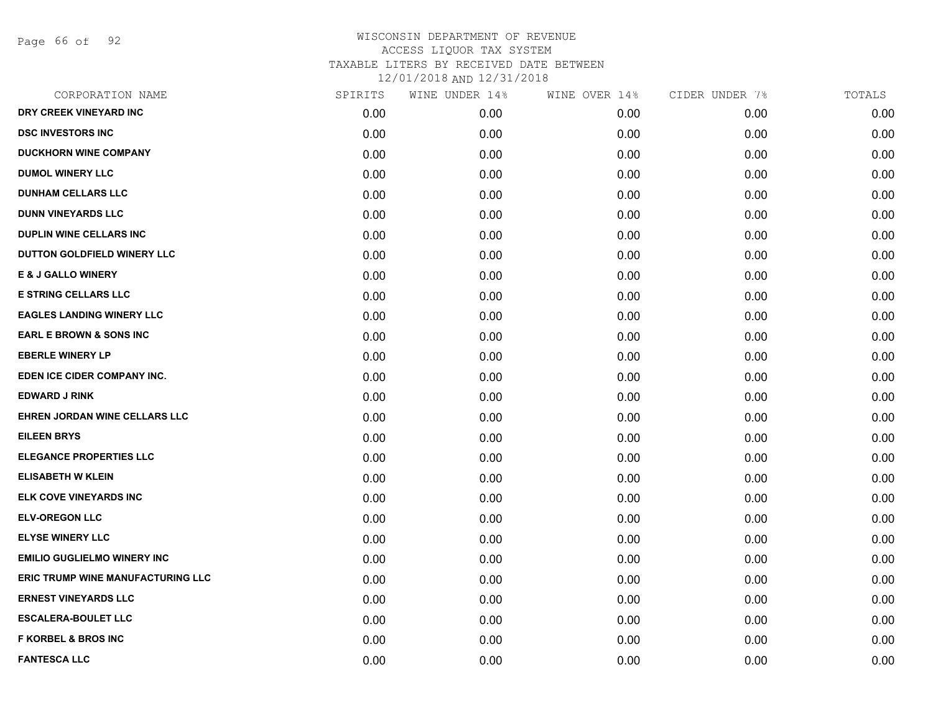Page 66 of 92

| CORPORATION NAME                         | SPIRITS | WINE UNDER 14% | WINE OVER 14% | CIDER UNDER 7% | TOTALS |
|------------------------------------------|---------|----------------|---------------|----------------|--------|
| DRY CREEK VINEYARD INC                   | 0.00    | 0.00           | 0.00          | 0.00           | 0.00   |
| <b>DSC INVESTORS INC</b>                 | 0.00    | 0.00           | 0.00          | 0.00           | 0.00   |
| <b>DUCKHORN WINE COMPANY</b>             | 0.00    | 0.00           | 0.00          | 0.00           | 0.00   |
| <b>DUMOL WINERY LLC</b>                  | 0.00    | 0.00           | 0.00          | 0.00           | 0.00   |
| <b>DUNHAM CELLARS LLC</b>                | 0.00    | 0.00           | 0.00          | 0.00           | 0.00   |
| <b>DUNN VINEYARDS LLC</b>                | 0.00    | 0.00           | 0.00          | 0.00           | 0.00   |
| <b>DUPLIN WINE CELLARS INC</b>           | 0.00    | 0.00           | 0.00          | 0.00           | 0.00   |
| DUTTON GOLDFIELD WINERY LLC              | 0.00    | 0.00           | 0.00          | 0.00           | 0.00   |
| E & J GALLO WINERY                       | 0.00    | 0.00           | 0.00          | 0.00           | 0.00   |
| <b>E STRING CELLARS LLC</b>              | 0.00    | 0.00           | 0.00          | 0.00           | 0.00   |
| <b>EAGLES LANDING WINERY LLC</b>         | 0.00    | 0.00           | 0.00          | 0.00           | 0.00   |
| <b>EARL E BROWN &amp; SONS INC</b>       | 0.00    | 0.00           | 0.00          | 0.00           | 0.00   |
| <b>EBERLE WINERY LP</b>                  | 0.00    | 0.00           | 0.00          | 0.00           | 0.00   |
| EDEN ICE CIDER COMPANY INC.              | 0.00    | 0.00           | 0.00          | 0.00           | 0.00   |
| <b>EDWARD J RINK</b>                     | 0.00    | 0.00           | 0.00          | 0.00           | 0.00   |
| EHREN JORDAN WINE CELLARS LLC            | 0.00    | 0.00           | 0.00          | 0.00           | 0.00   |
| <b>EILEEN BRYS</b>                       | 0.00    | 0.00           | 0.00          | 0.00           | 0.00   |
| <b>ELEGANCE PROPERTIES LLC</b>           | 0.00    | 0.00           | 0.00          | 0.00           | 0.00   |
| <b>ELISABETH W KLEIN</b>                 | 0.00    | 0.00           | 0.00          | 0.00           | 0.00   |
| ELK COVE VINEYARDS INC                   | 0.00    | 0.00           | 0.00          | 0.00           | 0.00   |
| <b>ELV-OREGON LLC</b>                    | 0.00    | 0.00           | 0.00          | 0.00           | 0.00   |
| <b>ELYSE WINERY LLC</b>                  | 0.00    | 0.00           | 0.00          | 0.00           | 0.00   |
| <b>EMILIO GUGLIELMO WINERY INC</b>       | 0.00    | 0.00           | 0.00          | 0.00           | 0.00   |
| <b>ERIC TRUMP WINE MANUFACTURING LLC</b> | 0.00    | 0.00           | 0.00          | 0.00           | 0.00   |
| <b>ERNEST VINEYARDS LLC</b>              | 0.00    | 0.00           | 0.00          | 0.00           | 0.00   |
| <b>ESCALERA-BOULET LLC</b>               | 0.00    | 0.00           | 0.00          | 0.00           | 0.00   |
| <b>F KORBEL &amp; BROS INC</b>           | 0.00    | 0.00           | 0.00          | 0.00           | 0.00   |
| <b>FANTESCA LLC</b>                      | 0.00    | 0.00           | 0.00          | 0.00           | 0.00   |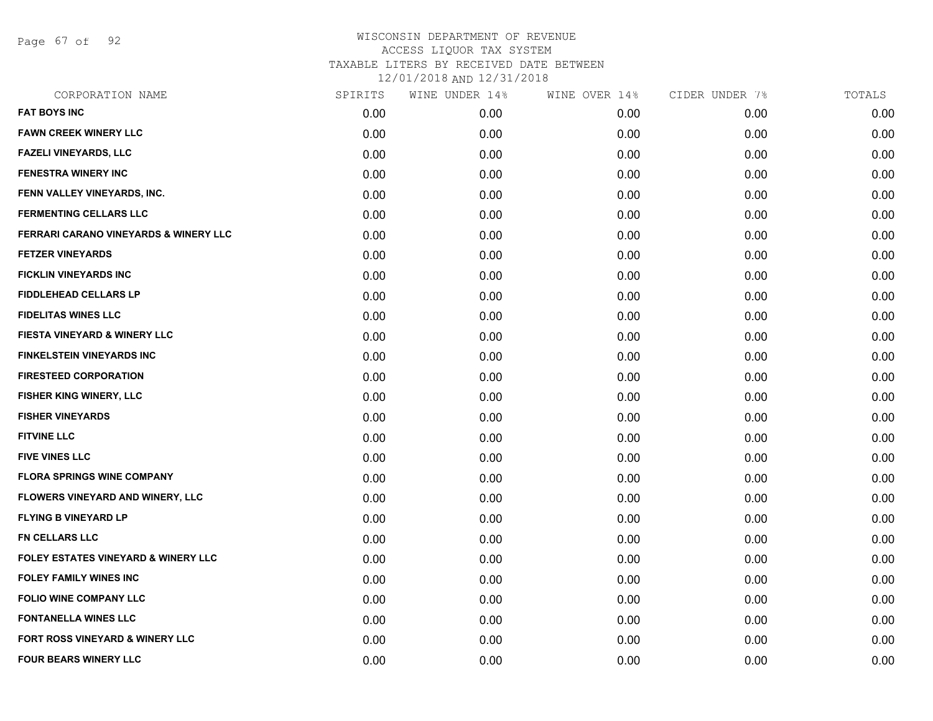Page 67 of 92

| CORPORATION NAME                                 | SPIRITS | WINE UNDER 14% | WINE OVER 14% | CIDER UNDER 7% | TOTALS |
|--------------------------------------------------|---------|----------------|---------------|----------------|--------|
| <b>FAT BOYS INC</b>                              | 0.00    | 0.00           | 0.00          | 0.00           | 0.00   |
| <b>FAWN CREEK WINERY LLC</b>                     | 0.00    | 0.00           | 0.00          | 0.00           | 0.00   |
| <b>FAZELI VINEYARDS, LLC</b>                     | 0.00    | 0.00           | 0.00          | 0.00           | 0.00   |
| <b>FENESTRA WINERY INC</b>                       | 0.00    | 0.00           | 0.00          | 0.00           | 0.00   |
| FENN VALLEY VINEYARDS, INC.                      | 0.00    | 0.00           | 0.00          | 0.00           | 0.00   |
| <b>FERMENTING CELLARS LLC</b>                    | 0.00    | 0.00           | 0.00          | 0.00           | 0.00   |
| <b>FERRARI CARANO VINEYARDS &amp; WINERY LLC</b> | 0.00    | 0.00           | 0.00          | 0.00           | 0.00   |
| <b>FETZER VINEYARDS</b>                          | 0.00    | 0.00           | 0.00          | 0.00           | 0.00   |
| <b>FICKLIN VINEYARDS INC</b>                     | 0.00    | 0.00           | 0.00          | 0.00           | 0.00   |
| <b>FIDDLEHEAD CELLARS LP</b>                     | 0.00    | 0.00           | 0.00          | 0.00           | 0.00   |
| <b>FIDELITAS WINES LLC</b>                       | 0.00    | 0.00           | 0.00          | 0.00           | 0.00   |
| <b>FIESTA VINEYARD &amp; WINERY LLC</b>          | 0.00    | 0.00           | 0.00          | 0.00           | 0.00   |
| <b>FINKELSTEIN VINEYARDS INC</b>                 | 0.00    | 0.00           | 0.00          | 0.00           | 0.00   |
| <b>FIRESTEED CORPORATION</b>                     | 0.00    | 0.00           | 0.00          | 0.00           | 0.00   |
| <b>FISHER KING WINERY, LLC</b>                   | 0.00    | 0.00           | 0.00          | 0.00           | 0.00   |
| <b>FISHER VINEYARDS</b>                          | 0.00    | 0.00           | 0.00          | 0.00           | 0.00   |
| <b>FITVINE LLC</b>                               | 0.00    | 0.00           | 0.00          | 0.00           | 0.00   |
| <b>FIVE VINES LLC</b>                            | 0.00    | 0.00           | 0.00          | 0.00           | 0.00   |
| <b>FLORA SPRINGS WINE COMPANY</b>                | 0.00    | 0.00           | 0.00          | 0.00           | 0.00   |
| FLOWERS VINEYARD AND WINERY, LLC                 | 0.00    | 0.00           | 0.00          | 0.00           | 0.00   |
| <b>FLYING B VINEYARD LP</b>                      | 0.00    | 0.00           | 0.00          | 0.00           | 0.00   |
| FN CELLARS LLC                                   | 0.00    | 0.00           | 0.00          | 0.00           | 0.00   |
| FOLEY ESTATES VINEYARD & WINERY LLC              | 0.00    | 0.00           | 0.00          | 0.00           | 0.00   |
| <b>FOLEY FAMILY WINES INC</b>                    | 0.00    | 0.00           | 0.00          | 0.00           | 0.00   |
| <b>FOLIO WINE COMPANY LLC</b>                    | 0.00    | 0.00           | 0.00          | 0.00           | 0.00   |
| <b>FONTANELLA WINES LLC</b>                      | 0.00    | 0.00           | 0.00          | 0.00           | 0.00   |
| FORT ROSS VINEYARD & WINERY LLC                  | 0.00    | 0.00           | 0.00          | 0.00           | 0.00   |
| FOUR BEARS WINERY LLC                            | 0.00    | 0.00           | 0.00          | 0.00           | 0.00   |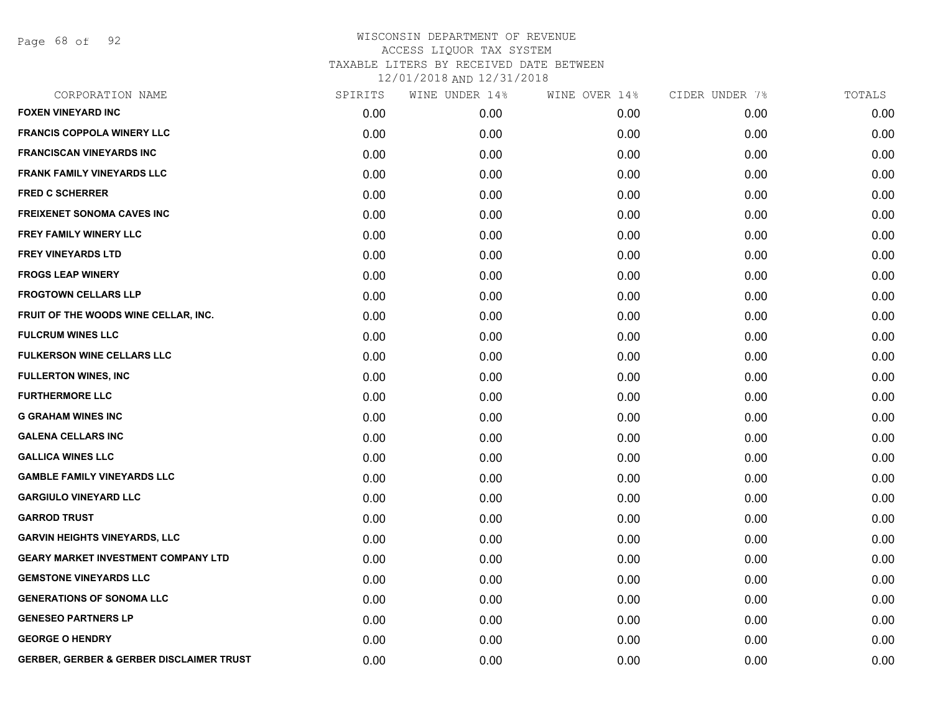Page 68 of 92

| CORPORATION NAME                                    | SPIRITS | WINE UNDER 14% | WINE OVER 14% | CIDER UNDER 7% | TOTALS |
|-----------------------------------------------------|---------|----------------|---------------|----------------|--------|
| <b>FOXEN VINEYARD INC</b>                           | 0.00    | 0.00           | 0.00          | 0.00           | 0.00   |
| <b>FRANCIS COPPOLA WINERY LLC</b>                   | 0.00    | 0.00           | 0.00          | 0.00           | 0.00   |
| <b>FRANCISCAN VINEYARDS INC</b>                     | 0.00    | 0.00           | 0.00          | 0.00           | 0.00   |
| <b>FRANK FAMILY VINEYARDS LLC</b>                   | 0.00    | 0.00           | 0.00          | 0.00           | 0.00   |
| <b>FRED C SCHERRER</b>                              | 0.00    | 0.00           | 0.00          | 0.00           | 0.00   |
| <b>FREIXENET SONOMA CAVES INC</b>                   | 0.00    | 0.00           | 0.00          | 0.00           | 0.00   |
| FREY FAMILY WINERY LLC                              | 0.00    | 0.00           | 0.00          | 0.00           | 0.00   |
| <b>FREY VINEYARDS LTD</b>                           | 0.00    | 0.00           | 0.00          | 0.00           | 0.00   |
| <b>FROGS LEAP WINERY</b>                            | 0.00    | 0.00           | 0.00          | 0.00           | 0.00   |
| <b>FROGTOWN CELLARS LLP</b>                         | 0.00    | 0.00           | 0.00          | 0.00           | 0.00   |
| FRUIT OF THE WOODS WINE CELLAR, INC.                | 0.00    | 0.00           | 0.00          | 0.00           | 0.00   |
| <b>FULCRUM WINES LLC</b>                            | 0.00    | 0.00           | 0.00          | 0.00           | 0.00   |
| <b>FULKERSON WINE CELLARS LLC</b>                   | 0.00    | 0.00           | 0.00          | 0.00           | 0.00   |
| <b>FULLERTON WINES, INC</b>                         | 0.00    | 0.00           | 0.00          | 0.00           | 0.00   |
| <b>FURTHERMORE LLC</b>                              | 0.00    | 0.00           | 0.00          | 0.00           | 0.00   |
| <b>G GRAHAM WINES INC</b>                           | 0.00    | 0.00           | 0.00          | 0.00           | 0.00   |
| <b>GALENA CELLARS INC</b>                           | 0.00    | 0.00           | 0.00          | 0.00           | 0.00   |
| <b>GALLICA WINES LLC</b>                            | 0.00    | 0.00           | 0.00          | 0.00           | 0.00   |
| <b>GAMBLE FAMILY VINEYARDS LLC</b>                  | 0.00    | 0.00           | 0.00          | 0.00           | 0.00   |
| <b>GARGIULO VINEYARD LLC</b>                        | 0.00    | 0.00           | 0.00          | 0.00           | 0.00   |
| <b>GARROD TRUST</b>                                 | 0.00    | 0.00           | 0.00          | 0.00           | 0.00   |
| <b>GARVIN HEIGHTS VINEYARDS, LLC</b>                | 0.00    | 0.00           | 0.00          | 0.00           | 0.00   |
| <b>GEARY MARKET INVESTMENT COMPANY LTD</b>          | 0.00    | 0.00           | 0.00          | 0.00           | 0.00   |
| <b>GEMSTONE VINEYARDS LLC</b>                       | 0.00    | 0.00           | 0.00          | 0.00           | 0.00   |
| <b>GENERATIONS OF SONOMA LLC</b>                    | 0.00    | 0.00           | 0.00          | 0.00           | 0.00   |
| <b>GENESEO PARTNERS LP</b>                          | 0.00    | 0.00           | 0.00          | 0.00           | 0.00   |
| <b>GEORGE O HENDRY</b>                              | 0.00    | 0.00           | 0.00          | 0.00           | 0.00   |
| <b>GERBER, GERBER &amp; GERBER DISCLAIMER TRUST</b> | 0.00    | 0.00           | 0.00          | 0.00           | 0.00   |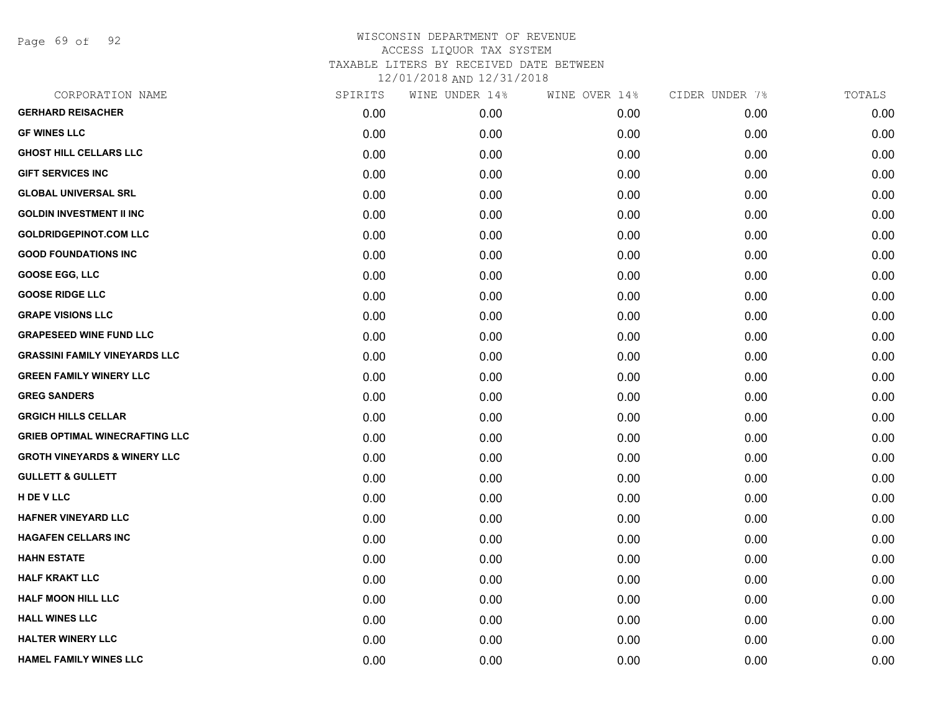Page 69 of 92

| CORPORATION NAME                        | SPIRITS | WINE UNDER 14% | WINE OVER 14% | CIDER UNDER 7% | TOTALS |
|-----------------------------------------|---------|----------------|---------------|----------------|--------|
| <b>GERHARD REISACHER</b>                | 0.00    | 0.00           | 0.00          | 0.00           | 0.00   |
| <b>GF WINES LLC</b>                     | 0.00    | 0.00           | 0.00          | 0.00           | 0.00   |
| <b>GHOST HILL CELLARS LLC</b>           | 0.00    | 0.00           | 0.00          | 0.00           | 0.00   |
| <b>GIFT SERVICES INC</b>                | 0.00    | 0.00           | 0.00          | 0.00           | 0.00   |
| <b>GLOBAL UNIVERSAL SRL</b>             | 0.00    | 0.00           | 0.00          | 0.00           | 0.00   |
| <b>GOLDIN INVESTMENT II INC</b>         | 0.00    | 0.00           | 0.00          | 0.00           | 0.00   |
| <b>GOLDRIDGEPINOT.COM LLC</b>           | 0.00    | 0.00           | 0.00          | 0.00           | 0.00   |
| <b>GOOD FOUNDATIONS INC</b>             | 0.00    | 0.00           | 0.00          | 0.00           | 0.00   |
| <b>GOOSE EGG, LLC</b>                   | 0.00    | 0.00           | 0.00          | 0.00           | 0.00   |
| <b>GOOSE RIDGE LLC</b>                  | 0.00    | 0.00           | 0.00          | 0.00           | 0.00   |
| <b>GRAPE VISIONS LLC</b>                | 0.00    | 0.00           | 0.00          | 0.00           | 0.00   |
| <b>GRAPESEED WINE FUND LLC</b>          | 0.00    | 0.00           | 0.00          | 0.00           | 0.00   |
| <b>GRASSINI FAMILY VINEYARDS LLC</b>    | 0.00    | 0.00           | 0.00          | 0.00           | 0.00   |
| <b>GREEN FAMILY WINERY LLC</b>          | 0.00    | 0.00           | 0.00          | 0.00           | 0.00   |
| <b>GREG SANDERS</b>                     | 0.00    | 0.00           | 0.00          | 0.00           | 0.00   |
| <b>GRGICH HILLS CELLAR</b>              | 0.00    | 0.00           | 0.00          | 0.00           | 0.00   |
| <b>GRIEB OPTIMAL WINECRAFTING LLC</b>   | 0.00    | 0.00           | 0.00          | 0.00           | 0.00   |
| <b>GROTH VINEYARDS &amp; WINERY LLC</b> | 0.00    | 0.00           | 0.00          | 0.00           | 0.00   |
| <b>GULLETT &amp; GULLETT</b>            | 0.00    | 0.00           | 0.00          | 0.00           | 0.00   |
| H DE V LLC                              | 0.00    | 0.00           | 0.00          | 0.00           | 0.00   |
| <b>HAFNER VINEYARD LLC</b>              | 0.00    | 0.00           | 0.00          | 0.00           | 0.00   |
| <b>HAGAFEN CELLARS INC</b>              | 0.00    | 0.00           | 0.00          | 0.00           | 0.00   |
| <b>HAHN ESTATE</b>                      | 0.00    | 0.00           | 0.00          | 0.00           | 0.00   |
| <b>HALF KRAKT LLC</b>                   | 0.00    | 0.00           | 0.00          | 0.00           | 0.00   |
| <b>HALF MOON HILL LLC</b>               | 0.00    | 0.00           | 0.00          | 0.00           | 0.00   |
| <b>HALL WINES LLC</b>                   | 0.00    | 0.00           | 0.00          | 0.00           | 0.00   |
| <b>HALTER WINERY LLC</b>                | 0.00    | 0.00           | 0.00          | 0.00           | 0.00   |
| HAMEL FAMILY WINES LLC                  | 0.00    | 0.00           | 0.00          | 0.00           | 0.00   |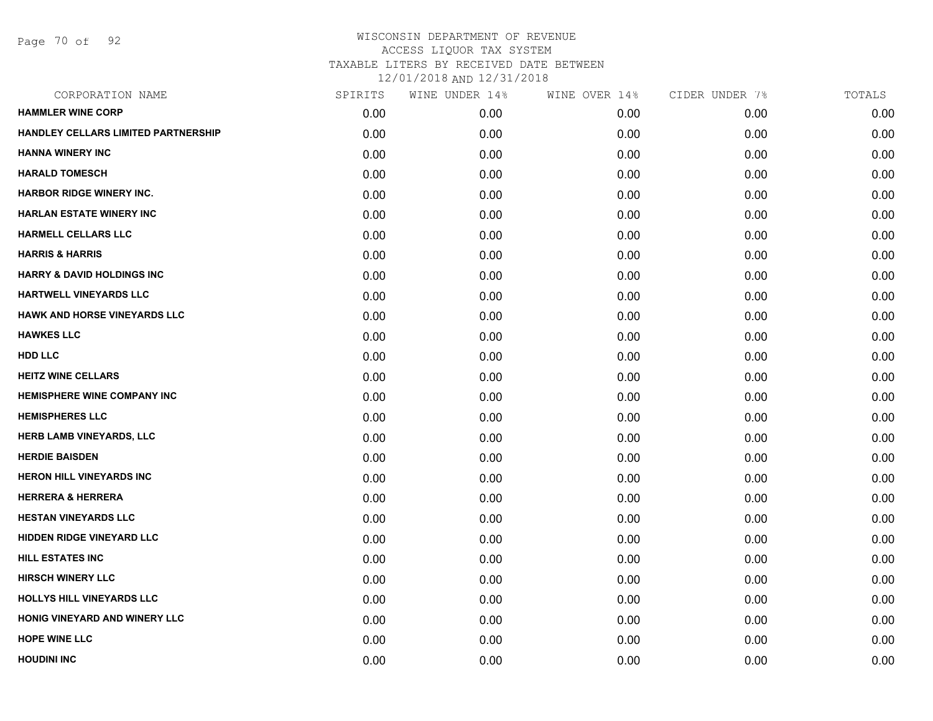Page 70 of 92

| CORPORATION NAME                      | SPIRITS | WINE UNDER 14% | WINE OVER 14% | CIDER UNDER 7% | TOTALS |
|---------------------------------------|---------|----------------|---------------|----------------|--------|
| <b>HAMMLER WINE CORP</b>              | 0.00    | 0.00           | 0.00          | 0.00           | 0.00   |
| HANDLEY CELLARS LIMITED PARTNERSHIP   | 0.00    | 0.00           | 0.00          | 0.00           | 0.00   |
| <b>HANNA WINERY INC</b>               | 0.00    | 0.00           | 0.00          | 0.00           | 0.00   |
| <b>HARALD TOMESCH</b>                 | 0.00    | 0.00           | 0.00          | 0.00           | 0.00   |
| <b>HARBOR RIDGE WINERY INC.</b>       | 0.00    | 0.00           | 0.00          | 0.00           | 0.00   |
| <b>HARLAN ESTATE WINERY INC</b>       | 0.00    | 0.00           | 0.00          | 0.00           | 0.00   |
| <b>HARMELL CELLARS LLC</b>            | 0.00    | 0.00           | 0.00          | 0.00           | 0.00   |
| <b>HARRIS &amp; HARRIS</b>            | 0.00    | 0.00           | 0.00          | 0.00           | 0.00   |
| <b>HARRY &amp; DAVID HOLDINGS INC</b> | 0.00    | 0.00           | 0.00          | 0.00           | 0.00   |
| <b>HARTWELL VINEYARDS LLC</b>         | 0.00    | 0.00           | 0.00          | 0.00           | 0.00   |
| <b>HAWK AND HORSE VINEYARDS LLC</b>   | 0.00    | 0.00           | 0.00          | 0.00           | 0.00   |
| <b>HAWKES LLC</b>                     | 0.00    | 0.00           | 0.00          | 0.00           | 0.00   |
| <b>HDD LLC</b>                        | 0.00    | 0.00           | 0.00          | 0.00           | 0.00   |
| <b>HEITZ WINE CELLARS</b>             | 0.00    | 0.00           | 0.00          | 0.00           | 0.00   |
| <b>HEMISPHERE WINE COMPANY INC</b>    | 0.00    | 0.00           | 0.00          | 0.00           | 0.00   |
| <b>HEMISPHERES LLC</b>                | 0.00    | 0.00           | 0.00          | 0.00           | 0.00   |
| <b>HERB LAMB VINEYARDS, LLC</b>       | 0.00    | 0.00           | 0.00          | 0.00           | 0.00   |
| <b>HERDIE BAISDEN</b>                 | 0.00    | 0.00           | 0.00          | 0.00           | 0.00   |
| <b>HERON HILL VINEYARDS INC</b>       | 0.00    | 0.00           | 0.00          | 0.00           | 0.00   |
| <b>HERRERA &amp; HERRERA</b>          | 0.00    | 0.00           | 0.00          | 0.00           | 0.00   |
| <b>HESTAN VINEYARDS LLC</b>           | 0.00    | 0.00           | 0.00          | 0.00           | 0.00   |
| <b>HIDDEN RIDGE VINEYARD LLC</b>      | 0.00    | 0.00           | 0.00          | 0.00           | 0.00   |
| <b>HILL ESTATES INC</b>               | 0.00    | 0.00           | 0.00          | 0.00           | 0.00   |
| <b>HIRSCH WINERY LLC</b>              | 0.00    | 0.00           | 0.00          | 0.00           | 0.00   |
| <b>HOLLYS HILL VINEYARDS LLC</b>      | 0.00    | 0.00           | 0.00          | 0.00           | 0.00   |
| HONIG VINEYARD AND WINERY LLC         | 0.00    | 0.00           | 0.00          | 0.00           | 0.00   |
| <b>HOPE WINE LLC</b>                  | 0.00    | 0.00           | 0.00          | 0.00           | 0.00   |
| <b>HOUDINI INC</b>                    | 0.00    | 0.00           | 0.00          | 0.00           | 0.00   |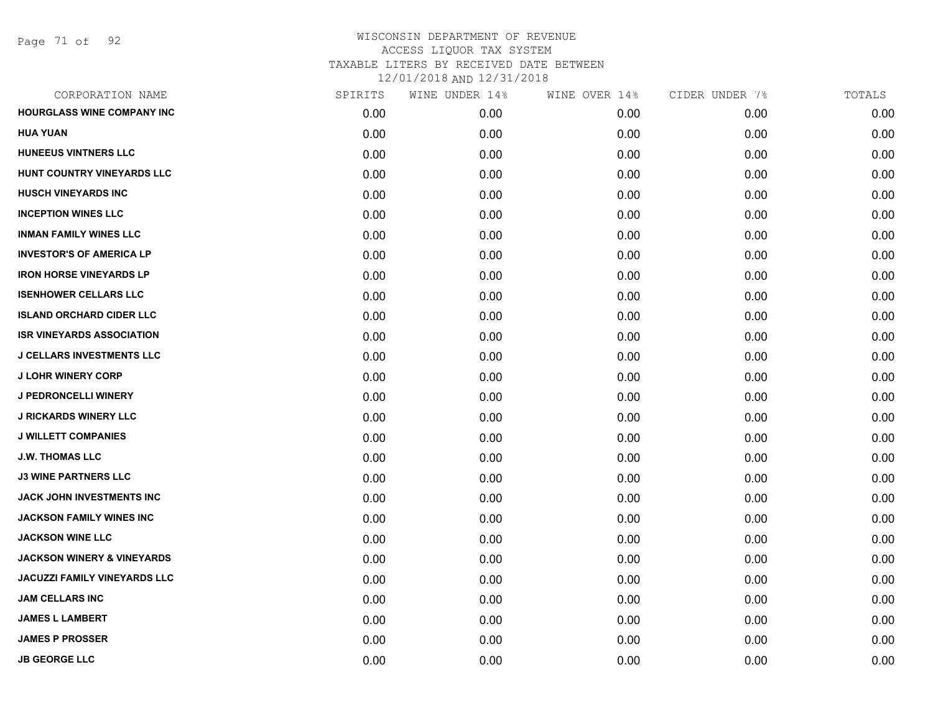| CORPORATION NAME                      | SPIRITS | WINE UNDER 14% | WINE OVER 14% | CIDER UNDER 7% | TOTALS |
|---------------------------------------|---------|----------------|---------------|----------------|--------|
| HOURGLASS WINE COMPANY INC            | 0.00    | 0.00           | 0.00          | 0.00           | 0.00   |
| <b>HUA YUAN</b>                       | 0.00    | 0.00           | 0.00          | 0.00           | 0.00   |
| <b>HUNEEUS VINTNERS LLC</b>           | 0.00    | 0.00           | 0.00          | 0.00           | 0.00   |
| HUNT COUNTRY VINEYARDS LLC            | 0.00    | 0.00           | 0.00          | 0.00           | 0.00   |
| <b>HUSCH VINEYARDS INC</b>            | 0.00    | 0.00           | 0.00          | 0.00           | 0.00   |
| <b>INCEPTION WINES LLC</b>            | 0.00    | 0.00           | 0.00          | 0.00           | 0.00   |
| <b>INMAN FAMILY WINES LLC</b>         | 0.00    | 0.00           | 0.00          | 0.00           | 0.00   |
| <b>INVESTOR'S OF AMERICA LP</b>       | 0.00    | 0.00           | 0.00          | 0.00           | 0.00   |
| <b>IRON HORSE VINEYARDS LP</b>        | 0.00    | 0.00           | 0.00          | 0.00           | 0.00   |
| <b>ISENHOWER CELLARS LLC</b>          | 0.00    | 0.00           | 0.00          | 0.00           | 0.00   |
| <b>ISLAND ORCHARD CIDER LLC</b>       | 0.00    | 0.00           | 0.00          | 0.00           | 0.00   |
| <b>ISR VINEYARDS ASSOCIATION</b>      | 0.00    | 0.00           | 0.00          | 0.00           | 0.00   |
| <b>J CELLARS INVESTMENTS LLC</b>      | 0.00    | 0.00           | 0.00          | 0.00           | 0.00   |
| <b>J LOHR WINERY CORP</b>             | 0.00    | 0.00           | 0.00          | 0.00           | 0.00   |
| J PEDRONCELLI WINERY                  | 0.00    | 0.00           | 0.00          | 0.00           | 0.00   |
| <b>J RICKARDS WINERY LLC</b>          | 0.00    | 0.00           | 0.00          | 0.00           | 0.00   |
| <b>J WILLETT COMPANIES</b>            | 0.00    | 0.00           | 0.00          | 0.00           | 0.00   |
| <b>J.W. THOMAS LLC</b>                | 0.00    | 0.00           | 0.00          | 0.00           | 0.00   |
| <b>J3 WINE PARTNERS LLC</b>           | 0.00    | 0.00           | 0.00          | 0.00           | 0.00   |
| JACK JOHN INVESTMENTS INC             | 0.00    | 0.00           | 0.00          | 0.00           | 0.00   |
| <b>JACKSON FAMILY WINES INC</b>       | 0.00    | 0.00           | 0.00          | 0.00           | 0.00   |
| <b>JACKSON WINE LLC</b>               | 0.00    | 0.00           | 0.00          | 0.00           | 0.00   |
| <b>JACKSON WINERY &amp; VINEYARDS</b> | 0.00    | 0.00           | 0.00          | 0.00           | 0.00   |
| <b>JACUZZI FAMILY VINEYARDS LLC</b>   | 0.00    | 0.00           | 0.00          | 0.00           | 0.00   |
| <b>JAM CELLARS INC</b>                | 0.00    | 0.00           | 0.00          | 0.00           | 0.00   |
| <b>JAMES L LAMBERT</b>                | 0.00    | 0.00           | 0.00          | 0.00           | 0.00   |
| <b>JAMES P PROSSER</b>                | 0.00    | 0.00           | 0.00          | 0.00           | 0.00   |
| <b>JB GEORGE LLC</b>                  | 0.00    | 0.00           | 0.00          | 0.00           | 0.00   |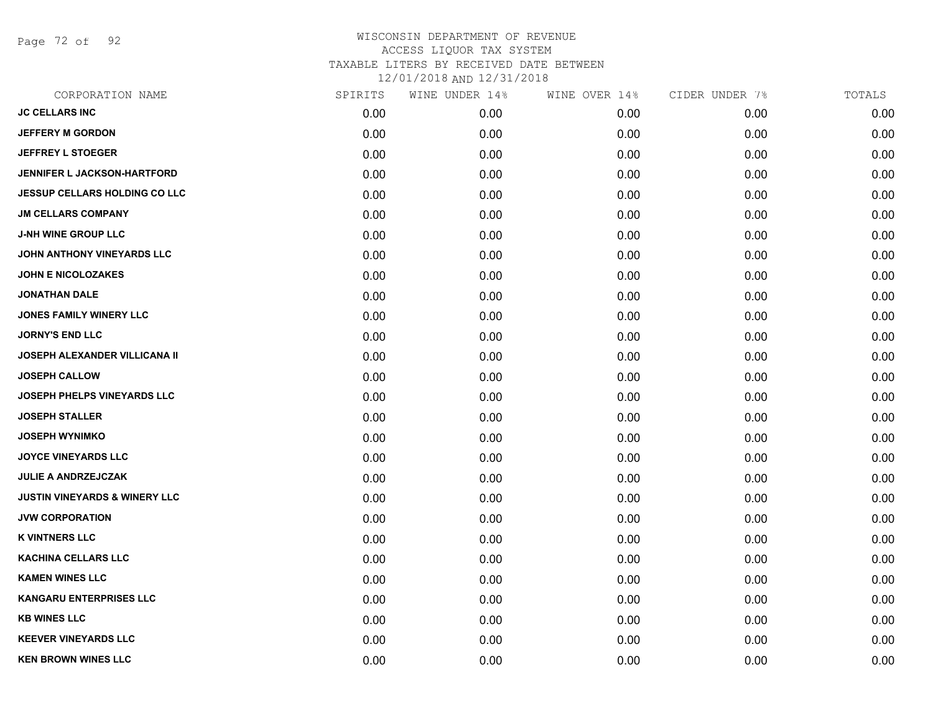Page 72 of 92

| CORPORATION NAME                         | SPIRITS | WINE UNDER 14% | WINE OVER 14% | CIDER UNDER 7% | TOTALS |
|------------------------------------------|---------|----------------|---------------|----------------|--------|
| <b>JC CELLARS INC</b>                    | 0.00    | 0.00           | 0.00          | 0.00           | 0.00   |
| <b>JEFFERY M GORDON</b>                  | 0.00    | 0.00           | 0.00          | 0.00           | 0.00   |
| <b>JEFFREY L STOEGER</b>                 | 0.00    | 0.00           | 0.00          | 0.00           | 0.00   |
| <b>JENNIFER L JACKSON-HARTFORD</b>       | 0.00    | 0.00           | 0.00          | 0.00           | 0.00   |
| <b>JESSUP CELLARS HOLDING CO LLC</b>     | 0.00    | 0.00           | 0.00          | 0.00           | 0.00   |
| <b>JM CELLARS COMPANY</b>                | 0.00    | 0.00           | 0.00          | 0.00           | 0.00   |
| <b>J-NH WINE GROUP LLC</b>               | 0.00    | 0.00           | 0.00          | 0.00           | 0.00   |
| JOHN ANTHONY VINEYARDS LLC               | 0.00    | 0.00           | 0.00          | 0.00           | 0.00   |
| <b>JOHN E NICOLOZAKES</b>                | 0.00    | 0.00           | 0.00          | 0.00           | 0.00   |
| <b>JONATHAN DALE</b>                     | 0.00    | 0.00           | 0.00          | 0.00           | 0.00   |
| JONES FAMILY WINERY LLC                  | 0.00    | 0.00           | 0.00          | 0.00           | 0.00   |
| <b>JORNY'S END LLC</b>                   | 0.00    | 0.00           | 0.00          | 0.00           | 0.00   |
| JOSEPH ALEXANDER VILLICANA II            | 0.00    | 0.00           | 0.00          | 0.00           | 0.00   |
| <b>JOSEPH CALLOW</b>                     | 0.00    | 0.00           | 0.00          | 0.00           | 0.00   |
| JOSEPH PHELPS VINEYARDS LLC              | 0.00    | 0.00           | 0.00          | 0.00           | 0.00   |
| <b>JOSEPH STALLER</b>                    | 0.00    | 0.00           | 0.00          | 0.00           | 0.00   |
| <b>JOSEPH WYNIMKO</b>                    | 0.00    | 0.00           | 0.00          | 0.00           | 0.00   |
| <b>JOYCE VINEYARDS LLC</b>               | 0.00    | 0.00           | 0.00          | 0.00           | 0.00   |
| <b>JULIE A ANDRZEJCZAK</b>               | 0.00    | 0.00           | 0.00          | 0.00           | 0.00   |
| <b>JUSTIN VINEYARDS &amp; WINERY LLC</b> | 0.00    | 0.00           | 0.00          | 0.00           | 0.00   |
| <b>JVW CORPORATION</b>                   | 0.00    | 0.00           | 0.00          | 0.00           | 0.00   |
| <b>K VINTNERS LLC</b>                    | 0.00    | 0.00           | 0.00          | 0.00           | 0.00   |
| <b>KACHINA CELLARS LLC</b>               | 0.00    | 0.00           | 0.00          | 0.00           | 0.00   |
| <b>KAMEN WINES LLC</b>                   | 0.00    | 0.00           | 0.00          | 0.00           | 0.00   |
| <b>KANGARU ENTERPRISES LLC</b>           | 0.00    | 0.00           | 0.00          | 0.00           | 0.00   |
| <b>KB WINES LLC</b>                      | 0.00    | 0.00           | 0.00          | 0.00           | 0.00   |
| <b>KEEVER VINEYARDS LLC</b>              | 0.00    | 0.00           | 0.00          | 0.00           | 0.00   |
| <b>KEN BROWN WINES LLC</b>               | 0.00    | 0.00           | 0.00          | 0.00           | 0.00   |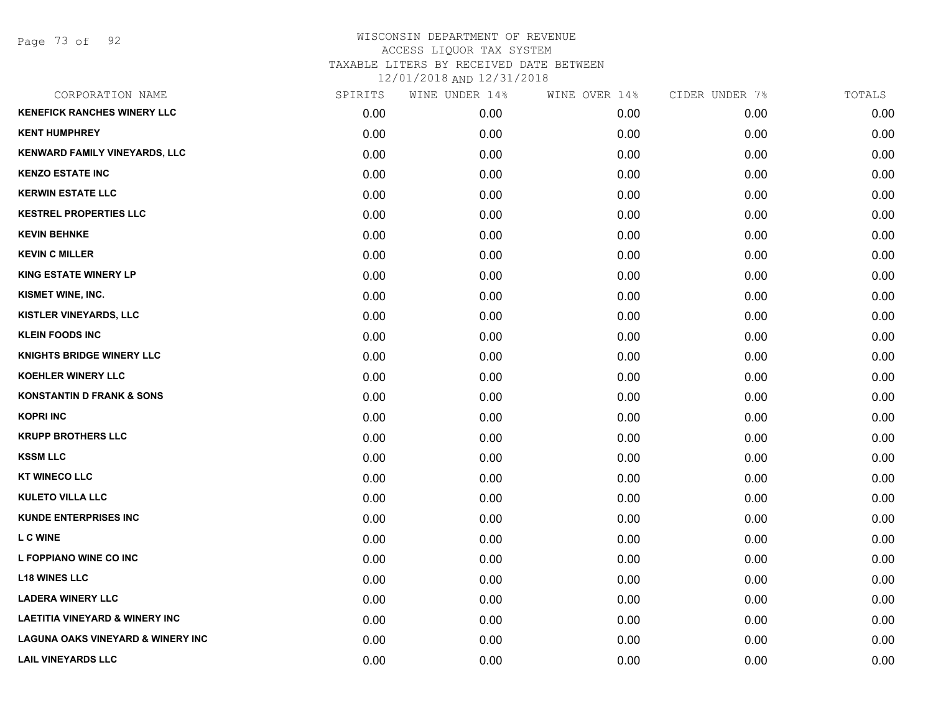Page 73 of 92

| CORPORATION NAME                             | SPIRITS | WINE UNDER 14% | WINE OVER 14% | CIDER UNDER 7% | TOTALS |
|----------------------------------------------|---------|----------------|---------------|----------------|--------|
| <b>KENEFICK RANCHES WINERY LLC</b>           | 0.00    | 0.00           | 0.00          | 0.00           | 0.00   |
| <b>KENT HUMPHREY</b>                         | 0.00    | 0.00           | 0.00          | 0.00           | 0.00   |
| <b>KENWARD FAMILY VINEYARDS, LLC</b>         | 0.00    | 0.00           | 0.00          | 0.00           | 0.00   |
| <b>KENZO ESTATE INC</b>                      | 0.00    | 0.00           | 0.00          | 0.00           | 0.00   |
| <b>KERWIN ESTATE LLC</b>                     | 0.00    | 0.00           | 0.00          | 0.00           | 0.00   |
| <b>KESTREL PROPERTIES LLC</b>                | 0.00    | 0.00           | 0.00          | 0.00           | 0.00   |
| <b>KEVIN BEHNKE</b>                          | 0.00    | 0.00           | 0.00          | 0.00           | 0.00   |
| <b>KEVIN C MILLER</b>                        | 0.00    | 0.00           | 0.00          | 0.00           | 0.00   |
| <b>KING ESTATE WINERY LP</b>                 | 0.00    | 0.00           | 0.00          | 0.00           | 0.00   |
| KISMET WINE, INC.                            | 0.00    | 0.00           | 0.00          | 0.00           | 0.00   |
| <b>KISTLER VINEYARDS, LLC</b>                | 0.00    | 0.00           | 0.00          | 0.00           | 0.00   |
| <b>KLEIN FOODS INC</b>                       | 0.00    | 0.00           | 0.00          | 0.00           | 0.00   |
| <b>KNIGHTS BRIDGE WINERY LLC</b>             | 0.00    | 0.00           | 0.00          | 0.00           | 0.00   |
| KOEHLER WINERY LLC                           | 0.00    | 0.00           | 0.00          | 0.00           | 0.00   |
| <b>KONSTANTIN D FRANK &amp; SONS</b>         | 0.00    | 0.00           | 0.00          | 0.00           | 0.00   |
| <b>KOPRI INC</b>                             | 0.00    | 0.00           | 0.00          | 0.00           | 0.00   |
| <b>KRUPP BROTHERS LLC</b>                    | 0.00    | 0.00           | 0.00          | 0.00           | 0.00   |
| <b>KSSM LLC</b>                              | 0.00    | 0.00           | 0.00          | 0.00           | 0.00   |
| <b>KT WINECO LLC</b>                         | 0.00    | 0.00           | 0.00          | 0.00           | 0.00   |
| <b>KULETO VILLA LLC</b>                      | 0.00    | 0.00           | 0.00          | 0.00           | 0.00   |
| <b>KUNDE ENTERPRISES INC</b>                 | 0.00    | 0.00           | 0.00          | 0.00           | 0.00   |
| <b>LCWINE</b>                                | 0.00    | 0.00           | 0.00          | 0.00           | 0.00   |
| L FOPPIANO WINE CO INC                       | 0.00    | 0.00           | 0.00          | 0.00           | 0.00   |
| <b>L18 WINES LLC</b>                         | 0.00    | 0.00           | 0.00          | 0.00           | 0.00   |
| <b>LADERA WINERY LLC</b>                     | 0.00    | 0.00           | 0.00          | 0.00           | 0.00   |
| <b>LAETITIA VINEYARD &amp; WINERY INC</b>    | 0.00    | 0.00           | 0.00          | 0.00           | 0.00   |
| <b>LAGUNA OAKS VINEYARD &amp; WINERY INC</b> | 0.00    | 0.00           | 0.00          | 0.00           | 0.00   |
| <b>LAIL VINEYARDS LLC</b>                    | 0.00    | 0.00           | 0.00          | 0.00           | 0.00   |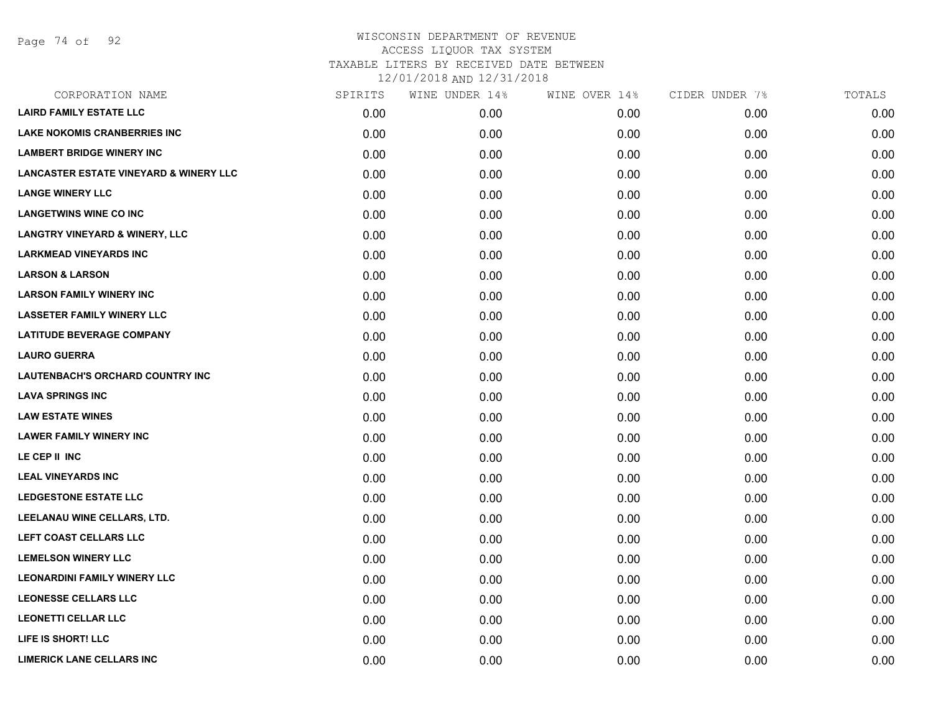Page 74 of 92

| CORPORATION NAME                                  | SPIRITS | WINE UNDER 14% | WINE OVER 14% | CIDER UNDER 7% | TOTALS |
|---------------------------------------------------|---------|----------------|---------------|----------------|--------|
| <b>LAIRD FAMILY ESTATE LLC</b>                    | 0.00    | 0.00           | 0.00          | 0.00           | 0.00   |
| <b>LAKE NOKOMIS CRANBERRIES INC</b>               | 0.00    | 0.00           | 0.00          | 0.00           | 0.00   |
| <b>LAMBERT BRIDGE WINERY INC</b>                  | 0.00    | 0.00           | 0.00          | 0.00           | 0.00   |
| <b>LANCASTER ESTATE VINEYARD &amp; WINERY LLC</b> | 0.00    | 0.00           | 0.00          | 0.00           | 0.00   |
| <b>LANGE WINERY LLC</b>                           | 0.00    | 0.00           | 0.00          | 0.00           | 0.00   |
| <b>LANGETWINS WINE CO INC</b>                     | 0.00    | 0.00           | 0.00          | 0.00           | 0.00   |
| <b>LANGTRY VINEYARD &amp; WINERY, LLC</b>         | 0.00    | 0.00           | 0.00          | 0.00           | 0.00   |
| <b>LARKMEAD VINEYARDS INC</b>                     | 0.00    | 0.00           | 0.00          | 0.00           | 0.00   |
| <b>LARSON &amp; LARSON</b>                        | 0.00    | 0.00           | 0.00          | 0.00           | 0.00   |
| <b>LARSON FAMILY WINERY INC</b>                   | 0.00    | 0.00           | 0.00          | 0.00           | 0.00   |
| <b>LASSETER FAMILY WINERY LLC</b>                 | 0.00    | 0.00           | 0.00          | 0.00           | 0.00   |
| <b>LATITUDE BEVERAGE COMPANY</b>                  | 0.00    | 0.00           | 0.00          | 0.00           | 0.00   |
| <b>LAURO GUERRA</b>                               | 0.00    | 0.00           | 0.00          | 0.00           | 0.00   |
| LAUTENBACH'S ORCHARD COUNTRY INC                  | 0.00    | 0.00           | 0.00          | 0.00           | 0.00   |
| <b>LAVA SPRINGS INC</b>                           | 0.00    | 0.00           | 0.00          | 0.00           | 0.00   |
| <b>LAW ESTATE WINES</b>                           | 0.00    | 0.00           | 0.00          | 0.00           | 0.00   |
| <b>LAWER FAMILY WINERY INC</b>                    | 0.00    | 0.00           | 0.00          | 0.00           | 0.00   |
| LE CEP II INC                                     | 0.00    | 0.00           | 0.00          | 0.00           | 0.00   |
| <b>LEAL VINEYARDS INC</b>                         | 0.00    | 0.00           | 0.00          | 0.00           | 0.00   |
| <b>LEDGESTONE ESTATE LLC</b>                      | 0.00    | 0.00           | 0.00          | 0.00           | 0.00   |
| LEELANAU WINE CELLARS, LTD.                       | 0.00    | 0.00           | 0.00          | 0.00           | 0.00   |
| LEFT COAST CELLARS LLC                            | 0.00    | 0.00           | 0.00          | 0.00           | 0.00   |
| <b>LEMELSON WINERY LLC</b>                        | 0.00    | 0.00           | 0.00          | 0.00           | 0.00   |
| <b>LEONARDINI FAMILY WINERY LLC</b>               | 0.00    | 0.00           | 0.00          | 0.00           | 0.00   |
| <b>LEONESSE CELLARS LLC</b>                       | 0.00    | 0.00           | 0.00          | 0.00           | 0.00   |
| <b>LEONETTI CELLAR LLC</b>                        | 0.00    | 0.00           | 0.00          | 0.00           | 0.00   |
| LIFE IS SHORT! LLC                                | 0.00    | 0.00           | 0.00          | 0.00           | 0.00   |
| <b>LIMERICK LANE CELLARS INC</b>                  | 0.00    | 0.00           | 0.00          | 0.00           | 0.00   |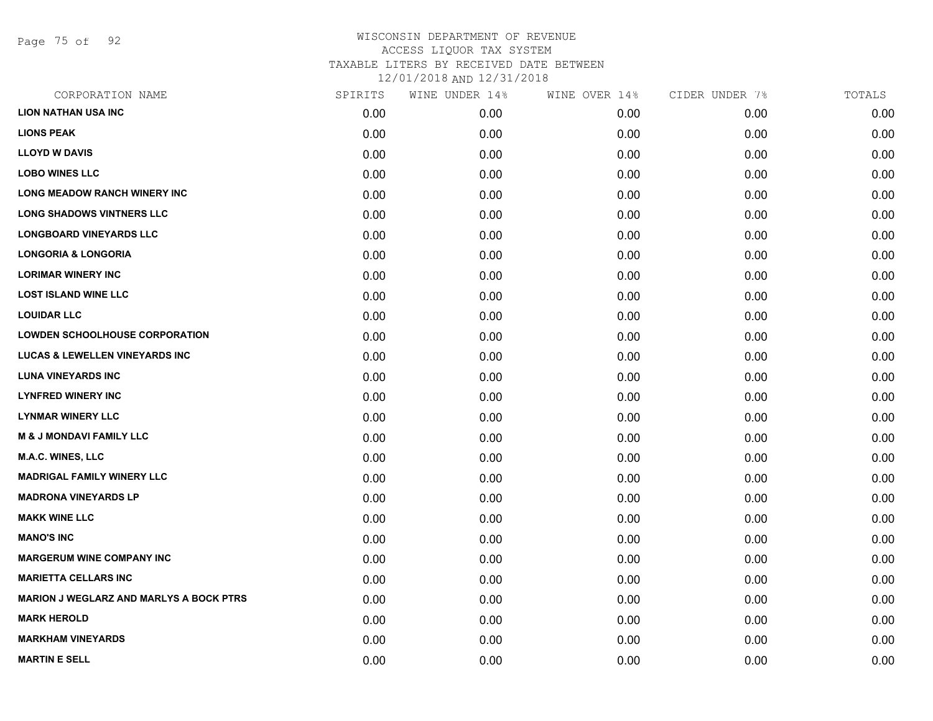Page 75 of 92

| CORPORATION NAME                               | SPIRITS | WINE UNDER 14% | WINE OVER 14% | CIDER UNDER 7% | TOTALS |
|------------------------------------------------|---------|----------------|---------------|----------------|--------|
| <b>LION NATHAN USA INC</b>                     | 0.00    | 0.00           | 0.00          | 0.00           | 0.00   |
| <b>LIONS PEAK</b>                              | 0.00    | 0.00           | 0.00          | 0.00           | 0.00   |
| <b>LLOYD W DAVIS</b>                           | 0.00    | 0.00           | 0.00          | 0.00           | 0.00   |
| <b>LOBO WINES LLC</b>                          | 0.00    | 0.00           | 0.00          | 0.00           | 0.00   |
| <b>LONG MEADOW RANCH WINERY INC</b>            | 0.00    | 0.00           | 0.00          | 0.00           | 0.00   |
| <b>LONG SHADOWS VINTNERS LLC</b>               | 0.00    | 0.00           | 0.00          | 0.00           | 0.00   |
| <b>LONGBOARD VINEYARDS LLC</b>                 | 0.00    | 0.00           | 0.00          | 0.00           | 0.00   |
| <b>LONGORIA &amp; LONGORIA</b>                 | 0.00    | 0.00           | 0.00          | 0.00           | 0.00   |
| <b>LORIMAR WINERY INC</b>                      | 0.00    | 0.00           | 0.00          | 0.00           | 0.00   |
| <b>LOST ISLAND WINE LLC</b>                    | 0.00    | 0.00           | 0.00          | 0.00           | 0.00   |
| <b>LOUIDAR LLC</b>                             | 0.00    | 0.00           | 0.00          | 0.00           | 0.00   |
| <b>LOWDEN SCHOOLHOUSE CORPORATION</b>          | 0.00    | 0.00           | 0.00          | 0.00           | 0.00   |
| <b>LUCAS &amp; LEWELLEN VINEYARDS INC</b>      | 0.00    | 0.00           | 0.00          | 0.00           | 0.00   |
| <b>LUNA VINEYARDS INC</b>                      | 0.00    | 0.00           | 0.00          | 0.00           | 0.00   |
| <b>LYNFRED WINERY INC</b>                      | 0.00    | 0.00           | 0.00          | 0.00           | 0.00   |
| <b>LYNMAR WINERY LLC</b>                       | 0.00    | 0.00           | 0.00          | 0.00           | 0.00   |
| <b>M &amp; J MONDAVI FAMILY LLC</b>            | 0.00    | 0.00           | 0.00          | 0.00           | 0.00   |
| <b>M.A.C. WINES, LLC</b>                       | 0.00    | 0.00           | 0.00          | 0.00           | 0.00   |
| <b>MADRIGAL FAMILY WINERY LLC</b>              | 0.00    | 0.00           | 0.00          | 0.00           | 0.00   |
| <b>MADRONA VINEYARDS LP</b>                    | 0.00    | 0.00           | 0.00          | 0.00           | 0.00   |
| <b>MAKK WINE LLC</b>                           | 0.00    | 0.00           | 0.00          | 0.00           | 0.00   |
| <b>MANO'S INC</b>                              | 0.00    | 0.00           | 0.00          | 0.00           | 0.00   |
| <b>MARGERUM WINE COMPANY INC</b>               | 0.00    | 0.00           | 0.00          | 0.00           | 0.00   |
| <b>MARIETTA CELLARS INC</b>                    | 0.00    | 0.00           | 0.00          | 0.00           | 0.00   |
| <b>MARION J WEGLARZ AND MARLYS A BOCK PTRS</b> | 0.00    | 0.00           | 0.00          | 0.00           | 0.00   |
| <b>MARK HEROLD</b>                             | 0.00    | 0.00           | 0.00          | 0.00           | 0.00   |
| <b>MARKHAM VINEYARDS</b>                       | 0.00    | 0.00           | 0.00          | 0.00           | 0.00   |
| <b>MARTIN E SELL</b>                           | 0.00    | 0.00           | 0.00          | 0.00           | 0.00   |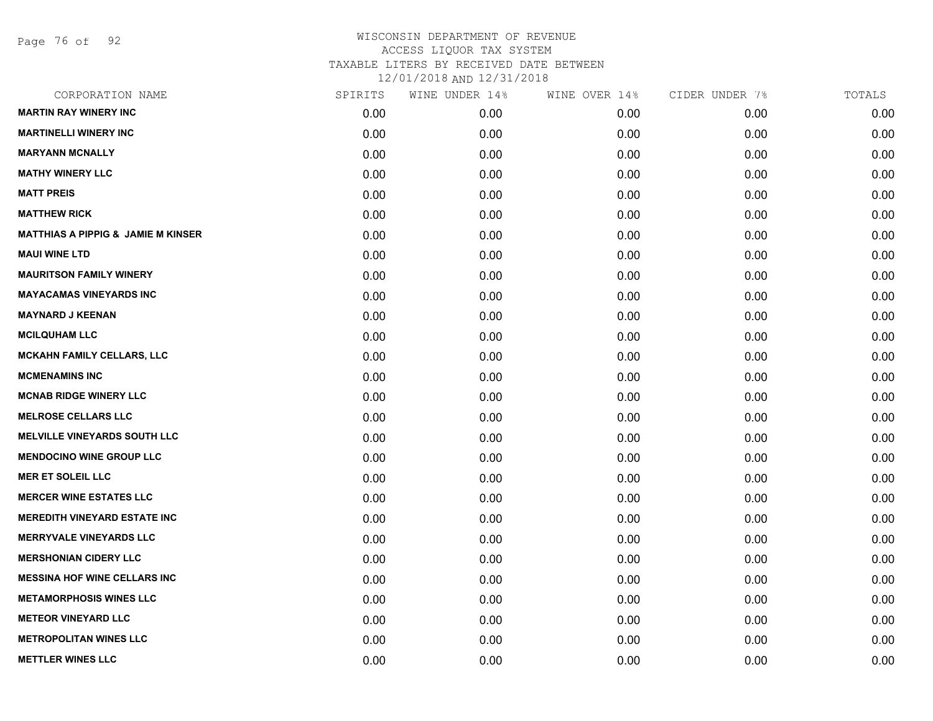Page 76 of 92

| CORPORATION NAME                              | SPIRITS | WINE UNDER 14% | WINE OVER 14% | CIDER UNDER 7% | TOTALS |
|-----------------------------------------------|---------|----------------|---------------|----------------|--------|
| <b>MARTIN RAY WINERY INC</b>                  | 0.00    | 0.00           | 0.00          | 0.00           | 0.00   |
| <b>MARTINELLI WINERY INC</b>                  | 0.00    | 0.00           | 0.00          | 0.00           | 0.00   |
| <b>MARYANN MCNALLY</b>                        | 0.00    | 0.00           | 0.00          | 0.00           | 0.00   |
| <b>MATHY WINERY LLC</b>                       | 0.00    | 0.00           | 0.00          | 0.00           | 0.00   |
| <b>MATT PREIS</b>                             | 0.00    | 0.00           | 0.00          | 0.00           | 0.00   |
| <b>MATTHEW RICK</b>                           | 0.00    | 0.00           | 0.00          | 0.00           | 0.00   |
| <b>MATTHIAS A PIPPIG &amp; JAMIE M KINSER</b> | 0.00    | 0.00           | 0.00          | 0.00           | 0.00   |
| <b>MAUI WINE LTD</b>                          | 0.00    | 0.00           | 0.00          | 0.00           | 0.00   |
| <b>MAURITSON FAMILY WINERY</b>                | 0.00    | 0.00           | 0.00          | 0.00           | 0.00   |
| <b>MAYACAMAS VINEYARDS INC</b>                | 0.00    | 0.00           | 0.00          | 0.00           | 0.00   |
| <b>MAYNARD J KEENAN</b>                       | 0.00    | 0.00           | 0.00          | 0.00           | 0.00   |
| <b>MCILQUHAM LLC</b>                          | 0.00    | 0.00           | 0.00          | 0.00           | 0.00   |
| <b>MCKAHN FAMILY CELLARS, LLC</b>             | 0.00    | 0.00           | 0.00          | 0.00           | 0.00   |
| <b>MCMENAMINS INC</b>                         | 0.00    | 0.00           | 0.00          | 0.00           | 0.00   |
| <b>MCNAB RIDGE WINERY LLC</b>                 | 0.00    | 0.00           | 0.00          | 0.00           | 0.00   |
| <b>MELROSE CELLARS LLC</b>                    | 0.00    | 0.00           | 0.00          | 0.00           | 0.00   |
| <b>MELVILLE VINEYARDS SOUTH LLC</b>           | 0.00    | 0.00           | 0.00          | 0.00           | 0.00   |
| <b>MENDOCINO WINE GROUP LLC</b>               | 0.00    | 0.00           | 0.00          | 0.00           | 0.00   |
| <b>MER ET SOLEIL LLC</b>                      | 0.00    | 0.00           | 0.00          | 0.00           | 0.00   |
| <b>MERCER WINE ESTATES LLC</b>                | 0.00    | 0.00           | 0.00          | 0.00           | 0.00   |
| <b>MEREDITH VINEYARD ESTATE INC</b>           | 0.00    | 0.00           | 0.00          | 0.00           | 0.00   |
| <b>MERRYVALE VINEYARDS LLC</b>                | 0.00    | 0.00           | 0.00          | 0.00           | 0.00   |
| <b>MERSHONIAN CIDERY LLC</b>                  | 0.00    | 0.00           | 0.00          | 0.00           | 0.00   |
| <b>MESSINA HOF WINE CELLARS INC</b>           | 0.00    | 0.00           | 0.00          | 0.00           | 0.00   |
| <b>METAMORPHOSIS WINES LLC</b>                | 0.00    | 0.00           | 0.00          | 0.00           | 0.00   |
| <b>METEOR VINEYARD LLC</b>                    | 0.00    | 0.00           | 0.00          | 0.00           | 0.00   |
| <b>METROPOLITAN WINES LLC</b>                 | 0.00    | 0.00           | 0.00          | 0.00           | 0.00   |
| <b>METTLER WINES LLC</b>                      | 0.00    | 0.00           | 0.00          | 0.00           | 0.00   |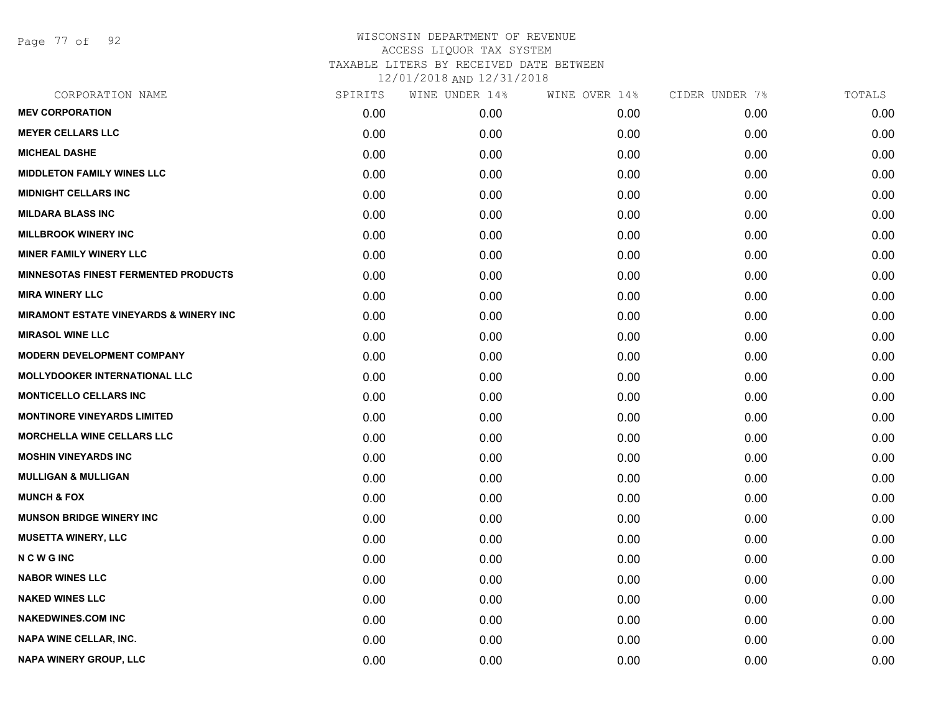Page 77 of 92

| CORPORATION NAME                                  | SPIRITS | WINE UNDER 14% | WINE OVER 14% | CIDER UNDER 7% | TOTALS |
|---------------------------------------------------|---------|----------------|---------------|----------------|--------|
| <b>MEV CORPORATION</b>                            | 0.00    | 0.00           | 0.00          | 0.00           | 0.00   |
| <b>MEYER CELLARS LLC</b>                          | 0.00    | 0.00           | 0.00          | 0.00           | 0.00   |
| <b>MICHEAL DASHE</b>                              | 0.00    | 0.00           | 0.00          | 0.00           | 0.00   |
| <b>MIDDLETON FAMILY WINES LLC</b>                 | 0.00    | 0.00           | 0.00          | 0.00           | 0.00   |
| <b>MIDNIGHT CELLARS INC</b>                       | 0.00    | 0.00           | 0.00          | 0.00           | 0.00   |
| <b>MILDARA BLASS INC</b>                          | 0.00    | 0.00           | 0.00          | 0.00           | 0.00   |
| <b>MILLBROOK WINERY INC</b>                       | 0.00    | 0.00           | 0.00          | 0.00           | 0.00   |
| <b>MINER FAMILY WINERY LLC</b>                    | 0.00    | 0.00           | 0.00          | 0.00           | 0.00   |
| <b>MINNESOTAS FINEST FERMENTED PRODUCTS</b>       | 0.00    | 0.00           | 0.00          | 0.00           | 0.00   |
| <b>MIRA WINERY LLC</b>                            | 0.00    | 0.00           | 0.00          | 0.00           | 0.00   |
| <b>MIRAMONT ESTATE VINEYARDS &amp; WINERY INC</b> | 0.00    | 0.00           | 0.00          | 0.00           | 0.00   |
| <b>MIRASOL WINE LLC</b>                           | 0.00    | 0.00           | 0.00          | 0.00           | 0.00   |
| <b>MODERN DEVELOPMENT COMPANY</b>                 | 0.00    | 0.00           | 0.00          | 0.00           | 0.00   |
| <b>MOLLYDOOKER INTERNATIONAL LLC</b>              | 0.00    | 0.00           | 0.00          | 0.00           | 0.00   |
| <b>MONTICELLO CELLARS INC</b>                     | 0.00    | 0.00           | 0.00          | 0.00           | 0.00   |
| <b>MONTINORE VINEYARDS LIMITED</b>                | 0.00    | 0.00           | 0.00          | 0.00           | 0.00   |
| <b>MORCHELLA WINE CELLARS LLC</b>                 | 0.00    | 0.00           | 0.00          | 0.00           | 0.00   |
| <b>MOSHIN VINEYARDS INC</b>                       | 0.00    | 0.00           | 0.00          | 0.00           | 0.00   |
| <b>MULLIGAN &amp; MULLIGAN</b>                    | 0.00    | 0.00           | 0.00          | 0.00           | 0.00   |
| <b>MUNCH &amp; FOX</b>                            | 0.00    | 0.00           | 0.00          | 0.00           | 0.00   |
| <b>MUNSON BRIDGE WINERY INC</b>                   | 0.00    | 0.00           | 0.00          | 0.00           | 0.00   |
| <b>MUSETTA WINERY, LLC</b>                        | 0.00    | 0.00           | 0.00          | 0.00           | 0.00   |
| <b>NCWGING</b>                                    | 0.00    | 0.00           | 0.00          | 0.00           | 0.00   |
| <b>NABOR WINES LLC</b>                            | 0.00    | 0.00           | 0.00          | 0.00           | 0.00   |
| <b>NAKED WINES LLC</b>                            | 0.00    | 0.00           | 0.00          | 0.00           | 0.00   |
| <b>NAKEDWINES.COM INC</b>                         | 0.00    | 0.00           | 0.00          | 0.00           | 0.00   |
| <b>NAPA WINE CELLAR, INC.</b>                     | 0.00    | 0.00           | 0.00          | 0.00           | 0.00   |
| NAPA WINERY GROUP, LLC                            | 0.00    | 0.00           | 0.00          | 0.00           | 0.00   |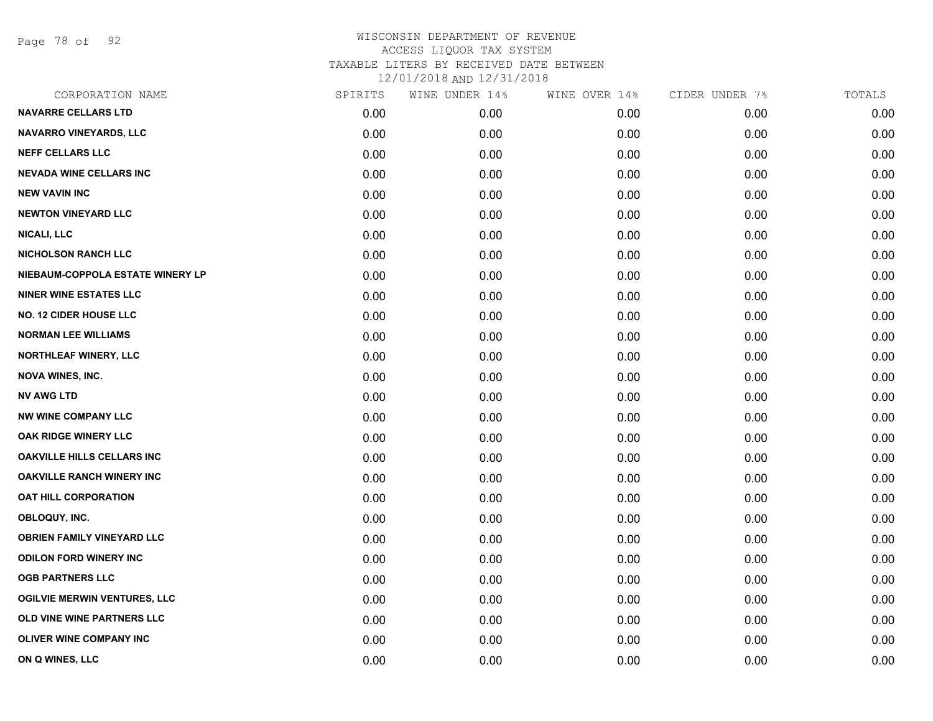Page 78 of 92

| CORPORATION NAME                    | SPIRITS | WINE UNDER 14% | WINE OVER 14% | CIDER UNDER 7% | TOTALS |
|-------------------------------------|---------|----------------|---------------|----------------|--------|
| <b>NAVARRE CELLARS LTD</b>          | 0.00    | 0.00           | 0.00          | 0.00           | 0.00   |
| <b>NAVARRO VINEYARDS, LLC</b>       | 0.00    | 0.00           | 0.00          | 0.00           | 0.00   |
| <b>NEFF CELLARS LLC</b>             | 0.00    | 0.00           | 0.00          | 0.00           | 0.00   |
| <b>NEVADA WINE CELLARS INC</b>      | 0.00    | 0.00           | 0.00          | 0.00           | 0.00   |
| <b>NEW VAVIN INC</b>                | 0.00    | 0.00           | 0.00          | 0.00           | 0.00   |
| <b>NEWTON VINEYARD LLC</b>          | 0.00    | 0.00           | 0.00          | 0.00           | 0.00   |
| NICALI, LLC                         | 0.00    | 0.00           | 0.00          | 0.00           | 0.00   |
| <b>NICHOLSON RANCH LLC</b>          | 0.00    | 0.00           | 0.00          | 0.00           | 0.00   |
| NIEBAUM-COPPOLA ESTATE WINERY LP    | 0.00    | 0.00           | 0.00          | 0.00           | 0.00   |
| <b>NINER WINE ESTATES LLC</b>       | 0.00    | 0.00           | 0.00          | 0.00           | 0.00   |
| <b>NO. 12 CIDER HOUSE LLC</b>       | 0.00    | 0.00           | 0.00          | 0.00           | 0.00   |
| <b>NORMAN LEE WILLIAMS</b>          | 0.00    | 0.00           | 0.00          | 0.00           | 0.00   |
| NORTHLEAF WINERY, LLC               | 0.00    | 0.00           | 0.00          | 0.00           | 0.00   |
| <b>NOVA WINES, INC.</b>             | 0.00    | 0.00           | 0.00          | 0.00           | 0.00   |
| <b>NV AWG LTD</b>                   | 0.00    | 0.00           | 0.00          | 0.00           | 0.00   |
| <b>NW WINE COMPANY LLC</b>          | 0.00    | 0.00           | 0.00          | 0.00           | 0.00   |
| OAK RIDGE WINERY LLC                | 0.00    | 0.00           | 0.00          | 0.00           | 0.00   |
| <b>OAKVILLE HILLS CELLARS INC</b>   | 0.00    | 0.00           | 0.00          | 0.00           | 0.00   |
| <b>OAKVILLE RANCH WINERY INC</b>    | 0.00    | 0.00           | 0.00          | 0.00           | 0.00   |
| OAT HILL CORPORATION                | 0.00    | 0.00           | 0.00          | 0.00           | 0.00   |
| OBLOQUY, INC.                       | 0.00    | 0.00           | 0.00          | 0.00           | 0.00   |
| <b>OBRIEN FAMILY VINEYARD LLC</b>   | 0.00    | 0.00           | 0.00          | 0.00           | 0.00   |
| <b>ODILON FORD WINERY INC</b>       | 0.00    | 0.00           | 0.00          | 0.00           | 0.00   |
| <b>OGB PARTNERS LLC</b>             | 0.00    | 0.00           | 0.00          | 0.00           | 0.00   |
| <b>OGILVIE MERWIN VENTURES, LLC</b> | 0.00    | 0.00           | 0.00          | 0.00           | 0.00   |
| OLD VINE WINE PARTNERS LLC          | 0.00    | 0.00           | 0.00          | 0.00           | 0.00   |
| <b>OLIVER WINE COMPANY INC</b>      | 0.00    | 0.00           | 0.00          | 0.00           | 0.00   |
| ON Q WINES, LLC                     | 0.00    | 0.00           | 0.00          | 0.00           | 0.00   |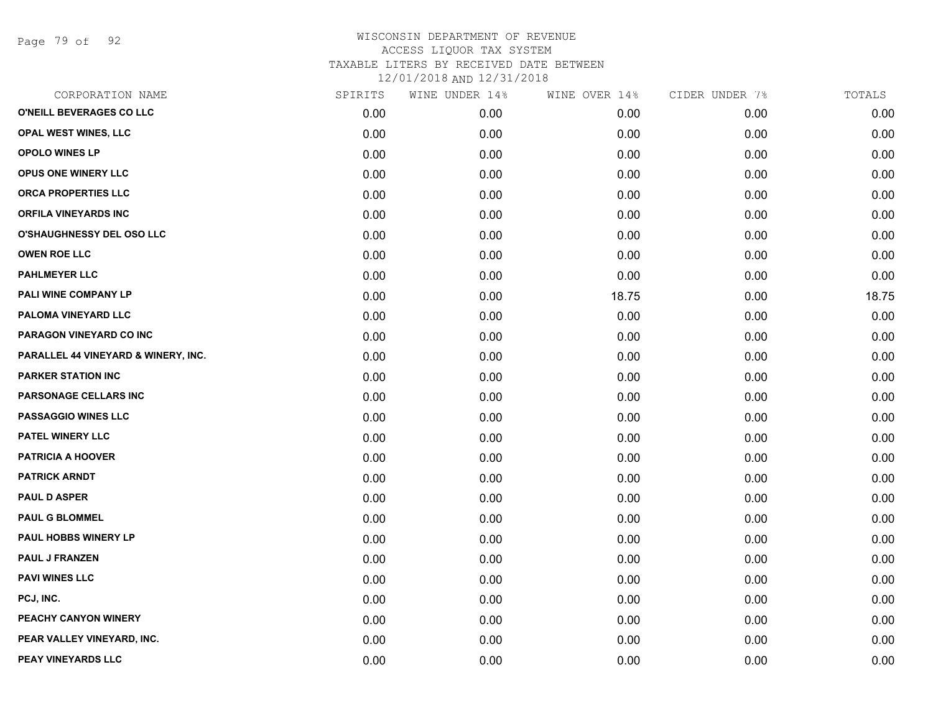Page 79 of 92

# WISCONSIN DEPARTMENT OF REVENUE ACCESS LIQUOR TAX SYSTEM TAXABLE LITERS BY RECEIVED DATE BETWEEN

12/01/2018 AND 12/31/2018

| CORPORATION NAME                    | SPIRITS | WINE UNDER 14% | WINE OVER 14% | CIDER UNDER 7% | TOTALS |
|-------------------------------------|---------|----------------|---------------|----------------|--------|
| O'NEILL BEVERAGES CO LLC            | 0.00    | 0.00           | 0.00          | 0.00           | 0.00   |
| OPAL WEST WINES, LLC                | 0.00    | 0.00           | 0.00          | 0.00           | 0.00   |
| OPOLO WINES LP                      | 0.00    | 0.00           | 0.00          | 0.00           | 0.00   |
| <b>OPUS ONE WINERY LLC</b>          | 0.00    | 0.00           | 0.00          | 0.00           | 0.00   |
| ORCA PROPERTIES LLC                 | 0.00    | 0.00           | 0.00          | 0.00           | 0.00   |
| <b>ORFILA VINEYARDS INC</b>         | 0.00    | 0.00           | 0.00          | 0.00           | 0.00   |
| O'SHAUGHNESSY DEL OSO LLC           | 0.00    | 0.00           | 0.00          | 0.00           | 0.00   |
| <b>OWEN ROE LLC</b>                 | 0.00    | 0.00           | 0.00          | 0.00           | 0.00   |
| <b>PAHLMEYER LLC</b>                | 0.00    | 0.00           | 0.00          | 0.00           | 0.00   |
| PALI WINE COMPANY LP                | 0.00    | 0.00           | 18.75         | 0.00           | 18.75  |
| PALOMA VINEYARD LLC                 | 0.00    | 0.00           | 0.00          | 0.00           | 0.00   |
| PARAGON VINEYARD CO INC             | 0.00    | 0.00           | 0.00          | 0.00           | 0.00   |
| PARALLEL 44 VINEYARD & WINERY, INC. | 0.00    | 0.00           | 0.00          | 0.00           | 0.00   |
| <b>PARKER STATION INC</b>           | 0.00    | 0.00           | 0.00          | 0.00           | 0.00   |
| PARSONAGE CELLARS INC               | 0.00    | 0.00           | 0.00          | 0.00           | 0.00   |
| <b>PASSAGGIO WINES LLC</b>          | 0.00    | 0.00           | 0.00          | 0.00           | 0.00   |
| <b>PATEL WINERY LLC</b>             | 0.00    | 0.00           | 0.00          | 0.00           | 0.00   |
| <b>PATRICIA A HOOVER</b>            | 0.00    | 0.00           | 0.00          | 0.00           | 0.00   |
| <b>PATRICK ARNDT</b>                | 0.00    | 0.00           | 0.00          | 0.00           | 0.00   |
| <b>PAUL D ASPER</b>                 | 0.00    | 0.00           | 0.00          | 0.00           | 0.00   |
| <b>PAUL G BLOMMEL</b>               | 0.00    | 0.00           | 0.00          | 0.00           | 0.00   |
| PAUL HOBBS WINERY LP                | 0.00    | 0.00           | 0.00          | 0.00           | 0.00   |
| <b>PAUL J FRANZEN</b>               | 0.00    | 0.00           | 0.00          | 0.00           | 0.00   |
| <b>PAVI WINES LLC</b>               | 0.00    | 0.00           | 0.00          | 0.00           | 0.00   |
| PCJ, INC.                           | 0.00    | 0.00           | 0.00          | 0.00           | 0.00   |
| PEACHY CANYON WINERY                | 0.00    | 0.00           | 0.00          | 0.00           | 0.00   |
| PEAR VALLEY VINEYARD, INC.          | 0.00    | 0.00           | 0.00          | 0.00           | 0.00   |
| PEAY VINEYARDS LLC                  | 0.00    | 0.00           | 0.00          | 0.00           | 0.00   |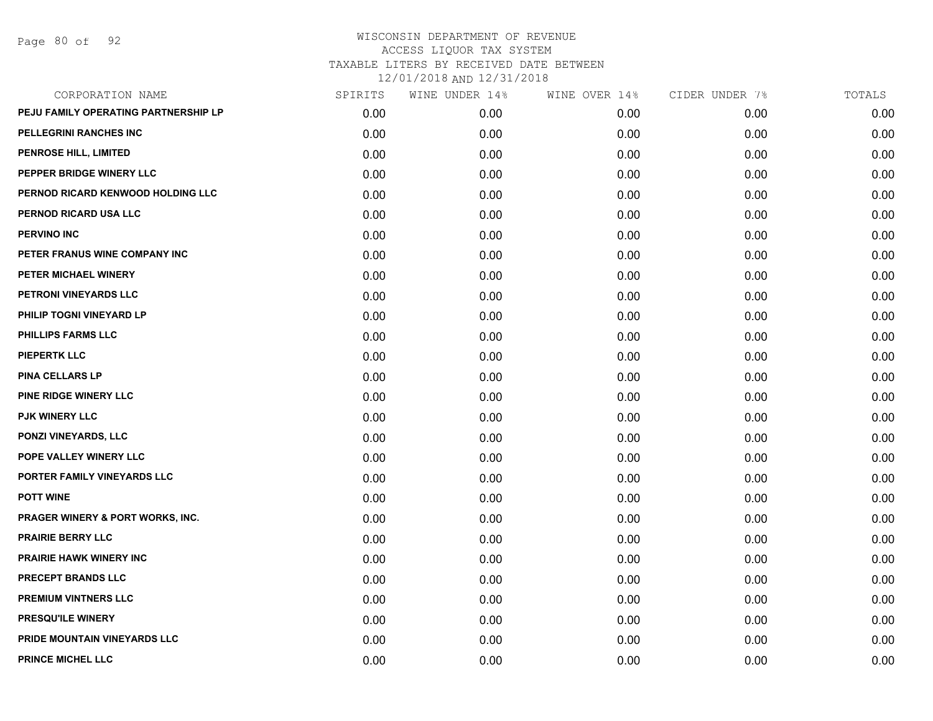Page 80 of 92

| CORPORATION NAME                            | SPIRITS | WINE UNDER 14% | WINE OVER 14% | CIDER UNDER 7% | TOTALS |
|---------------------------------------------|---------|----------------|---------------|----------------|--------|
| PEJU FAMILY OPERATING PARTNERSHIP LP        | 0.00    | 0.00           | 0.00          | 0.00           | 0.00   |
| PELLEGRINI RANCHES INC                      | 0.00    | 0.00           | 0.00          | 0.00           | 0.00   |
| PENROSE HILL, LIMITED                       | 0.00    | 0.00           | 0.00          | 0.00           | 0.00   |
| PEPPER BRIDGE WINERY LLC                    | 0.00    | 0.00           | 0.00          | 0.00           | 0.00   |
| PERNOD RICARD KENWOOD HOLDING LLC           | 0.00    | 0.00           | 0.00          | 0.00           | 0.00   |
| PERNOD RICARD USA LLC                       | 0.00    | 0.00           | 0.00          | 0.00           | 0.00   |
| <b>PERVINO INC</b>                          | 0.00    | 0.00           | 0.00          | 0.00           | 0.00   |
| PETER FRANUS WINE COMPANY INC               | 0.00    | 0.00           | 0.00          | 0.00           | 0.00   |
| PETER MICHAEL WINERY                        | 0.00    | 0.00           | 0.00          | 0.00           | 0.00   |
| PETRONI VINEYARDS LLC                       | 0.00    | 0.00           | 0.00          | 0.00           | 0.00   |
| PHILIP TOGNI VINEYARD LP                    | 0.00    | 0.00           | 0.00          | 0.00           | 0.00   |
| PHILLIPS FARMS LLC                          | 0.00    | 0.00           | 0.00          | 0.00           | 0.00   |
| <b>PIEPERTK LLC</b>                         | 0.00    | 0.00           | 0.00          | 0.00           | 0.00   |
| <b>PINA CELLARS LP</b>                      | 0.00    | 0.00           | 0.00          | 0.00           | 0.00   |
| <b>PINE RIDGE WINERY LLC</b>                | 0.00    | 0.00           | 0.00          | 0.00           | 0.00   |
| <b>PJK WINERY LLC</b>                       | 0.00    | 0.00           | 0.00          | 0.00           | 0.00   |
| PONZI VINEYARDS, LLC                        | 0.00    | 0.00           | 0.00          | 0.00           | 0.00   |
| POPE VALLEY WINERY LLC                      | 0.00    | 0.00           | 0.00          | 0.00           | 0.00   |
| PORTER FAMILY VINEYARDS LLC                 | 0.00    | 0.00           | 0.00          | 0.00           | 0.00   |
| <b>POTT WINE</b>                            | 0.00    | 0.00           | 0.00          | 0.00           | 0.00   |
| <b>PRAGER WINERY &amp; PORT WORKS, INC.</b> | 0.00    | 0.00           | 0.00          | 0.00           | 0.00   |
| <b>PRAIRIE BERRY LLC</b>                    | 0.00    | 0.00           | 0.00          | 0.00           | 0.00   |
| <b>PRAIRIE HAWK WINERY INC</b>              | 0.00    | 0.00           | 0.00          | 0.00           | 0.00   |
| PRECEPT BRANDS LLC                          | 0.00    | 0.00           | 0.00          | 0.00           | 0.00   |
| <b>PREMIUM VINTNERS LLC</b>                 | 0.00    | 0.00           | 0.00          | 0.00           | 0.00   |
| PRESQU'ILE WINERY                           | 0.00    | 0.00           | 0.00          | 0.00           | 0.00   |
| <b>PRIDE MOUNTAIN VINEYARDS LLC</b>         | 0.00    | 0.00           | 0.00          | 0.00           | 0.00   |
| <b>PRINCE MICHEL LLC</b>                    | 0.00    | 0.00           | 0.00          | 0.00           | 0.00   |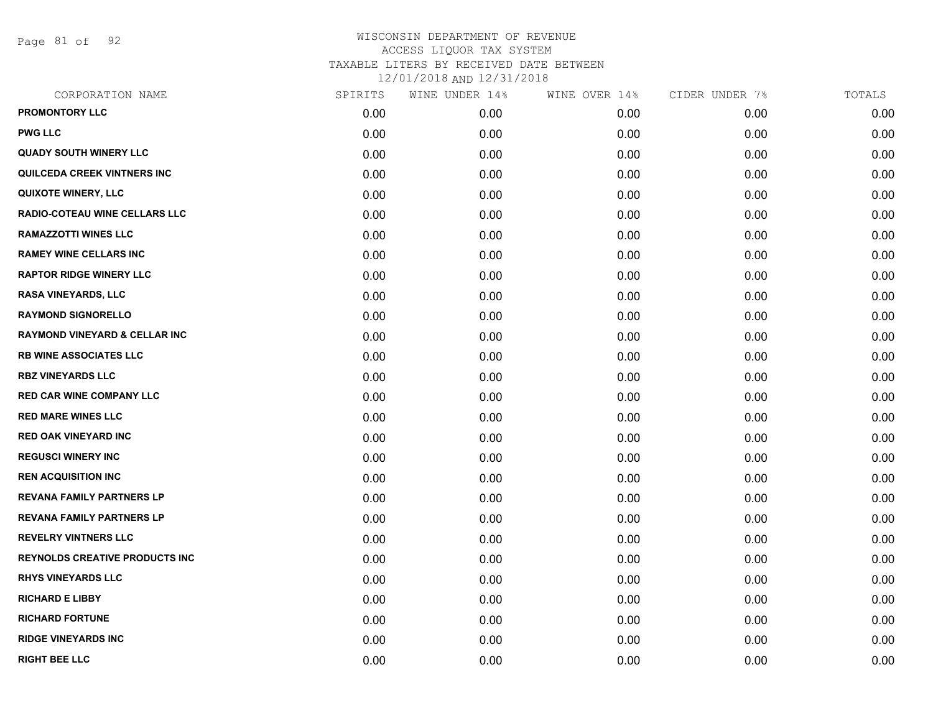Page 81 of 92

| CORPORATION NAME                         | SPIRITS | WINE UNDER 14% | WINE OVER 14% | CIDER UNDER 7% | TOTALS |
|------------------------------------------|---------|----------------|---------------|----------------|--------|
| <b>PROMONTORY LLC</b>                    | 0.00    | 0.00           | 0.00          | 0.00           | 0.00   |
| <b>PWG LLC</b>                           | 0.00    | 0.00           | 0.00          | 0.00           | 0.00   |
| <b>QUADY SOUTH WINERY LLC</b>            | 0.00    | 0.00           | 0.00          | 0.00           | 0.00   |
| QUILCEDA CREEK VINTNERS INC              | 0.00    | 0.00           | 0.00          | 0.00           | 0.00   |
| <b>QUIXOTE WINERY, LLC</b>               | 0.00    | 0.00           | 0.00          | 0.00           | 0.00   |
| <b>RADIO-COTEAU WINE CELLARS LLC</b>     | 0.00    | 0.00           | 0.00          | 0.00           | 0.00   |
| <b>RAMAZZOTTI WINES LLC</b>              | 0.00    | 0.00           | 0.00          | 0.00           | 0.00   |
| <b>RAMEY WINE CELLARS INC</b>            | 0.00    | 0.00           | 0.00          | 0.00           | 0.00   |
| <b>RAPTOR RIDGE WINERY LLC</b>           | 0.00    | 0.00           | 0.00          | 0.00           | 0.00   |
| <b>RASA VINEYARDS, LLC</b>               | 0.00    | 0.00           | 0.00          | 0.00           | 0.00   |
| <b>RAYMOND SIGNORELLO</b>                | 0.00    | 0.00           | 0.00          | 0.00           | 0.00   |
| <b>RAYMOND VINEYARD &amp; CELLAR INC</b> | 0.00    | 0.00           | 0.00          | 0.00           | 0.00   |
| <b>RB WINE ASSOCIATES LLC</b>            | 0.00    | 0.00           | 0.00          | 0.00           | 0.00   |
| <b>RBZ VINEYARDS LLC</b>                 | 0.00    | 0.00           | 0.00          | 0.00           | 0.00   |
| <b>RED CAR WINE COMPANY LLC</b>          | 0.00    | 0.00           | 0.00          | 0.00           | 0.00   |
| <b>RED MARE WINES LLC</b>                | 0.00    | 0.00           | 0.00          | 0.00           | 0.00   |
| <b>RED OAK VINEYARD INC</b>              | 0.00    | 0.00           | 0.00          | 0.00           | 0.00   |
| <b>REGUSCI WINERY INC</b>                | 0.00    | 0.00           | 0.00          | 0.00           | 0.00   |
| <b>REN ACQUISITION INC</b>               | 0.00    | 0.00           | 0.00          | 0.00           | 0.00   |
| <b>REVANA FAMILY PARTNERS LP</b>         | 0.00    | 0.00           | 0.00          | 0.00           | 0.00   |
| <b>REVANA FAMILY PARTNERS LP</b>         | 0.00    | 0.00           | 0.00          | 0.00           | 0.00   |
| <b>REVELRY VINTNERS LLC</b>              | 0.00    | 0.00           | 0.00          | 0.00           | 0.00   |
| <b>REYNOLDS CREATIVE PRODUCTS INC</b>    | 0.00    | 0.00           | 0.00          | 0.00           | 0.00   |
| <b>RHYS VINEYARDS LLC</b>                | 0.00    | 0.00           | 0.00          | 0.00           | 0.00   |
| <b>RICHARD E LIBBY</b>                   | 0.00    | 0.00           | 0.00          | 0.00           | 0.00   |
| <b>RICHARD FORTUNE</b>                   | 0.00    | 0.00           | 0.00          | 0.00           | 0.00   |
| <b>RIDGE VINEYARDS INC</b>               | 0.00    | 0.00           | 0.00          | 0.00           | 0.00   |
| <b>RIGHT BEE LLC</b>                     | 0.00    | 0.00           | 0.00          | 0.00           | 0.00   |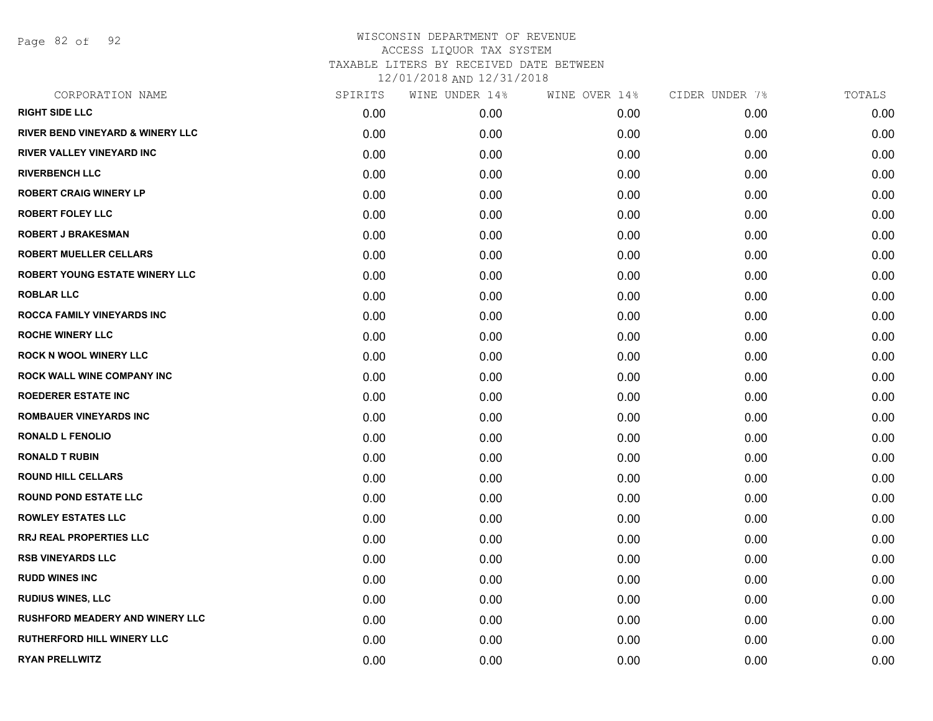Page 82 of 92

| CORPORATION NAME                            | SPIRITS | WINE UNDER 14% | WINE OVER 14% | CIDER UNDER 7% | TOTALS |
|---------------------------------------------|---------|----------------|---------------|----------------|--------|
| <b>RIGHT SIDE LLC</b>                       | 0.00    | 0.00           | 0.00          | 0.00           | 0.00   |
| <b>RIVER BEND VINEYARD &amp; WINERY LLC</b> | 0.00    | 0.00           | 0.00          | 0.00           | 0.00   |
| RIVER VALLEY VINEYARD INC                   | 0.00    | 0.00           | 0.00          | 0.00           | 0.00   |
| <b>RIVERBENCH LLC</b>                       | 0.00    | 0.00           | 0.00          | 0.00           | 0.00   |
| <b>ROBERT CRAIG WINERY LP</b>               | 0.00    | 0.00           | 0.00          | 0.00           | 0.00   |
| <b>ROBERT FOLEY LLC</b>                     | 0.00    | 0.00           | 0.00          | 0.00           | 0.00   |
| ROBERT J BRAKESMAN                          | 0.00    | 0.00           | 0.00          | 0.00           | 0.00   |
| <b>ROBERT MUELLER CELLARS</b>               | 0.00    | 0.00           | 0.00          | 0.00           | 0.00   |
| ROBERT YOUNG ESTATE WINERY LLC              | 0.00    | 0.00           | 0.00          | 0.00           | 0.00   |
| <b>ROBLAR LLC</b>                           | 0.00    | 0.00           | 0.00          | 0.00           | 0.00   |
| ROCCA FAMILY VINEYARDS INC                  | 0.00    | 0.00           | 0.00          | 0.00           | 0.00   |
| <b>ROCHE WINERY LLC</b>                     | 0.00    | 0.00           | 0.00          | 0.00           | 0.00   |
| ROCK N WOOL WINERY LLC                      | 0.00    | 0.00           | 0.00          | 0.00           | 0.00   |
| ROCK WALL WINE COMPANY INC                  | 0.00    | 0.00           | 0.00          | 0.00           | 0.00   |
| <b>ROEDERER ESTATE INC</b>                  | 0.00    | 0.00           | 0.00          | 0.00           | 0.00   |
| ROMBAUER VINEYARDS INC                      | 0.00    | 0.00           | 0.00          | 0.00           | 0.00   |
| <b>RONALD L FENOLIO</b>                     | 0.00    | 0.00           | 0.00          | 0.00           | 0.00   |
| <b>RONALD T RUBIN</b>                       | 0.00    | 0.00           | 0.00          | 0.00           | 0.00   |
| <b>ROUND HILL CELLARS</b>                   | 0.00    | 0.00           | 0.00          | 0.00           | 0.00   |
| <b>ROUND POND ESTATE LLC</b>                | 0.00    | 0.00           | 0.00          | 0.00           | 0.00   |
| <b>ROWLEY ESTATES LLC</b>                   | 0.00    | 0.00           | 0.00          | 0.00           | 0.00   |
| RRJ REAL PROPERTIES LLC                     | 0.00    | 0.00           | 0.00          | 0.00           | 0.00   |
| <b>RSB VINEYARDS LLC</b>                    | 0.00    | 0.00           | 0.00          | 0.00           | 0.00   |
| <b>RUDD WINES INC</b>                       | 0.00    | 0.00           | 0.00          | 0.00           | 0.00   |
| <b>RUDIUS WINES, LLC</b>                    | 0.00    | 0.00           | 0.00          | 0.00           | 0.00   |
| RUSHFORD MEADERY AND WINERY LLC             | 0.00    | 0.00           | 0.00          | 0.00           | 0.00   |
| RUTHERFORD HILL WINERY LLC                  | 0.00    | 0.00           | 0.00          | 0.00           | 0.00   |
| <b>RYAN PRELLWITZ</b>                       | 0.00    | 0.00           | 0.00          | 0.00           | 0.00   |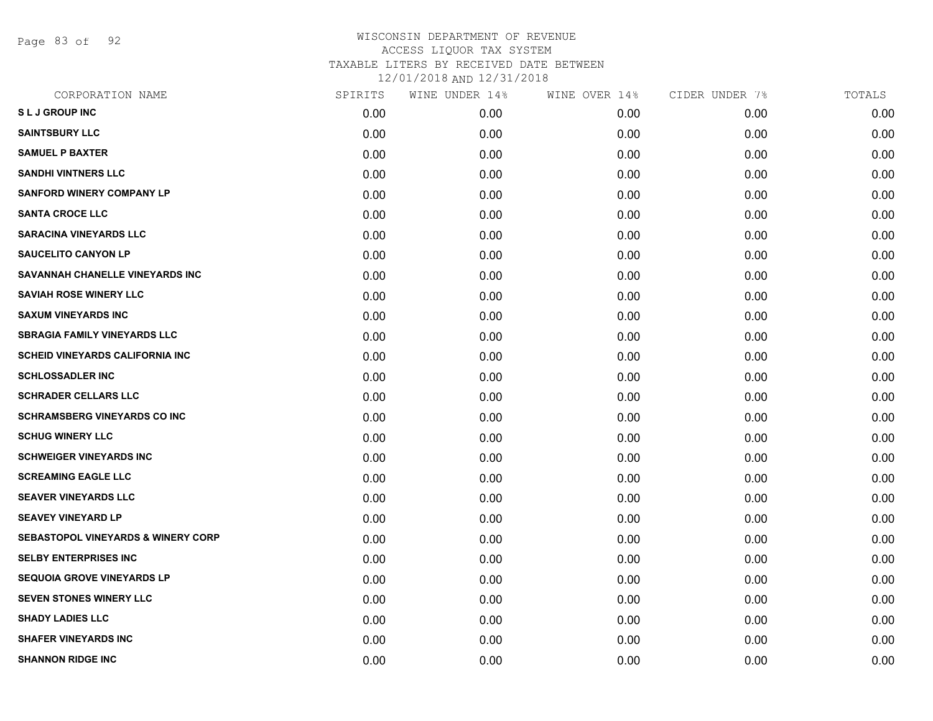Page 83 of 92

| CORPORATION NAME                              | SPIRITS | WINE UNDER 14% | WINE OVER 14% | CIDER UNDER 7% | TOTALS |
|-----------------------------------------------|---------|----------------|---------------|----------------|--------|
| <b>SLJ GROUP INC</b>                          | 0.00    | 0.00           | 0.00          | 0.00           | 0.00   |
| <b>SAINTSBURY LLC</b>                         | 0.00    | 0.00           | 0.00          | 0.00           | 0.00   |
| <b>SAMUEL P BAXTER</b>                        | 0.00    | 0.00           | 0.00          | 0.00           | 0.00   |
| <b>SANDHI VINTNERS LLC</b>                    | 0.00    | 0.00           | 0.00          | 0.00           | 0.00   |
| <b>SANFORD WINERY COMPANY LP</b>              | 0.00    | 0.00           | 0.00          | 0.00           | 0.00   |
| <b>SANTA CROCE LLC</b>                        | 0.00    | 0.00           | 0.00          | 0.00           | 0.00   |
| <b>SARACINA VINEYARDS LLC</b>                 | 0.00    | 0.00           | 0.00          | 0.00           | 0.00   |
| <b>SAUCELITO CANYON LP</b>                    | 0.00    | 0.00           | 0.00          | 0.00           | 0.00   |
| SAVANNAH CHANELLE VINEYARDS INC               | 0.00    | 0.00           | 0.00          | 0.00           | 0.00   |
| <b>SAVIAH ROSE WINERY LLC</b>                 | 0.00    | 0.00           | 0.00          | 0.00           | 0.00   |
| <b>SAXUM VINEYARDS INC</b>                    | 0.00    | 0.00           | 0.00          | 0.00           | 0.00   |
| <b>SBRAGIA FAMILY VINEYARDS LLC</b>           | 0.00    | 0.00           | 0.00          | 0.00           | 0.00   |
| <b>SCHEID VINEYARDS CALIFORNIA INC</b>        | 0.00    | 0.00           | 0.00          | 0.00           | 0.00   |
| <b>SCHLOSSADLER INC</b>                       | 0.00    | 0.00           | 0.00          | 0.00           | 0.00   |
| <b>SCHRADER CELLARS LLC</b>                   | 0.00    | 0.00           | 0.00          | 0.00           | 0.00   |
| <b>SCHRAMSBERG VINEYARDS CO INC</b>           | 0.00    | 0.00           | 0.00          | 0.00           | 0.00   |
| <b>SCHUG WINERY LLC</b>                       | 0.00    | 0.00           | 0.00          | 0.00           | 0.00   |
| <b>SCHWEIGER VINEYARDS INC</b>                | 0.00    | 0.00           | 0.00          | 0.00           | 0.00   |
| <b>SCREAMING EAGLE LLC</b>                    | 0.00    | 0.00           | 0.00          | 0.00           | 0.00   |
| <b>SEAVER VINEYARDS LLC</b>                   | 0.00    | 0.00           | 0.00          | 0.00           | 0.00   |
| <b>SEAVEY VINEYARD LP</b>                     | 0.00    | 0.00           | 0.00          | 0.00           | 0.00   |
| <b>SEBASTOPOL VINEYARDS &amp; WINERY CORP</b> | 0.00    | 0.00           | 0.00          | 0.00           | 0.00   |
| <b>SELBY ENTERPRISES INC</b>                  | 0.00    | 0.00           | 0.00          | 0.00           | 0.00   |
| SEQUOIA GROVE VINEYARDS LP                    | 0.00    | 0.00           | 0.00          | 0.00           | 0.00   |
| SEVEN STONES WINERY LLC                       | 0.00    | 0.00           | 0.00          | 0.00           | 0.00   |
| <b>SHADY LADIES LLC</b>                       | 0.00    | 0.00           | 0.00          | 0.00           | 0.00   |
| <b>SHAFER VINEYARDS INC</b>                   | 0.00    | 0.00           | 0.00          | 0.00           | 0.00   |
| <b>SHANNON RIDGE INC</b>                      | 0.00    | 0.00           | 0.00          | 0.00           | 0.00   |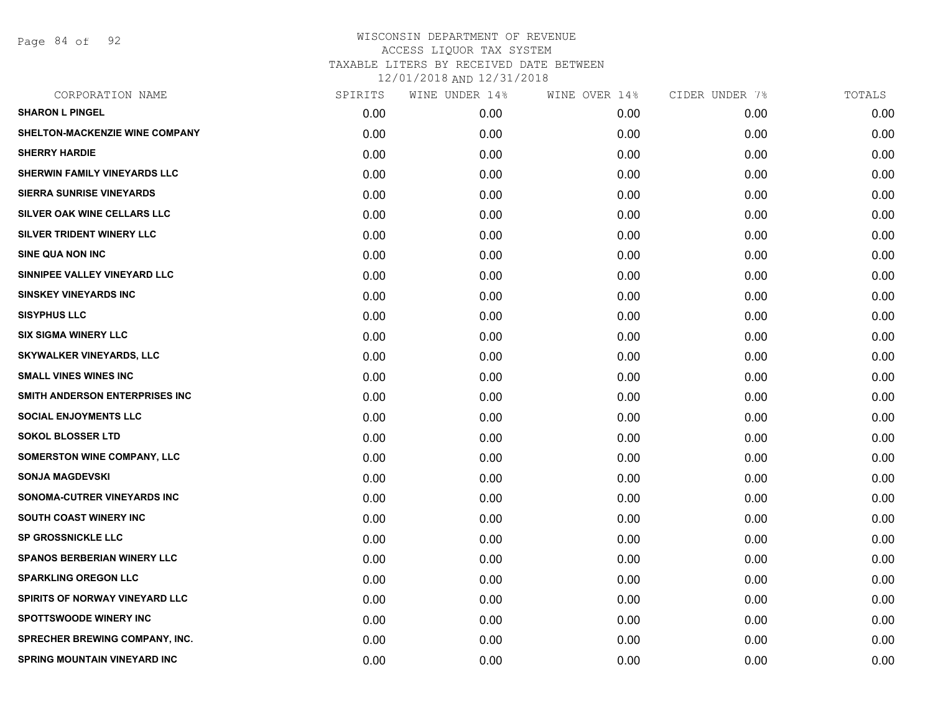Page 84 of 92

| SPIRITS | WINE UNDER 14% | WINE OVER 14% | CIDER UNDER 7% | TOTALS |
|---------|----------------|---------------|----------------|--------|
| 0.00    | 0.00           | 0.00          | 0.00           | 0.00   |
| 0.00    | 0.00           | 0.00          | 0.00           | 0.00   |
| 0.00    | 0.00           | 0.00          | 0.00           | 0.00   |
| 0.00    | 0.00           | 0.00          | 0.00           | 0.00   |
| 0.00    | 0.00           | 0.00          | 0.00           | 0.00   |
| 0.00    | 0.00           | 0.00          | 0.00           | 0.00   |
| 0.00    | 0.00           | 0.00          | 0.00           | 0.00   |
| 0.00    | 0.00           | 0.00          | 0.00           | 0.00   |
| 0.00    | 0.00           | 0.00          | 0.00           | 0.00   |
| 0.00    | 0.00           | 0.00          | 0.00           | 0.00   |
| 0.00    | 0.00           | 0.00          | 0.00           | 0.00   |
| 0.00    | 0.00           | 0.00          | 0.00           | 0.00   |
| 0.00    | 0.00           | 0.00          | 0.00           | 0.00   |
| 0.00    | 0.00           | 0.00          | 0.00           | 0.00   |
| 0.00    | 0.00           | 0.00          | 0.00           | 0.00   |
| 0.00    | 0.00           | 0.00          | 0.00           | 0.00   |
| 0.00    | 0.00           | 0.00          | 0.00           | 0.00   |
| 0.00    | 0.00           | 0.00          | 0.00           | 0.00   |
| 0.00    | 0.00           | 0.00          | 0.00           | 0.00   |
| 0.00    | 0.00           | 0.00          | 0.00           | 0.00   |
| 0.00    | 0.00           | 0.00          | 0.00           | 0.00   |
| 0.00    | 0.00           | 0.00          | 0.00           | 0.00   |
| 0.00    | 0.00           | 0.00          | 0.00           | 0.00   |
| 0.00    | 0.00           | 0.00          | 0.00           | 0.00   |
| 0.00    | 0.00           | 0.00          | 0.00           | 0.00   |
| 0.00    | 0.00           | 0.00          | 0.00           | 0.00   |
| 0.00    | 0.00           | 0.00          | 0.00           | 0.00   |
| 0.00    | 0.00           | 0.00          | 0.00           | 0.00   |
|         |                |               |                |        |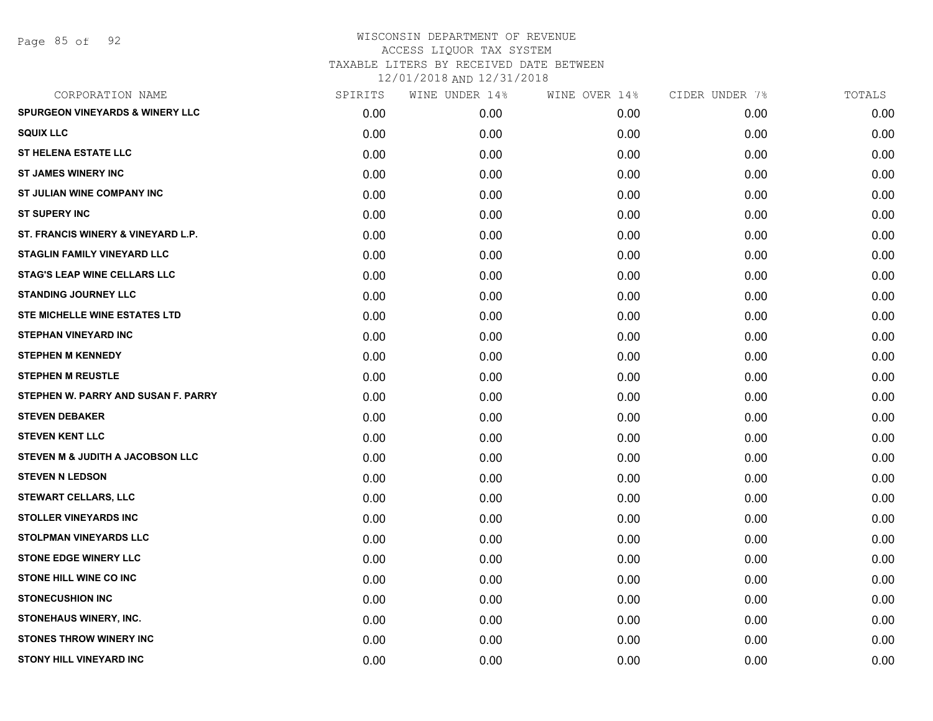Page 85 of 92

| CORPORATION NAME                           | SPIRITS | WINE UNDER 14% | WINE OVER 14% | CIDER UNDER 7% | TOTALS |
|--------------------------------------------|---------|----------------|---------------|----------------|--------|
| <b>SPURGEON VINEYARDS &amp; WINERY LLC</b> | 0.00    | 0.00           | 0.00          | 0.00           | 0.00   |
| <b>SQUIX LLC</b>                           | 0.00    | 0.00           | 0.00          | 0.00           | 0.00   |
| <b>ST HELENA ESTATE LLC</b>                | 0.00    | 0.00           | 0.00          | 0.00           | 0.00   |
| <b>ST JAMES WINERY INC</b>                 | 0.00    | 0.00           | 0.00          | 0.00           | 0.00   |
| ST JULIAN WINE COMPANY INC                 | 0.00    | 0.00           | 0.00          | 0.00           | 0.00   |
| <b>ST SUPERY INC</b>                       | 0.00    | 0.00           | 0.00          | 0.00           | 0.00   |
| ST. FRANCIS WINERY & VINEYARD L.P.         | 0.00    | 0.00           | 0.00          | 0.00           | 0.00   |
| <b>STAGLIN FAMILY VINEYARD LLC</b>         | 0.00    | 0.00           | 0.00          | 0.00           | 0.00   |
| <b>STAG'S LEAP WINE CELLARS LLC</b>        | 0.00    | 0.00           | 0.00          | 0.00           | 0.00   |
| <b>STANDING JOURNEY LLC</b>                | 0.00    | 0.00           | 0.00          | 0.00           | 0.00   |
| <b>STE MICHELLE WINE ESTATES LTD</b>       | 0.00    | 0.00           | 0.00          | 0.00           | 0.00   |
| <b>STEPHAN VINEYARD INC</b>                | 0.00    | 0.00           | 0.00          | 0.00           | 0.00   |
| <b>STEPHEN M KENNEDY</b>                   | 0.00    | 0.00           | 0.00          | 0.00           | 0.00   |
| <b>STEPHEN M REUSTLE</b>                   | 0.00    | 0.00           | 0.00          | 0.00           | 0.00   |
| STEPHEN W. PARRY AND SUSAN F. PARRY        | 0.00    | 0.00           | 0.00          | 0.00           | 0.00   |
| <b>STEVEN DEBAKER</b>                      | 0.00    | 0.00           | 0.00          | 0.00           | 0.00   |
| <b>STEVEN KENT LLC</b>                     | 0.00    | 0.00           | 0.00          | 0.00           | 0.00   |
| STEVEN M & JUDITH A JACOBSON LLC           | 0.00    | 0.00           | 0.00          | 0.00           | 0.00   |
| <b>STEVEN N LEDSON</b>                     | 0.00    | 0.00           | 0.00          | 0.00           | 0.00   |
| <b>STEWART CELLARS, LLC</b>                | 0.00    | 0.00           | 0.00          | 0.00           | 0.00   |
| <b>STOLLER VINEYARDS INC</b>               | 0.00    | 0.00           | 0.00          | 0.00           | 0.00   |
| <b>STOLPMAN VINEYARDS LLC</b>              | 0.00    | 0.00           | 0.00          | 0.00           | 0.00   |
| <b>STONE EDGE WINERY LLC</b>               | 0.00    | 0.00           | 0.00          | 0.00           | 0.00   |
| <b>STONE HILL WINE CO INC</b>              | 0.00    | 0.00           | 0.00          | 0.00           | 0.00   |
| <b>STONECUSHION INC</b>                    | 0.00    | 0.00           | 0.00          | 0.00           | 0.00   |
| STONEHAUS WINERY, INC.                     | 0.00    | 0.00           | 0.00          | 0.00           | 0.00   |
| <b>STONES THROW WINERY INC</b>             | 0.00    | 0.00           | 0.00          | 0.00           | 0.00   |
| <b>STONY HILL VINEYARD INC</b>             | 0.00    | 0.00           | 0.00          | 0.00           | 0.00   |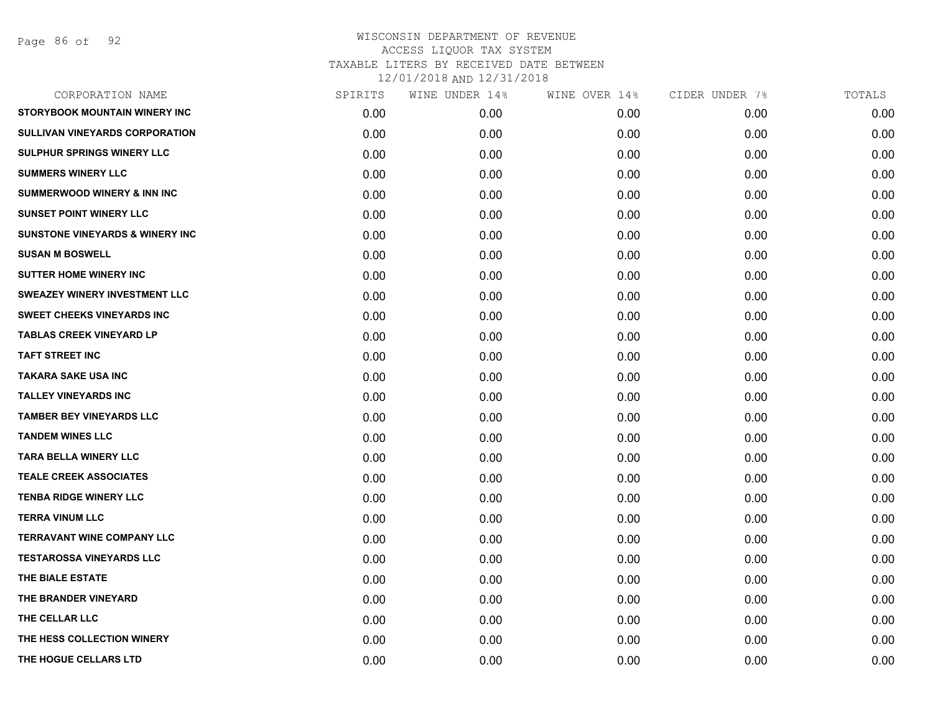Page 86 of 92

| SPIRITS | WINE UNDER 14% | WINE OVER 14% | CIDER UNDER 7% | TOTALS |
|---------|----------------|---------------|----------------|--------|
| 0.00    | 0.00           | 0.00          | 0.00           | 0.00   |
| 0.00    | 0.00           | 0.00          | 0.00           | 0.00   |
| 0.00    | 0.00           | 0.00          | 0.00           | 0.00   |
| 0.00    | 0.00           | 0.00          | 0.00           | 0.00   |
| 0.00    | 0.00           | 0.00          | 0.00           | 0.00   |
| 0.00    | 0.00           | 0.00          | 0.00           | 0.00   |
| 0.00    | 0.00           | 0.00          | 0.00           | 0.00   |
| 0.00    | 0.00           | 0.00          | 0.00           | 0.00   |
| 0.00    | 0.00           | 0.00          | 0.00           | 0.00   |
| 0.00    | 0.00           | 0.00          | 0.00           | 0.00   |
| 0.00    | 0.00           | 0.00          | 0.00           | 0.00   |
| 0.00    | 0.00           | 0.00          | 0.00           | 0.00   |
| 0.00    | 0.00           | 0.00          | 0.00           | 0.00   |
| 0.00    | 0.00           | 0.00          | 0.00           | 0.00   |
| 0.00    | 0.00           | 0.00          | 0.00           | 0.00   |
| 0.00    | 0.00           | 0.00          | 0.00           | 0.00   |
| 0.00    | 0.00           | 0.00          | 0.00           | 0.00   |
| 0.00    | 0.00           | 0.00          | 0.00           | 0.00   |
| 0.00    | 0.00           | 0.00          | 0.00           | 0.00   |
| 0.00    | 0.00           | 0.00          | 0.00           | 0.00   |
| 0.00    | 0.00           | 0.00          | 0.00           | 0.00   |
| 0.00    | 0.00           | 0.00          | 0.00           | 0.00   |
| 0.00    | 0.00           | 0.00          | 0.00           | 0.00   |
| 0.00    | 0.00           | 0.00          | 0.00           | 0.00   |
| 0.00    | 0.00           | 0.00          | 0.00           | 0.00   |
| 0.00    | 0.00           | 0.00          | 0.00           | 0.00   |
| 0.00    | 0.00           | 0.00          | 0.00           | 0.00   |
| 0.00    | 0.00           | 0.00          | 0.00           | 0.00   |
|         |                |               |                |        |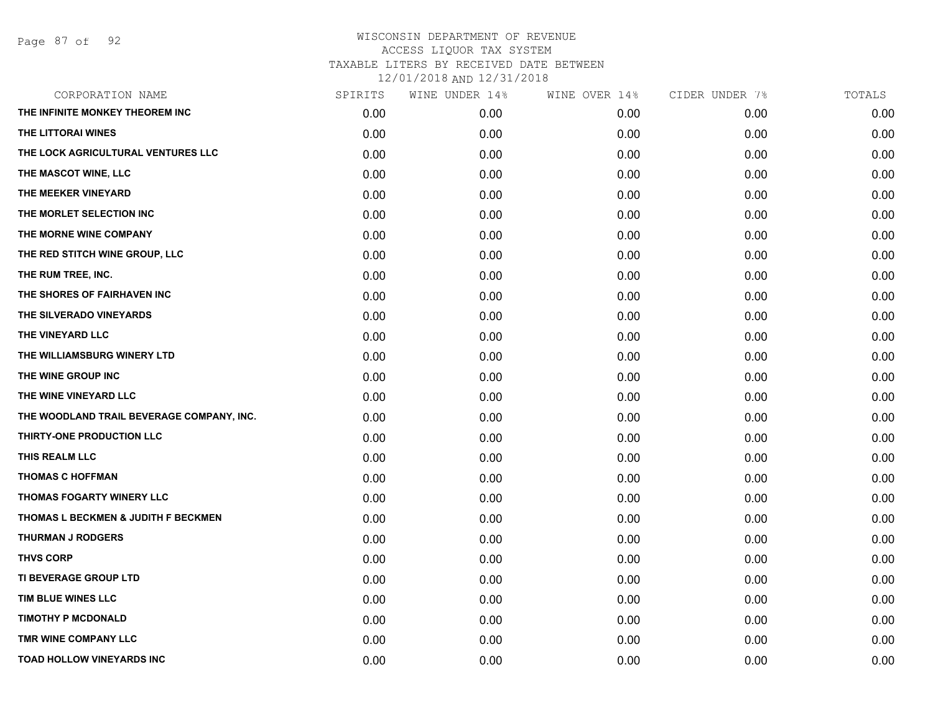| CORPORATION NAME                          | SPIRITS | WINE UNDER 14% | WINE OVER 14% | CIDER UNDER 7% | TOTALS |
|-------------------------------------------|---------|----------------|---------------|----------------|--------|
| THE INFINITE MONKEY THEOREM INC           | 0.00    | 0.00           | 0.00          | 0.00           | 0.00   |
| THE LITTORAI WINES                        | 0.00    | 0.00           | 0.00          | 0.00           | 0.00   |
| THE LOCK AGRICULTURAL VENTURES LLC        | 0.00    | 0.00           | 0.00          | 0.00           | 0.00   |
| THE MASCOT WINE, LLC                      | 0.00    | 0.00           | 0.00          | 0.00           | 0.00   |
| THE MEEKER VINEYARD                       | 0.00    | 0.00           | 0.00          | 0.00           | 0.00   |
| THE MORLET SELECTION INC                  | 0.00    | 0.00           | 0.00          | 0.00           | 0.00   |
| THE MORNE WINE COMPANY                    | 0.00    | 0.00           | 0.00          | 0.00           | 0.00   |
| THE RED STITCH WINE GROUP, LLC            | 0.00    | 0.00           | 0.00          | 0.00           | 0.00   |
| THE RUM TREE, INC.                        | 0.00    | 0.00           | 0.00          | 0.00           | 0.00   |
| THE SHORES OF FAIRHAVEN INC               | 0.00    | 0.00           | 0.00          | 0.00           | 0.00   |
| THE SILVERADO VINEYARDS                   | 0.00    | 0.00           | 0.00          | 0.00           | 0.00   |
| THE VINEYARD LLC                          | 0.00    | 0.00           | 0.00          | 0.00           | 0.00   |
| THE WILLIAMSBURG WINERY LTD               | 0.00    | 0.00           | 0.00          | 0.00           | 0.00   |
| THE WINE GROUP INC                        | 0.00    | 0.00           | 0.00          | 0.00           | 0.00   |
| THE WINE VINEYARD LLC                     | 0.00    | 0.00           | 0.00          | 0.00           | 0.00   |
| THE WOODLAND TRAIL BEVERAGE COMPANY, INC. | 0.00    | 0.00           | 0.00          | 0.00           | 0.00   |
| THIRTY-ONE PRODUCTION LLC                 | 0.00    | 0.00           | 0.00          | 0.00           | 0.00   |
| THIS REALM LLC                            | 0.00    | 0.00           | 0.00          | 0.00           | 0.00   |
| <b>THOMAS C HOFFMAN</b>                   | 0.00    | 0.00           | 0.00          | 0.00           | 0.00   |
| THOMAS FOGARTY WINERY LLC                 | 0.00    | 0.00           | 0.00          | 0.00           | 0.00   |
| THOMAS L BECKMEN & JUDITH F BECKMEN       | 0.00    | 0.00           | 0.00          | 0.00           | 0.00   |
| <b>THURMAN J RODGERS</b>                  | 0.00    | 0.00           | 0.00          | 0.00           | 0.00   |
| <b>THVS CORP</b>                          | 0.00    | 0.00           | 0.00          | 0.00           | 0.00   |
| TI BEVERAGE GROUP LTD                     | 0.00    | 0.00           | 0.00          | 0.00           | 0.00   |
| TIM BLUE WINES LLC                        | 0.00    | 0.00           | 0.00          | 0.00           | 0.00   |
| <b>TIMOTHY P MCDONALD</b>                 | 0.00    | 0.00           | 0.00          | 0.00           | 0.00   |
| TMR WINE COMPANY LLC                      | 0.00    | 0.00           | 0.00          | 0.00           | 0.00   |
| TOAD HOLLOW VINEYARDS INC                 | 0.00    | 0.00           | 0.00          | 0.00           | 0.00   |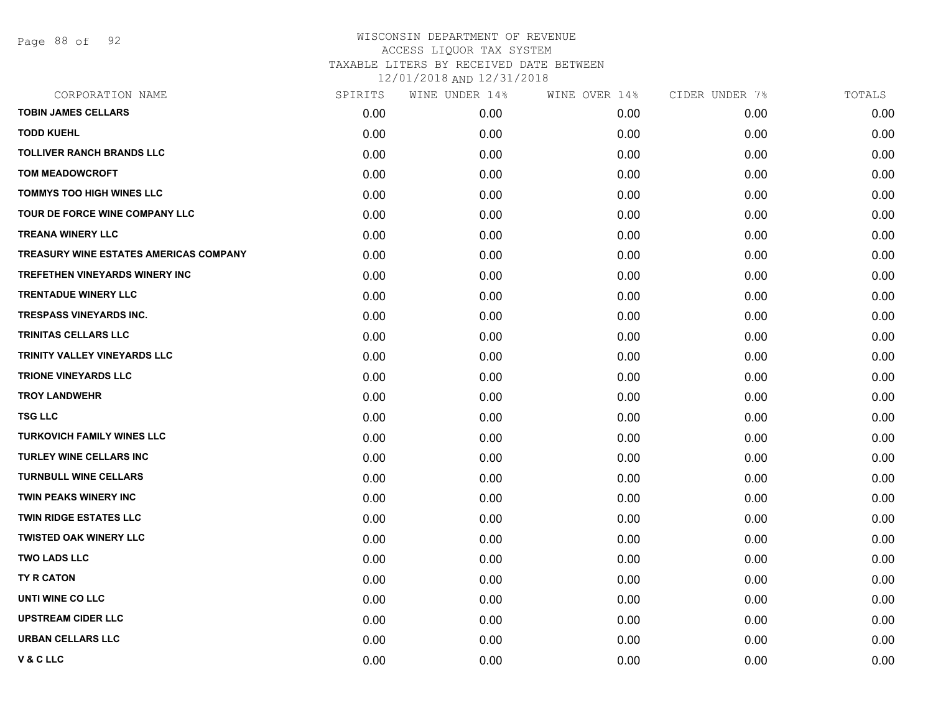Page 88 of 92

| CORPORATION NAME                              | SPIRITS | WINE UNDER 14% | WINE OVER 14% | CIDER UNDER 7% | TOTALS |
|-----------------------------------------------|---------|----------------|---------------|----------------|--------|
| <b>TOBIN JAMES CELLARS</b>                    | 0.00    | 0.00           | 0.00          | 0.00           | 0.00   |
| <b>TODD KUEHL</b>                             | 0.00    | 0.00           | 0.00          | 0.00           | 0.00   |
| <b>TOLLIVER RANCH BRANDS LLC</b>              | 0.00    | 0.00           | 0.00          | 0.00           | 0.00   |
| <b>TOM MEADOWCROFT</b>                        | 0.00    | 0.00           | 0.00          | 0.00           | 0.00   |
| <b>TOMMYS TOO HIGH WINES LLC</b>              | 0.00    | 0.00           | 0.00          | 0.00           | 0.00   |
| TOUR DE FORCE WINE COMPANY LLC                | 0.00    | 0.00           | 0.00          | 0.00           | 0.00   |
| <b>TREANA WINERY LLC</b>                      | 0.00    | 0.00           | 0.00          | 0.00           | 0.00   |
| <b>TREASURY WINE ESTATES AMERICAS COMPANY</b> | 0.00    | 0.00           | 0.00          | 0.00           | 0.00   |
| TREFETHEN VINEYARDS WINERY INC                | 0.00    | 0.00           | 0.00          | 0.00           | 0.00   |
| <b>TRENTADUE WINERY LLC</b>                   | 0.00    | 0.00           | 0.00          | 0.00           | 0.00   |
| <b>TRESPASS VINEYARDS INC.</b>                | 0.00    | 0.00           | 0.00          | 0.00           | 0.00   |
| <b>TRINITAS CELLARS LLC</b>                   | 0.00    | 0.00           | 0.00          | 0.00           | 0.00   |
| TRINITY VALLEY VINEYARDS LLC                  | 0.00    | 0.00           | 0.00          | 0.00           | 0.00   |
| <b>TRIONE VINEYARDS LLC</b>                   | 0.00    | 0.00           | 0.00          | 0.00           | 0.00   |
| <b>TROY LANDWEHR</b>                          | 0.00    | 0.00           | 0.00          | 0.00           | 0.00   |
| <b>TSG LLC</b>                                | 0.00    | 0.00           | 0.00          | 0.00           | 0.00   |
| <b>TURKOVICH FAMILY WINES LLC</b>             | 0.00    | 0.00           | 0.00          | 0.00           | 0.00   |
| TURLEY WINE CELLARS INC                       | 0.00    | 0.00           | 0.00          | 0.00           | 0.00   |
| <b>TURNBULL WINE CELLARS</b>                  | 0.00    | 0.00           | 0.00          | 0.00           | 0.00   |
| TWIN PEAKS WINERY INC                         | 0.00    | 0.00           | 0.00          | 0.00           | 0.00   |
| <b>TWIN RIDGE ESTATES LLC</b>                 | 0.00    | 0.00           | 0.00          | 0.00           | 0.00   |
| <b>TWISTED OAK WINERY LLC</b>                 | 0.00    | 0.00           | 0.00          | 0.00           | 0.00   |
| <b>TWO LADS LLC</b>                           | 0.00    | 0.00           | 0.00          | 0.00           | 0.00   |
| TY R CATON                                    | 0.00    | 0.00           | 0.00          | 0.00           | 0.00   |
| UNTI WINE CO LLC                              | 0.00    | 0.00           | 0.00          | 0.00           | 0.00   |
| <b>UPSTREAM CIDER LLC</b>                     | 0.00    | 0.00           | 0.00          | 0.00           | 0.00   |
| <b>URBAN CELLARS LLC</b>                      | 0.00    | 0.00           | 0.00          | 0.00           | 0.00   |
| <b>V&amp;CLLC</b>                             | 0.00    | 0.00           | 0.00          | 0.00           | 0.00   |
|                                               |         |                |               |                |        |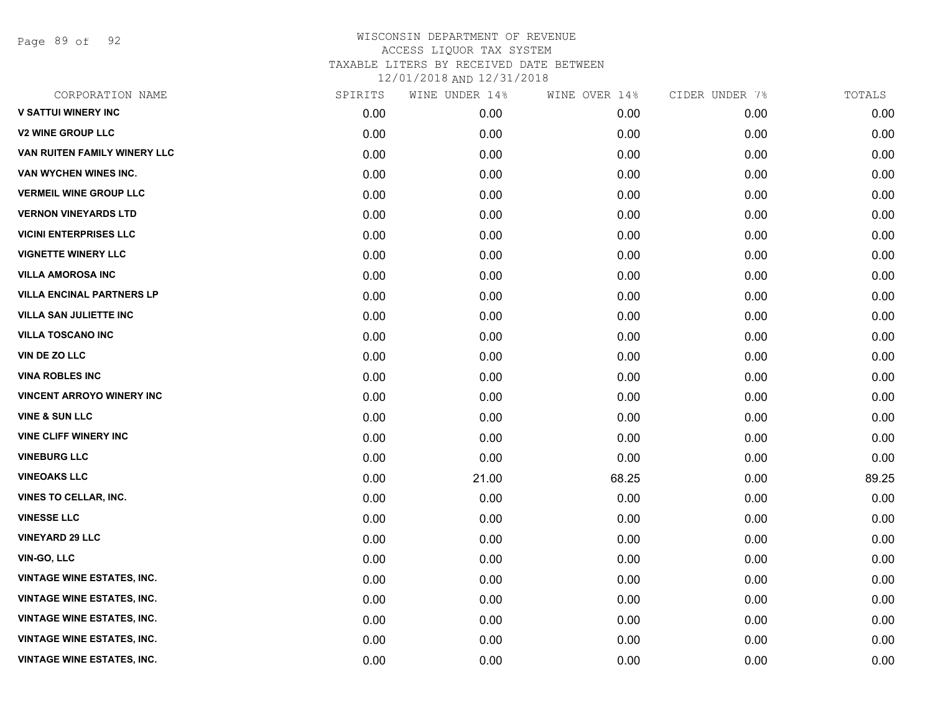Page 89 of 92

| CORPORATION NAME                  | SPIRITS | WINE UNDER 14% | WINE OVER 14% | CIDER UNDER 7% | TOTALS |
|-----------------------------------|---------|----------------|---------------|----------------|--------|
| <b>V SATTUI WINERY INC</b>        | 0.00    | 0.00           | 0.00          | 0.00           | 0.00   |
| <b>V2 WINE GROUP LLC</b>          | 0.00    | 0.00           | 0.00          | 0.00           | 0.00   |
| VAN RUITEN FAMILY WINERY LLC      | 0.00    | 0.00           | 0.00          | 0.00           | 0.00   |
| VAN WYCHEN WINES INC.             | 0.00    | 0.00           | 0.00          | 0.00           | 0.00   |
| <b>VERMEIL WINE GROUP LLC</b>     | 0.00    | 0.00           | 0.00          | 0.00           | 0.00   |
| <b>VERNON VINEYARDS LTD</b>       | 0.00    | 0.00           | 0.00          | 0.00           | 0.00   |
| <b>VICINI ENTERPRISES LLC</b>     | 0.00    | 0.00           | 0.00          | 0.00           | 0.00   |
| <b>VIGNETTE WINERY LLC</b>        | 0.00    | 0.00           | 0.00          | 0.00           | 0.00   |
| <b>VILLA AMOROSA INC</b>          | 0.00    | 0.00           | 0.00          | 0.00           | 0.00   |
| <b>VILLA ENCINAL PARTNERS LP</b>  | 0.00    | 0.00           | 0.00          | 0.00           | 0.00   |
| <b>VILLA SAN JULIETTE INC</b>     | 0.00    | 0.00           | 0.00          | 0.00           | 0.00   |
| <b>VILLA TOSCANO INC</b>          | 0.00    | 0.00           | 0.00          | 0.00           | 0.00   |
| <b>VIN DE ZO LLC</b>              | 0.00    | 0.00           | 0.00          | 0.00           | 0.00   |
| <b>VINA ROBLES INC</b>            | 0.00    | 0.00           | 0.00          | 0.00           | 0.00   |
| <b>VINCENT ARROYO WINERY INC.</b> | 0.00    | 0.00           | 0.00          | 0.00           | 0.00   |
| <b>VINE &amp; SUN LLC</b>         | 0.00    | 0.00           | 0.00          | 0.00           | 0.00   |
| <b>VINE CLIFF WINERY INC</b>      | 0.00    | 0.00           | 0.00          | 0.00           | 0.00   |
| <b>VINEBURG LLC</b>               | 0.00    | 0.00           | 0.00          | 0.00           | 0.00   |
| <b>VINEOAKS LLC</b>               | 0.00    | 21.00          | 68.25         | 0.00           | 89.25  |
| VINES TO CELLAR, INC.             | 0.00    | 0.00           | 0.00          | 0.00           | 0.00   |
| <b>VINESSE LLC</b>                | 0.00    | 0.00           | 0.00          | 0.00           | 0.00   |
| <b>VINEYARD 29 LLC</b>            | 0.00    | 0.00           | 0.00          | 0.00           | 0.00   |
| <b>VIN-GO, LLC</b>                | 0.00    | 0.00           | 0.00          | 0.00           | 0.00   |
| <b>VINTAGE WINE ESTATES, INC.</b> | 0.00    | 0.00           | 0.00          | 0.00           | 0.00   |
| <b>VINTAGE WINE ESTATES, INC.</b> | 0.00    | 0.00           | 0.00          | 0.00           | 0.00   |
| <b>VINTAGE WINE ESTATES, INC.</b> | 0.00    | 0.00           | 0.00          | 0.00           | 0.00   |
| <b>VINTAGE WINE ESTATES, INC.</b> | 0.00    | 0.00           | 0.00          | 0.00           | 0.00   |
| <b>VINTAGE WINE ESTATES, INC.</b> | 0.00    | 0.00           | 0.00          | 0.00           | 0.00   |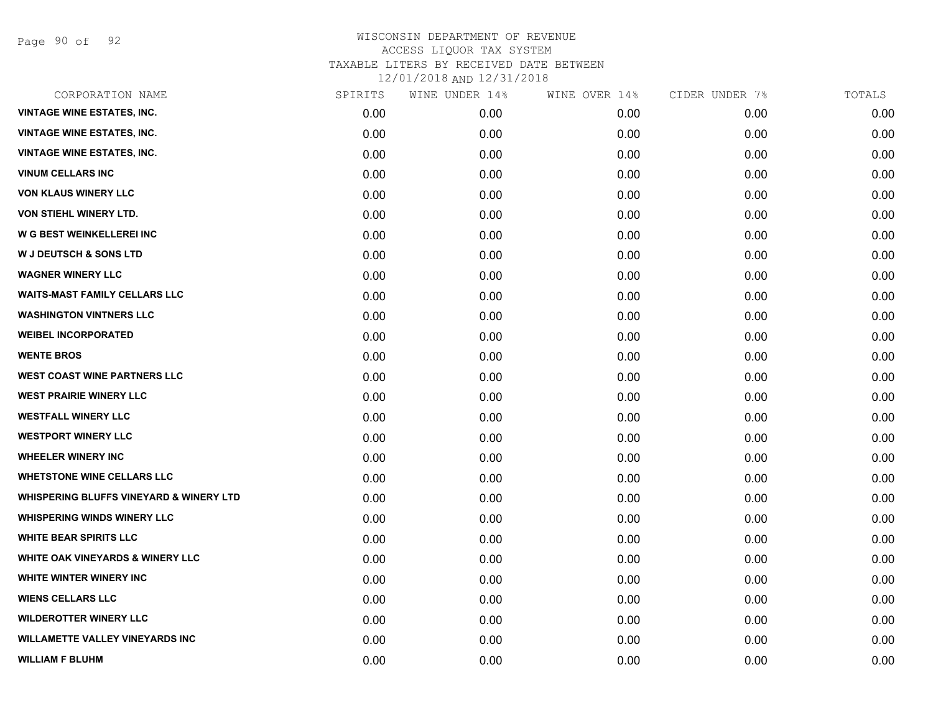Page 90 of 92

| CORPORATION NAME                                   | SPIRITS | WINE UNDER 14% | WINE OVER 14% | CIDER UNDER 7% | TOTALS |
|----------------------------------------------------|---------|----------------|---------------|----------------|--------|
| <b>VINTAGE WINE ESTATES, INC.</b>                  | 0.00    | 0.00           | 0.00          | 0.00           | 0.00   |
| <b>VINTAGE WINE ESTATES, INC.</b>                  | 0.00    | 0.00           | 0.00          | 0.00           | 0.00   |
| <b>VINTAGE WINE ESTATES, INC.</b>                  | 0.00    | 0.00           | 0.00          | 0.00           | 0.00   |
| <b>VINUM CELLARS INC</b>                           | 0.00    | 0.00           | 0.00          | 0.00           | 0.00   |
| <b>VON KLAUS WINERY LLC</b>                        | 0.00    | 0.00           | 0.00          | 0.00           | 0.00   |
| VON STIEHL WINERY LTD.                             | 0.00    | 0.00           | 0.00          | 0.00           | 0.00   |
| W G BEST WEINKELLEREI INC                          | 0.00    | 0.00           | 0.00          | 0.00           | 0.00   |
| <b>W J DEUTSCH &amp; SONS LTD</b>                  | 0.00    | 0.00           | 0.00          | 0.00           | 0.00   |
| <b>WAGNER WINERY LLC</b>                           | 0.00    | 0.00           | 0.00          | 0.00           | 0.00   |
| <b>WAITS-MAST FAMILY CELLARS LLC</b>               | 0.00    | 0.00           | 0.00          | 0.00           | 0.00   |
| <b>WASHINGTON VINTNERS LLC</b>                     | 0.00    | 0.00           | 0.00          | 0.00           | 0.00   |
| <b>WEIBEL INCORPORATED</b>                         | 0.00    | 0.00           | 0.00          | 0.00           | 0.00   |
| <b>WENTE BROS</b>                                  | 0.00    | 0.00           | 0.00          | 0.00           | 0.00   |
| <b>WEST COAST WINE PARTNERS LLC</b>                | 0.00    | 0.00           | 0.00          | 0.00           | 0.00   |
| <b>WEST PRAIRIE WINERY LLC</b>                     | 0.00    | 0.00           | 0.00          | 0.00           | 0.00   |
| <b>WESTFALL WINERY LLC</b>                         | 0.00    | 0.00           | 0.00          | 0.00           | 0.00   |
| <b>WESTPORT WINERY LLC</b>                         | 0.00    | 0.00           | 0.00          | 0.00           | 0.00   |
| <b>WHEELER WINERY INC</b>                          | 0.00    | 0.00           | 0.00          | 0.00           | 0.00   |
| <b>WHETSTONE WINE CELLARS LLC</b>                  | 0.00    | 0.00           | 0.00          | 0.00           | 0.00   |
| <b>WHISPERING BLUFFS VINEYARD &amp; WINERY LTD</b> | 0.00    | 0.00           | 0.00          | 0.00           | 0.00   |
| <b>WHISPERING WINDS WINERY LLC</b>                 | 0.00    | 0.00           | 0.00          | 0.00           | 0.00   |
| <b>WHITE BEAR SPIRITS LLC</b>                      | 0.00    | 0.00           | 0.00          | 0.00           | 0.00   |
| <b>WHITE OAK VINEYARDS &amp; WINERY LLC</b>        | 0.00    | 0.00           | 0.00          | 0.00           | 0.00   |
| WHITE WINTER WINERY INC                            | 0.00    | 0.00           | 0.00          | 0.00           | 0.00   |
| <b>WIENS CELLARS LLC</b>                           | 0.00    | 0.00           | 0.00          | 0.00           | 0.00   |
| <b>WILDEROTTER WINERY LLC</b>                      | 0.00    | 0.00           | 0.00          | 0.00           | 0.00   |
| <b>WILLAMETTE VALLEY VINEYARDS INC</b>             | 0.00    | 0.00           | 0.00          | 0.00           | 0.00   |
| <b>WILLIAM F BLUHM</b>                             | 0.00    | 0.00           | 0.00          | 0.00           | 0.00   |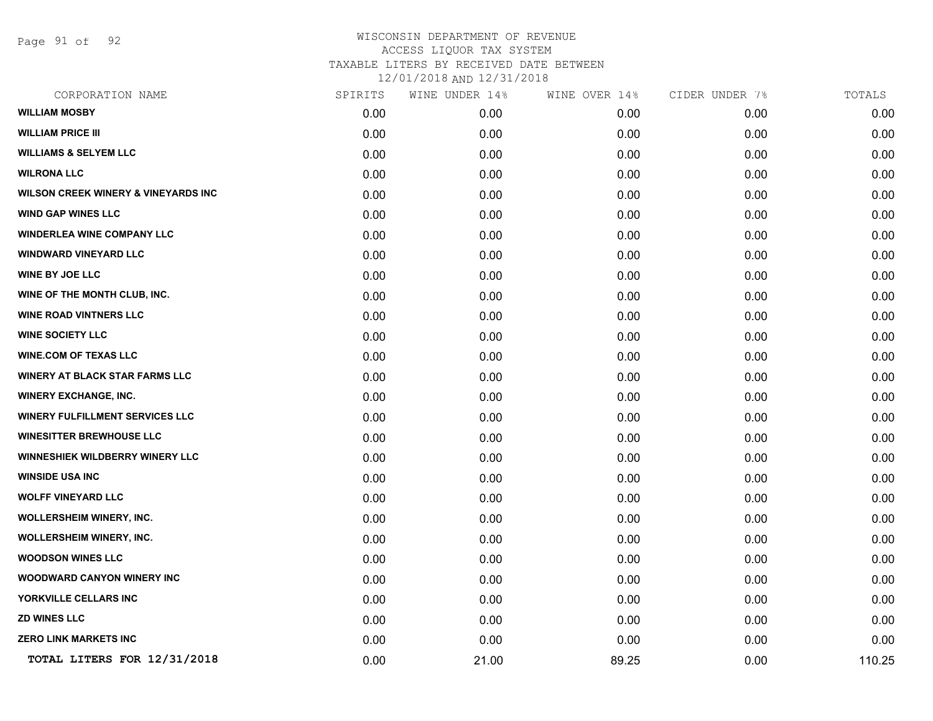Page 91 of 92

| CORPORATION NAME                               | SPIRITS | WINE UNDER 14% | WINE OVER 14% | CIDER UNDER 7% | TOTALS |
|------------------------------------------------|---------|----------------|---------------|----------------|--------|
| <b>WILLIAM MOSBY</b>                           | 0.00    | 0.00           | 0.00          | 0.00           | 0.00   |
| <b>WILLIAM PRICE III</b>                       | 0.00    | 0.00           | 0.00          | 0.00           | 0.00   |
| <b>WILLIAMS &amp; SELYEM LLC</b>               | 0.00    | 0.00           | 0.00          | 0.00           | 0.00   |
| <b>WILRONA LLC</b>                             | 0.00    | 0.00           | 0.00          | 0.00           | 0.00   |
| <b>WILSON CREEK WINERY &amp; VINEYARDS INC</b> | 0.00    | 0.00           | 0.00          | 0.00           | 0.00   |
| <b>WIND GAP WINES LLC</b>                      | 0.00    | 0.00           | 0.00          | 0.00           | 0.00   |
| <b>WINDERLEA WINE COMPANY LLC</b>              | 0.00    | 0.00           | 0.00          | 0.00           | 0.00   |
| <b>WINDWARD VINEYARD LLC</b>                   | 0.00    | 0.00           | 0.00          | 0.00           | 0.00   |
| <b>WINE BY JOE LLC</b>                         | 0.00    | 0.00           | 0.00          | 0.00           | 0.00   |
| WINE OF THE MONTH CLUB, INC.                   | 0.00    | 0.00           | 0.00          | 0.00           | 0.00   |
| <b>WINE ROAD VINTNERS LLC</b>                  | 0.00    | 0.00           | 0.00          | 0.00           | 0.00   |
| <b>WINE SOCIETY LLC</b>                        | 0.00    | 0.00           | 0.00          | 0.00           | 0.00   |
| <b>WINE.COM OF TEXAS LLC</b>                   | 0.00    | 0.00           | 0.00          | 0.00           | 0.00   |
| <b>WINERY AT BLACK STAR FARMS LLC</b>          | 0.00    | 0.00           | 0.00          | 0.00           | 0.00   |
| <b>WINERY EXCHANGE, INC.</b>                   | 0.00    | 0.00           | 0.00          | 0.00           | 0.00   |
| <b>WINERY FULFILLMENT SERVICES LLC</b>         | 0.00    | 0.00           | 0.00          | 0.00           | 0.00   |
| <b>WINESITTER BREWHOUSE LLC</b>                | 0.00    | 0.00           | 0.00          | 0.00           | 0.00   |
| WINNESHIEK WILDBERRY WINERY LLC                | 0.00    | 0.00           | 0.00          | 0.00           | 0.00   |
| <b>WINSIDE USA INC</b>                         | 0.00    | 0.00           | 0.00          | 0.00           | 0.00   |
| <b>WOLFF VINEYARD LLC</b>                      | 0.00    | 0.00           | 0.00          | 0.00           | 0.00   |
| <b>WOLLERSHEIM WINERY, INC.</b>                | 0.00    | 0.00           | 0.00          | 0.00           | 0.00   |
| <b>WOLLERSHEIM WINERY, INC.</b>                | 0.00    | 0.00           | 0.00          | 0.00           | 0.00   |
| <b>WOODSON WINES LLC</b>                       | 0.00    | 0.00           | 0.00          | 0.00           | 0.00   |
| <b>WOODWARD CANYON WINERY INC</b>              | 0.00    | 0.00           | 0.00          | 0.00           | 0.00   |
| YORKVILLE CELLARS INC                          | 0.00    | 0.00           | 0.00          | 0.00           | 0.00   |
| <b>ZD WINES LLC</b>                            | 0.00    | 0.00           | 0.00          | 0.00           | 0.00   |
| <b>ZERO LINK MARKETS INC</b>                   | 0.00    | 0.00           | 0.00          | 0.00           | 0.00   |
| TOTAL LITERS FOR 12/31/2018                    | 0.00    | 21.00          | 89.25         | 0.00           | 110.25 |